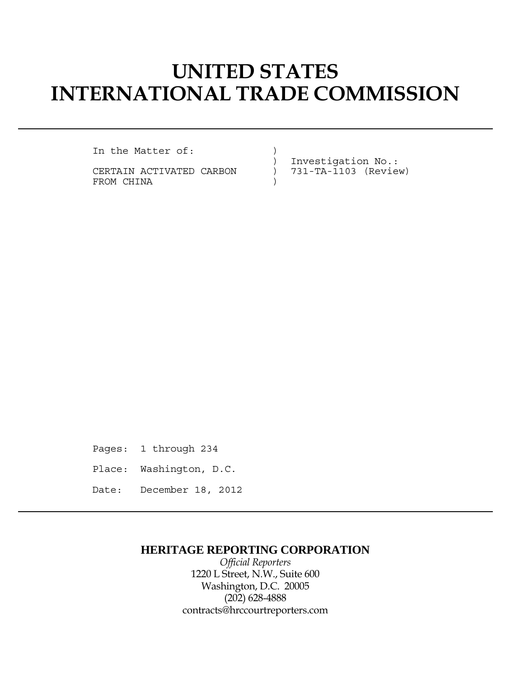# **UNITED STATES INTERNATIONAL TRADE COMMISSION**

In the Matter of: (1)

CERTAIN ACTIVATED CARBON ) 731-TA-1103 (Review) FROM CHINA  $)$ 

) Investigation No.:

Pages: 1 through 234 Place: Washington, D.C. Date: December 18, 2012

### **HERITAGE REPORTING CORPORATION**

*Official Reporters* 1220 L Street, N.W., Suite 600 Washington, D.C. 20005 (202) 628-4888 contracts@hrccourtreporters.com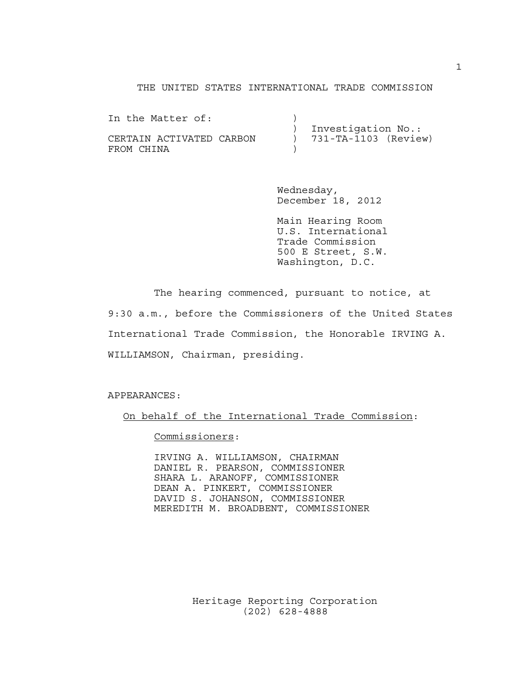#### THE UNITED STATES INTERNATIONAL TRADE COMMISSION

| In the Matter of:                      |  |                                              |  |
|----------------------------------------|--|----------------------------------------------|--|
| CERTAIN ACTIVATED CARBON<br>FROM CHINA |  | Investigation No.:<br>) 731-TA-1103 (Review) |  |

 Wednesday, December 18, 2012

 Main Hearing Room U.S. International Trade Commission 500 E Street, S.W. Washington, D.C.

 The hearing commenced, pursuant to notice, at 9:30 a.m., before the Commissioners of the United States International Trade Commission, the Honorable IRVING A. WILLIAMSON, Chairman, presiding.

APPEARANCES:

On behalf of the International Trade Commission:

Commissioners:

 IRVING A. WILLIAMSON, CHAIRMAN DANIEL R. PEARSON, COMMISSIONER SHARA L. ARANOFF, COMMISSIONER DEAN A. PINKERT, COMMISSIONER DAVID S. JOHANSON, COMMISSIONER MEREDITH M. BROADBENT, COMMISSIONER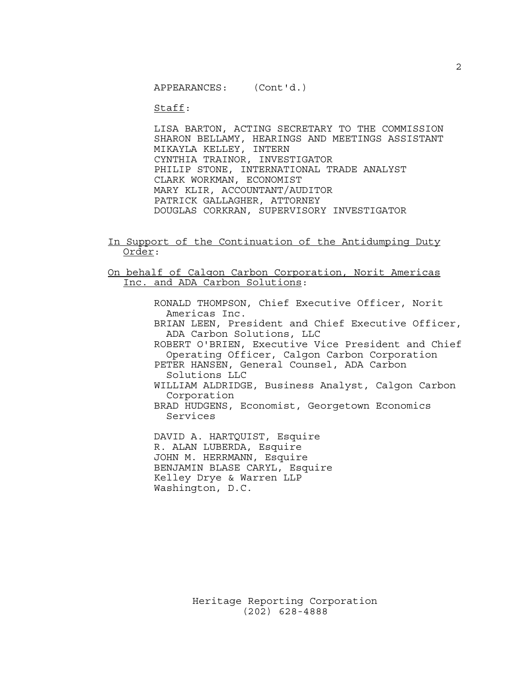APPEARANCES: (Cont'd.)

Staff:

 LISA BARTON, ACTING SECRETARY TO THE COMMISSION SHARON BELLAMY, HEARINGS AND MEETINGS ASSISTANT MIKAYLA KELLEY, INTERN CYNTHIA TRAINOR, INVESTIGATOR PHILIP STONE, INTERNATIONAL TRADE ANALYST CLARK WORKMAN, ECONOMIST MARY KLIR, ACCOUNTANT/AUDITOR PATRICK GALLAGHER, ATTORNEY DOUGLAS CORKRAN, SUPERVISORY INVESTIGATOR

In Support of the Continuation of the Antidumping Duty Order:

On behalf of Calgon Carbon Corporation, Norit Americas Inc. and ADA Carbon Solutions:

> RONALD THOMPSON, Chief Executive Officer, Norit Americas Inc. BRIAN LEEN, President and Chief Executive Officer, ADA Carbon Solutions, LLC ROBERT O'BRIEN, Executive Vice President and Chief Operating Officer, Calgon Carbon Corporation PETER HANSEN, General Counsel, ADA Carbon Solutions LLC WILLIAM ALDRIDGE, Business Analyst, Calgon Carbon Corporation BRAD HUDGENS, Economist, Georgetown Economics

Services

 DAVID A. HARTQUIST, Esquire R. ALAN LUBERDA, Esquire JOHN M. HERRMANN, Esquire BENJAMIN BLASE CARYL, Esquire Kelley Drye & Warren LLP Washington, D.C.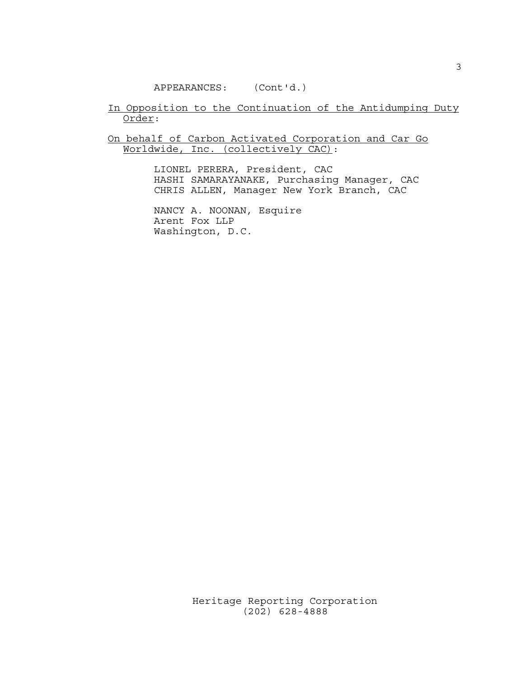#### APPEARANCES: (Cont'd.)

#### In Opposition to the Continuation of the Antidumping Duty Order:

On behalf of Carbon Activated Corporation and Car Go Worldwide, Inc. (collectively CAC):

> LIONEL PERERA, President, CAC HASHI SAMARAYANAKE, Purchasing Manager, CAC CHRIS ALLEN, Manager New York Branch, CAC

 NANCY A. NOONAN, Esquire Arent Fox LLP Washington, D.C.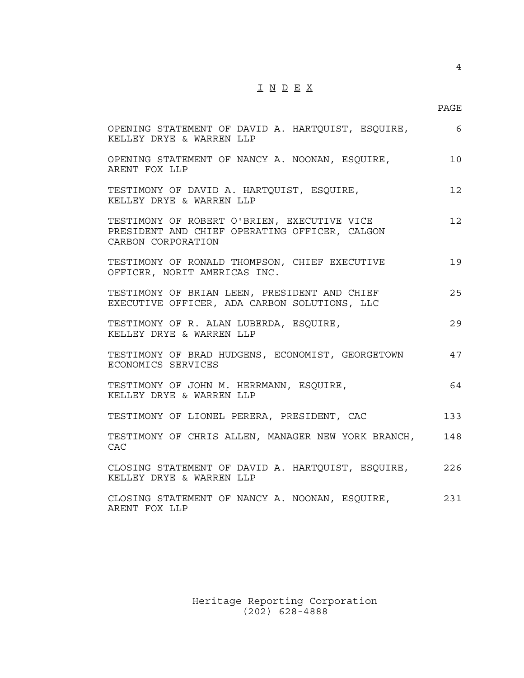## I N D E X

en de la provincia de la provincia de la provincia de la provincia de la provincia de la provincia de la provi

4

| OPENING STATEMENT OF DAVID A. HARTQUIST, ESQUIRE, 6<br>KELLEY DRYE & WARREN LLP                                    |                 |
|--------------------------------------------------------------------------------------------------------------------|-----------------|
| OPENING STATEMENT OF NANCY A. NOONAN, ESQUIRE,<br>ARENT FOX LLP                                                    | 10              |
| TESTIMONY OF DAVID A. HARTQUIST, ESQUIRE,<br>KELLEY DRYE & WARREN LLP                                              | 12 <sup>°</sup> |
| TESTIMONY OF ROBERT O'BRIEN, EXECUTIVE VICE<br>PRESIDENT AND CHIEF OPERATING OFFICER, CALGON<br>CARBON CORPORATION | 12 <sup>°</sup> |
| TESTIMONY OF RONALD THOMPSON, CHIEF EXECUTIVE<br>OFFICER, NORIT AMERICAS INC.                                      | 19              |
| TESTIMONY OF BRIAN LEEN, PRESIDENT AND CHIEF<br>EXECUTIVE OFFICER, ADA CARBON SOLUTIONS, LLC                       | 25              |
| TESTIMONY OF R. ALAN LUBERDA, ESQUIRE,<br>KELLEY DRYE & WARREN LLP                                                 | 29              |
| TESTIMONY OF BRAD HUDGENS, ECONOMIST, GEORGETOWN<br>ECONOMICS SERVICES                                             | 47              |
| TESTIMONY OF JOHN M. HERRMANN, ESQUIRE,<br>KELLEY DRYE & WARREN LLP                                                | 64              |
| TESTIMONY OF LIONEL PERERA, PRESIDENT, CAC                                                                         | 133             |
| TESTIMONY OF CHRIS ALLEN, MANAGER NEW YORK BRANCH,<br><b>CAC</b>                                                   | 148             |
| CLOSING STATEMENT OF DAVID A. HARTQUIST, ESQUIRE, 226<br>KELLEY DRYE & WARREN LLP                                  |                 |
| CLOSING STATEMENT OF NANCY A. NOONAN, ESQUIRE,<br>ARENT FOX LLP                                                    | 231             |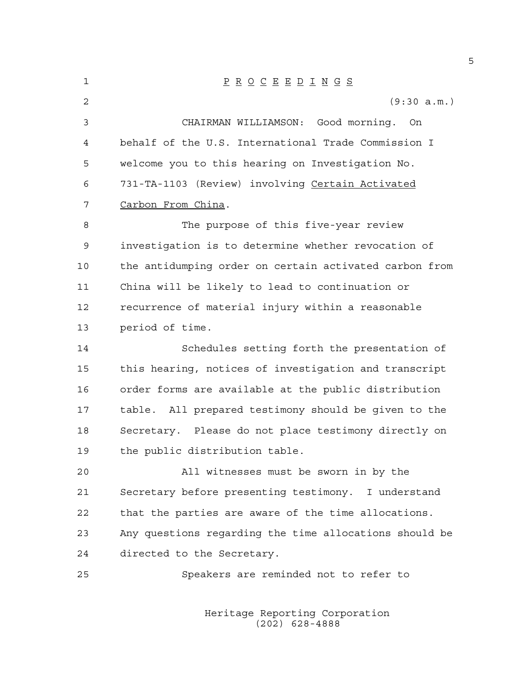1 P R O C E E D I N G S 2 (9:30 a.m.) 3 CHAIRMAN WILLIAMSON: Good morning. On 4 behalf of the U.S. International Trade Commission I 5 welcome you to this hearing on Investigation No. 6 731-TA-1103 (Review) involving Certain Activated 7 Carbon From China. 8 The purpose of this five-year review 9 investigation is to determine whether revocation of 10 the antidumping order on certain activated carbon from 11 China will be likely to lead to continuation or 12 recurrence of material injury within a reasonable 13 period of time. 14 Schedules setting forth the presentation of 15 this hearing, notices of investigation and transcript 16 order forms are available at the public distribution 17 table. All prepared testimony should be given to the 18 Secretary. Please do not place testimony directly on 19 the public distribution table. 20 All witnesses must be sworn in by the 21 Secretary before presenting testimony. I understand 22 that the parties are aware of the time allocations. 23 Any questions regarding the time allocations should be 24 directed to the Secretary. 25 Speakers are reminded not to refer to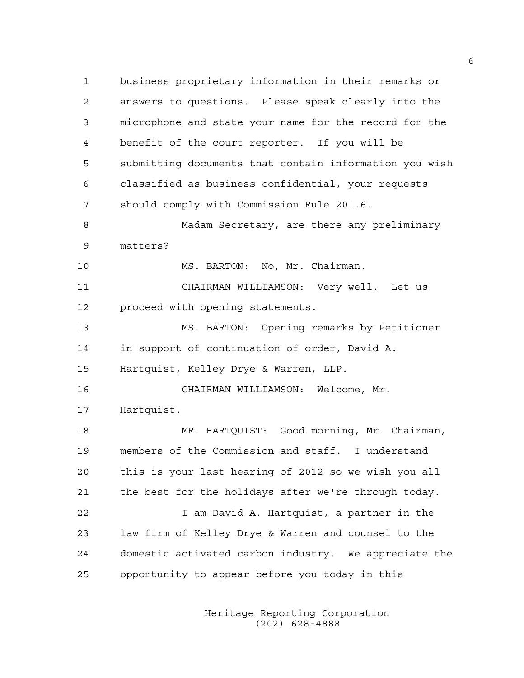1 business proprietary information in their remarks or 2 answers to questions. Please speak clearly into the 3 microphone and state your name for the record for the 4 benefit of the court reporter. If you will be 5 submitting documents that contain information you wish 6 classified as business confidential, your requests 7 should comply with Commission Rule 201.6. 8 Madam Secretary, are there any preliminary 9 matters? 10 MS. BARTON: No, Mr. Chairman. 11 CHAIRMAN WILLIAMSON: Very well. Let us 12 proceed with opening statements. 13 MS. BARTON: Opening remarks by Petitioner 14 in support of continuation of order, David A. 15 Hartquist, Kelley Drye & Warren, LLP. 16 CHAIRMAN WILLIAMSON: Welcome, Mr. 17 Hartquist. 18 MR. HARTQUIST: Good morning, Mr. Chairman, 19 members of the Commission and staff. I understand 20 this is your last hearing of 2012 so we wish you all 21 the best for the holidays after we're through today. 22 I am David A. Hartquist, a partner in the 23 law firm of Kelley Drye & Warren and counsel to the 24 domestic activated carbon industry. We appreciate the 25 opportunity to appear before you today in this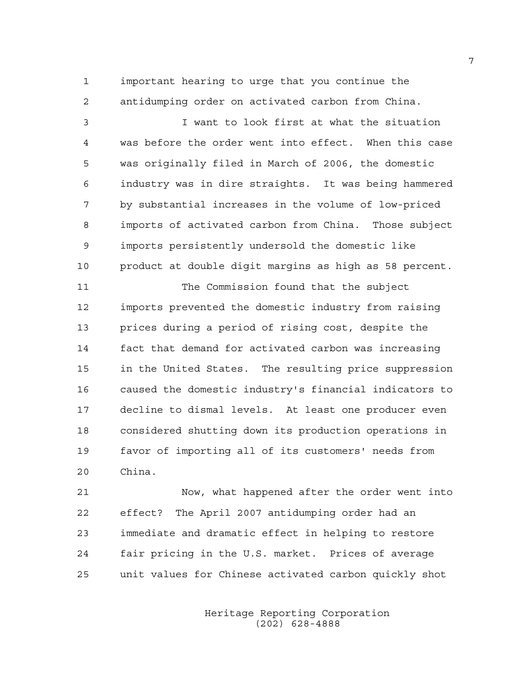1 important hearing to urge that you continue the 2 antidumping order on activated carbon from China.

3 I want to look first at what the situation 4 was before the order went into effect. When this case 5 was originally filed in March of 2006, the domestic 6 industry was in dire straights. It was being hammered 7 by substantial increases in the volume of low-priced 8 imports of activated carbon from China. Those subject 9 imports persistently undersold the domestic like 10 product at double digit margins as high as 58 percent.

11 The Commission found that the subject 12 imports prevented the domestic industry from raising 13 prices during a period of rising cost, despite the 14 fact that demand for activated carbon was increasing 15 in the United States. The resulting price suppression 16 caused the domestic industry's financial indicators to 17 decline to dismal levels. At least one producer even 18 considered shutting down its production operations in 19 favor of importing all of its customers' needs from 20 China.

21 Now, what happened after the order went into 22 effect? The April 2007 antidumping order had an 23 immediate and dramatic effect in helping to restore 24 fair pricing in the U.S. market. Prices of average 25 unit values for Chinese activated carbon quickly shot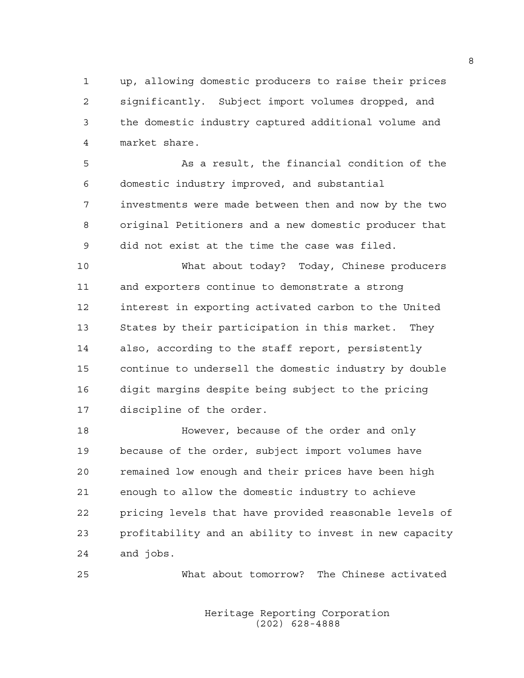1 up, allowing domestic producers to raise their prices 2 significantly. Subject import volumes dropped, and 3 the domestic industry captured additional volume and 4 market share.

5 As a result, the financial condition of the 6 domestic industry improved, and substantial 7 investments were made between then and now by the two 8 original Petitioners and a new domestic producer that 9 did not exist at the time the case was filed.

10 What about today? Today, Chinese producers 11 and exporters continue to demonstrate a strong 12 interest in exporting activated carbon to the United 13 States by their participation in this market. They 14 also, according to the staff report, persistently 15 continue to undersell the domestic industry by double 16 digit margins despite being subject to the pricing 17 discipline of the order.

18 However, because of the order and only 19 because of the order, subject import volumes have 20 remained low enough and their prices have been high 21 enough to allow the domestic industry to achieve 22 pricing levels that have provided reasonable levels of 23 profitability and an ability to invest in new capacity 24 and jobs.

25 What about tomorrow? The Chinese activated

 Heritage Reporting Corporation (202) 628-4888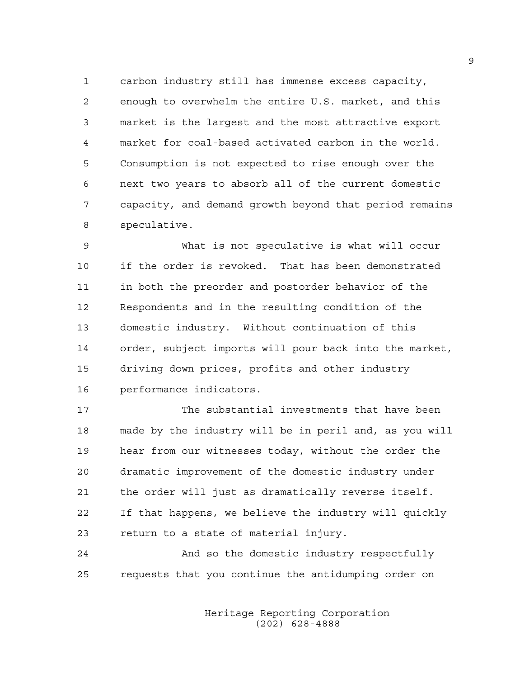1 carbon industry still has immense excess capacity, 2 enough to overwhelm the entire U.S. market, and this 3 market is the largest and the most attractive export 4 market for coal-based activated carbon in the world. 5 Consumption is not expected to rise enough over the 6 next two years to absorb all of the current domestic 7 capacity, and demand growth beyond that period remains 8 speculative.

9 What is not speculative is what will occur 10 if the order is revoked. That has been demonstrated 11 in both the preorder and postorder behavior of the 12 Respondents and in the resulting condition of the 13 domestic industry. Without continuation of this 14 order, subject imports will pour back into the market, 15 driving down prices, profits and other industry 16 performance indicators.

17 The substantial investments that have been 18 made by the industry will be in peril and, as you will 19 hear from our witnesses today, without the order the 20 dramatic improvement of the domestic industry under 21 the order will just as dramatically reverse itself. 22 If that happens, we believe the industry will quickly 23 return to a state of material injury.

24 And so the domestic industry respectfully 25 requests that you continue the antidumping order on

> Heritage Reporting Corporation (202) 628-4888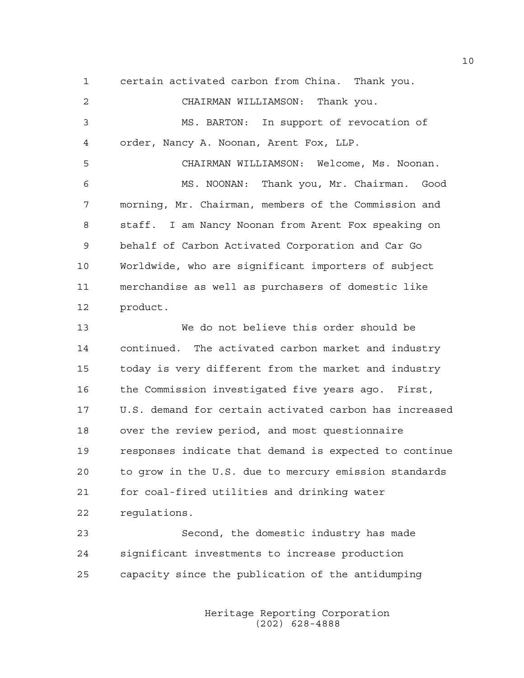1 certain activated carbon from China. Thank you. 2 CHAIRMAN WILLIAMSON: Thank you. 3 MS. BARTON: In support of revocation of 4 order, Nancy A. Noonan, Arent Fox, LLP. 5 CHAIRMAN WILLIAMSON: Welcome, Ms. Noonan. 6 MS. NOONAN: Thank you, Mr. Chairman. Good 7 morning, Mr. Chairman, members of the Commission and 8 staff. I am Nancy Noonan from Arent Fox speaking on 9 behalf of Carbon Activated Corporation and Car Go 10 Worldwide, who are significant importers of subject 11 merchandise as well as purchasers of domestic like 12 product. 13 We do not believe this order should be 14 continued. The activated carbon market and industry 15 today is very different from the market and industry 16 the Commission investigated five years ago. First, 17 U.S. demand for certain activated carbon has increased 18 over the review period, and most questionnaire

20 to grow in the U.S. due to mercury emission standards 21 for coal-fired utilities and drinking water 22 regulations.

19 responses indicate that demand is expected to continue

23 Second, the domestic industry has made 24 significant investments to increase production 25 capacity since the publication of the antidumping

> Heritage Reporting Corporation (202) 628-4888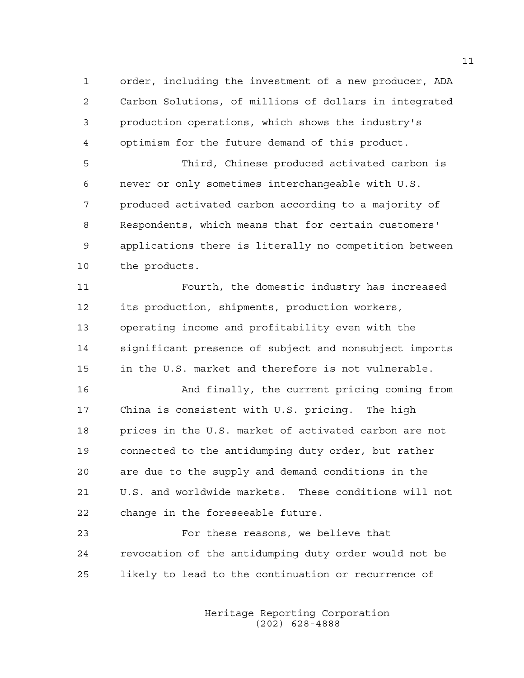1 order, including the investment of a new producer, ADA 2 Carbon Solutions, of millions of dollars in integrated 3 production operations, which shows the industry's 4 optimism for the future demand of this product.

5 Third, Chinese produced activated carbon is 6 never or only sometimes interchangeable with U.S. 7 produced activated carbon according to a majority of 8 Respondents, which means that for certain customers' 9 applications there is literally no competition between 10 the products.

11 Fourth, the domestic industry has increased 12 its production, shipments, production workers, 13 operating income and profitability even with the 14 significant presence of subject and nonsubject imports 15 in the U.S. market and therefore is not vulnerable.

16 And finally, the current pricing coming from 17 China is consistent with U.S. pricing. The high 18 prices in the U.S. market of activated carbon are not 19 connected to the antidumping duty order, but rather 20 are due to the supply and demand conditions in the 21 U.S. and worldwide markets. These conditions will not 22 change in the foreseeable future.

23 For these reasons, we believe that 24 revocation of the antidumping duty order would not be 25 likely to lead to the continuation or recurrence of

> Heritage Reporting Corporation (202) 628-4888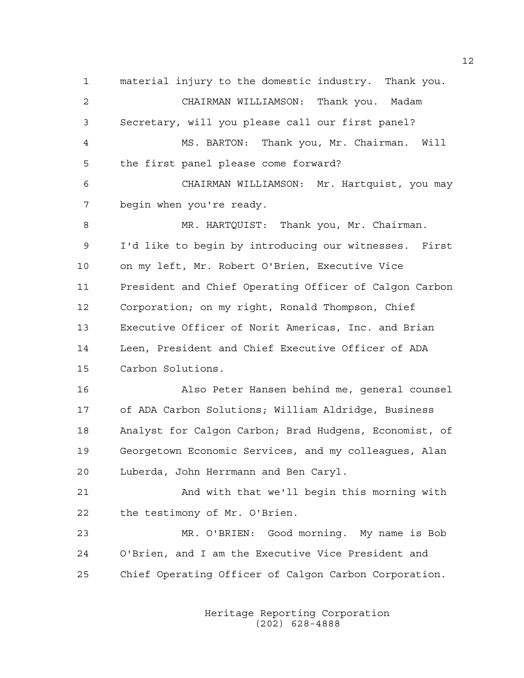1 material injury to the domestic industry. Thank you. 2 CHAIRMAN WILLIAMSON: Thank you. Madam 3 Secretary, will you please call our first panel? 4 MS. BARTON: Thank you, Mr. Chairman. Will 5 the first panel please come forward? 6 CHAIRMAN WILLIAMSON: Mr. Hartquist, you may 7 begin when you're ready. 8 MR. HARTQUIST: Thank you, Mr. Chairman. 9 I'd like to begin by introducing our witnesses. First 10 on my left, Mr. Robert O'Brien, Executive Vice 11 President and Chief Operating Officer of Calgon Carbon 12 Corporation; on my right, Ronald Thompson, Chief 13 Executive Officer of Norit Americas, Inc. and Brian 14 Leen, President and Chief Executive Officer of ADA 15 Carbon Solutions. 16 Also Peter Hansen behind me, general counsel 17 of ADA Carbon Solutions; William Aldridge, Business 18 Analyst for Calgon Carbon; Brad Hudgens, Economist, of 19 Georgetown Economic Services, and my colleagues, Alan 20 Luberda, John Herrmann and Ben Caryl. 21 And with that we'll begin this morning with 22 the testimony of Mr. O'Brien. 23 MR. O'BRIEN: Good morning. My name is Bob 24 O'Brien, and I am the Executive Vice President and 25 Chief Operating Officer of Calgon Carbon Corporation.

> Heritage Reporting Corporation (202) 628-4888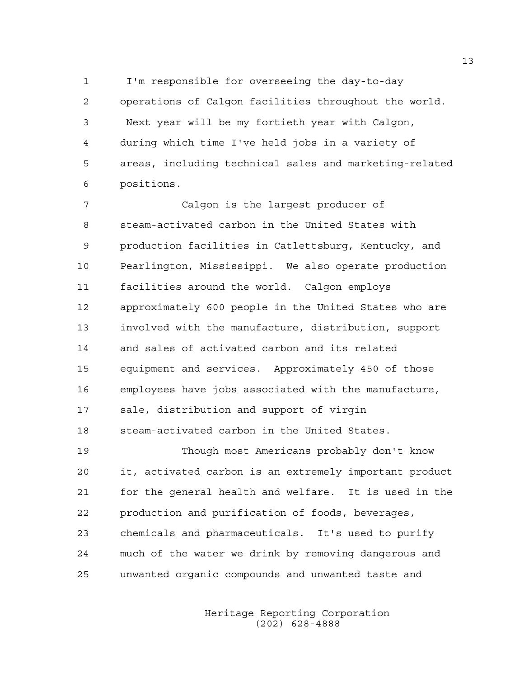1 I'm responsible for overseeing the day-to-day 2 operations of Calgon facilities throughout the world. 3 Next year will be my fortieth year with Calgon, 4 during which time I've held jobs in a variety of 5 areas, including technical sales and marketing-related 6 positions.

7 Calgon is the largest producer of 8 steam-activated carbon in the United States with 9 production facilities in Catlettsburg, Kentucky, and 10 Pearlington, Mississippi. We also operate production 11 facilities around the world. Calgon employs 12 approximately 600 people in the United States who are 13 involved with the manufacture, distribution, support 14 and sales of activated carbon and its related 15 equipment and services. Approximately 450 of those 16 employees have jobs associated with the manufacture, 17 sale, distribution and support of virgin 18 steam-activated carbon in the United States.

19 Though most Americans probably don't know 20 it, activated carbon is an extremely important product 21 for the general health and welfare. It is used in the 22 production and purification of foods, beverages, 23 chemicals and pharmaceuticals. It's used to purify 24 much of the water we drink by removing dangerous and 25 unwanted organic compounds and unwanted taste and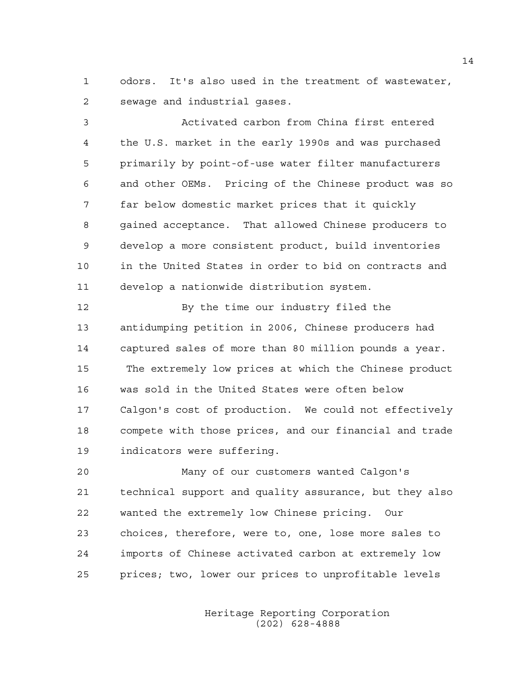1 odors. It's also used in the treatment of wastewater, 2 sewage and industrial gases.

3 Activated carbon from China first entered 4 the U.S. market in the early 1990s and was purchased 5 primarily by point-of-use water filter manufacturers 6 and other OEMs. Pricing of the Chinese product was so 7 far below domestic market prices that it quickly 8 gained acceptance. That allowed Chinese producers to 9 develop a more consistent product, build inventories 10 in the United States in order to bid on contracts and 11 develop a nationwide distribution system.

12 By the time our industry filed the 13 antidumping petition in 2006, Chinese producers had 14 captured sales of more than 80 million pounds a year. 15 The extremely low prices at which the Chinese product 16 was sold in the United States were often below 17 Calgon's cost of production. We could not effectively 18 compete with those prices, and our financial and trade 19 indicators were suffering.

20 Many of our customers wanted Calgon's 21 technical support and quality assurance, but they also 22 wanted the extremely low Chinese pricing. Our 23 choices, therefore, were to, one, lose more sales to 24 imports of Chinese activated carbon at extremely low 25 prices; two, lower our prices to unprofitable levels

> Heritage Reporting Corporation (202) 628-4888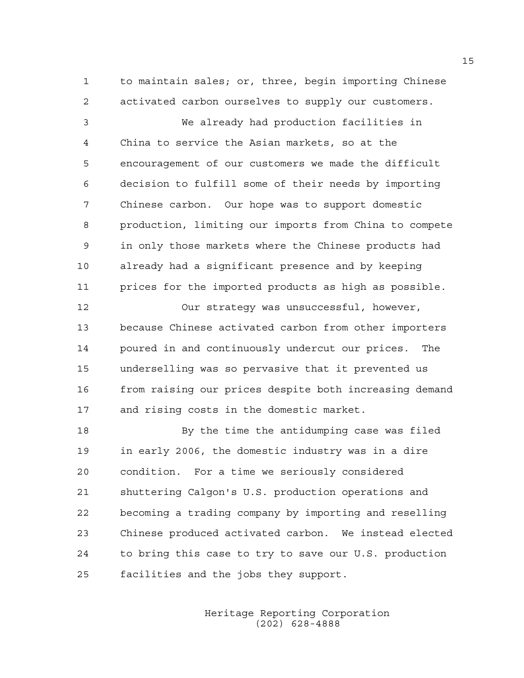1 to maintain sales; or, three, begin importing Chinese 2 activated carbon ourselves to supply our customers.

3 We already had production facilities in 4 China to service the Asian markets, so at the 5 encouragement of our customers we made the difficult 6 decision to fulfill some of their needs by importing 7 Chinese carbon. Our hope was to support domestic 8 production, limiting our imports from China to compete 9 in only those markets where the Chinese products had 10 already had a significant presence and by keeping 11 prices for the imported products as high as possible.

12 Our strategy was unsuccessful, however, 13 because Chinese activated carbon from other importers 14 poured in and continuously undercut our prices. The 15 underselling was so pervasive that it prevented us 16 from raising our prices despite both increasing demand 17 and rising costs in the domestic market.

18 By the time the antidumping case was filed 19 in early 2006, the domestic industry was in a dire 20 condition. For a time we seriously considered 21 shuttering Calgon's U.S. production operations and 22 becoming a trading company by importing and reselling 23 Chinese produced activated carbon. We instead elected 24 to bring this case to try to save our U.S. production 25 facilities and the jobs they support.

> Heritage Reporting Corporation (202) 628-4888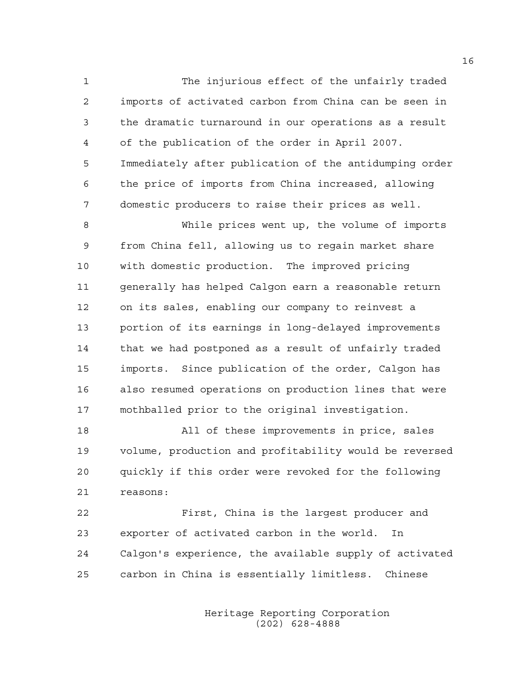1 The injurious effect of the unfairly traded 2 imports of activated carbon from China can be seen in 3 the dramatic turnaround in our operations as a result 4 of the publication of the order in April 2007. 5 Immediately after publication of the antidumping order 6 the price of imports from China increased, allowing 7 domestic producers to raise their prices as well.

8 While prices went up, the volume of imports 9 from China fell, allowing us to regain market share 10 with domestic production. The improved pricing 11 generally has helped Calgon earn a reasonable return 12 on its sales, enabling our company to reinvest a 13 portion of its earnings in long-delayed improvements 14 that we had postponed as a result of unfairly traded 15 imports. Since publication of the order, Calgon has 16 also resumed operations on production lines that were 17 mothballed prior to the original investigation.

18 All of these improvements in price, sales 19 volume, production and profitability would be reversed 20 quickly if this order were revoked for the following 21 reasons:

22 First, China is the largest producer and 23 exporter of activated carbon in the world. In 24 Calgon's experience, the available supply of activated 25 carbon in China is essentially limitless. Chinese

> Heritage Reporting Corporation (202) 628-4888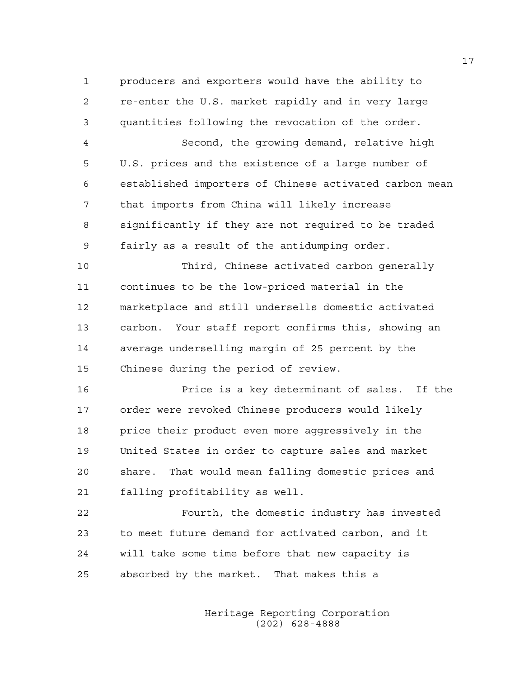1 producers and exporters would have the ability to 2 re-enter the U.S. market rapidly and in very large 3 quantities following the revocation of the order.

4 Second, the growing demand, relative high 5 U.S. prices and the existence of a large number of 6 established importers of Chinese activated carbon mean 7 that imports from China will likely increase 8 significantly if they are not required to be traded 9 fairly as a result of the antidumping order.

10 Third, Chinese activated carbon generally 11 continues to be the low-priced material in the 12 marketplace and still undersells domestic activated 13 carbon. Your staff report confirms this, showing an 14 average underselling margin of 25 percent by the 15 Chinese during the period of review.

16 Price is a key determinant of sales. If the 17 order were revoked Chinese producers would likely 18 price their product even more aggressively in the 19 United States in order to capture sales and market 20 share. That would mean falling domestic prices and 21 falling profitability as well.

22 Fourth, the domestic industry has invested 23 to meet future demand for activated carbon, and it 24 will take some time before that new capacity is 25 absorbed by the market. That makes this a

> Heritage Reporting Corporation (202) 628-4888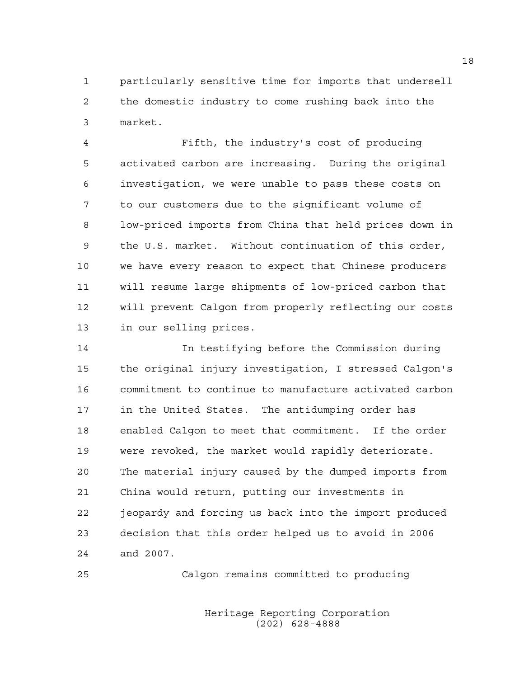1 particularly sensitive time for imports that undersell 2 the domestic industry to come rushing back into the 3 market.

4 Fifth, the industry's cost of producing 5 activated carbon are increasing. During the original 6 investigation, we were unable to pass these costs on 7 to our customers due to the significant volume of 8 low-priced imports from China that held prices down in 9 the U.S. market. Without continuation of this order, 10 we have every reason to expect that Chinese producers 11 will resume large shipments of low-priced carbon that 12 will prevent Calgon from properly reflecting our costs 13 in our selling prices.

14 In testifying before the Commission during 15 the original injury investigation, I stressed Calgon's 16 commitment to continue to manufacture activated carbon 17 in the United States. The antidumping order has 18 enabled Calgon to meet that commitment. If the order 19 were revoked, the market would rapidly deteriorate. 20 The material injury caused by the dumped imports from 21 China would return, putting our investments in 22 jeopardy and forcing us back into the import produced 23 decision that this order helped us to avoid in 2006 24 and 2007.

25 Calgon remains committed to producing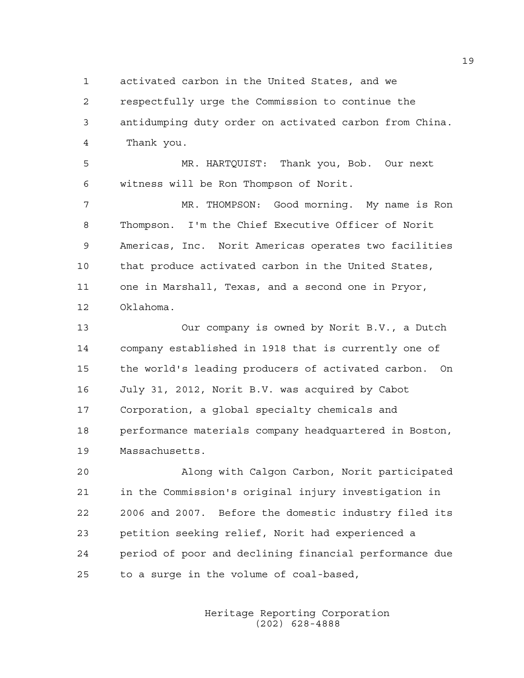1 activated carbon in the United States, and we

2 respectfully urge the Commission to continue the

3 antidumping duty order on activated carbon from China. 4 Thank you.

5 MR. HARTQUIST: Thank you, Bob. Our next 6 witness will be Ron Thompson of Norit.

7 MR. THOMPSON: Good morning. My name is Ron 8 Thompson. I'm the Chief Executive Officer of Norit 9 Americas, Inc. Norit Americas operates two facilities 10 that produce activated carbon in the United States, 11 one in Marshall, Texas, and a second one in Pryor, 12 Oklahoma.

13 Our company is owned by Norit B.V., a Dutch 14 company established in 1918 that is currently one of 15 the world's leading producers of activated carbon. On 16 July 31, 2012, Norit B.V. was acquired by Cabot 17 Corporation, a global specialty chemicals and 18 performance materials company headquartered in Boston, 19 Massachusetts.

20 Along with Calgon Carbon, Norit participated 21 in the Commission's original injury investigation in 22 2006 and 2007. Before the domestic industry filed its 23 petition seeking relief, Norit had experienced a 24 period of poor and declining financial performance due 25 to a surge in the volume of coal-based,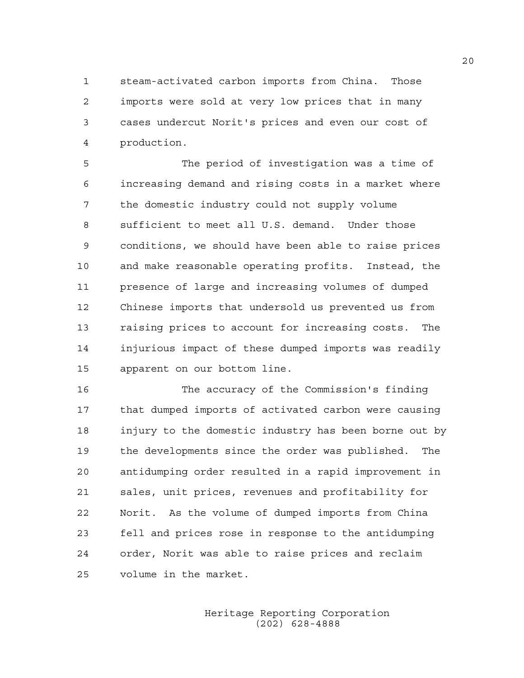1 steam-activated carbon imports from China. Those 2 imports were sold at very low prices that in many 3 cases undercut Norit's prices and even our cost of 4 production.

5 The period of investigation was a time of 6 increasing demand and rising costs in a market where 7 the domestic industry could not supply volume 8 sufficient to meet all U.S. demand. Under those 9 conditions, we should have been able to raise prices 10 and make reasonable operating profits. Instead, the 11 presence of large and increasing volumes of dumped 12 Chinese imports that undersold us prevented us from 13 raising prices to account for increasing costs. The 14 injurious impact of these dumped imports was readily 15 apparent on our bottom line.

16 The accuracy of the Commission's finding 17 that dumped imports of activated carbon were causing 18 injury to the domestic industry has been borne out by 19 the developments since the order was published. The 20 antidumping order resulted in a rapid improvement in 21 sales, unit prices, revenues and profitability for 22 Norit. As the volume of dumped imports from China 23 fell and prices rose in response to the antidumping 24 order, Norit was able to raise prices and reclaim 25 volume in the market.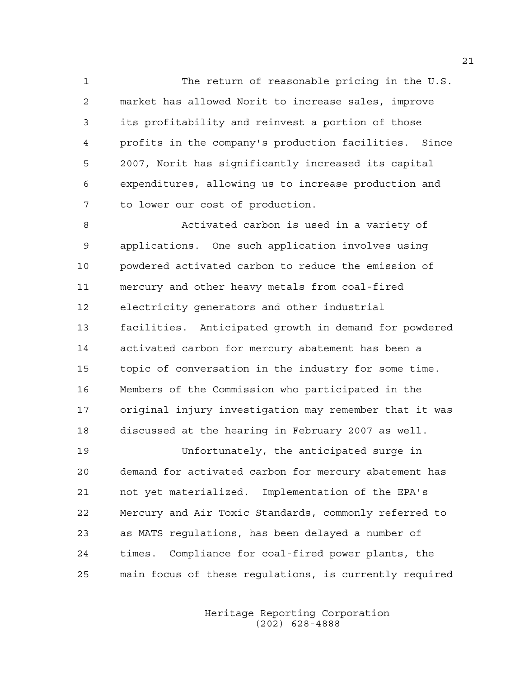1 The return of reasonable pricing in the U.S. 2 market has allowed Norit to increase sales, improve 3 its profitability and reinvest a portion of those 4 profits in the company's production facilities. Since 5 2007, Norit has significantly increased its capital 6 expenditures, allowing us to increase production and 7 to lower our cost of production.

8 Activated carbon is used in a variety of 9 applications. One such application involves using 10 powdered activated carbon to reduce the emission of 11 mercury and other heavy metals from coal-fired 12 electricity generators and other industrial 13 facilities. Anticipated growth in demand for powdered 14 activated carbon for mercury abatement has been a 15 topic of conversation in the industry for some time. 16 Members of the Commission who participated in the 17 original injury investigation may remember that it was 18 discussed at the hearing in February 2007 as well.

19 Unfortunately, the anticipated surge in 20 demand for activated carbon for mercury abatement has 21 not yet materialized. Implementation of the EPA's 22 Mercury and Air Toxic Standards, commonly referred to 23 as MATS regulations, has been delayed a number of 24 times. Compliance for coal-fired power plants, the 25 main focus of these regulations, is currently required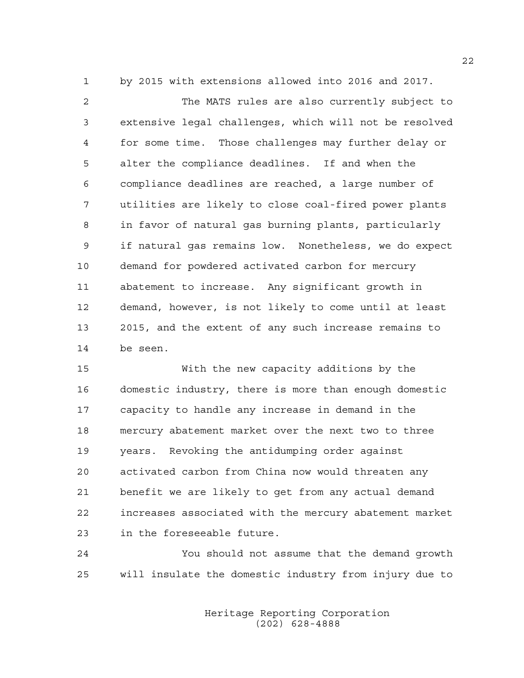1 by 2015 with extensions allowed into 2016 and 2017.

2 The MATS rules are also currently subject to 3 extensive legal challenges, which will not be resolved 4 for some time. Those challenges may further delay or 5 alter the compliance deadlines. If and when the 6 compliance deadlines are reached, a large number of 7 utilities are likely to close coal-fired power plants 8 in favor of natural gas burning plants, particularly 9 if natural gas remains low. Nonetheless, we do expect 10 demand for powdered activated carbon for mercury 11 abatement to increase. Any significant growth in 12 demand, however, is not likely to come until at least 13 2015, and the extent of any such increase remains to 14 be seen.

15 With the new capacity additions by the 16 domestic industry, there is more than enough domestic 17 capacity to handle any increase in demand in the 18 mercury abatement market over the next two to three 19 years. Revoking the antidumping order against 20 activated carbon from China now would threaten any 21 benefit we are likely to get from any actual demand 22 increases associated with the mercury abatement market 23 in the foreseeable future.

24 You should not assume that the demand growth 25 will insulate the domestic industry from injury due to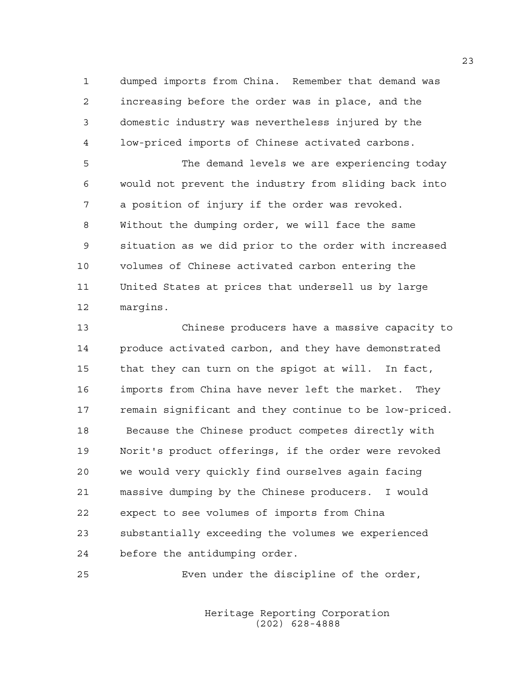1 dumped imports from China. Remember that demand was 2 increasing before the order was in place, and the 3 domestic industry was nevertheless injured by the 4 low-priced imports of Chinese activated carbons.

5 The demand levels we are experiencing today 6 would not prevent the industry from sliding back into 7 a position of injury if the order was revoked. 8 Without the dumping order, we will face the same 9 situation as we did prior to the order with increased 10 volumes of Chinese activated carbon entering the 11 United States at prices that undersell us by large 12 margins.

13 Chinese producers have a massive capacity to 14 produce activated carbon, and they have demonstrated 15 that they can turn on the spigot at will. In fact, 16 imports from China have never left the market. They 17 remain significant and they continue to be low-priced. 18 Because the Chinese product competes directly with 19 Norit's product offerings, if the order were revoked 20 we would very quickly find ourselves again facing 21 massive dumping by the Chinese producers. I would 22 expect to see volumes of imports from China 23 substantially exceeding the volumes we experienced 24 before the antidumping order.

25 Even under the discipline of the order,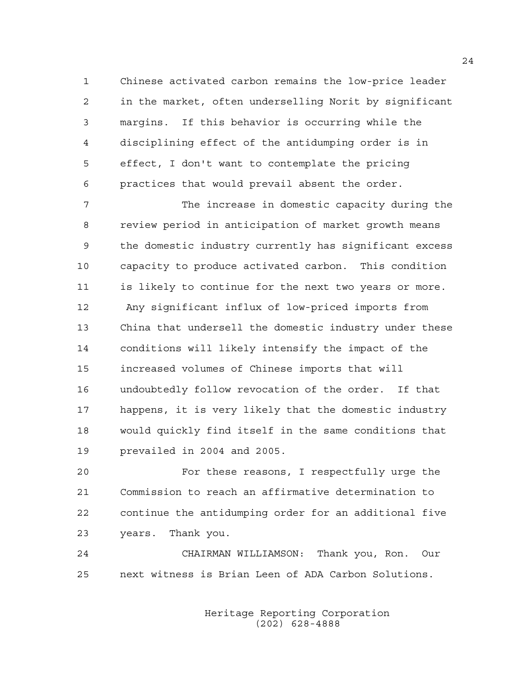1 Chinese activated carbon remains the low-price leader 2 in the market, often underselling Norit by significant 3 margins. If this behavior is occurring while the 4 disciplining effect of the antidumping order is in 5 effect, I don't want to contemplate the pricing 6 practices that would prevail absent the order.

7 The increase in domestic capacity during the 8 review period in anticipation of market growth means 9 the domestic industry currently has significant excess 10 capacity to produce activated carbon. This condition 11 is likely to continue for the next two years or more. 12 Any significant influx of low-priced imports from 13 China that undersell the domestic industry under these 14 conditions will likely intensify the impact of the 15 increased volumes of Chinese imports that will 16 undoubtedly follow revocation of the order. If that 17 happens, it is very likely that the domestic industry 18 would quickly find itself in the same conditions that 19 prevailed in 2004 and 2005.

20 For these reasons, I respectfully urge the 21 Commission to reach an affirmative determination to 22 continue the antidumping order for an additional five 23 years. Thank you.

24 CHAIRMAN WILLIAMSON: Thank you, Ron. Our 25 next witness is Brian Leen of ADA Carbon Solutions.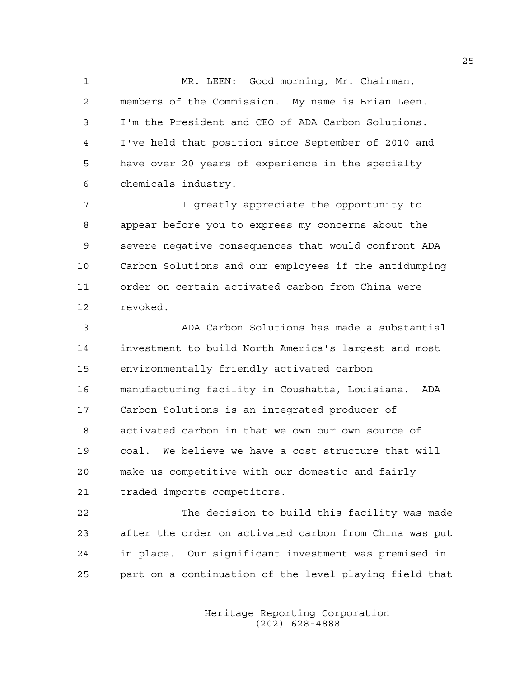1 MR. LEEN: Good morning, Mr. Chairman, 2 members of the Commission. My name is Brian Leen. 3 I'm the President and CEO of ADA Carbon Solutions. 4 I've held that position since September of 2010 and 5 have over 20 years of experience in the specialty 6 chemicals industry.

7 I greatly appreciate the opportunity to 8 appear before you to express my concerns about the 9 severe negative consequences that would confront ADA 10 Carbon Solutions and our employees if the antidumping 11 order on certain activated carbon from China were 12 revoked.

13 ADA Carbon Solutions has made a substantial 14 investment to build North America's largest and most 15 environmentally friendly activated carbon 16 manufacturing facility in Coushatta, Louisiana. ADA 17 Carbon Solutions is an integrated producer of 18 activated carbon in that we own our own source of 19 coal. We believe we have a cost structure that will 20 make us competitive with our domestic and fairly 21 traded imports competitors.

22 The decision to build this facility was made 23 after the order on activated carbon from China was put 24 in place. Our significant investment was premised in 25 part on a continuation of the level playing field that

> Heritage Reporting Corporation (202) 628-4888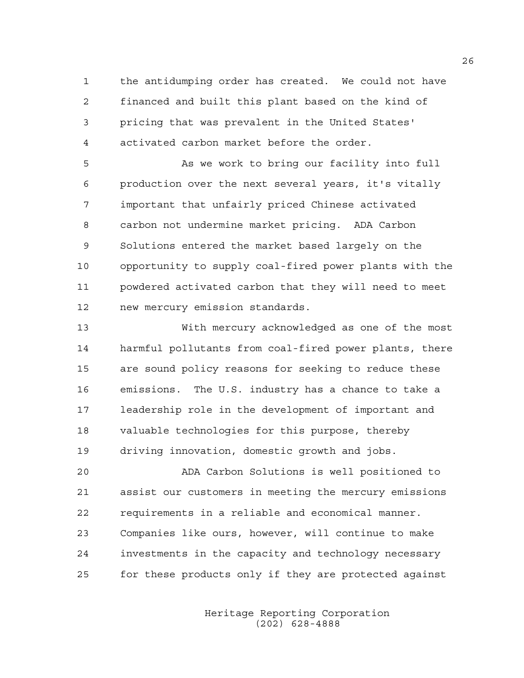1 the antidumping order has created. We could not have 2 financed and built this plant based on the kind of 3 pricing that was prevalent in the United States' 4 activated carbon market before the order.

5 As we work to bring our facility into full 6 production over the next several years, it's vitally 7 important that unfairly priced Chinese activated 8 carbon not undermine market pricing. ADA Carbon 9 Solutions entered the market based largely on the 10 opportunity to supply coal-fired power plants with the 11 powdered activated carbon that they will need to meet 12 new mercury emission standards.

13 With mercury acknowledged as one of the most 14 harmful pollutants from coal-fired power plants, there 15 are sound policy reasons for seeking to reduce these 16 emissions. The U.S. industry has a chance to take a 17 leadership role in the development of important and 18 valuable technologies for this purpose, thereby 19 driving innovation, domestic growth and jobs.

20 ADA Carbon Solutions is well positioned to 21 assist our customers in meeting the mercury emissions 22 requirements in a reliable and economical manner. 23 Companies like ours, however, will continue to make 24 investments in the capacity and technology necessary 25 for these products only if they are protected against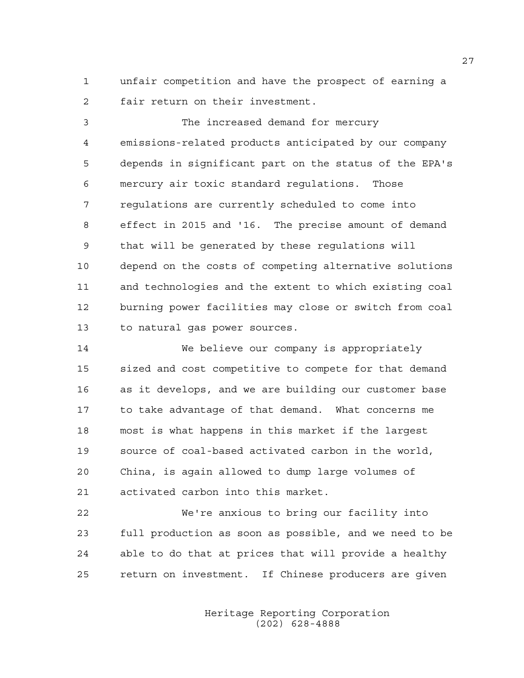1 unfair competition and have the prospect of earning a 2 fair return on their investment.

3 The increased demand for mercury 4 emissions-related products anticipated by our company 5 depends in significant part on the status of the EPA's 6 mercury air toxic standard regulations. Those 7 regulations are currently scheduled to come into 8 effect in 2015 and '16. The precise amount of demand 9 that will be generated by these regulations will 10 depend on the costs of competing alternative solutions 11 and technologies and the extent to which existing coal 12 burning power facilities may close or switch from coal 13 to natural gas power sources.

14 We believe our company is appropriately 15 sized and cost competitive to compete for that demand 16 as it develops, and we are building our customer base 17 to take advantage of that demand. What concerns me 18 most is what happens in this market if the largest 19 source of coal-based activated carbon in the world, 20 China, is again allowed to dump large volumes of 21 activated carbon into this market.

22 We're anxious to bring our facility into 23 full production as soon as possible, and we need to be 24 able to do that at prices that will provide a healthy 25 return on investment. If Chinese producers are given

> Heritage Reporting Corporation (202) 628-4888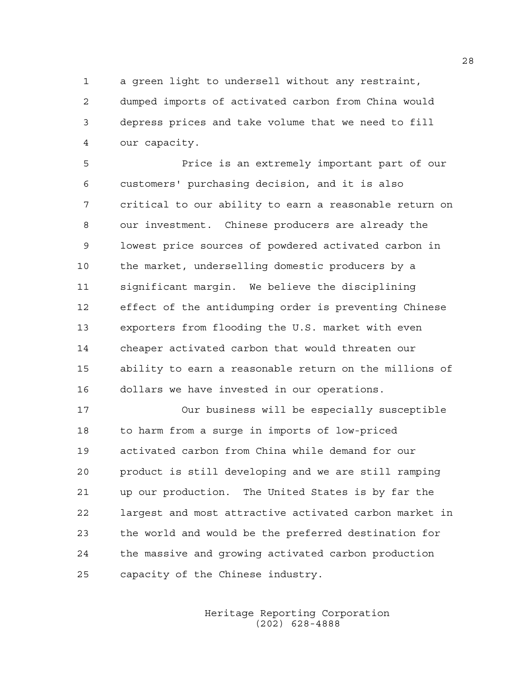1 a green light to undersell without any restraint,

2 dumped imports of activated carbon from China would 3 depress prices and take volume that we need to fill 4 our capacity.

5 Price is an extremely important part of our 6 customers' purchasing decision, and it is also 7 critical to our ability to earn a reasonable return on 8 our investment. Chinese producers are already the 9 lowest price sources of powdered activated carbon in 10 the market, underselling domestic producers by a 11 significant margin. We believe the disciplining 12 effect of the antidumping order is preventing Chinese 13 exporters from flooding the U.S. market with even 14 cheaper activated carbon that would threaten our 15 ability to earn a reasonable return on the millions of 16 dollars we have invested in our operations.

17 Our business will be especially susceptible 18 to harm from a surge in imports of low-priced 19 activated carbon from China while demand for our 20 product is still developing and we are still ramping 21 up our production. The United States is by far the 22 largest and most attractive activated carbon market in 23 the world and would be the preferred destination for 24 the massive and growing activated carbon production 25 capacity of the Chinese industry.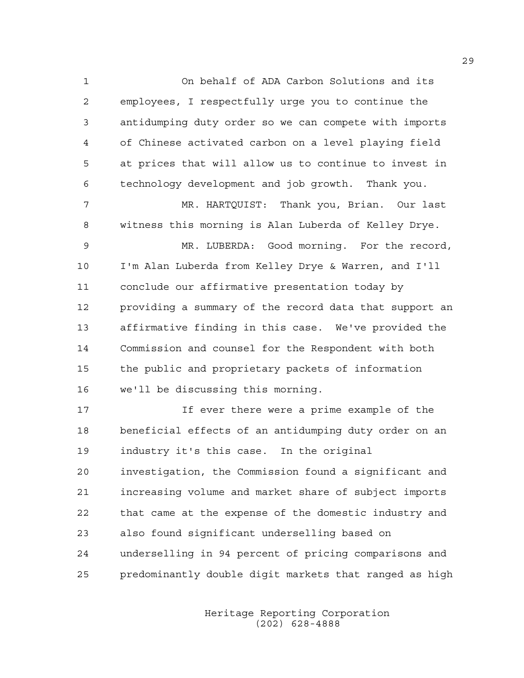1 On behalf of ADA Carbon Solutions and its 2 employees, I respectfully urge you to continue the 3 antidumping duty order so we can compete with imports 4 of Chinese activated carbon on a level playing field 5 at prices that will allow us to continue to invest in 6 technology development and job growth. Thank you. 7 MR. HARTQUIST: Thank you, Brian. Our last 8 witness this morning is Alan Luberda of Kelley Drye.

9 MR. LUBERDA: Good morning. For the record, 10 I'm Alan Luberda from Kelley Drye & Warren, and I'll 11 conclude our affirmative presentation today by 12 providing a summary of the record data that support an 13 affirmative finding in this case. We've provided the 14 Commission and counsel for the Respondent with both 15 the public and proprietary packets of information 16 we'll be discussing this morning.

17 If ever there were a prime example of the 18 beneficial effects of an antidumping duty order on an 19 industry it's this case. In the original 20 investigation, the Commission found a significant and 21 increasing volume and market share of subject imports 22 that came at the expense of the domestic industry and 23 also found significant underselling based on 24 underselling in 94 percent of pricing comparisons and 25 predominantly double digit markets that ranged as high

> Heritage Reporting Corporation (202) 628-4888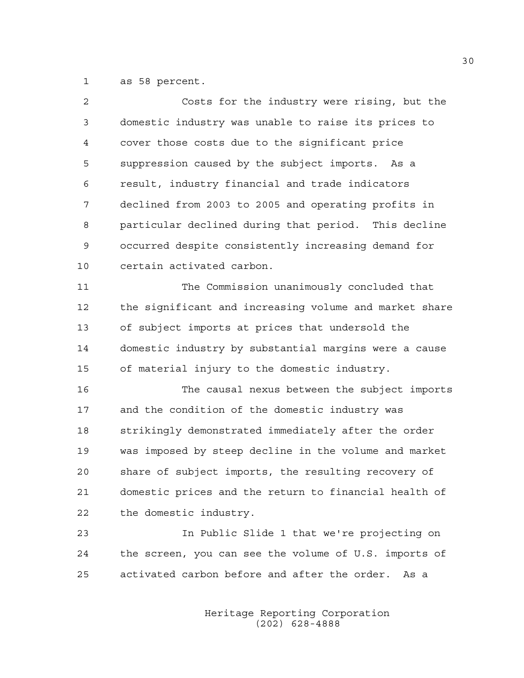1 as 58 percent.

| $\overline{2}$ | Costs for the industry were rising, but the            |
|----------------|--------------------------------------------------------|
| 3              | domestic industry was unable to raise its prices to    |
| 4              | cover those costs due to the significant price         |
| 5              | suppression caused by the subject imports. As a        |
| 6              | result, industry financial and trade indicators        |
| 7              | declined from 2003 to 2005 and operating profits in    |
| 8              | particular declined during that period. This decline   |
| 9              | occurred despite consistently increasing demand for    |
| 10             | certain activated carbon.                              |
| 11             | The Commission unanimously concluded that              |
| 12             | the significant and increasing volume and market share |
| 13             | of subject imports at prices that undersold the        |
| 14             | domestic industry by substantial margins were a cause  |
| 15             | of material injury to the domestic industry.           |
| 16             | The causal nexus between the subject imports           |
| 17             | and the condition of the domestic industry was         |
| 18             | strikingly demonstrated immediately after the order    |
| 19             | was imposed by steep decline in the volume and market  |
| 20             | share of subject imports, the resulting recovery of    |
| 21             | domestic prices and the return to financial health of  |
| 22             | the domestic industry.                                 |
| 23             | In Public Slide 1 that we're projecting on             |
| 24             | the screen, you can see the volume of U.S. imports of  |
| 25             | activated carbon before and after the order. As a      |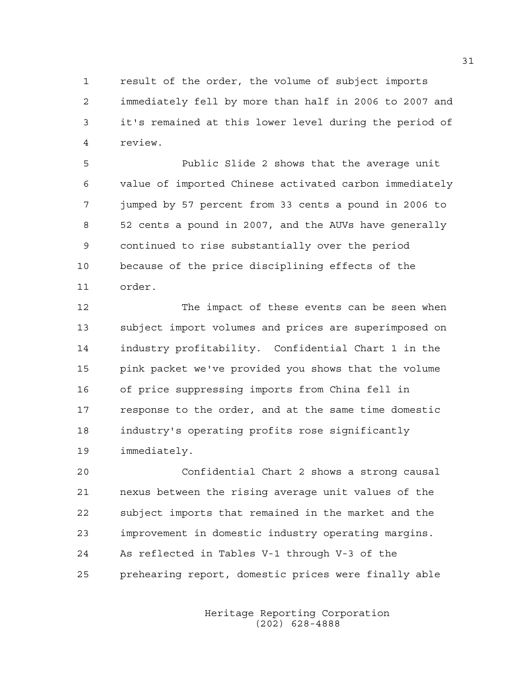1 result of the order, the volume of subject imports 2 immediately fell by more than half in 2006 to 2007 and 3 it's remained at this lower level during the period of 4 review.

5 Public Slide 2 shows that the average unit 6 value of imported Chinese activated carbon immediately 7 jumped by 57 percent from 33 cents a pound in 2006 to 8 52 cents a pound in 2007, and the AUVs have generally 9 continued to rise substantially over the period 10 because of the price disciplining effects of the 11 order.

12 The impact of these events can be seen when 13 subject import volumes and prices are superimposed on 14 industry profitability. Confidential Chart 1 in the 15 pink packet we've provided you shows that the volume 16 of price suppressing imports from China fell in 17 response to the order, and at the same time domestic 18 industry's operating profits rose significantly 19 immediately.

20 Confidential Chart 2 shows a strong causal 21 nexus between the rising average unit values of the 22 subject imports that remained in the market and the 23 improvement in domestic industry operating margins. 24 As reflected in Tables V-1 through V-3 of the 25 prehearing report, domestic prices were finally able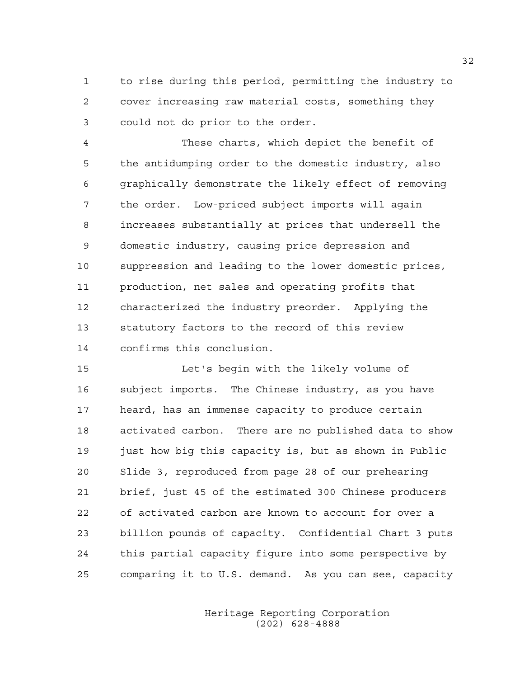1 to rise during this period, permitting the industry to 2 cover increasing raw material costs, something they 3 could not do prior to the order.

4 These charts, which depict the benefit of 5 the antidumping order to the domestic industry, also 6 graphically demonstrate the likely effect of removing 7 the order. Low-priced subject imports will again 8 increases substantially at prices that undersell the 9 domestic industry, causing price depression and 10 suppression and leading to the lower domestic prices, 11 production, net sales and operating profits that 12 characterized the industry preorder. Applying the 13 statutory factors to the record of this review 14 confirms this conclusion.

15 Let's begin with the likely volume of 16 subject imports. The Chinese industry, as you have 17 heard, has an immense capacity to produce certain 18 activated carbon. There are no published data to show 19 just how big this capacity is, but as shown in Public 20 Slide 3, reproduced from page 28 of our prehearing 21 brief, just 45 of the estimated 300 Chinese producers 22 of activated carbon are known to account for over a 23 billion pounds of capacity. Confidential Chart 3 puts 24 this partial capacity figure into some perspective by 25 comparing it to U.S. demand. As you can see, capacity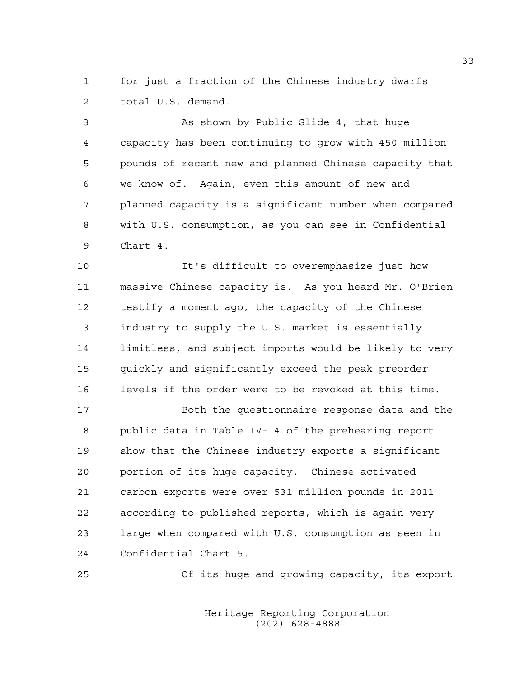1 for just a fraction of the Chinese industry dwarfs 2 total U.S. demand.

3 As shown by Public Slide 4, that huge 4 capacity has been continuing to grow with 450 million 5 pounds of recent new and planned Chinese capacity that 6 we know of. Again, even this amount of new and 7 planned capacity is a significant number when compared 8 with U.S. consumption, as you can see in Confidential 9 Chart 4.

10 It's difficult to overemphasize just how 11 massive Chinese capacity is. As you heard Mr. O'Brien 12 testify a moment ago, the capacity of the Chinese 13 industry to supply the U.S. market is essentially 14 limitless, and subject imports would be likely to very 15 quickly and significantly exceed the peak preorder 16 levels if the order were to be revoked at this time.

17 Both the questionnaire response data and the 18 public data in Table IV-14 of the prehearing report 19 show that the Chinese industry exports a significant 20 portion of its huge capacity. Chinese activated 21 carbon exports were over 531 million pounds in 2011 22 according to published reports, which is again very 23 large when compared with U.S. consumption as seen in 24 Confidential Chart 5.

25 Of its huge and growing capacity, its export

 Heritage Reporting Corporation (202) 628-4888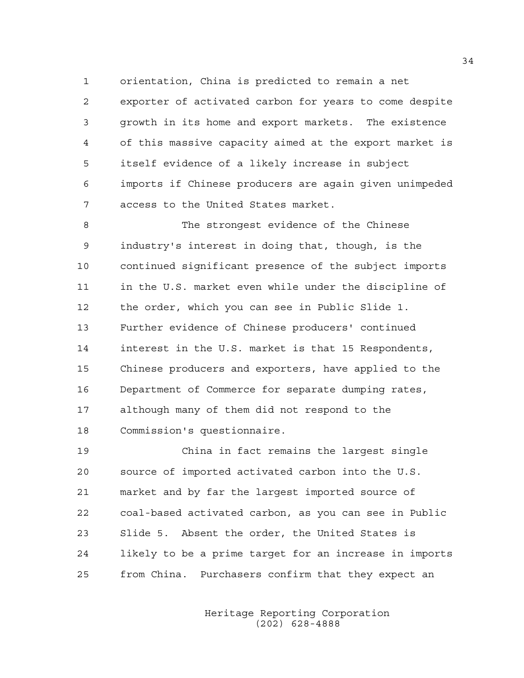1 orientation, China is predicted to remain a net 2 exporter of activated carbon for years to come despite 3 growth in its home and export markets. The existence 4 of this massive capacity aimed at the export market is 5 itself evidence of a likely increase in subject 6 imports if Chinese producers are again given unimpeded 7 access to the United States market.

8 The strongest evidence of the Chinese 9 industry's interest in doing that, though, is the 10 continued significant presence of the subject imports 11 in the U.S. market even while under the discipline of 12 the order, which you can see in Public Slide 1. 13 Further evidence of Chinese producers' continued 14 interest in the U.S. market is that 15 Respondents, 15 Chinese producers and exporters, have applied to the 16 Department of Commerce for separate dumping rates, 17 although many of them did not respond to the 18 Commission's questionnaire.

19 China in fact remains the largest single 20 source of imported activated carbon into the U.S. 21 market and by far the largest imported source of 22 coal-based activated carbon, as you can see in Public 23 Slide 5. Absent the order, the United States is 24 likely to be a prime target for an increase in imports 25 from China. Purchasers confirm that they expect an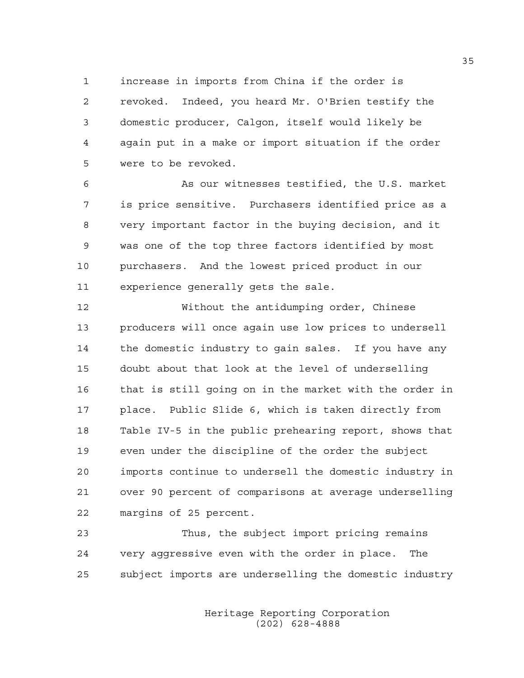1 increase in imports from China if the order is 2 revoked. Indeed, you heard Mr. O'Brien testify the 3 domestic producer, Calgon, itself would likely be 4 again put in a make or import situation if the order 5 were to be revoked.

6 As our witnesses testified, the U.S. market 7 is price sensitive. Purchasers identified price as a 8 very important factor in the buying decision, and it 9 was one of the top three factors identified by most 10 purchasers. And the lowest priced product in our 11 experience generally gets the sale.

12 Without the antidumping order, Chinese 13 producers will once again use low prices to undersell 14 the domestic industry to gain sales. If you have any 15 doubt about that look at the level of underselling 16 that is still going on in the market with the order in 17 place. Public Slide 6, which is taken directly from 18 Table IV-5 in the public prehearing report, shows that 19 even under the discipline of the order the subject 20 imports continue to undersell the domestic industry in 21 over 90 percent of comparisons at average underselling 22 margins of 25 percent.

23 Thus, the subject import pricing remains 24 very aggressive even with the order in place. The 25 subject imports are underselling the domestic industry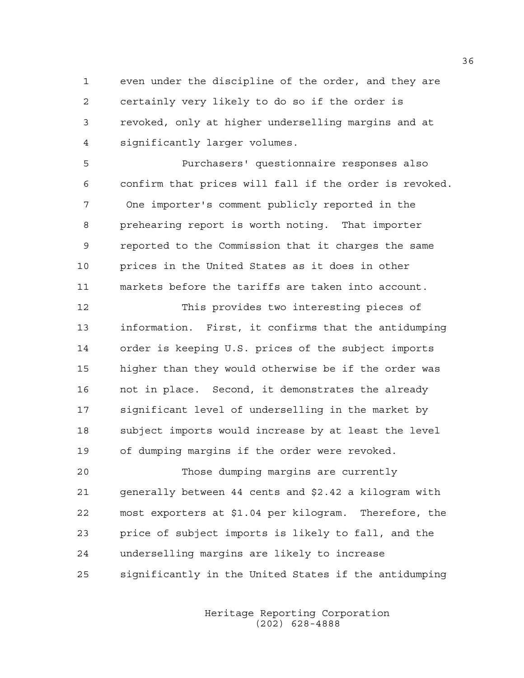1 even under the discipline of the order, and they are 2 certainly very likely to do so if the order is 3 revoked, only at higher underselling margins and at 4 significantly larger volumes.

5 Purchasers' questionnaire responses also 6 confirm that prices will fall if the order is revoked. 7 One importer's comment publicly reported in the 8 prehearing report is worth noting. That importer 9 reported to the Commission that it charges the same 10 prices in the United States as it does in other 11 markets before the tariffs are taken into account.

12 This provides two interesting pieces of 13 information. First, it confirms that the antidumping 14 order is keeping U.S. prices of the subject imports 15 higher than they would otherwise be if the order was 16 not in place. Second, it demonstrates the already 17 significant level of underselling in the market by 18 subject imports would increase by at least the level 19 of dumping margins if the order were revoked.

20 Those dumping margins are currently 21 generally between 44 cents and \$2.42 a kilogram with 22 most exporters at \$1.04 per kilogram. Therefore, the 23 price of subject imports is likely to fall, and the 24 underselling margins are likely to increase 25 significantly in the United States if the antidumping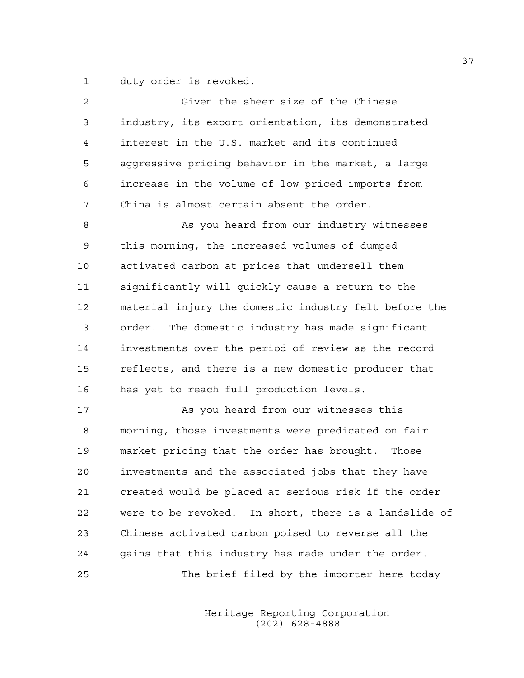1 duty order is revoked.

| $\overline{c}$ | Given the sheer size of the Chinese                   |
|----------------|-------------------------------------------------------|
| 3              | industry, its export orientation, its demonstrated    |
| 4              | interest in the U.S. market and its continued         |
| 5              | aggressive pricing behavior in the market, a large    |
| 6              | increase in the volume of low-priced imports from     |
| 7              | China is almost certain absent the order.             |
| 8              | As you heard from our industry witnesses              |
| 9              | this morning, the increased volumes of dumped         |
| 10             | activated carbon at prices that undersell them        |
| 11             | significantly will quickly cause a return to the      |
| 12             | material injury the domestic industry felt before the |
| 13             | The domestic industry has made significant<br>order.  |
| 14             | investments over the period of review as the record   |
| 15             | reflects, and there is a new domestic producer that   |
| 16             | has yet to reach full production levels.              |
| 17             | As you heard from our witnesses this                  |
| 18             | morning, those investments were predicated on fair    |
| 19             | market pricing that the order has brought.<br>Those   |
| 20             | investments and the associated jobs that they have    |
| 21             | created would be placed at serious risk if the order  |
| 22             | were to be revoked. In short, there is a landslide of |
| 23             | Chinese activated carbon poised to reverse all the    |
| 24             | gains that this industry has made under the order.    |
| 25             | The brief filed by the importer here today            |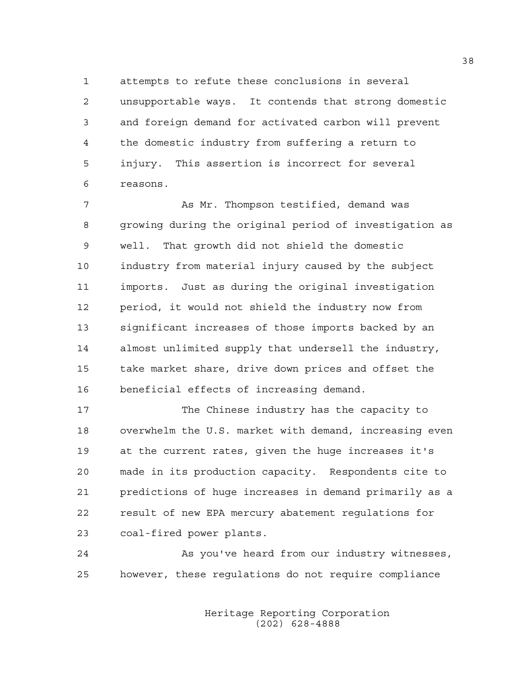1 attempts to refute these conclusions in several 2 unsupportable ways. It contends that strong domestic 3 and foreign demand for activated carbon will prevent 4 the domestic industry from suffering a return to 5 injury. This assertion is incorrect for several 6 reasons.

7 As Mr. Thompson testified, demand was 8 growing during the original period of investigation as 9 well. That growth did not shield the domestic 10 industry from material injury caused by the subject 11 imports. Just as during the original investigation 12 period, it would not shield the industry now from 13 significant increases of those imports backed by an 14 almost unlimited supply that undersell the industry, 15 take market share, drive down prices and offset the 16 beneficial effects of increasing demand.

17 The Chinese industry has the capacity to 18 overwhelm the U.S. market with demand, increasing even 19 at the current rates, given the huge increases it's 20 made in its production capacity. Respondents cite to 21 predictions of huge increases in demand primarily as a 22 result of new EPA mercury abatement regulations for 23 coal-fired power plants.

24 As you've heard from our industry witnesses, 25 however, these regulations do not require compliance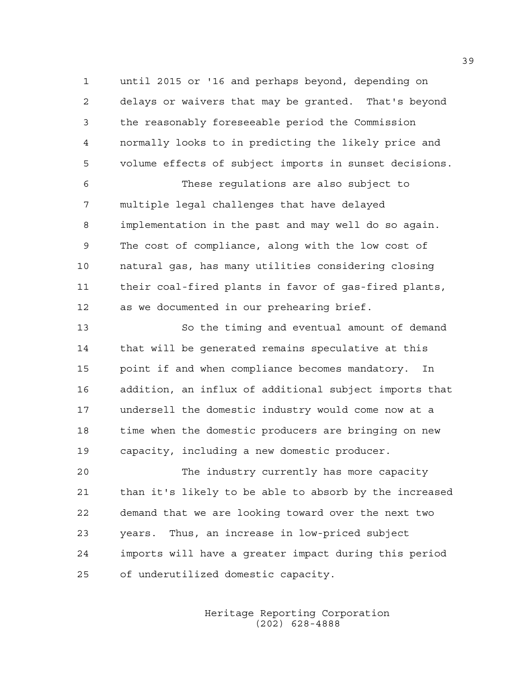1 until 2015 or '16 and perhaps beyond, depending on 2 delays or waivers that may be granted. That's beyond 3 the reasonably foreseeable period the Commission 4 normally looks to in predicting the likely price and 5 volume effects of subject imports in sunset decisions.

6 These regulations are also subject to 7 multiple legal challenges that have delayed 8 implementation in the past and may well do so again. 9 The cost of compliance, along with the low cost of 10 natural gas, has many utilities considering closing 11 their coal-fired plants in favor of gas-fired plants, 12 as we documented in our prehearing brief.

13 So the timing and eventual amount of demand 14 that will be generated remains speculative at this 15 point if and when compliance becomes mandatory. In 16 addition, an influx of additional subject imports that 17 undersell the domestic industry would come now at a 18 time when the domestic producers are bringing on new 19 capacity, including a new domestic producer.

20 The industry currently has more capacity 21 than it's likely to be able to absorb by the increased 22 demand that we are looking toward over the next two 23 years. Thus, an increase in low-priced subject 24 imports will have a greater impact during this period 25 of underutilized domestic capacity.

> Heritage Reporting Corporation (202) 628-4888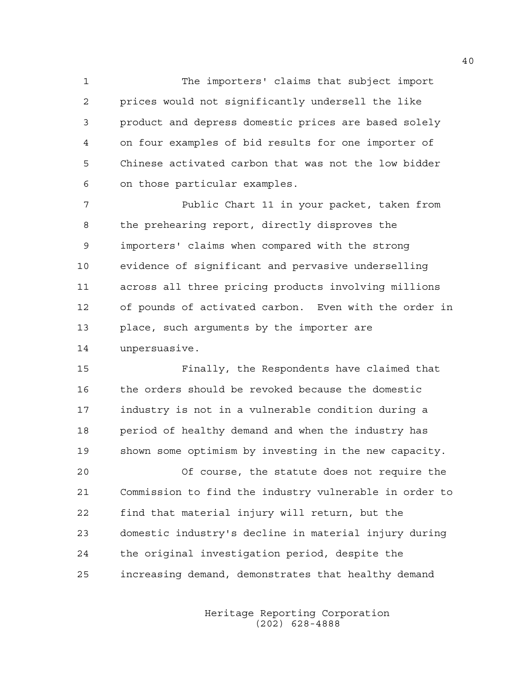1 The importers' claims that subject import 2 prices would not significantly undersell the like 3 product and depress domestic prices are based solely 4 on four examples of bid results for one importer of 5 Chinese activated carbon that was not the low bidder 6 on those particular examples.

7 Public Chart 11 in your packet, taken from 8 the prehearing report, directly disproves the 9 importers' claims when compared with the strong 10 evidence of significant and pervasive underselling 11 across all three pricing products involving millions 12 of pounds of activated carbon. Even with the order in 13 place, such arguments by the importer are 14 unpersuasive.

15 Finally, the Respondents have claimed that 16 the orders should be revoked because the domestic 17 industry is not in a vulnerable condition during a 18 period of healthy demand and when the industry has 19 shown some optimism by investing in the new capacity.

20 Of course, the statute does not require the 21 Commission to find the industry vulnerable in order to 22 find that material injury will return, but the 23 domestic industry's decline in material injury during 24 the original investigation period, despite the 25 increasing demand, demonstrates that healthy demand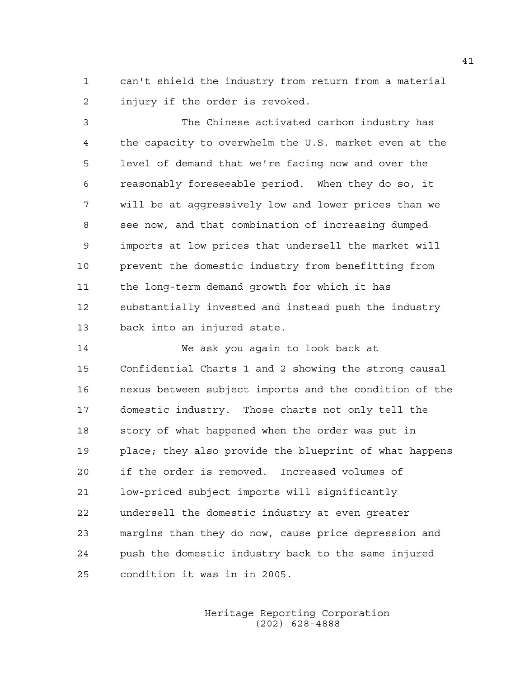1 can't shield the industry from return from a material 2 injury if the order is revoked.

3 The Chinese activated carbon industry has 4 the capacity to overwhelm the U.S. market even at the 5 level of demand that we're facing now and over the 6 reasonably foreseeable period. When they do so, it 7 will be at aggressively low and lower prices than we 8 see now, and that combination of increasing dumped 9 imports at low prices that undersell the market will 10 prevent the domestic industry from benefitting from 11 the long-term demand growth for which it has 12 substantially invested and instead push the industry 13 back into an injured state.

14 We ask you again to look back at 15 Confidential Charts 1 and 2 showing the strong causal 16 nexus between subject imports and the condition of the 17 domestic industry. Those charts not only tell the 18 story of what happened when the order was put in 19 place; they also provide the blueprint of what happens 20 if the order is removed. Increased volumes of 21 low-priced subject imports will significantly 22 undersell the domestic industry at even greater 23 margins than they do now, cause price depression and 24 push the domestic industry back to the same injured 25 condition it was in in 2005.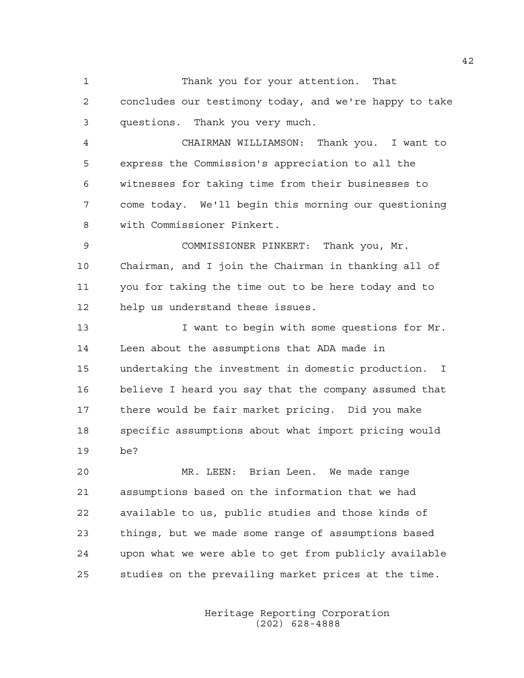1 Thank you for your attention. That 2 concludes our testimony today, and we're happy to take 3 questions. Thank you very much.

4 CHAIRMAN WILLIAMSON: Thank you. I want to 5 express the Commission's appreciation to all the 6 witnesses for taking time from their businesses to 7 come today. We'll begin this morning our questioning 8 with Commissioner Pinkert.

9 COMMISSIONER PINKERT: Thank you, Mr. 10 Chairman, and I join the Chairman in thanking all of 11 you for taking the time out to be here today and to 12 help us understand these issues.

13 I want to begin with some questions for Mr. 14 Leen about the assumptions that ADA made in 15 undertaking the investment in domestic production. I 16 believe I heard you say that the company assumed that 17 there would be fair market pricing. Did you make 18 specific assumptions about what import pricing would 19 be?

20 MR. LEEN: Brian Leen. We made range 21 assumptions based on the information that we had 22 available to us, public studies and those kinds of 23 things, but we made some range of assumptions based 24 upon what we were able to get from publicly available 25 studies on the prevailing market prices at the time.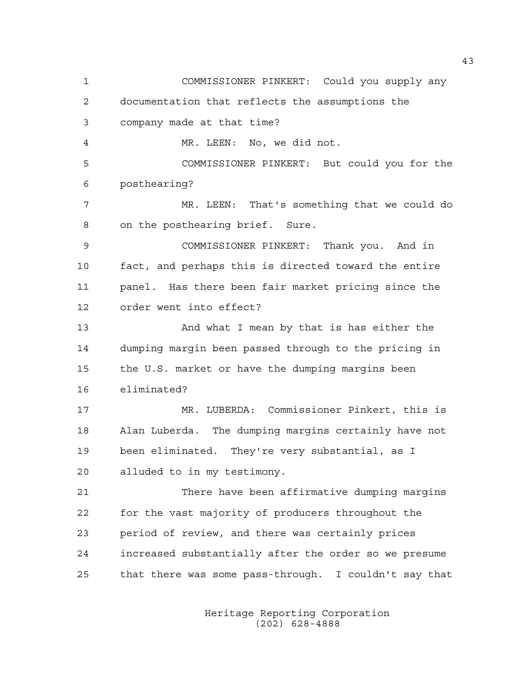1 COMMISSIONER PINKERT: Could you supply any 2 documentation that reflects the assumptions the 3 company made at that time? 4 MR. LEEN: No, we did not. 5 COMMISSIONER PINKERT: But could you for the 6 posthearing? 7 MR. LEEN: That's something that we could do 8 on the posthearing brief. Sure. 9 COMMISSIONER PINKERT: Thank you. And in 10 fact, and perhaps this is directed toward the entire 11 panel. Has there been fair market pricing since the 12 order went into effect? 13 And what I mean by that is has either the 14 dumping margin been passed through to the pricing in 15 the U.S. market or have the dumping margins been 16 eliminated? 17 MR. LUBERDA: Commissioner Pinkert, this is 18 Alan Luberda. The dumping margins certainly have not 19 been eliminated. They're very substantial, as I 20 alluded to in my testimony. 21 There have been affirmative dumping margins 22 for the vast majority of producers throughout the 23 period of review, and there was certainly prices 24 increased substantially after the order so we presume 25 that there was some pass-through. I couldn't say that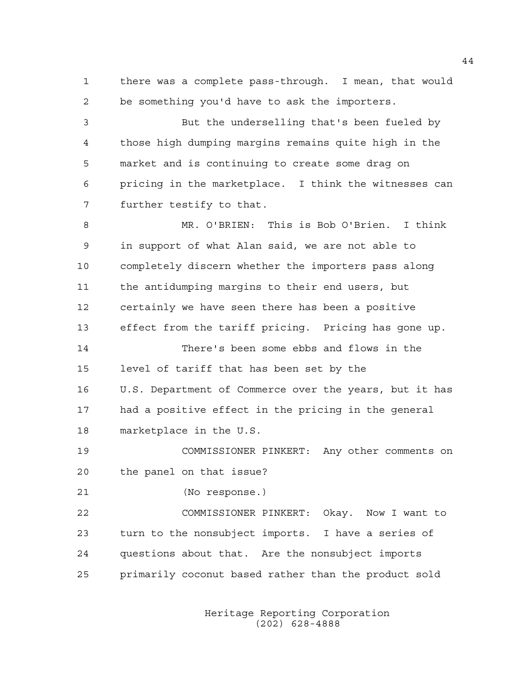1 there was a complete pass-through. I mean, that would 2 be something you'd have to ask the importers.

3 But the underselling that's been fueled by 4 those high dumping margins remains quite high in the 5 market and is continuing to create some drag on 6 pricing in the marketplace. I think the witnesses can 7 further testify to that.

8 MR. O'BRIEN: This is Bob O'Brien. I think 9 in support of what Alan said, we are not able to 10 completely discern whether the importers pass along 11 the antidumping margins to their end users, but 12 certainly we have seen there has been a positive 13 effect from the tariff pricing. Pricing has gone up.

14 There's been some ebbs and flows in the 15 level of tariff that has been set by the 16 U.S. Department of Commerce over the years, but it has 17 had a positive effect in the pricing in the general 18 marketplace in the U.S.

19 COMMISSIONER PINKERT: Any other comments on 20 the panel on that issue?

21 (No response.)

22 COMMISSIONER PINKERT: Okay. Now I want to 23 turn to the nonsubject imports. I have a series of 24 questions about that. Are the nonsubject imports 25 primarily coconut based rather than the product sold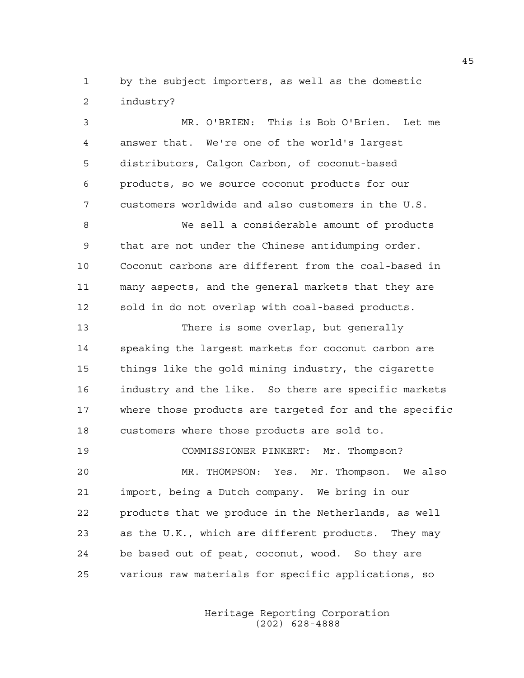1 by the subject importers, as well as the domestic 2 industry?

3 MR. O'BRIEN: This is Bob O'Brien. Let me 4 answer that. We're one of the world's largest 5 distributors, Calgon Carbon, of coconut-based 6 products, so we source coconut products for our 7 customers worldwide and also customers in the U.S. 8 We sell a considerable amount of products 9 that are not under the Chinese antidumping order. 10 Coconut carbons are different from the coal-based in 11 many aspects, and the general markets that they are 12 sold in do not overlap with coal-based products. 13 There is some overlap, but generally 14 speaking the largest markets for coconut carbon are 15 things like the gold mining industry, the cigarette 16 industry and the like. So there are specific markets 17 where those products are targeted for and the specific 18 customers where those products are sold to. 19 COMMISSIONER PINKERT: Mr. Thompson? 20 MR. THOMPSON: Yes. Mr. Thompson. We also 21 import, being a Dutch company. We bring in our 22 products that we produce in the Netherlands, as well 23 as the U.K., which are different products. They may 24 be based out of peat, coconut, wood. So they are 25 various raw materials for specific applications, so

> Heritage Reporting Corporation (202) 628-4888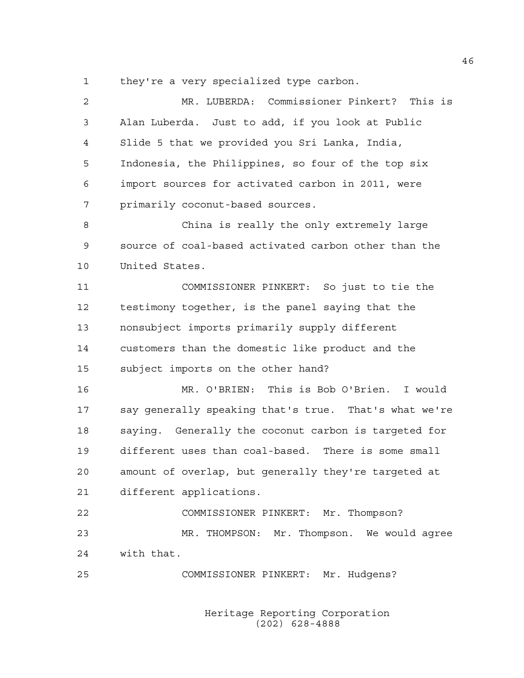1 they're a very specialized type carbon.

2 MR. LUBERDA: Commissioner Pinkert? This is 3 Alan Luberda. Just to add, if you look at Public 4 Slide 5 that we provided you Sri Lanka, India, 5 Indonesia, the Philippines, so four of the top six 6 import sources for activated carbon in 2011, were 7 primarily coconut-based sources. 8 China is really the only extremely large 9 source of coal-based activated carbon other than the 10 United States. 11 COMMISSIONER PINKERT: So just to tie the 12 testimony together, is the panel saying that the 13 nonsubject imports primarily supply different 14 customers than the domestic like product and the 15 subject imports on the other hand? 16 MR. O'BRIEN: This is Bob O'Brien. I would 17 say generally speaking that's true. That's what we're 18 saying. Generally the coconut carbon is targeted for 19 different uses than coal-based. There is some small 20 amount of overlap, but generally they're targeted at 21 different applications. 22 COMMISSIONER PINKERT: Mr. Thompson? 23 MR. THOMPSON: Mr. Thompson. We would agree 24 with that. 25 COMMISSIONER PINKERT: Mr. Hudgens?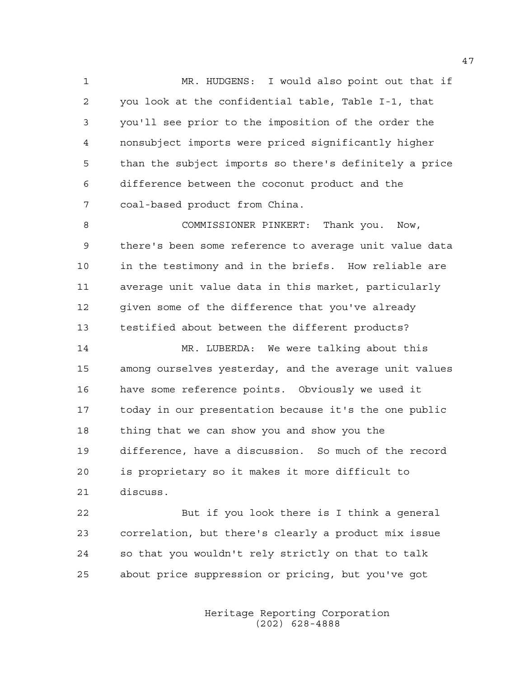1 MR. HUDGENS: I would also point out that if 2 you look at the confidential table, Table I-1, that 3 you'll see prior to the imposition of the order the 4 nonsubject imports were priced significantly higher 5 than the subject imports so there's definitely a price 6 difference between the coconut product and the 7 coal-based product from China.

8 COMMISSIONER PINKERT: Thank you. Now, 9 there's been some reference to average unit value data 10 in the testimony and in the briefs. How reliable are 11 average unit value data in this market, particularly 12 given some of the difference that you've already 13 testified about between the different products?

14 MR. LUBERDA: We were talking about this 15 among ourselves yesterday, and the average unit values 16 have some reference points. Obviously we used it 17 today in our presentation because it's the one public 18 thing that we can show you and show you the 19 difference, have a discussion. So much of the record 20 is proprietary so it makes it more difficult to 21 discuss.

22 But if you look there is I think a general 23 correlation, but there's clearly a product mix issue 24 so that you wouldn't rely strictly on that to talk 25 about price suppression or pricing, but you've got

> Heritage Reporting Corporation (202) 628-4888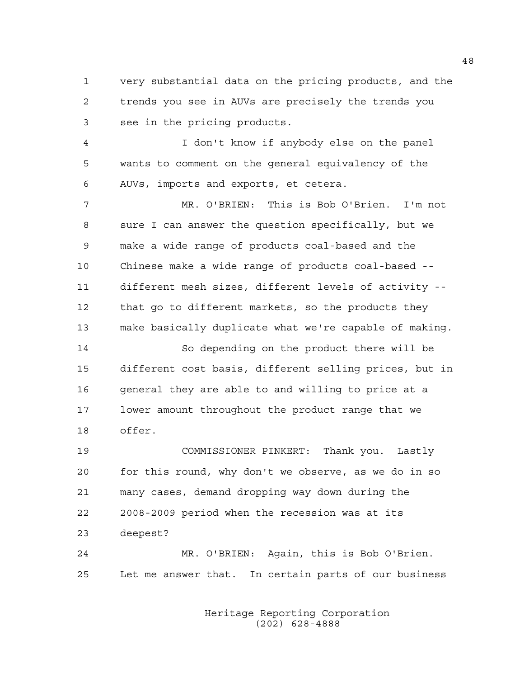1 very substantial data on the pricing products, and the 2 trends you see in AUVs are precisely the trends you 3 see in the pricing products.

4 I don't know if anybody else on the panel 5 wants to comment on the general equivalency of the 6 AUVs, imports and exports, et cetera.

7 MR. O'BRIEN: This is Bob O'Brien. I'm not 8 sure I can answer the question specifically, but we 9 make a wide range of products coal-based and the 10 Chinese make a wide range of products coal-based -- 11 different mesh sizes, different levels of activity -- 12 that go to different markets, so the products they 13 make basically duplicate what we're capable of making.

14 So depending on the product there will be 15 different cost basis, different selling prices, but in 16 general they are able to and willing to price at a 17 lower amount throughout the product range that we 18 offer.

19 COMMISSIONER PINKERT: Thank you. Lastly 20 for this round, why don't we observe, as we do in so 21 many cases, demand dropping way down during the 22 2008-2009 period when the recession was at its 23 deepest?

24 MR. O'BRIEN: Again, this is Bob O'Brien. 25 Let me answer that. In certain parts of our business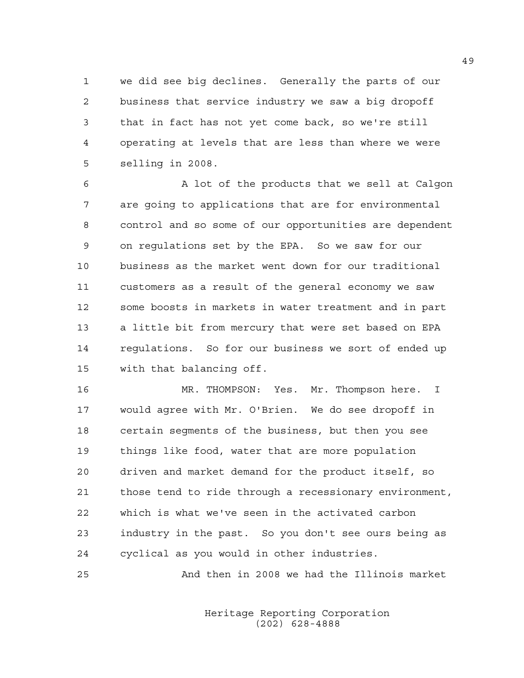1 we did see big declines. Generally the parts of our 2 business that service industry we saw a big dropoff 3 that in fact has not yet come back, so we're still 4 operating at levels that are less than where we were 5 selling in 2008.

6 A lot of the products that we sell at Calgon 7 are going to applications that are for environmental 8 control and so some of our opportunities are dependent 9 on regulations set by the EPA. So we saw for our 10 business as the market went down for our traditional 11 customers as a result of the general economy we saw 12 some boosts in markets in water treatment and in part 13 a little bit from mercury that were set based on EPA 14 regulations. So for our business we sort of ended up 15 with that balancing off.

16 MR. THOMPSON: Yes. Mr. Thompson here. I 17 would agree with Mr. O'Brien. We do see dropoff in 18 certain segments of the business, but then you see 19 things like food, water that are more population 20 driven and market demand for the product itself, so 21 those tend to ride through a recessionary environment, 22 which is what we've seen in the activated carbon 23 industry in the past. So you don't see ours being as 24 cyclical as you would in other industries.

25 And then in 2008 we had the Illinois market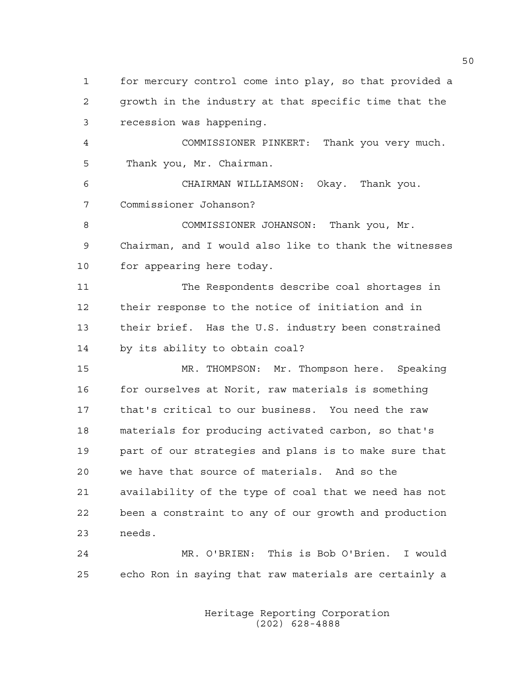1 for mercury control come into play, so that provided a 2 growth in the industry at that specific time that the 3 recession was happening.

4 COMMISSIONER PINKERT: Thank you very much. 5 Thank you, Mr. Chairman.

6 CHAIRMAN WILLIAMSON: Okay. Thank you. 7 Commissioner Johanson?

8 COMMISSIONER JOHANSON: Thank you, Mr. 9 Chairman, and I would also like to thank the witnesses 10 for appearing here today.

11 The Respondents describe coal shortages in 12 their response to the notice of initiation and in 13 their brief. Has the U.S. industry been constrained 14 by its ability to obtain coal?

15 MR. THOMPSON: Mr. Thompson here. Speaking 16 for ourselves at Norit, raw materials is something 17 that's critical to our business. You need the raw 18 materials for producing activated carbon, so that's 19 part of our strategies and plans is to make sure that 20 we have that source of materials. And so the 21 availability of the type of coal that we need has not 22 been a constraint to any of our growth and production 23 needs.

24 MR. O'BRIEN: This is Bob O'Brien. I would 25 echo Ron in saying that raw materials are certainly a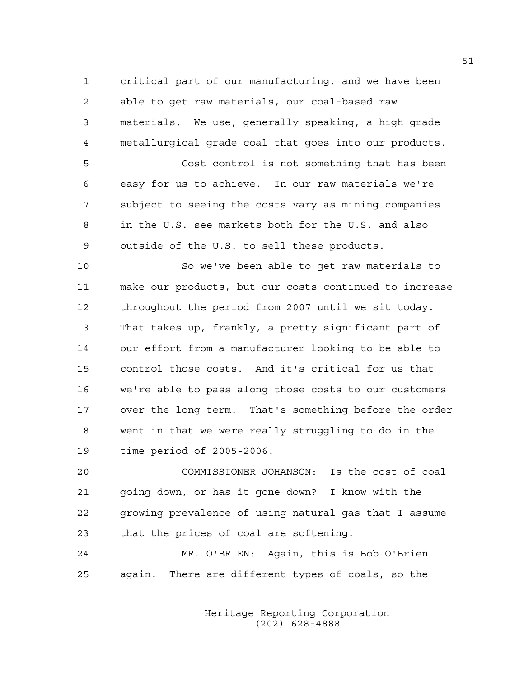1 critical part of our manufacturing, and we have been 2 able to get raw materials, our coal-based raw 3 materials. We use, generally speaking, a high grade 4 metallurgical grade coal that goes into our products.

5 Cost control is not something that has been 6 easy for us to achieve. In our raw materials we're 7 subject to seeing the costs vary as mining companies 8 in the U.S. see markets both for the U.S. and also 9 outside of the U.S. to sell these products.

10 So we've been able to get raw materials to 11 make our products, but our costs continued to increase 12 throughout the period from 2007 until we sit today. 13 That takes up, frankly, a pretty significant part of 14 our effort from a manufacturer looking to be able to 15 control those costs. And it's critical for us that 16 we're able to pass along those costs to our customers 17 over the long term. That's something before the order 18 went in that we were really struggling to do in the 19 time period of 2005-2006.

20 COMMISSIONER JOHANSON: Is the cost of coal 21 going down, or has it gone down? I know with the 22 growing prevalence of using natural gas that I assume 23 that the prices of coal are softening.

24 MR. O'BRIEN: Again, this is Bob O'Brien 25 again. There are different types of coals, so the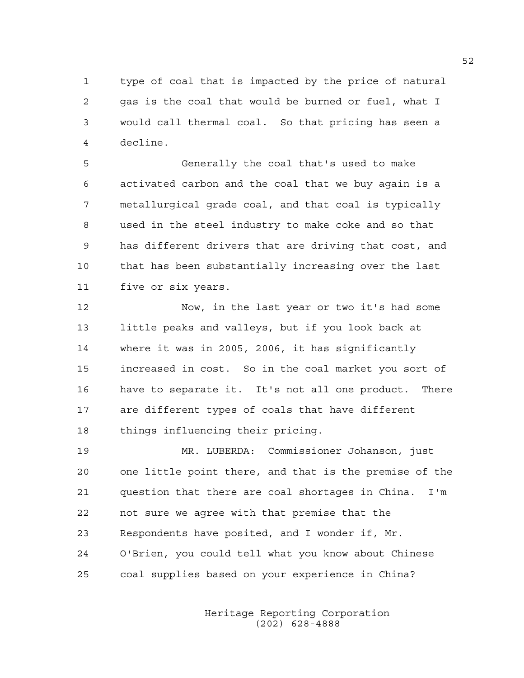1 type of coal that is impacted by the price of natural 2 gas is the coal that would be burned or fuel, what I 3 would call thermal coal. So that pricing has seen a 4 decline.

5 Generally the coal that's used to make 6 activated carbon and the coal that we buy again is a 7 metallurgical grade coal, and that coal is typically 8 used in the steel industry to make coke and so that 9 has different drivers that are driving that cost, and 10 that has been substantially increasing over the last 11 five or six years.

12 Now, in the last year or two it's had some 13 little peaks and valleys, but if you look back at 14 where it was in 2005, 2006, it has significantly 15 increased in cost. So in the coal market you sort of 16 have to separate it. It's not all one product. There 17 are different types of coals that have different 18 things influencing their pricing.

19 MR. LUBERDA: Commissioner Johanson, just 20 one little point there, and that is the premise of the 21 question that there are coal shortages in China. I'm 22 not sure we agree with that premise that the 23 Respondents have posited, and I wonder if, Mr. 24 O'Brien, you could tell what you know about Chinese 25 coal supplies based on your experience in China?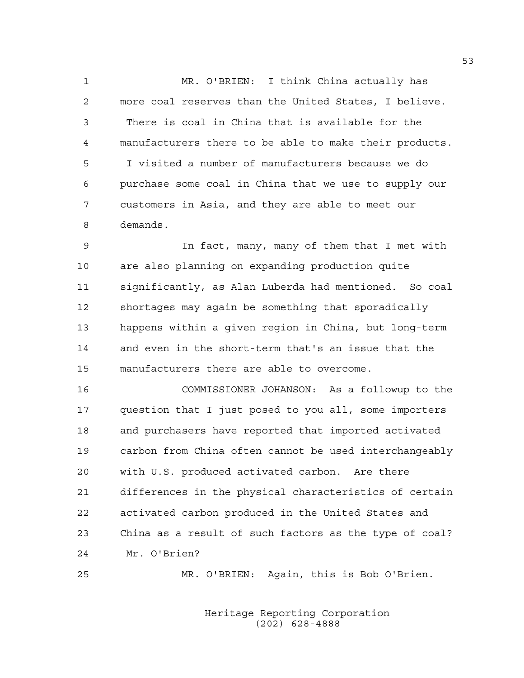1 MR. O'BRIEN: I think China actually has 2 more coal reserves than the United States, I believe. 3 There is coal in China that is available for the 4 manufacturers there to be able to make their products. 5 I visited a number of manufacturers because we do 6 purchase some coal in China that we use to supply our 7 customers in Asia, and they are able to meet our 8 demands.

9 In fact, many, many of them that I met with 10 are also planning on expanding production quite 11 significantly, as Alan Luberda had mentioned. So coal 12 shortages may again be something that sporadically 13 happens within a given region in China, but long-term 14 and even in the short-term that's an issue that the 15 manufacturers there are able to overcome.

16 COMMISSIONER JOHANSON: As a followup to the 17 question that I just posed to you all, some importers 18 and purchasers have reported that imported activated 19 carbon from China often cannot be used interchangeably 20 with U.S. produced activated carbon. Are there 21 differences in the physical characteristics of certain 22 activated carbon produced in the United States and 23 China as a result of such factors as the type of coal? 24 Mr. O'Brien?

25 MR. O'BRIEN: Again, this is Bob O'Brien.

 Heritage Reporting Corporation (202) 628-4888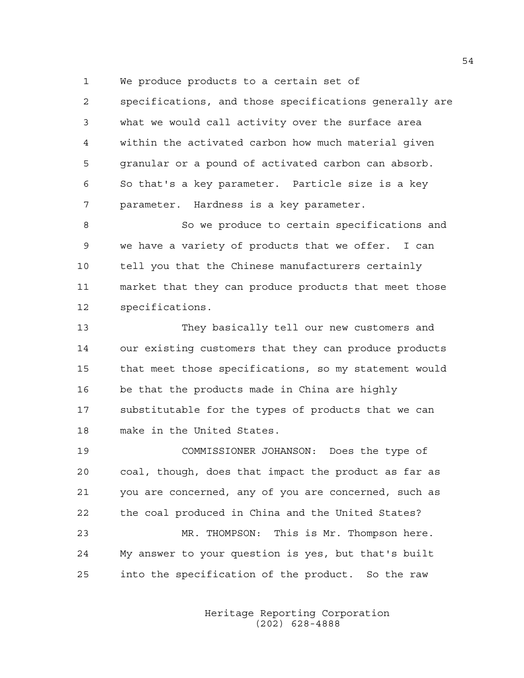1 We produce products to a certain set of

2 specifications, and those specifications generally are 3 what we would call activity over the surface area 4 within the activated carbon how much material given 5 granular or a pound of activated carbon can absorb. 6 So that's a key parameter. Particle size is a key 7 parameter. Hardness is a key parameter.

8 So we produce to certain specifications and 9 we have a variety of products that we offer. I can 10 tell you that the Chinese manufacturers certainly 11 market that they can produce products that meet those 12 specifications.

13 They basically tell our new customers and 14 our existing customers that they can produce products 15 that meet those specifications, so my statement would 16 be that the products made in China are highly 17 substitutable for the types of products that we can 18 make in the United States.

19 COMMISSIONER JOHANSON: Does the type of 20 coal, though, does that impact the product as far as 21 you are concerned, any of you are concerned, such as 22 the coal produced in China and the United States? 23 MR. THOMPSON: This is Mr. Thompson here. 24 My answer to your question is yes, but that's built 25 into the specification of the product. So the raw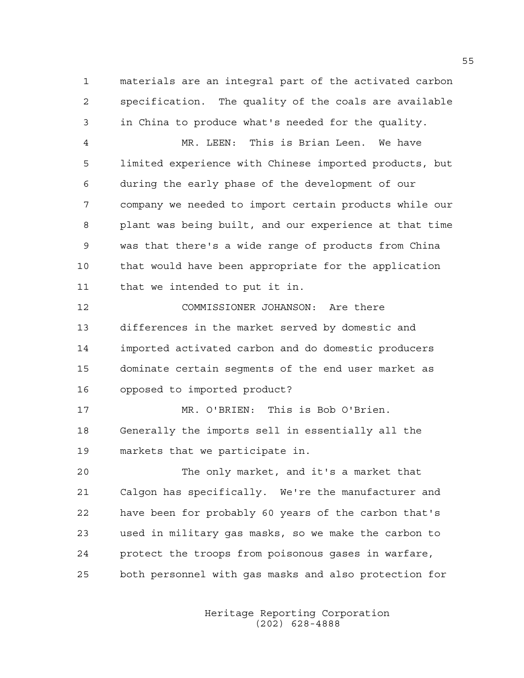1 materials are an integral part of the activated carbon 2 specification. The quality of the coals are available 3 in China to produce what's needed for the quality.

4 MR. LEEN: This is Brian Leen. We have 5 limited experience with Chinese imported products, but 6 during the early phase of the development of our 7 company we needed to import certain products while our 8 plant was being built, and our experience at that time 9 was that there's a wide range of products from China 10 that would have been appropriate for the application 11 that we intended to put it in.

12 COMMISSIONER JOHANSON: Are there 13 differences in the market served by domestic and 14 imported activated carbon and do domestic producers 15 dominate certain segments of the end user market as 16 opposed to imported product?

17 MR. O'BRIEN: This is Bob O'Brien. 18 Generally the imports sell in essentially all the 19 markets that we participate in.

20 The only market, and it's a market that 21 Calgon has specifically. We're the manufacturer and 22 have been for probably 60 years of the carbon that's 23 used in military gas masks, so we make the carbon to 24 protect the troops from poisonous gases in warfare, 25 both personnel with gas masks and also protection for

> Heritage Reporting Corporation (202) 628-4888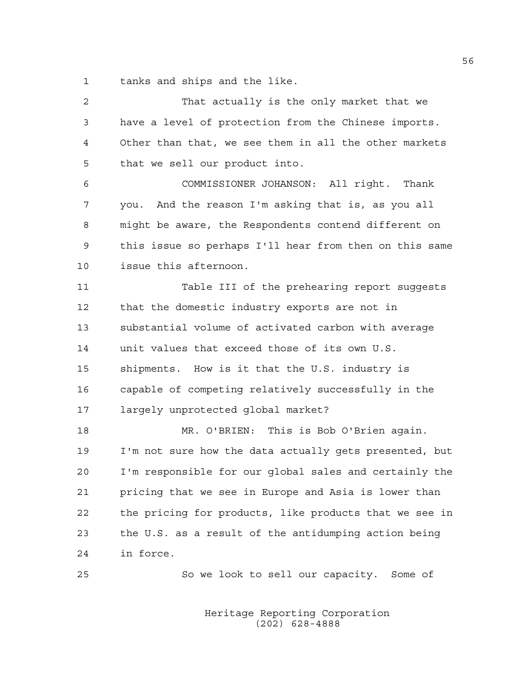1 tanks and ships and the like.

| 2  | That actually is the only market that we               |
|----|--------------------------------------------------------|
| 3  | have a level of protection from the Chinese imports.   |
| 4  | Other than that, we see them in all the other markets  |
| 5  | that we sell our product into.                         |
| 6  | COMMISSIONER JOHANSON: All right. Thank                |
| 7  | you. And the reason I'm asking that is, as you all     |
| 8  | might be aware, the Respondents contend different on   |
| 9  | this issue so perhaps I'll hear from then on this same |
| 10 | issue this afternoon.                                  |
| 11 | Table III of the prehearing report suggests            |
| 12 | that the domestic industry exports are not in          |
| 13 | substantial volume of activated carbon with average    |
| 14 | unit values that exceed those of its own U.S.          |
| 15 | shipments. How is it that the U.S. industry is         |
| 16 | capable of competing relatively successfully in the    |
| 17 | largely unprotected global market?                     |
| 18 | MR. O'BRIEN: This is Bob O'Brien again.                |
| 19 | I'm not sure how the data actually gets presented, but |
| 20 | I'm responsible for our global sales and certainly the |
| 21 | pricing that we see in Europe and Asia is lower than   |
| 22 | the pricing for products, like products that we see in |
| 23 | the U.S. as a result of the antidumping action being   |
| 24 | in force.                                              |
| 25 | So we look to sell our capacity.<br>Some of            |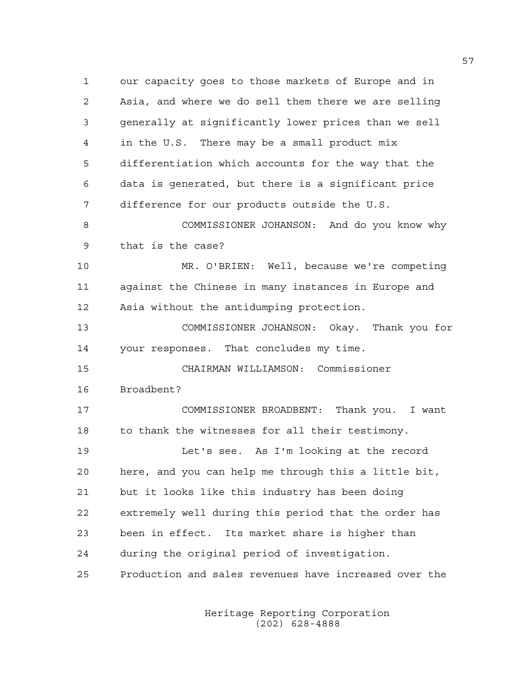1 our capacity goes to those markets of Europe and in 2 Asia, and where we do sell them there we are selling 3 generally at significantly lower prices than we sell 4 in the U.S. There may be a small product mix 5 differentiation which accounts for the way that the 6 data is generated, but there is a significant price 7 difference for our products outside the U.S. 8 COMMISSIONER JOHANSON: And do you know why 9 that is the case? 10 MR. O'BRIEN: Well, because we're competing 11 against the Chinese in many instances in Europe and 12 Asia without the antidumping protection. 13 COMMISSIONER JOHANSON: Okay. Thank you for 14 your responses. That concludes my time. 15 CHAIRMAN WILLIAMSON: Commissioner 16 Broadbent? 17 COMMISSIONER BROADBENT: Thank you. I want 18 to thank the witnesses for all their testimony. 19 Let's see. As I'm looking at the record

20 here, and you can help me through this a little bit, 21 but it looks like this industry has been doing 22 extremely well during this period that the order has 23 been in effect. Its market share is higher than 24 during the original period of investigation. 25 Production and sales revenues have increased over the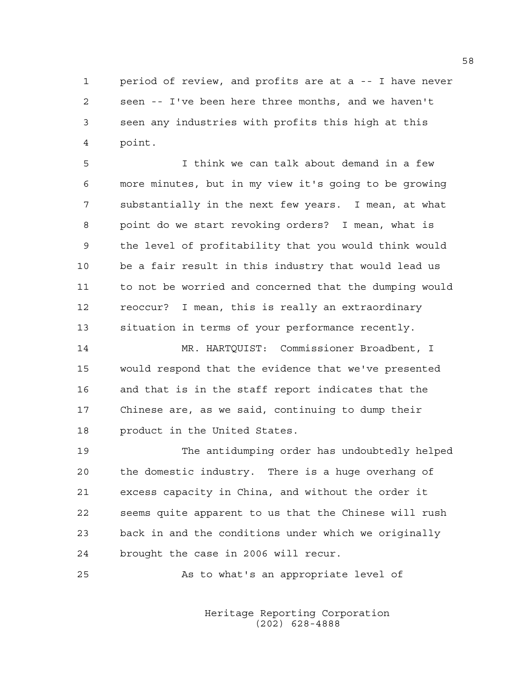1 period of review, and profits are at a -- I have never 2 seen -- I've been here three months, and we haven't 3 seen any industries with profits this high at this 4 point.

5 I think we can talk about demand in a few 6 more minutes, but in my view it's going to be growing 7 substantially in the next few years. I mean, at what 8 point do we start revoking orders? I mean, what is 9 the level of profitability that you would think would 10 be a fair result in this industry that would lead us 11 to not be worried and concerned that the dumping would 12 reoccur? I mean, this is really an extraordinary 13 situation in terms of your performance recently.

14 MR. HARTQUIST: Commissioner Broadbent, I 15 would respond that the evidence that we've presented 16 and that is in the staff report indicates that the 17 Chinese are, as we said, continuing to dump their 18 product in the United States.

19 The antidumping order has undoubtedly helped 20 the domestic industry. There is a huge overhang of 21 excess capacity in China, and without the order it 22 seems quite apparent to us that the Chinese will rush 23 back in and the conditions under which we originally 24 brought the case in 2006 will recur.

25 As to what's an appropriate level of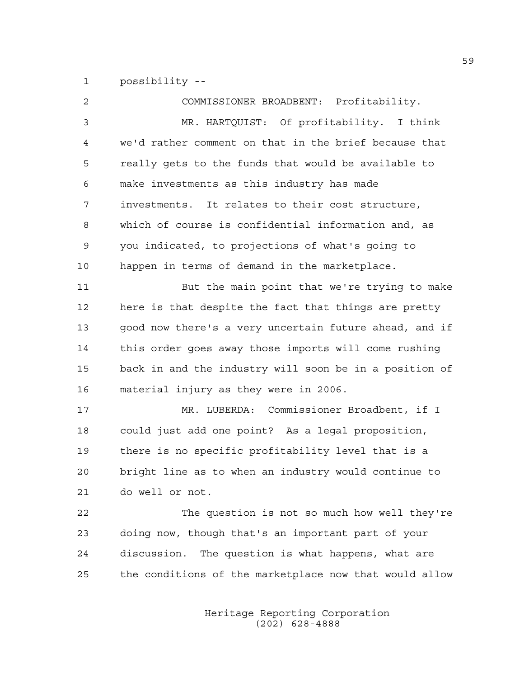1 possibility --

| 2  | COMMISSIONER BROADBENT: Profitability.                 |
|----|--------------------------------------------------------|
| 3  | MR. HARTQUIST: Of profitability. I think               |
| 4  | we'd rather comment on that in the brief because that  |
| 5  | really gets to the funds that would be available to    |
| 6  | make investments as this industry has made             |
| 7  | investments. It relates to their cost structure,       |
| 8  | which of course is confidential information and, as    |
| 9  | you indicated, to projections of what's going to       |
| 10 | happen in terms of demand in the marketplace.          |
| 11 | But the main point that we're trying to make           |
| 12 | here is that despite the fact that things are pretty   |
| 13 | good now there's a very uncertain future ahead, and if |
| 14 | this order goes away those imports will come rushing   |
| 15 | back in and the industry will soon be in a position of |
| 16 | material injury as they were in 2006.                  |
| 17 | MR. LUBERDA: Commissioner Broadbent, if I              |
| 18 | could just add one point? As a legal proposition,      |
| 19 | there is no specific profitability level that is a     |
| 20 | bright line as to when an industry would continue to   |
| 21 | do well or not.                                        |
| 22 | The question is not so much how well they're           |
| 23 | doing now, though that's an important part of your     |
| 24 | discussion. The question is what happens, what are     |
| 25 | the conditions of the marketplace now that would allow |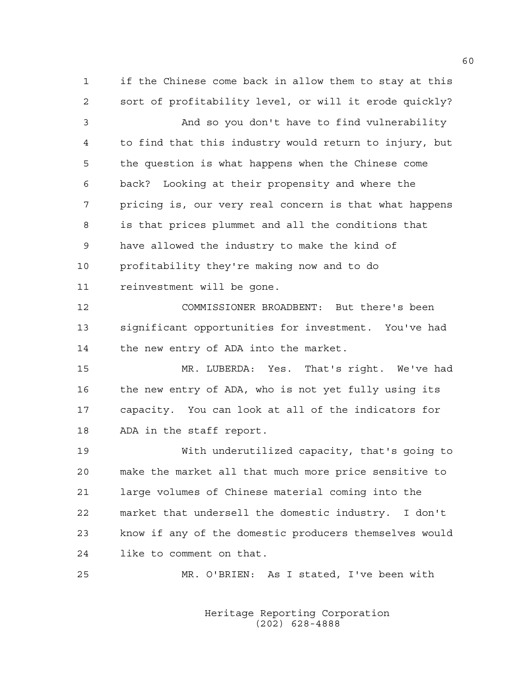1 if the Chinese come back in allow them to stay at this 2 sort of profitability level, or will it erode quickly?

3 And so you don't have to find vulnerability 4 to find that this industry would return to injury, but 5 the question is what happens when the Chinese come 6 back? Looking at their propensity and where the 7 pricing is, our very real concern is that what happens 8 is that prices plummet and all the conditions that 9 have allowed the industry to make the kind of 10 profitability they're making now and to do 11 reinvestment will be gone.

12 COMMISSIONER BROADBENT: But there's been 13 significant opportunities for investment. You've had 14 the new entry of ADA into the market.

15 MR. LUBERDA: Yes. That's right. We've had 16 the new entry of ADA, who is not yet fully using its 17 capacity. You can look at all of the indicators for 18 ADA in the staff report.

19 With underutilized capacity, that's going to 20 make the market all that much more price sensitive to 21 large volumes of Chinese material coming into the 22 market that undersell the domestic industry. I don't 23 know if any of the domestic producers themselves would 24 like to comment on that.

25 MR. O'BRIEN: As I stated, I've been with

 Heritage Reporting Corporation (202) 628-4888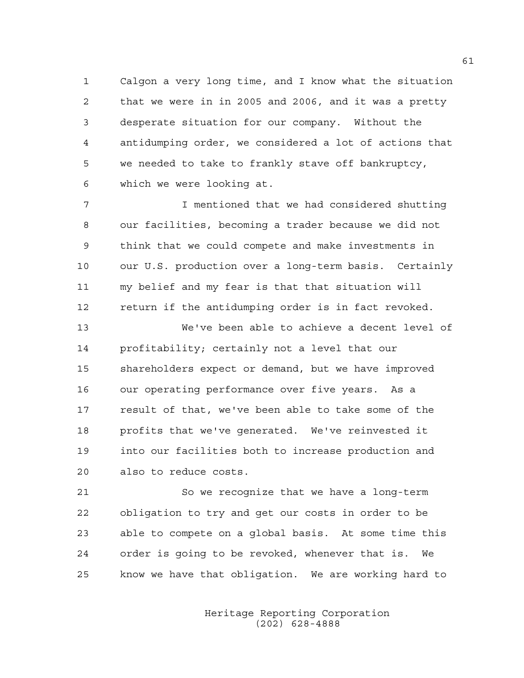1 Calgon a very long time, and I know what the situation 2 that we were in in 2005 and 2006, and it was a pretty 3 desperate situation for our company. Without the 4 antidumping order, we considered a lot of actions that 5 we needed to take to frankly stave off bankruptcy, 6 which we were looking at.

7 I mentioned that we had considered shutting 8 our facilities, becoming a trader because we did not 9 think that we could compete and make investments in 10 our U.S. production over a long-term basis. Certainly 11 my belief and my fear is that that situation will 12 return if the antidumping order is in fact revoked.

13 We've been able to achieve a decent level of 14 profitability; certainly not a level that our 15 shareholders expect or demand, but we have improved 16 our operating performance over five years. As a 17 result of that, we've been able to take some of the 18 profits that we've generated. We've reinvested it 19 into our facilities both to increase production and 20 also to reduce costs.

21 So we recognize that we have a long-term 22 obligation to try and get our costs in order to be 23 able to compete on a global basis. At some time this 24 order is going to be revoked, whenever that is. We 25 know we have that obligation. We are working hard to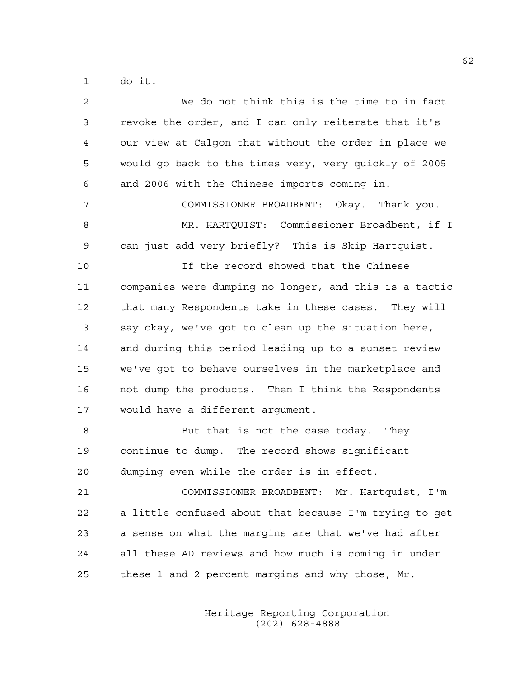1 do it.

| 2  | We do not think this is the time to in fact            |
|----|--------------------------------------------------------|
| 3  | revoke the order, and I can only reiterate that it's   |
| 4  | our view at Calgon that without the order in place we  |
| 5  | would go back to the times very, very quickly of 2005  |
| 6  | and 2006 with the Chinese imports coming in.           |
| 7  | COMMISSIONER BROADBENT: Okay. Thank you.               |
| 8  | MR. HARTQUIST: Commissioner Broadbent, if I            |
| 9  | can just add very briefly? This is Skip Hartquist.     |
| 10 | If the record showed that the Chinese                  |
| 11 | companies were dumping no longer, and this is a tactic |
| 12 | that many Respondents take in these cases. They will   |
| 13 | say okay, we've got to clean up the situation here,    |
| 14 | and during this period leading up to a sunset review   |
| 15 | we've got to behave ourselves in the marketplace and   |
| 16 | not dump the products. Then I think the Respondents    |
| 17 | would have a different argument.                       |
| 18 | But that is not the case today. They                   |
| 19 | continue to dump. The record shows significant         |
| 20 | dumping even while the order is in effect.             |
| 21 | COMMISSIONER BROADBENT: Mr. Hartquist, I'm             |
| 22 | a little confused about that because I'm trying to get |
| 23 | a sense on what the margins are that we've had after   |
| 24 | all these AD reviews and how much is coming in under   |
| 25 | these 1 and 2 percent margins and why those, Mr.       |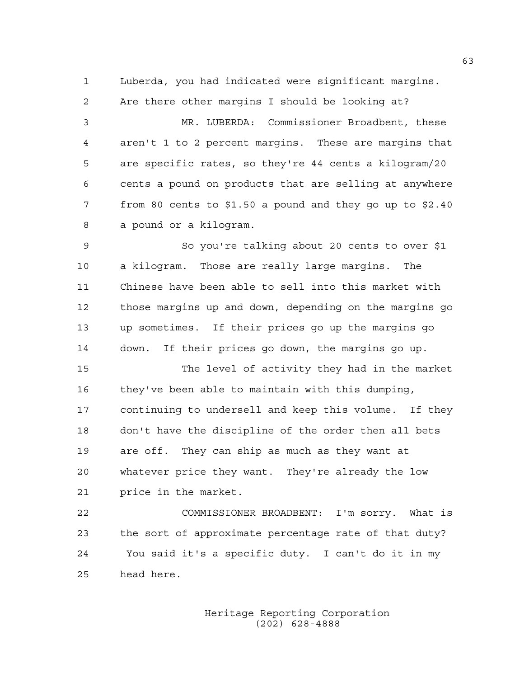1 Luberda, you had indicated were significant margins.

2 Are there other margins I should be looking at? 3 MR. LUBERDA: Commissioner Broadbent, these 4 aren't 1 to 2 percent margins. These are margins that 5 are specific rates, so they're 44 cents a kilogram/20 6 cents a pound on products that are selling at anywhere 7 from 80 cents to \$1.50 a pound and they go up to \$2.40 8 a pound or a kilogram. 9 So you're talking about 20 cents to over \$1 10 a kilogram. Those are really large margins. The 11 Chinese have been able to sell into this market with 12 those margins up and down, depending on the margins go

13 up sometimes. If their prices go up the margins go 14 down. If their prices go down, the margins go up.

15 The level of activity they had in the market 16 they've been able to maintain with this dumping, 17 continuing to undersell and keep this volume. If they 18 don't have the discipline of the order then all bets 19 are off. They can ship as much as they want at 20 whatever price they want. They're already the low 21 price in the market.

22 COMMISSIONER BROADBENT: I'm sorry. What is 23 the sort of approximate percentage rate of that duty? 24 You said it's a specific duty. I can't do it in my 25 head here.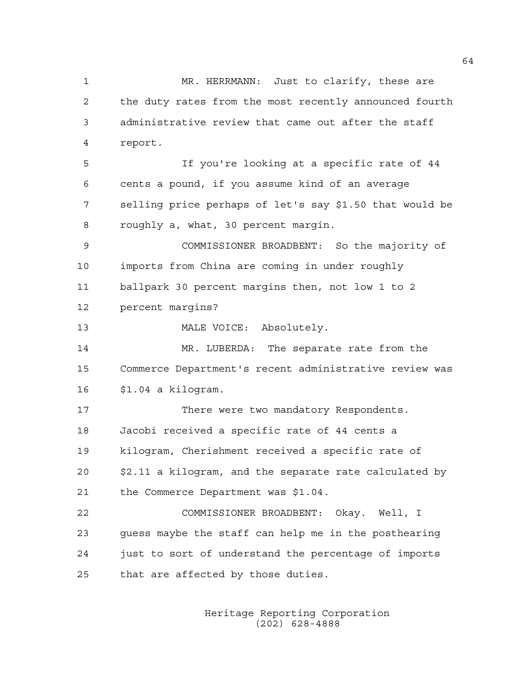1 MR. HERRMANN: Just to clarify, these are 2 the duty rates from the most recently announced fourth 3 administrative review that came out after the staff 4 report. 5 If you're looking at a specific rate of 44 6 cents a pound, if you assume kind of an average 7 selling price perhaps of let's say \$1.50 that would be 8 roughly a, what, 30 percent margin. 9 COMMISSIONER BROADBENT: So the majority of 10 imports from China are coming in under roughly 11 ballpark 30 percent margins then, not low 1 to 2 12 percent margins? 13 MALE VOICE: Absolutely. 14 MR. LUBERDA: The separate rate from the 15 Commerce Department's recent administrative review was 16 \$1.04 a kilogram. 17 There were two mandatory Respondents. 18 Jacobi received a specific rate of 44 cents a 19 kilogram, Cherishment received a specific rate of 20 \$2.11 a kilogram, and the separate rate calculated by 21 the Commerce Department was \$1.04. 22 COMMISSIONER BROADBENT: Okay. Well, I 23 guess maybe the staff can help me in the posthearing 24 just to sort of understand the percentage of imports 25 that are affected by those duties.

> Heritage Reporting Corporation (202) 628-4888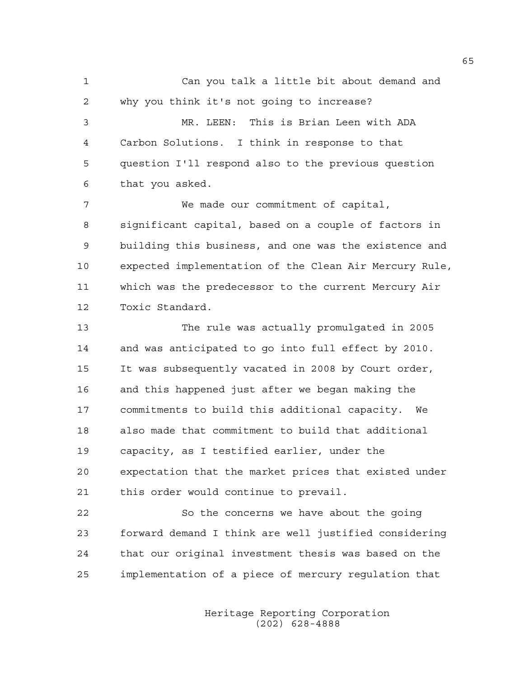1 Can you talk a little bit about demand and 2 why you think it's not going to increase? 3 MR. LEEN: This is Brian Leen with ADA 4 Carbon Solutions. I think in response to that 5 question I'll respond also to the previous question 6 that you asked. 7 We made our commitment of capital, 8 significant capital, based on a couple of factors in 9 building this business, and one was the existence and 10 expected implementation of the Clean Air Mercury Rule, 11 which was the predecessor to the current Mercury Air 12 Toxic Standard. 13 The rule was actually promulgated in 2005 14 and was anticipated to go into full effect by 2010. 15 It was subsequently vacated in 2008 by Court order, 16 and this happened just after we began making the 17 commitments to build this additional capacity. We 18 also made that commitment to build that additional 19 capacity, as I testified earlier, under the 20 expectation that the market prices that existed under 21 this order would continue to prevail. 22 So the concerns we have about the going 23 forward demand I think are well justified considering

25 implementation of a piece of mercury regulation that

24 that our original investment thesis was based on the

 Heritage Reporting Corporation (202) 628-4888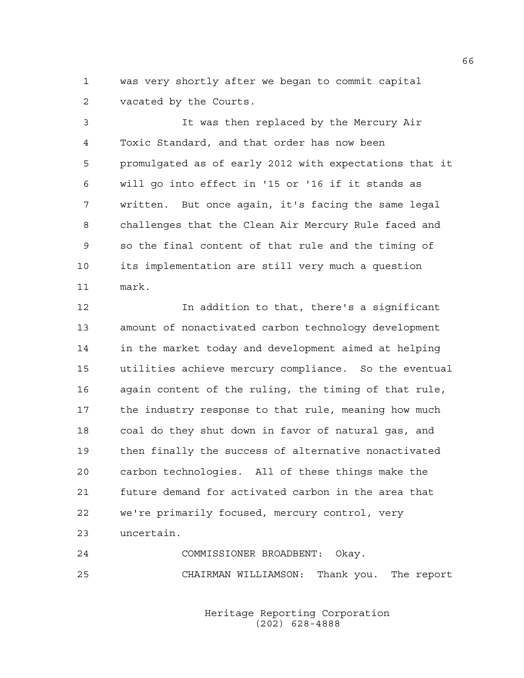1 was very shortly after we began to commit capital 2 vacated by the Courts.

3 It was then replaced by the Mercury Air 4 Toxic Standard, and that order has now been 5 promulgated as of early 2012 with expectations that it 6 will go into effect in '15 or '16 if it stands as 7 written. But once again, it's facing the same legal 8 challenges that the Clean Air Mercury Rule faced and 9 so the final content of that rule and the timing of 10 its implementation are still very much a question 11 mark.

12 In addition to that, there's a significant 13 amount of nonactivated carbon technology development 14 in the market today and development aimed at helping 15 utilities achieve mercury compliance. So the eventual 16 again content of the ruling, the timing of that rule, 17 the industry response to that rule, meaning how much 18 coal do they shut down in favor of natural gas, and 19 then finally the success of alternative nonactivated 20 carbon technologies. All of these things make the 21 future demand for activated carbon in the area that 22 we're primarily focused, mercury control, very 23 uncertain.

24 COMMISSIONER BROADBENT: Okay. 25 CHAIRMAN WILLIAMSON: Thank you. The report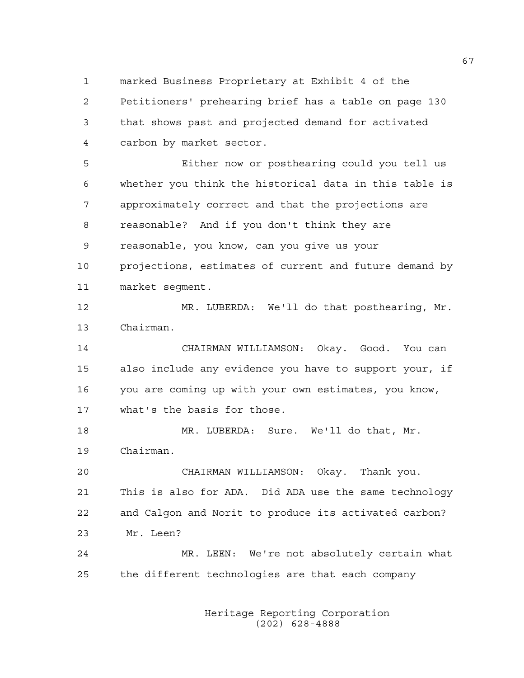1 marked Business Proprietary at Exhibit 4 of the

2 Petitioners' prehearing brief has a table on page 130 3 that shows past and projected demand for activated 4 carbon by market sector.

5 Either now or posthearing could you tell us 6 whether you think the historical data in this table is 7 approximately correct and that the projections are 8 reasonable? And if you don't think they are 9 reasonable, you know, can you give us your 10 projections, estimates of current and future demand by 11 market segment.

12 MR. LUBERDA: We'll do that posthearing, Mr. 13 Chairman.

14 CHAIRMAN WILLIAMSON: Okay. Good. You can 15 also include any evidence you have to support your, if 16 you are coming up with your own estimates, you know, 17 what's the basis for those.

18 MR. LUBERDA: Sure. We'll do that, Mr. 19 Chairman.

20 CHAIRMAN WILLIAMSON: Okay. Thank you. 21 This is also for ADA. Did ADA use the same technology 22 and Calgon and Norit to produce its activated carbon? 23 Mr. Leen?

24 MR. LEEN: We're not absolutely certain what 25 the different technologies are that each company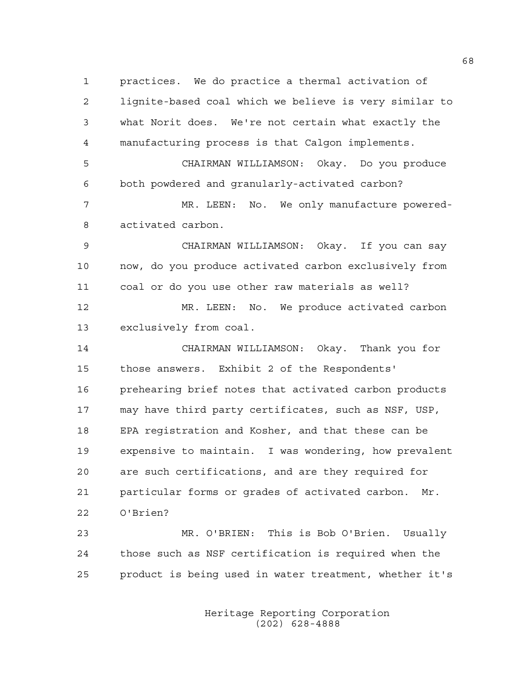1 practices. We do practice a thermal activation of 2 lignite-based coal which we believe is very similar to 3 what Norit does. We're not certain what exactly the 4 manufacturing process is that Calgon implements. 5 CHAIRMAN WILLIAMSON: Okay. Do you produce 6 both powdered and granularly-activated carbon? 7 MR. LEEN: No. We only manufacture powered-8 activated carbon. 9 CHAIRMAN WILLIAMSON: Okay. If you can say 10 now, do you produce activated carbon exclusively from 11 coal or do you use other raw materials as well? 12 MR. LEEN: No. We produce activated carbon 13 exclusively from coal. 14 CHAIRMAN WILLIAMSON: Okay. Thank you for 15 those answers. Exhibit 2 of the Respondents' 16 prehearing brief notes that activated carbon products 17 may have third party certificates, such as NSF, USP, 18 EPA registration and Kosher, and that these can be 19 expensive to maintain. I was wondering, how prevalent 20 are such certifications, and are they required for 21 particular forms or grades of activated carbon. Mr. 22 O'Brien? 23 MR. O'BRIEN: This is Bob O'Brien. Usually 24 those such as NSF certification is required when the

> Heritage Reporting Corporation (202) 628-4888

25 product is being used in water treatment, whether it's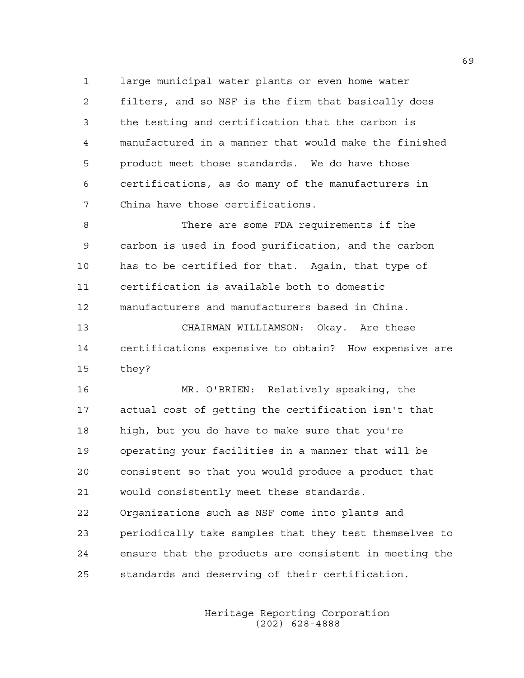1 large municipal water plants or even home water 2 filters, and so NSF is the firm that basically does 3 the testing and certification that the carbon is 4 manufactured in a manner that would make the finished 5 product meet those standards. We do have those 6 certifications, as do many of the manufacturers in 7 China have those certifications.

8 There are some FDA requirements if the 9 carbon is used in food purification, and the carbon 10 has to be certified for that. Again, that type of 11 certification is available both to domestic 12 manufacturers and manufacturers based in China.

13 CHAIRMAN WILLIAMSON: Okay. Are these 14 certifications expensive to obtain? How expensive are 15 they?

16 MR. O'BRIEN: Relatively speaking, the 17 actual cost of getting the certification isn't that 18 high, but you do have to make sure that you're 19 operating your facilities in a manner that will be 20 consistent so that you would produce a product that 21 would consistently meet these standards. 22 Organizations such as NSF come into plants and 23 periodically take samples that they test themselves to 24 ensure that the products are consistent in meeting the 25 standards and deserving of their certification.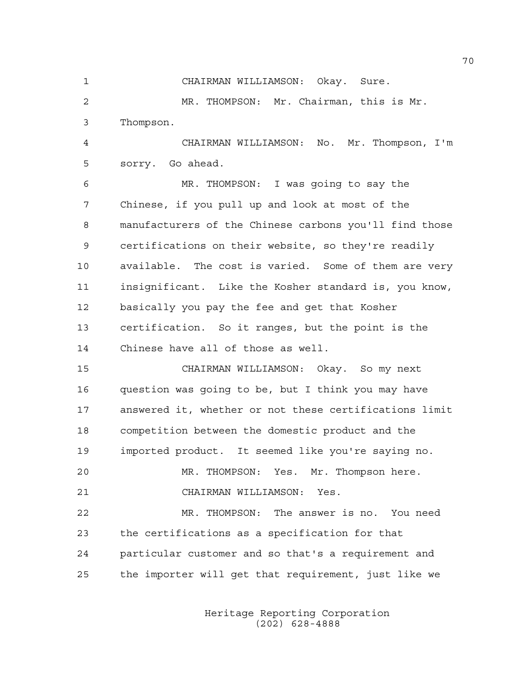1 CHAIRMAN WILLIAMSON: Okay. Sure.

2 MR. THOMPSON: Mr. Chairman, this is Mr. 3 Thompson.

4 CHAIRMAN WILLIAMSON: No. Mr. Thompson, I'm 5 sorry. Go ahead.

6 MR. THOMPSON: I was going to say the 7 Chinese, if you pull up and look at most of the 8 manufacturers of the Chinese carbons you'll find those 9 certifications on their website, so they're readily 10 available. The cost is varied. Some of them are very 11 insignificant. Like the Kosher standard is, you know, 12 basically you pay the fee and get that Kosher 13 certification. So it ranges, but the point is the 14 Chinese have all of those as well.

15 CHAIRMAN WILLIAMSON: Okay. So my next 16 question was going to be, but I think you may have 17 answered it, whether or not these certifications limit 18 competition between the domestic product and the 19 imported product. It seemed like you're saying no.

20 MR. THOMPSON: Yes. Mr. Thompson here. 21 CHAIRMAN WILLIAMSON: Yes.

22 MR. THOMPSON: The answer is no. You need 23 the certifications as a specification for that 24 particular customer and so that's a requirement and 25 the importer will get that requirement, just like we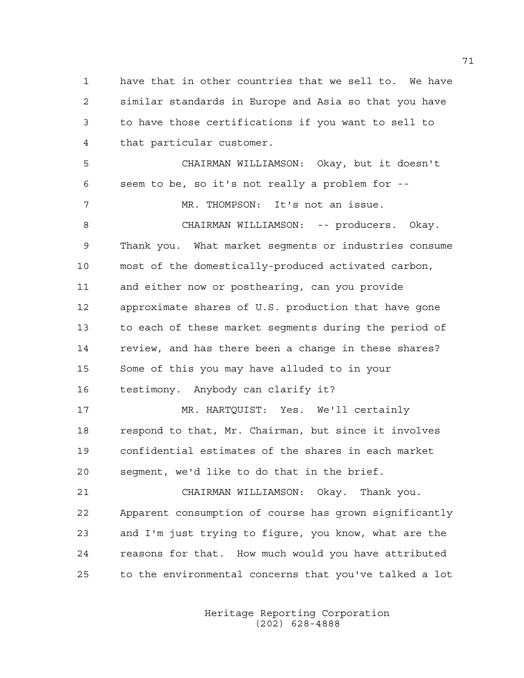1 have that in other countries that we sell to. We have 2 similar standards in Europe and Asia so that you have 3 to have those certifications if you want to sell to 4 that particular customer. 5 CHAIRMAN WILLIAMSON: Okay, but it doesn't 6 seem to be, so it's not really a problem for -- 7 MR. THOMPSON: It's not an issue. 8 CHAIRMAN WILLIAMSON: -- producers. Okay. 9 Thank you. What market segments or industries consume 10 most of the domestically-produced activated carbon, 11 and either now or posthearing, can you provide 12 approximate shares of U.S. production that have gone 13 to each of these market segments during the period of 14 review, and has there been a change in these shares? 15 Some of this you may have alluded to in your 16 testimony. Anybody can clarify it? 17 MR. HARTQUIST: Yes. We'll certainly 18 respond to that, Mr. Chairman, but since it involves 19 confidential estimates of the shares in each market 20 segment, we'd like to do that in the brief. 21 CHAIRMAN WILLIAMSON: Okay. Thank you. 22 Apparent consumption of course has grown significantly 23 and I'm just trying to figure, you know, what are the 24 reasons for that. How much would you have attributed 25 to the environmental concerns that you've talked a lot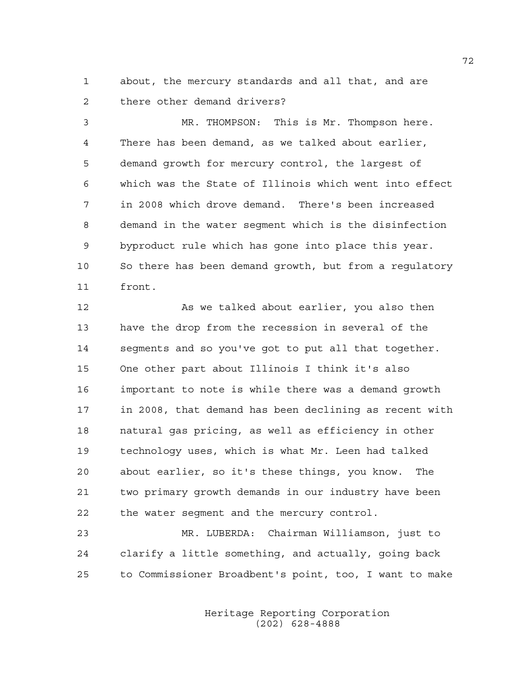1 about, the mercury standards and all that, and are 2 there other demand drivers?

3 MR. THOMPSON: This is Mr. Thompson here. 4 There has been demand, as we talked about earlier, 5 demand growth for mercury control, the largest of 6 which was the State of Illinois which went into effect 7 in 2008 which drove demand. There's been increased 8 demand in the water segment which is the disinfection 9 byproduct rule which has gone into place this year. 10 So there has been demand growth, but from a regulatory 11 front.

12 As we talked about earlier, you also then 13 have the drop from the recession in several of the 14 segments and so you've got to put all that together. 15 One other part about Illinois I think it's also 16 important to note is while there was a demand growth 17 in 2008, that demand has been declining as recent with 18 natural gas pricing, as well as efficiency in other 19 technology uses, which is what Mr. Leen had talked 20 about earlier, so it's these things, you know. The 21 two primary growth demands in our industry have been 22 the water segment and the mercury control.

23 MR. LUBERDA: Chairman Williamson, just to 24 clarify a little something, and actually, going back 25 to Commissioner Broadbent's point, too, I want to make

> Heritage Reporting Corporation (202) 628-4888

72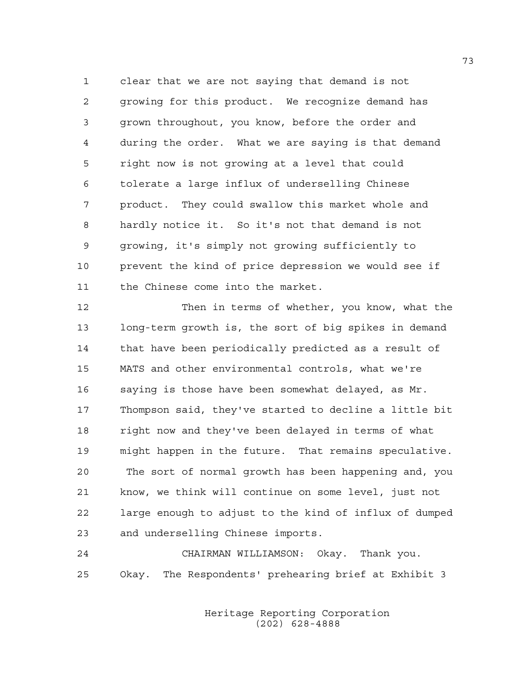1 clear that we are not saying that demand is not 2 growing for this product. We recognize demand has 3 grown throughout, you know, before the order and 4 during the order. What we are saying is that demand 5 right now is not growing at a level that could 6 tolerate a large influx of underselling Chinese 7 product. They could swallow this market whole and 8 hardly notice it. So it's not that demand is not 9 growing, it's simply not growing sufficiently to 10 prevent the kind of price depression we would see if 11 the Chinese come into the market.

12 Then in terms of whether, you know, what the 13 long-term growth is, the sort of big spikes in demand 14 that have been periodically predicted as a result of 15 MATS and other environmental controls, what we're 16 saying is those have been somewhat delayed, as Mr. 17 Thompson said, they've started to decline a little bit 18 right now and they've been delayed in terms of what 19 might happen in the future. That remains speculative. 20 The sort of normal growth has been happening and, you 21 know, we think will continue on some level, just not 22 large enough to adjust to the kind of influx of dumped 23 and underselling Chinese imports.

24 CHAIRMAN WILLIAMSON: Okay. Thank you. 25 Okay. The Respondents' prehearing brief at Exhibit 3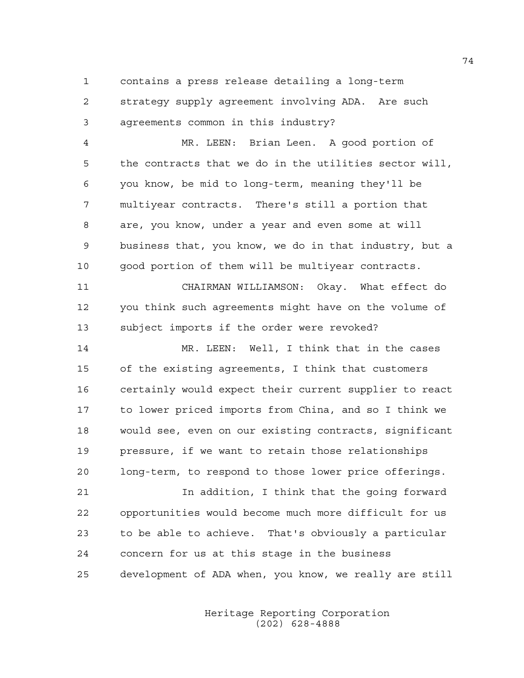1 contains a press release detailing a long-term

2 strategy supply agreement involving ADA. Are such 3 agreements common in this industry?

4 MR. LEEN: Brian Leen. A good portion of 5 the contracts that we do in the utilities sector will, 6 you know, be mid to long-term, meaning they'll be 7 multiyear contracts. There's still a portion that 8 are, you know, under a year and even some at will 9 business that, you know, we do in that industry, but a 10 good portion of them will be multiyear contracts.

11 CHAIRMAN WILLIAMSON: Okay. What effect do 12 you think such agreements might have on the volume of 13 subject imports if the order were revoked?

14 MR. LEEN: Well, I think that in the cases 15 of the existing agreements, I think that customers 16 certainly would expect their current supplier to react 17 to lower priced imports from China, and so I think we 18 would see, even on our existing contracts, significant 19 pressure, if we want to retain those relationships 20 long-term, to respond to those lower price offerings.

21 In addition, I think that the going forward 22 opportunities would become much more difficult for us 23 to be able to achieve. That's obviously a particular 24 concern for us at this stage in the business 25 development of ADA when, you know, we really are still

> Heritage Reporting Corporation (202) 628-4888

74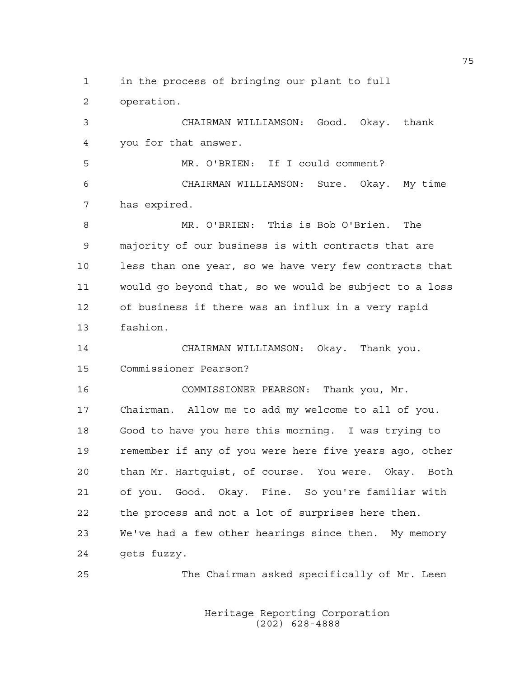1 in the process of bringing our plant to full

2 operation.

3 CHAIRMAN WILLIAMSON: Good. Okay. thank 4 you for that answer.

5 MR. O'BRIEN: If I could comment? 6 CHAIRMAN WILLIAMSON: Sure. Okay. My time 7 has expired.

8 MR. O'BRIEN: This is Bob O'Brien. The 9 majority of our business is with contracts that are 10 less than one year, so we have very few contracts that 11 would go beyond that, so we would be subject to a loss 12 of business if there was an influx in a very rapid 13 fashion.

14 CHAIRMAN WILLIAMSON: Okay. Thank you. 15 Commissioner Pearson?

16 COMMISSIONER PEARSON: Thank you, Mr. 17 Chairman. Allow me to add my welcome to all of you. 18 Good to have you here this morning. I was trying to 19 remember if any of you were here five years ago, other 20 than Mr. Hartquist, of course. You were. Okay. Both 21 of you. Good. Okay. Fine. So you're familiar with 22 the process and not a lot of surprises here then. 23 We've had a few other hearings since then. My memory 24 gets fuzzy.

25 The Chairman asked specifically of Mr. Leen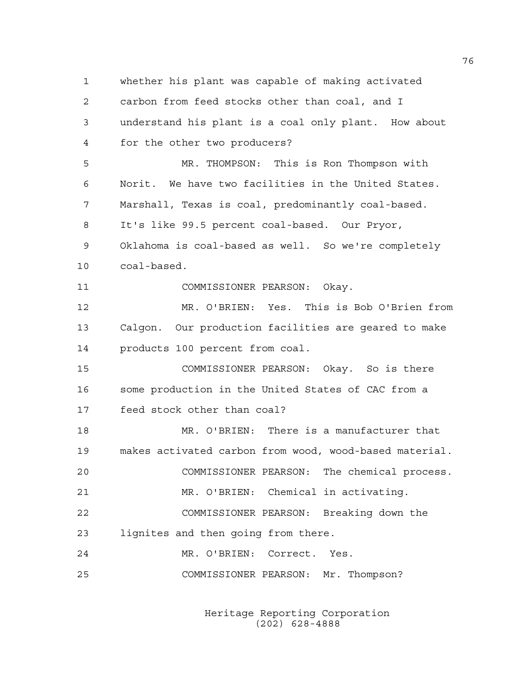1 whether his plant was capable of making activated 2 carbon from feed stocks other than coal, and I 3 understand his plant is a coal only plant. How about 4 for the other two producers? 5 MR. THOMPSON: This is Ron Thompson with 6 Norit. We have two facilities in the United States. 7 Marshall, Texas is coal, predominantly coal-based. 8 It's like 99.5 percent coal-based. Our Pryor, 9 Oklahoma is coal-based as well. So we're completely 10 coal-based. 11 COMMISSIONER PEARSON: Okay. 12 MR. O'BRIEN: Yes. This is Bob O'Brien from 13 Calgon. Our production facilities are geared to make 14 products 100 percent from coal. 15 COMMISSIONER PEARSON: Okay. So is there 16 some production in the United States of CAC from a 17 feed stock other than coal? 18 MR. O'BRIEN: There is a manufacturer that 19 makes activated carbon from wood, wood-based material. 20 COMMISSIONER PEARSON: The chemical process. 21 MR. O'BRIEN: Chemical in activating. 22 COMMISSIONER PEARSON: Breaking down the 23 lignites and then going from there. 24 MR. O'BRIEN: Correct. Yes. 25 COMMISSIONER PEARSON: Mr. Thompson?

> Heritage Reporting Corporation (202) 628-4888

76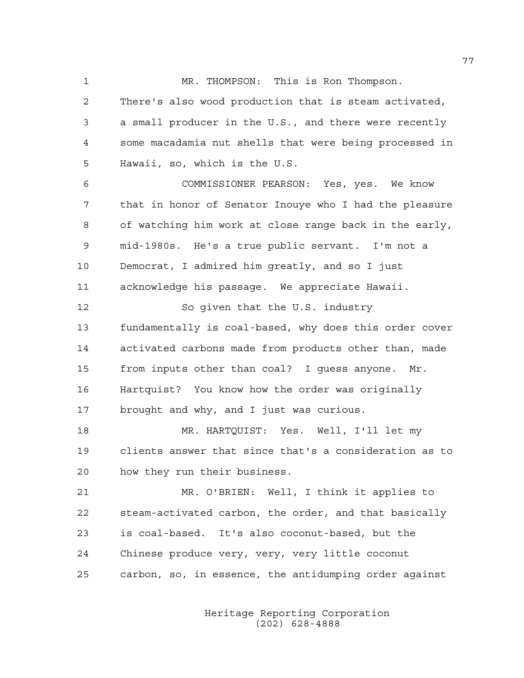1 MR. THOMPSON: This is Ron Thompson. 2 There's also wood production that is steam activated, 3 a small producer in the U.S., and there were recently 4 some macadamia nut shells that were being processed in

5 Hawaii, so, which is the U.S.

6 COMMISSIONER PEARSON: Yes, yes. We know 7 that in honor of Senator Inouye who I had the pleasure 8 of watching him work at close range back in the early, 9 mid-1980s. He's a true public servant. I'm not a 10 Democrat, I admired him greatly, and so I just 11 acknowledge his passage. We appreciate Hawaii.

12 So given that the U.S. industry 13 fundamentally is coal-based, why does this order cover 14 activated carbons made from products other than, made 15 from inputs other than coal? I guess anyone. Mr. 16 Hartquist? You know how the order was originally 17 brought and why, and I just was curious.

18 MR. HARTQUIST: Yes. Well, I'll let my 19 clients answer that since that's a consideration as to 20 how they run their business.

21 MR. O'BRIEN: Well, I think it applies to 22 steam-activated carbon, the order, and that basically 23 is coal-based. It's also coconut-based, but the 24 Chinese produce very, very, very little coconut 25 carbon, so, in essence, the antidumping order against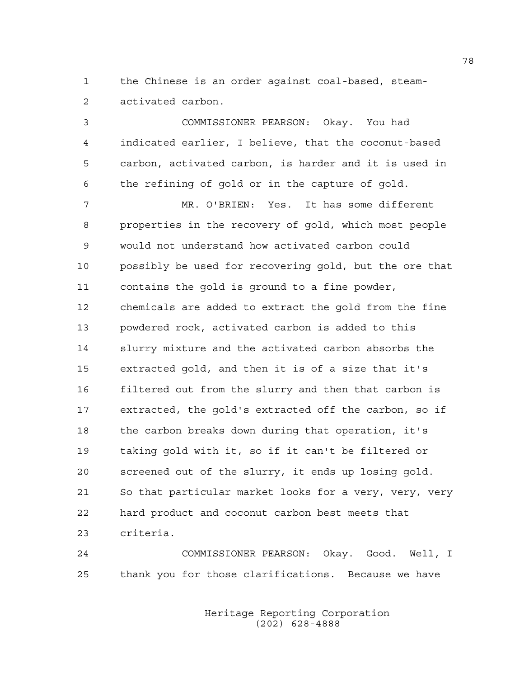1 the Chinese is an order against coal-based, steam-2 activated carbon.

3 COMMISSIONER PEARSON: Okay. You had 4 indicated earlier, I believe, that the coconut-based 5 carbon, activated carbon, is harder and it is used in 6 the refining of gold or in the capture of gold.

7 MR. O'BRIEN: Yes. It has some different 8 properties in the recovery of gold, which most people 9 would not understand how activated carbon could 10 possibly be used for recovering gold, but the ore that 11 contains the gold is ground to a fine powder, 12 chemicals are added to extract the gold from the fine 13 powdered rock, activated carbon is added to this 14 slurry mixture and the activated carbon absorbs the 15 extracted gold, and then it is of a size that it's 16 filtered out from the slurry and then that carbon is 17 extracted, the gold's extracted off the carbon, so if 18 the carbon breaks down during that operation, it's 19 taking gold with it, so if it can't be filtered or 20 screened out of the slurry, it ends up losing gold. 21 So that particular market looks for a very, very, very 22 hard product and coconut carbon best meets that 23 criteria.

24 COMMISSIONER PEARSON: Okay. Good. Well, I 25 thank you for those clarifications. Because we have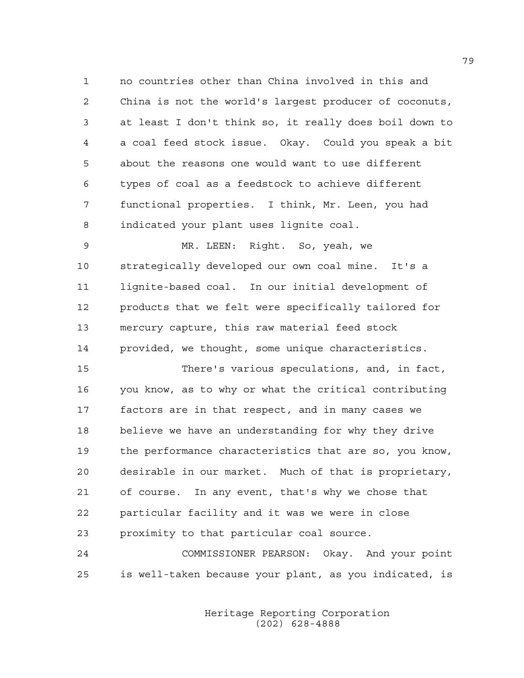1 no countries other than China involved in this and 2 China is not the world's largest producer of coconuts, 3 at least I don't think so, it really does boil down to 4 a coal feed stock issue. Okay. Could you speak a bit 5 about the reasons one would want to use different 6 types of coal as a feedstock to achieve different 7 functional properties. I think, Mr. Leen, you had 8 indicated your plant uses lignite coal.

9 MR. LEEN: Right. So, yeah, we 10 strategically developed our own coal mine. It's a 11 lignite-based coal. In our initial development of 12 products that we felt were specifically tailored for 13 mercury capture, this raw material feed stock 14 provided, we thought, some unique characteristics.

15 There's various speculations, and, in fact, 16 you know, as to why or what the critical contributing 17 factors are in that respect, and in many cases we 18 believe we have an understanding for why they drive 19 the performance characteristics that are so, you know, 20 desirable in our market. Much of that is proprietary, 21 of course. In any event, that's why we chose that 22 particular facility and it was we were in close 23 proximity to that particular coal source.

24 COMMISSIONER PEARSON: Okay. And your point 25 is well-taken because your plant, as you indicated, is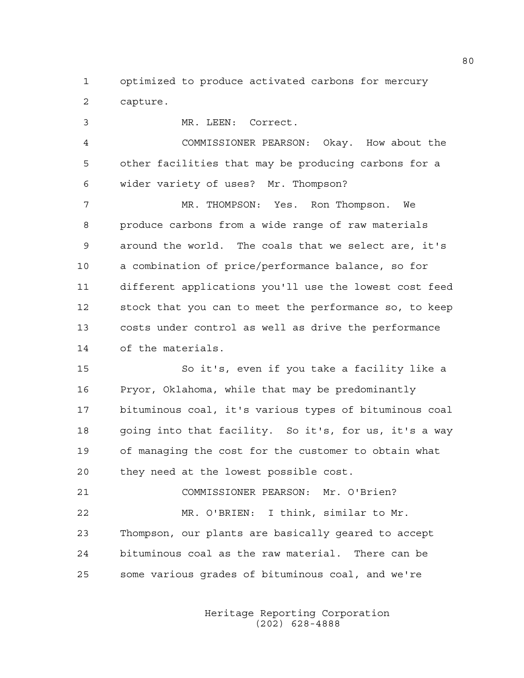1 optimized to produce activated carbons for mercury 2 capture.

3 MR. LEEN: Correct. 4 COMMISSIONER PEARSON: Okay. How about the 5 other facilities that may be producing carbons for a 6 wider variety of uses? Mr. Thompson? 7 MR. THOMPSON: Yes. Ron Thompson. We 8 produce carbons from a wide range of raw materials 9 around the world. The coals that we select are, it's 10 a combination of price/performance balance, so for 11 different applications you'll use the lowest cost feed 12 stock that you can to meet the performance so, to keep 13 costs under control as well as drive the performance 14 of the materials. 15 So it's, even if you take a facility like a 16 Pryor, Oklahoma, while that may be predominantly

17 bituminous coal, it's various types of bituminous coal 18 going into that facility. So it's, for us, it's a way 19 of managing the cost for the customer to obtain what 20 they need at the lowest possible cost.

21 COMMISSIONER PEARSON: Mr. O'Brien? 22 MR. O'BRIEN: I think, similar to Mr. 23 Thompson, our plants are basically geared to accept 24 bituminous coal as the raw material. There can be 25 some various grades of bituminous coal, and we're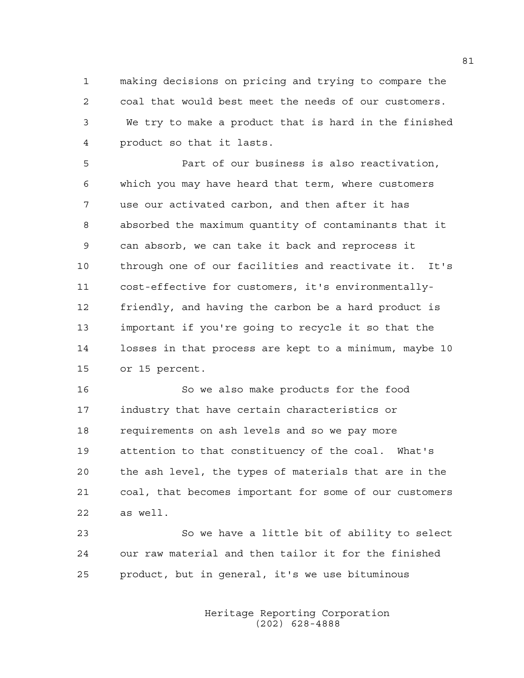1 making decisions on pricing and trying to compare the 2 coal that would best meet the needs of our customers. 3 We try to make a product that is hard in the finished 4 product so that it lasts.

5 Part of our business is also reactivation, 6 which you may have heard that term, where customers 7 use our activated carbon, and then after it has 8 absorbed the maximum quantity of contaminants that it 9 can absorb, we can take it back and reprocess it 10 through one of our facilities and reactivate it. It's 11 cost-effective for customers, it's environmentally-12 friendly, and having the carbon be a hard product is 13 important if you're going to recycle it so that the 14 losses in that process are kept to a minimum, maybe 10 15 or 15 percent.

16 So we also make products for the food 17 industry that have certain characteristics or 18 requirements on ash levels and so we pay more 19 attention to that constituency of the coal. What's 20 the ash level, the types of materials that are in the 21 coal, that becomes important for some of our customers 22 as well.

23 So we have a little bit of ability to select 24 our raw material and then tailor it for the finished 25 product, but in general, it's we use bituminous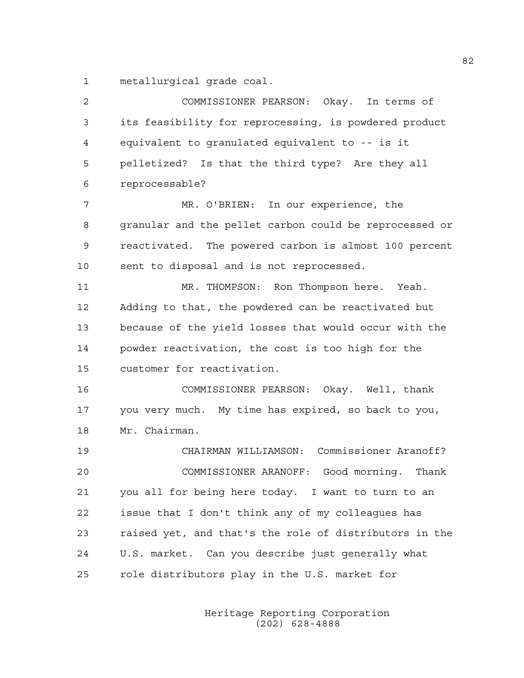1 metallurgical grade coal.

| 2  | COMMISSIONER PEARSON: Okay. In terms of                |
|----|--------------------------------------------------------|
| 3  | its feasibility for reprocessing, is powdered product  |
| 4  | equivalent to granulated equivalent to -- is it        |
| 5  | pelletized? Is that the third type? Are they all       |
| 6  | reprocessable?                                         |
| 7  | MR. O'BRIEN: In our experience, the                    |
| 8  | granular and the pellet carbon could be reprocessed or |
| 9  | reactivated. The powered carbon is almost 100 percent  |
| 10 | sent to disposal and is not reprocessed.               |
| 11 | MR. THOMPSON: Ron Thompson here. Yeah.                 |
| 12 | Adding to that, the powdered can be reactivated but    |
| 13 | because of the yield losses that would occur with the  |
| 14 | powder reactivation, the cost is too high for the      |
| 15 | customer for reactivation.                             |
| 16 | COMMISSIONER PEARSON: Okay. Well, thank                |
| 17 | you very much. My time has expired, so back to you,    |
| 18 | Mr. Chairman.                                          |
| 19 | CHAIRMAN WILLIAMSON: Commissioner Aranoff?             |
| 20 | COMMISSIONER ARANOFF: Good morning.<br>Thank           |
| 21 | you all for being here today. I want to turn to an     |
| 22 | issue that I don't think any of my colleagues has      |
| 23 | raised yet, and that's the role of distributors in the |
| 24 | U.S. market. Can you describe just generally what      |
| 25 | role distributors play in the U.S. market for          |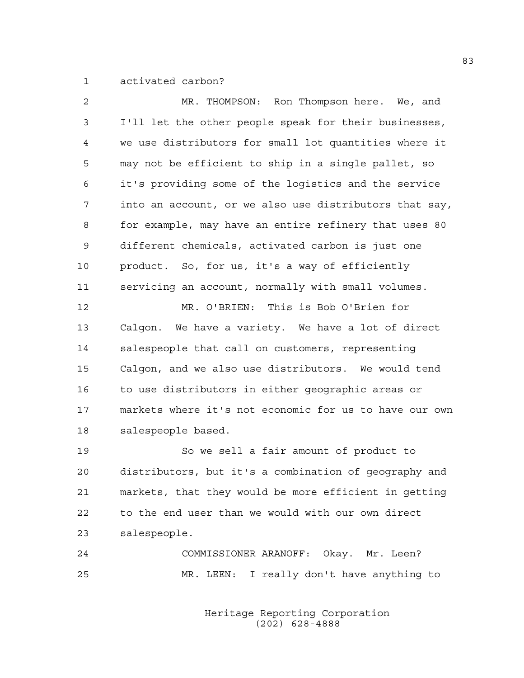1 activated carbon?

| $\overline{2}$ | MR. THOMPSON: Ron Thompson here. We, and               |
|----------------|--------------------------------------------------------|
| 3              | I'll let the other people speak for their businesses,  |
| 4              | we use distributors for small lot quantities where it  |
| 5              | may not be efficient to ship in a single pallet, so    |
| 6              | it's providing some of the logistics and the service   |
| 7              | into an account, or we also use distributors that say, |
| 8              | for example, may have an entire refinery that uses 80  |
| 9              | different chemicals, activated carbon is just one      |
| 10             | product. So, for us, it's a way of efficiently         |
| 11             | servicing an account, normally with small volumes.     |
| 12             | MR. O'BRIEN: This is Bob O'Brien for                   |
| 13             | Calgon. We have a variety. We have a lot of direct     |
| 14             | salespeople that call on customers, representing       |
| 15             | Calgon, and we also use distributors. We would tend    |
| 16             | to use distributors in either geographic areas or      |
| 17             | markets where it's not economic for us to have our own |
| 18             | salespeople based.                                     |
| 19             | So we sell a fair amount of product to                 |
| 20             | distributors, but it's a combination of geography and  |
| 21             | markets, that they would be more efficient in getting  |
| 22             | to the end user than we would with our own direct      |
|                |                                                        |

23 salespeople.

24 COMMISSIONER ARANOFF: Okay. Mr. Leen? 25 MR. LEEN: I really don't have anything to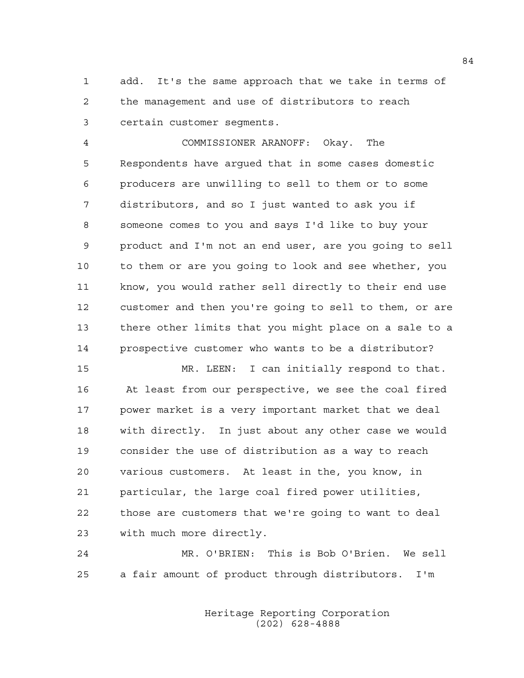1 add. It's the same approach that we take in terms of 2 the management and use of distributors to reach 3 certain customer segments.

4 COMMISSIONER ARANOFF: Okay. The 5 Respondents have argued that in some cases domestic 6 producers are unwilling to sell to them or to some 7 distributors, and so I just wanted to ask you if 8 someone comes to you and says I'd like to buy your 9 product and I'm not an end user, are you going to sell 10 to them or are you going to look and see whether, you 11 know, you would rather sell directly to their end use 12 customer and then you're going to sell to them, or are 13 there other limits that you might place on a sale to a 14 prospective customer who wants to be a distributor?

15 MR. LEEN: I can initially respond to that. 16 At least from our perspective, we see the coal fired 17 power market is a very important market that we deal 18 with directly. In just about any other case we would 19 consider the use of distribution as a way to reach 20 various customers. At least in the, you know, in 21 particular, the large coal fired power utilities, 22 those are customers that we're going to want to deal 23 with much more directly.

24 MR. O'BRIEN: This is Bob O'Brien. We sell 25 a fair amount of product through distributors. I'm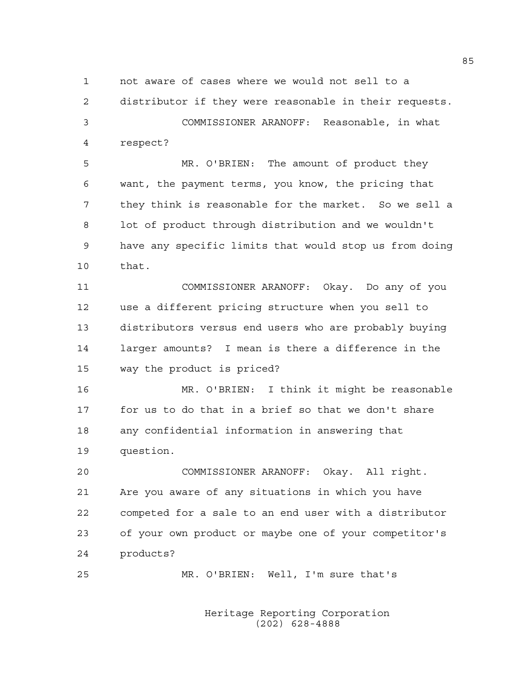1 not aware of cases where we would not sell to a

2 distributor if they were reasonable in their requests.

3 COMMISSIONER ARANOFF: Reasonable, in what 4 respect?

5 MR. O'BRIEN: The amount of product they 6 want, the payment terms, you know, the pricing that 7 they think is reasonable for the market. So we sell a 8 lot of product through distribution and we wouldn't 9 have any specific limits that would stop us from doing 10 that.

11 COMMISSIONER ARANOFF: Okay. Do any of you 12 use a different pricing structure when you sell to 13 distributors versus end users who are probably buying 14 larger amounts? I mean is there a difference in the 15 way the product is priced?

16 MR. O'BRIEN: I think it might be reasonable 17 for us to do that in a brief so that we don't share 18 any confidential information in answering that 19 question.

20 COMMISSIONER ARANOFF: Okay. All right. 21 Are you aware of any situations in which you have 22 competed for a sale to an end user with a distributor 23 of your own product or maybe one of your competitor's 24 products?

25 MR. O'BRIEN: Well, I'm sure that's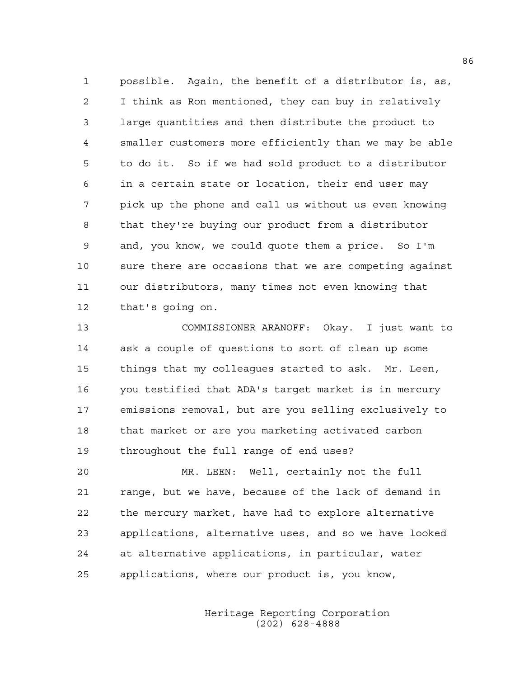1 possible. Again, the benefit of a distributor is, as, 2 I think as Ron mentioned, they can buy in relatively 3 large quantities and then distribute the product to 4 smaller customers more efficiently than we may be able 5 to do it. So if we had sold product to a distributor 6 in a certain state or location, their end user may 7 pick up the phone and call us without us even knowing 8 that they're buying our product from a distributor 9 and, you know, we could quote them a price. So I'm 10 sure there are occasions that we are competing against 11 our distributors, many times not even knowing that 12 that's going on.

13 COMMISSIONER ARANOFF: Okay. I just want to 14 ask a couple of questions to sort of clean up some 15 things that my colleagues started to ask. Mr. Leen, 16 you testified that ADA's target market is in mercury 17 emissions removal, but are you selling exclusively to 18 that market or are you marketing activated carbon 19 throughout the full range of end uses?

20 MR. LEEN: Well, certainly not the full 21 range, but we have, because of the lack of demand in 22 the mercury market, have had to explore alternative 23 applications, alternative uses, and so we have looked 24 at alternative applications, in particular, water 25 applications, where our product is, you know,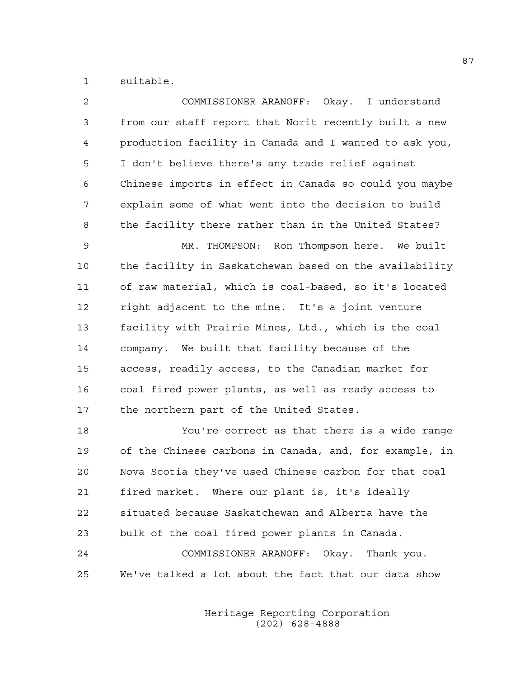1 suitable.

| 2              | COMMISSIONER ARANOFF: Okay. I understand               |
|----------------|--------------------------------------------------------|
| 3              | from our staff report that Norit recently built a new  |
| $\overline{4}$ | production facility in Canada and I wanted to ask you, |
| 5              | I don't believe there's any trade relief against       |
| 6              | Chinese imports in effect in Canada so could you maybe |
| 7              | explain some of what went into the decision to build   |
| 8              | the facility there rather than in the United States?   |
| $\mathsf 9$    | MR. THOMPSON: Ron Thompson here. We built              |
| 10             | the facility in Saskatchewan based on the availability |
| 11             | of raw material, which is coal-based, so it's located  |
| 12             | right adjacent to the mine. It's a joint venture       |
| 13             | facility with Prairie Mines, Ltd., which is the coal   |
| 14             | company. We built that facility because of the         |
| 15             | access, readily access, to the Canadian market for     |
| 16             | coal fired power plants, as well as ready access to    |
| 17             | the northern part of the United States.                |
| 18             | You're correct as that there is a wide range           |
| 19             | of the Chinese carbons in Canada, and, for example, in |
| 20             | Nova Scotia they've used Chinese carbon for that coal  |
| 21             | fired market. Where our plant is, it's ideally         |
| 22             | situated because Saskatchewan and Alberta have the     |
| 23             | bulk of the coal fired power plants in Canada.         |
| 24             | COMMISSIONER ARANOFF: Okay. Thank you.                 |
| 25             | We've talked a lot about the fact that our data show   |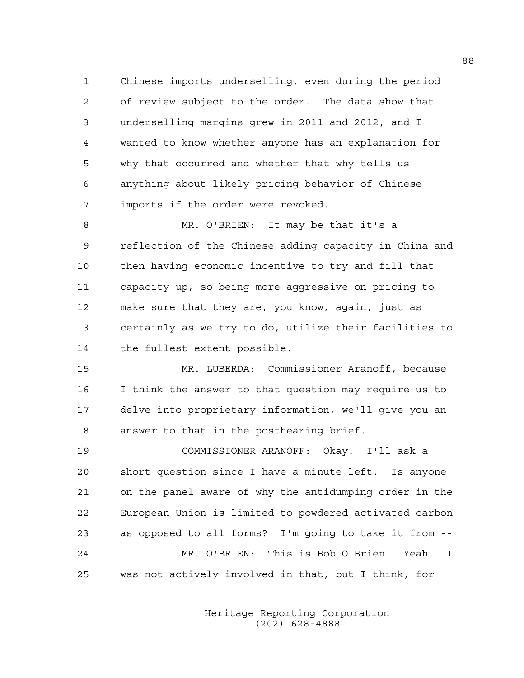1 Chinese imports underselling, even during the period 2 of review subject to the order. The data show that 3 underselling margins grew in 2011 and 2012, and I 4 wanted to know whether anyone has an explanation for 5 why that occurred and whether that why tells us 6 anything about likely pricing behavior of Chinese 7 imports if the order were revoked.

8 MR. O'BRIEN: It may be that it's a 9 reflection of the Chinese adding capacity in China and 10 then having economic incentive to try and fill that 11 capacity up, so being more aggressive on pricing to 12 make sure that they are, you know, again, just as 13 certainly as we try to do, utilize their facilities to 14 the fullest extent possible.

15 MR. LUBERDA: Commissioner Aranoff, because 16 I think the answer to that question may require us to 17 delve into proprietary information, we'll give you an 18 answer to that in the posthearing brief.

19 COMMISSIONER ARANOFF: Okay. I'll ask a 20 short question since I have a minute left. Is anyone 21 on the panel aware of why the antidumping order in the 22 European Union is limited to powdered-activated carbon 23 as opposed to all forms? I'm going to take it from -- 24 MR. O'BRIEN: This is Bob O'Brien. Yeah. I 25 was not actively involved in that, but I think, for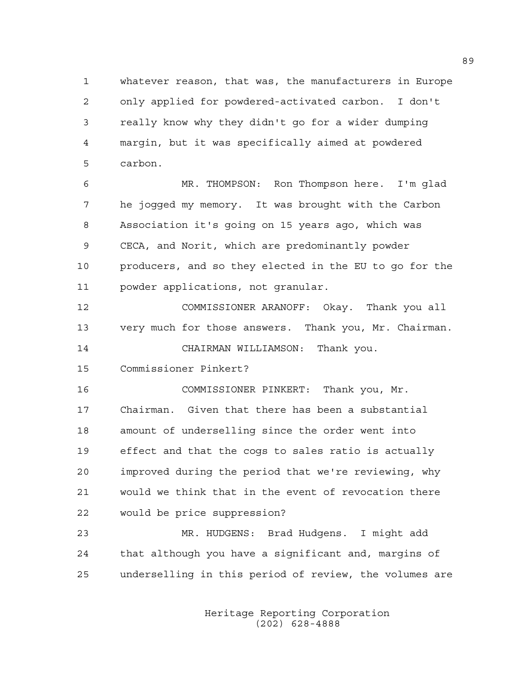1 whatever reason, that was, the manufacturers in Europe 2 only applied for powdered-activated carbon. I don't 3 really know why they didn't go for a wider dumping 4 margin, but it was specifically aimed at powdered 5 carbon.

6 MR. THOMPSON: Ron Thompson here. I'm glad 7 he jogged my memory. It was brought with the Carbon 8 Association it's going on 15 years ago, which was 9 CECA, and Norit, which are predominantly powder 10 producers, and so they elected in the EU to go for the 11 powder applications, not granular.

12 COMMISSIONER ARANOFF: Okay. Thank you all 13 very much for those answers. Thank you, Mr. Chairman.

14 CHAIRMAN WILLIAMSON: Thank you.

15 Commissioner Pinkert?

16 COMMISSIONER PINKERT: Thank you, Mr. 17 Chairman. Given that there has been a substantial 18 amount of underselling since the order went into 19 effect and that the cogs to sales ratio is actually 20 improved during the period that we're reviewing, why 21 would we think that in the event of revocation there 22 would be price suppression?

23 MR. HUDGENS: Brad Hudgens. I might add 24 that although you have a significant and, margins of 25 underselling in this period of review, the volumes are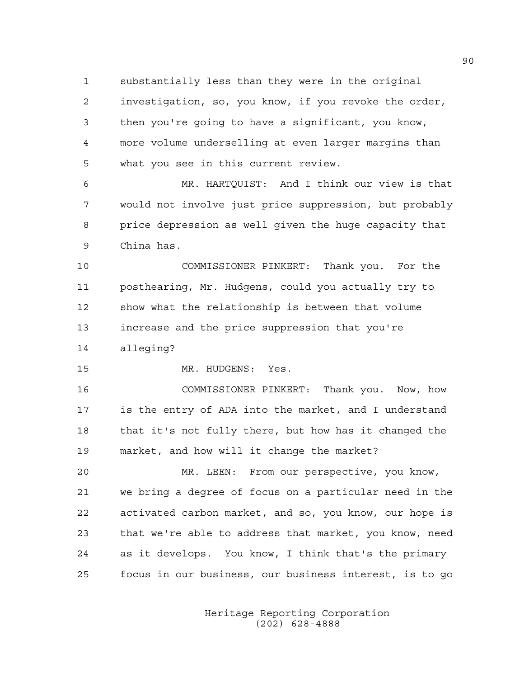1 substantially less than they were in the original 2 investigation, so, you know, if you revoke the order, 3 then you're going to have a significant, you know, 4 more volume underselling at even larger margins than 5 what you see in this current review.

6 MR. HARTQUIST: And I think our view is that 7 would not involve just price suppression, but probably 8 price depression as well given the huge capacity that 9 China has.

10 COMMISSIONER PINKERT: Thank you. For the 11 posthearing, Mr. Hudgens, could you actually try to 12 show what the relationship is between that volume 13 increase and the price suppression that you're 14 alleging?

15 MR. HUDGENS: Yes.

16 COMMISSIONER PINKERT: Thank you. Now, how 17 is the entry of ADA into the market, and I understand 18 that it's not fully there, but how has it changed the 19 market, and how will it change the market?

20 MR. LEEN: From our perspective, you know, 21 we bring a degree of focus on a particular need in the 22 activated carbon market, and so, you know, our hope is 23 that we're able to address that market, you know, need 24 as it develops. You know, I think that's the primary 25 focus in our business, our business interest, is to go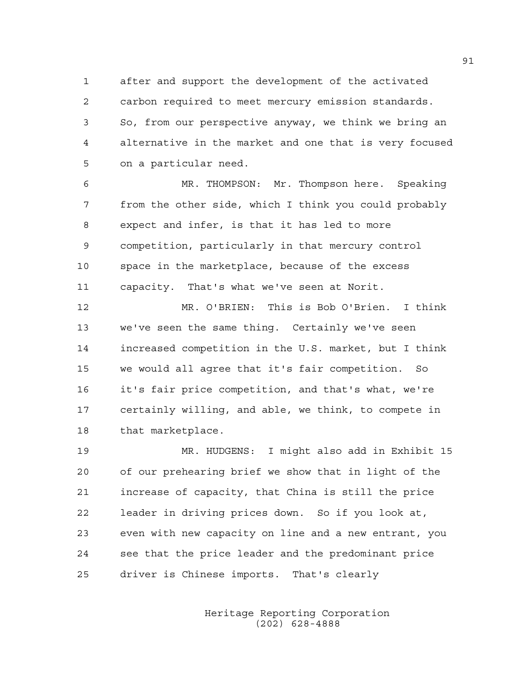1 after and support the development of the activated 2 carbon required to meet mercury emission standards. 3 So, from our perspective anyway, we think we bring an 4 alternative in the market and one that is very focused 5 on a particular need.

6 MR. THOMPSON: Mr. Thompson here. Speaking 7 from the other side, which I think you could probably 8 expect and infer, is that it has led to more 9 competition, particularly in that mercury control 10 space in the marketplace, because of the excess 11 capacity. That's what we've seen at Norit.

12 MR. O'BRIEN: This is Bob O'Brien. I think 13 we've seen the same thing. Certainly we've seen 14 increased competition in the U.S. market, but I think 15 we would all agree that it's fair competition. So 16 it's fair price competition, and that's what, we're 17 certainly willing, and able, we think, to compete in 18 that marketplace.

19 MR. HUDGENS: I might also add in Exhibit 15 20 of our prehearing brief we show that in light of the 21 increase of capacity, that China is still the price 22 leader in driving prices down. So if you look at, 23 even with new capacity on line and a new entrant, you 24 see that the price leader and the predominant price 25 driver is Chinese imports. That's clearly

> Heritage Reporting Corporation (202) 628-4888

91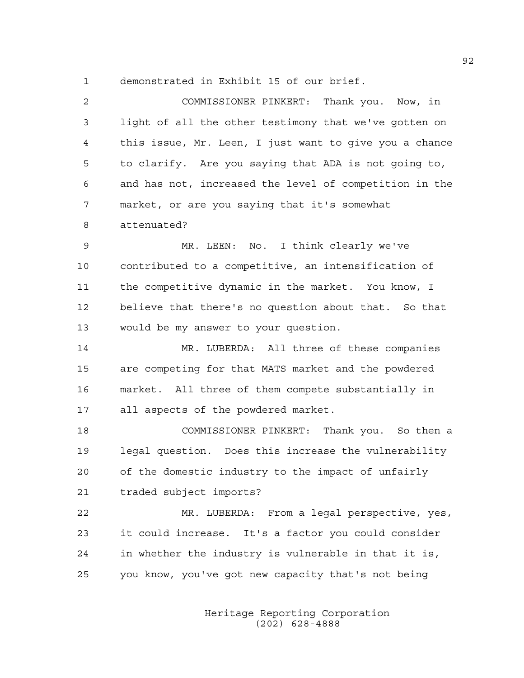1 demonstrated in Exhibit 15 of our brief.

| 2  | COMMISSIONER PINKERT: Thank you. Now, in               |
|----|--------------------------------------------------------|
| 3  | light of all the other testimony that we've gotten on  |
| 4  | this issue, Mr. Leen, I just want to give you a chance |
| 5  | to clarify. Are you saying that ADA is not going to,   |
| 6  | and has not, increased the level of competition in the |
| 7  | market, or are you saying that it's somewhat           |
| 8  | attenuated?                                            |
| 9  | MR. LEEN: No. I think clearly we've                    |
| 10 | contributed to a competitive, an intensification of    |
| 11 | the competitive dynamic in the market. You know, I     |
| 12 | believe that there's no question about that. So that   |
| 13 | would be my answer to your question.                   |
| 14 | MR. LUBERDA: All three of these companies              |
| 15 | are competing for that MATS market and the powdered    |
| 16 | market. All three of them compete substantially in     |
| 17 | all aspects of the powdered market.                    |
| 18 | COMMISSIONER PINKERT: Thank you. So then a             |
| 19 | legal question. Does this increase the vulnerability   |
| 20 | of the domestic industry to the impact of unfairly     |
| 21 | traded subject imports?                                |
| 22 | MR. LUBERDA: From a legal perspective, yes,            |
| 23 | it could increase. It's a factor you could consider    |
| 24 | in whether the industry is vulnerable in that it is,   |
| 25 | you know, you've got new capacity that's not being     |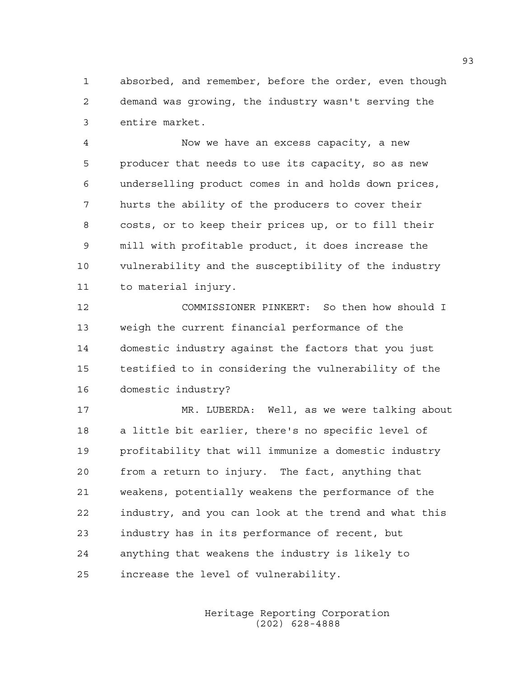1 absorbed, and remember, before the order, even though 2 demand was growing, the industry wasn't serving the 3 entire market.

4 Now we have an excess capacity, a new 5 producer that needs to use its capacity, so as new 6 underselling product comes in and holds down prices, 7 hurts the ability of the producers to cover their 8 costs, or to keep their prices up, or to fill their 9 mill with profitable product, it does increase the 10 vulnerability and the susceptibility of the industry 11 to material injury.

12 COMMISSIONER PINKERT: So then how should I 13 weigh the current financial performance of the 14 domestic industry against the factors that you just 15 testified to in considering the vulnerability of the 16 domestic industry?

17 MR. LUBERDA: Well, as we were talking about 18 a little bit earlier, there's no specific level of 19 profitability that will immunize a domestic industry 20 from a return to injury. The fact, anything that 21 weakens, potentially weakens the performance of the 22 industry, and you can look at the trend and what this 23 industry has in its performance of recent, but 24 anything that weakens the industry is likely to 25 increase the level of vulnerability.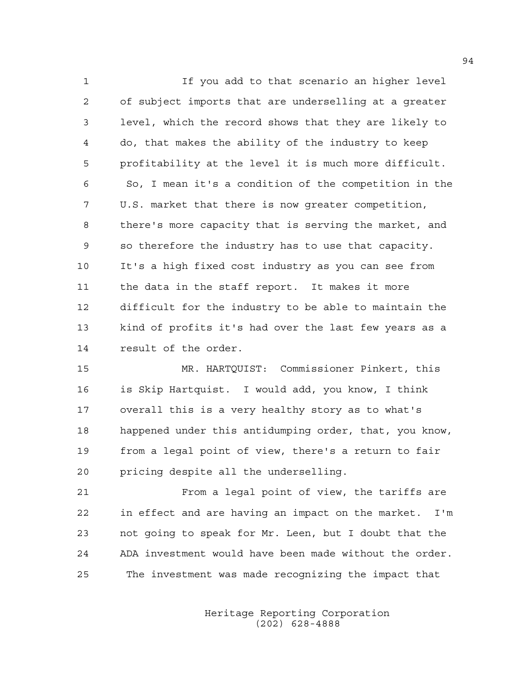1 If you add to that scenario an higher level 2 of subject imports that are underselling at a greater 3 level, which the record shows that they are likely to 4 do, that makes the ability of the industry to keep 5 profitability at the level it is much more difficult. 6 So, I mean it's a condition of the competition in the 7 U.S. market that there is now greater competition, 8 there's more capacity that is serving the market, and 9 so therefore the industry has to use that capacity. 10 It's a high fixed cost industry as you can see from 11 the data in the staff report. It makes it more 12 difficult for the industry to be able to maintain the 13 kind of profits it's had over the last few years as a 14 result of the order.

15 MR. HARTQUIST: Commissioner Pinkert, this 16 is Skip Hartquist. I would add, you know, I think 17 overall this is a very healthy story as to what's 18 happened under this antidumping order, that, you know, 19 from a legal point of view, there's a return to fair 20 pricing despite all the underselling.

21 From a legal point of view, the tariffs are 22 in effect and are having an impact on the market. I'm 23 not going to speak for Mr. Leen, but I doubt that the 24 ADA investment would have been made without the order. 25 The investment was made recognizing the impact that

> Heritage Reporting Corporation (202) 628-4888

94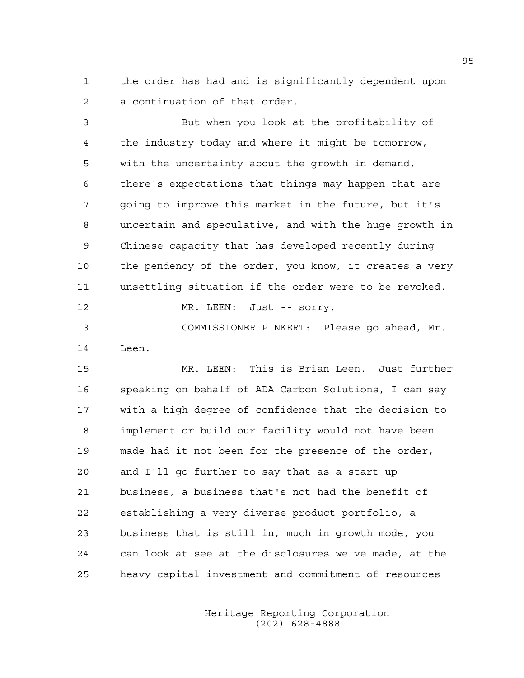1 the order has had and is significantly dependent upon 2 a continuation of that order.

3 But when you look at the profitability of 4 the industry today and where it might be tomorrow, 5 with the uncertainty about the growth in demand, 6 there's expectations that things may happen that are 7 going to improve this market in the future, but it's 8 uncertain and speculative, and with the huge growth in 9 Chinese capacity that has developed recently during 10 the pendency of the order, you know, it creates a very 11 unsettling situation if the order were to be revoked.

12 MR. LEEN: Just -- sorry.

13 COMMISSIONER PINKERT: Please go ahead, Mr. 14 Leen.

15 MR. LEEN: This is Brian Leen. Just further 16 speaking on behalf of ADA Carbon Solutions, I can say 17 with a high degree of confidence that the decision to 18 implement or build our facility would not have been 19 made had it not been for the presence of the order, 20 and I'll go further to say that as a start up 21 business, a business that's not had the benefit of 22 establishing a very diverse product portfolio, a 23 business that is still in, much in growth mode, you 24 can look at see at the disclosures we've made, at the 25 heavy capital investment and commitment of resources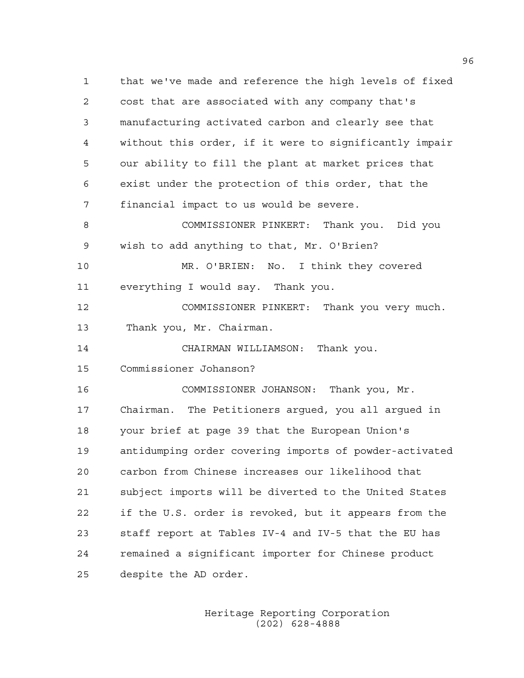1 that we've made and reference the high levels of fixed 2 cost that are associated with any company that's 3 manufacturing activated carbon and clearly see that 4 without this order, if it were to significantly impair 5 our ability to fill the plant at market prices that 6 exist under the protection of this order, that the 7 financial impact to us would be severe. 8 COMMISSIONER PINKERT: Thank you. Did you 9 wish to add anything to that, Mr. O'Brien? 10 MR. O'BRIEN: No. I think they covered 11 everything I would say. Thank you. 12 COMMISSIONER PINKERT: Thank you very much. 13 Thank you, Mr. Chairman. 14 CHAIRMAN WILLIAMSON: Thank you. 15 Commissioner Johanson? 16 COMMISSIONER JOHANSON: Thank you, Mr. 17 Chairman. The Petitioners argued, you all argued in 18 your brief at page 39 that the European Union's 19 antidumping order covering imports of powder-activated 20 carbon from Chinese increases our likelihood that 21 subject imports will be diverted to the United States 22 if the U.S. order is revoked, but it appears from the 23 staff report at Tables IV-4 and IV-5 that the EU has 24 remained a significant importer for Chinese product 25 despite the AD order.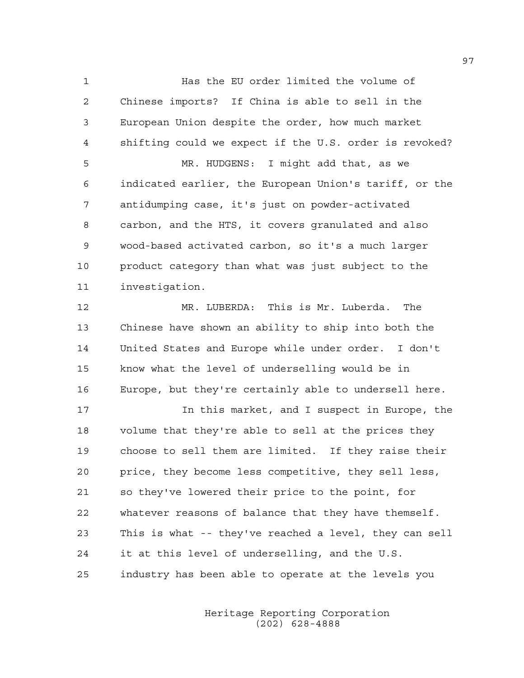1 Has the EU order limited the volume of 2 Chinese imports? If China is able to sell in the 3 European Union despite the order, how much market 4 shifting could we expect if the U.S. order is revoked? 5 MR. HUDGENS: I might add that, as we 6 indicated earlier, the European Union's tariff, or the 7 antidumping case, it's just on powder-activated 8 carbon, and the HTS, it covers granulated and also 9 wood-based activated carbon, so it's a much larger 10 product category than what was just subject to the 11 investigation.

12 MR. LUBERDA: This is Mr. Luberda. The 13 Chinese have shown an ability to ship into both the 14 United States and Europe while under order. I don't 15 know what the level of underselling would be in 16 Europe, but they're certainly able to undersell here.

17 17 In this market, and I suspect in Europe, the 18 volume that they're able to sell at the prices they 19 choose to sell them are limited. If they raise their 20 price, they become less competitive, they sell less, 21 so they've lowered their price to the point, for 22 whatever reasons of balance that they have themself. 23 This is what -- they've reached a level, they can sell 24 it at this level of underselling, and the U.S. 25 industry has been able to operate at the levels you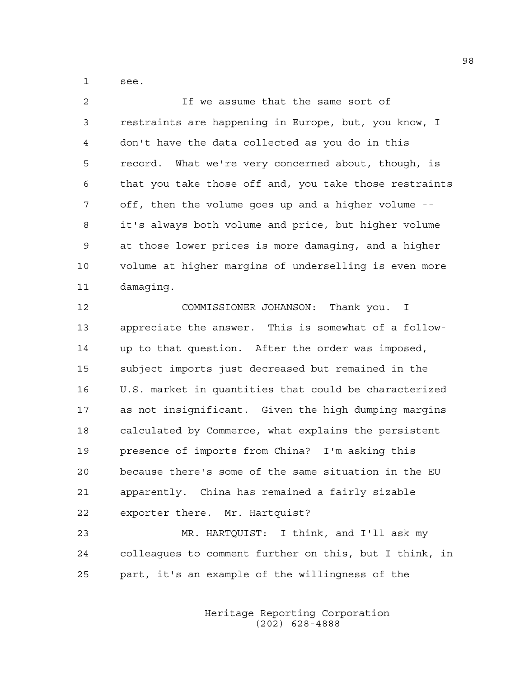1 see.

2 If we assume that the same sort of 3 restraints are happening in Europe, but, you know, I 4 don't have the data collected as you do in this 5 record. What we're very concerned about, though, is 6 that you take those off and, you take those restraints 7 off, then the volume goes up and a higher volume -- 8 it's always both volume and price, but higher volume 9 at those lower prices is more damaging, and a higher 10 volume at higher margins of underselling is even more 11 damaging.

12 COMMISSIONER JOHANSON: Thank you. I 13 appreciate the answer. This is somewhat of a follow-14 up to that question. After the order was imposed, 15 subject imports just decreased but remained in the 16 U.S. market in quantities that could be characterized 17 as not insignificant. Given the high dumping margins 18 calculated by Commerce, what explains the persistent 19 presence of imports from China? I'm asking this 20 because there's some of the same situation in the EU 21 apparently. China has remained a fairly sizable 22 exporter there. Mr. Hartquist?

23 MR. HARTQUIST: I think, and I'll ask my 24 colleagues to comment further on this, but I think, in 25 part, it's an example of the willingness of the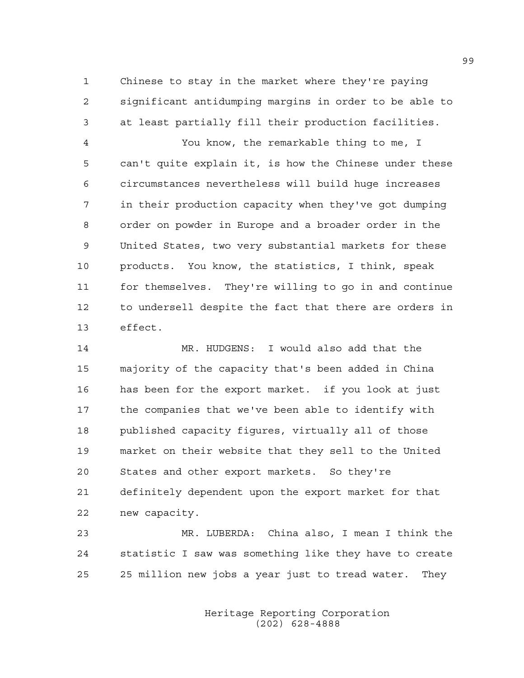1 Chinese to stay in the market where they're paying 2 significant antidumping margins in order to be able to 3 at least partially fill their production facilities.

4 You know, the remarkable thing to me, I 5 can't quite explain it, is how the Chinese under these 6 circumstances nevertheless will build huge increases 7 in their production capacity when they've got dumping 8 order on powder in Europe and a broader order in the 9 United States, two very substantial markets for these 10 products. You know, the statistics, I think, speak 11 for themselves. They're willing to go in and continue 12 to undersell despite the fact that there are orders in 13 effect.

14 MR. HUDGENS: I would also add that the 15 majority of the capacity that's been added in China 16 has been for the export market. if you look at just 17 the companies that we've been able to identify with 18 published capacity figures, virtually all of those 19 market on their website that they sell to the United 20 States and other export markets. So they're 21 definitely dependent upon the export market for that 22 new capacity.

23 MR. LUBERDA: China also, I mean I think the 24 statistic I saw was something like they have to create 25 25 million new jobs a year just to tread water. They

> Heritage Reporting Corporation (202) 628-4888

99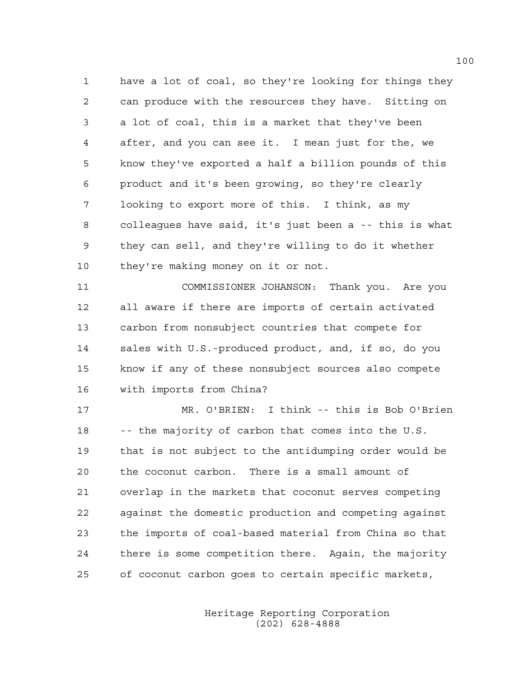1 have a lot of coal, so they're looking for things they 2 can produce with the resources they have. Sitting on 3 a lot of coal, this is a market that they've been 4 after, and you can see it. I mean just for the, we 5 know they've exported a half a billion pounds of this 6 product and it's been growing, so they're clearly 7 looking to export more of this. I think, as my 8 colleagues have said, it's just been a -- this is what 9 they can sell, and they're willing to do it whether 10 they're making money on it or not.

11 COMMISSIONER JOHANSON: Thank you. Are you 12 all aware if there are imports of certain activated 13 carbon from nonsubject countries that compete for 14 sales with U.S.-produced product, and, if so, do you 15 know if any of these nonsubject sources also compete 16 with imports from China?

17 MR. O'BRIEN: I think -- this is Bob O'Brien 18 -- the majority of carbon that comes into the U.S. 19 that is not subject to the antidumping order would be 20 the coconut carbon. There is a small amount of 21 overlap in the markets that coconut serves competing 22 against the domestic production and competing against 23 the imports of coal-based material from China so that 24 there is some competition there. Again, the majority 25 of coconut carbon goes to certain specific markets,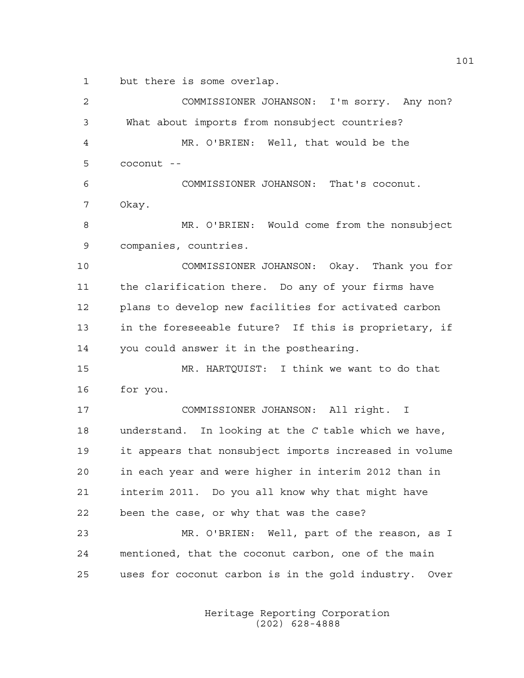1 but there is some overlap.

2 COMMISSIONER JOHANSON: I'm sorry. Any non? 3 What about imports from nonsubject countries? 4 MR. O'BRIEN: Well, that would be the  $5$  coconut  $-$ 6 COMMISSIONER JOHANSON: That's coconut. 7 Okay. 8 MR. O'BRIEN: Would come from the nonsubject 9 companies, countries. 10 COMMISSIONER JOHANSON: Okay. Thank you for 11 the clarification there. Do any of your firms have 12 plans to develop new facilities for activated carbon 13 in the foreseeable future? If this is proprietary, if 14 you could answer it in the posthearing. 15 MR. HARTQUIST: I think we want to do that 16 for you. 17 COMMISSIONER JOHANSON: All right. I 18 understand. In looking at the *C* table which we have, 19 it appears that nonsubject imports increased in volume 20 in each year and were higher in interim 2012 than in 21 interim 2011. Do you all know why that might have 22 been the case, or why that was the case? 23 MR. O'BRIEN: Well, part of the reason, as I 24 mentioned, that the coconut carbon, one of the main 25 uses for coconut carbon is in the gold industry. Over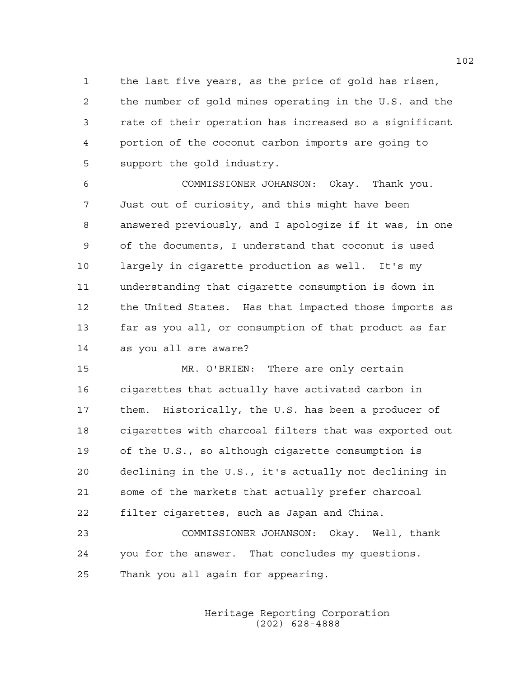1 the last five years, as the price of gold has risen, 2 the number of gold mines operating in the U.S. and the 3 rate of their operation has increased so a significant 4 portion of the coconut carbon imports are going to 5 support the gold industry.

6 COMMISSIONER JOHANSON: Okay. Thank you. 7 Just out of curiosity, and this might have been 8 answered previously, and I apologize if it was, in one 9 of the documents, I understand that coconut is used 10 largely in cigarette production as well. It's my 11 understanding that cigarette consumption is down in 12 the United States. Has that impacted those imports as 13 far as you all, or consumption of that product as far 14 as you all are aware?

15 MR. O'BRIEN: There are only certain 16 cigarettes that actually have activated carbon in 17 them. Historically, the U.S. has been a producer of 18 cigarettes with charcoal filters that was exported out 19 of the U.S., so although cigarette consumption is 20 declining in the U.S., it's actually not declining in 21 some of the markets that actually prefer charcoal 22 filter cigarettes, such as Japan and China.

23 COMMISSIONER JOHANSON: Okay. Well, thank 24 you for the answer. That concludes my questions. 25 Thank you all again for appearing.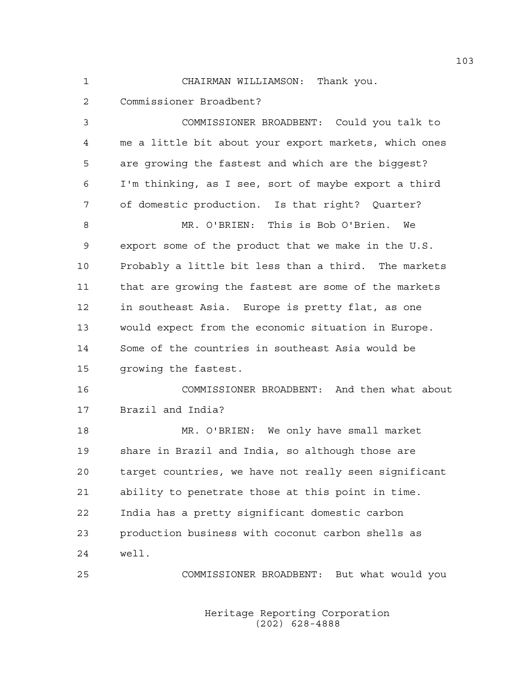1 CHAIRMAN WILLIAMSON: Thank you.

2 Commissioner Broadbent?

3 COMMISSIONER BROADBENT: Could you talk to 4 me a little bit about your export markets, which ones 5 are growing the fastest and which are the biggest? 6 I'm thinking, as I see, sort of maybe export a third 7 of domestic production. Is that right? Quarter? 8 MR. O'BRIEN: This is Bob O'Brien. We 9 export some of the product that we make in the U.S. 10 Probably a little bit less than a third. The markets 11 that are growing the fastest are some of the markets 12 in southeast Asia. Europe is pretty flat, as one 13 would expect from the economic situation in Europe. 14 Some of the countries in southeast Asia would be 15 growing the fastest. 16 COMMISSIONER BROADBENT: And then what about 17 Brazil and India? 18 MR. O'BRIEN: We only have small market 19 share in Brazil and India, so although those are 20 target countries, we have not really seen significant 21 ability to penetrate those at this point in time. 22 India has a pretty significant domestic carbon 23 production business with coconut carbon shells as 24 well. 25 COMMISSIONER BROADBENT: But what would you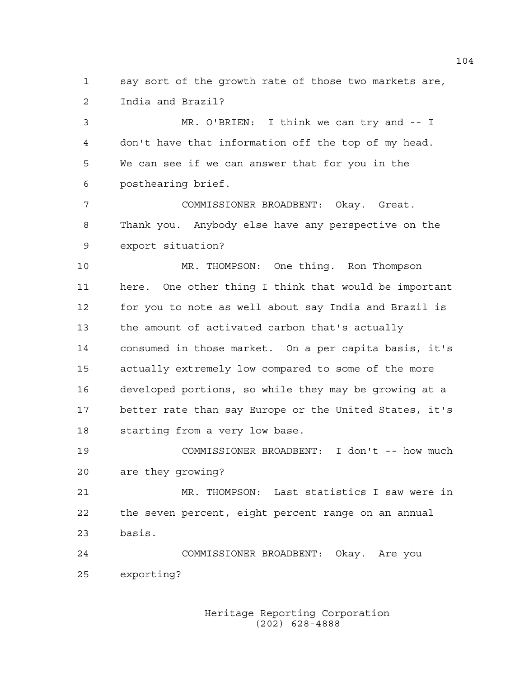1 say sort of the growth rate of those two markets are, 2 India and Brazil?

3 MR. O'BRIEN: I think we can try and -- I 4 don't have that information off the top of my head. 5 We can see if we can answer that for you in the 6 posthearing brief.

7 COMMISSIONER BROADBENT: Okay. Great. 8 Thank you. Anybody else have any perspective on the 9 export situation?

10 MR. THOMPSON: One thing. Ron Thompson 11 here. One other thing I think that would be important 12 for you to note as well about say India and Brazil is 13 the amount of activated carbon that's actually 14 consumed in those market. On a per capita basis, it's 15 actually extremely low compared to some of the more 16 developed portions, so while they may be growing at a 17 better rate than say Europe or the United States, it's 18 starting from a very low base.

19 COMMISSIONER BROADBENT: I don't -- how much 20 are they growing?

21 MR. THOMPSON: Last statistics I saw were in 22 the seven percent, eight percent range on an annual 23 basis.

24 COMMISSIONER BROADBENT: Okay. Are you 25 exporting?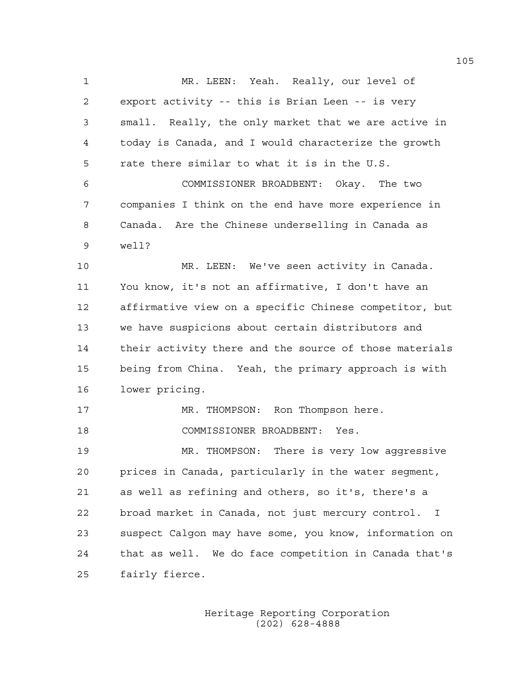1 MR. LEEN: Yeah. Really, our level of 2 export activity -- this is Brian Leen -- is very 3 small. Really, the only market that we are active in 4 today is Canada, and I would characterize the growth 5 rate there similar to what it is in the U.S. 6 COMMISSIONER BROADBENT: Okay. The two 7 companies I think on the end have more experience in 8 Canada. Are the Chinese underselling in Canada as 9 well? 10 MR. LEEN: We've seen activity in Canada. 11 You know, it's not an affirmative, I don't have an 12 affirmative view on a specific Chinese competitor, but 13 we have suspicions about certain distributors and 14 their activity there and the source of those materials 15 being from China. Yeah, the primary approach is with 16 lower pricing. 17 MR. THOMPSON: Ron Thompson here. 18 COMMISSIONER BROADBENT: Yes. 19 MR. THOMPSON: There is very low aggressive 20 prices in Canada, particularly in the water segment, 21 as well as refining and others, so it's, there's a 22 broad market in Canada, not just mercury control. I 23 suspect Calgon may have some, you know, information on 24 that as well. We do face competition in Canada that's 25 fairly fierce.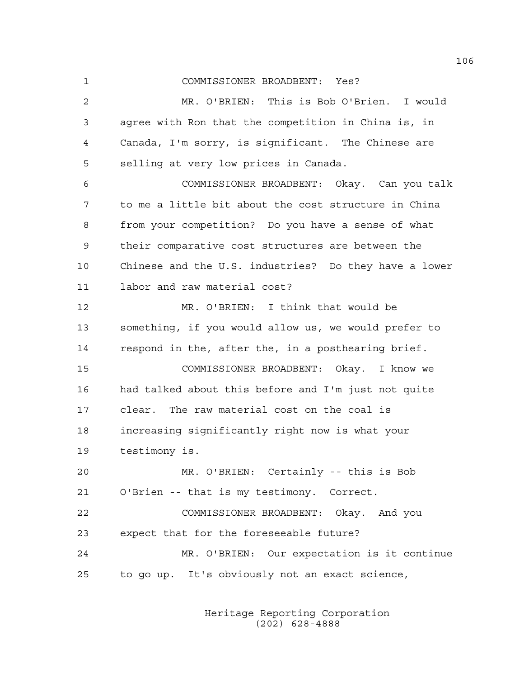1 COMMISSIONER BROADBENT: Yes?

2 MR. O'BRIEN: This is Bob O'Brien. I would 3 agree with Ron that the competition in China is, in 4 Canada, I'm sorry, is significant. The Chinese are 5 selling at very low prices in Canada. 6 COMMISSIONER BROADBENT: Okay. Can you talk 7 to me a little bit about the cost structure in China 8 from your competition? Do you have a sense of what 9 their comparative cost structures are between the 10 Chinese and the U.S. industries? Do they have a lower 11 labor and raw material cost? 12 MR. O'BRIEN: I think that would be 13 something, if you would allow us, we would prefer to 14 respond in the, after the, in a posthearing brief. 15 COMMISSIONER BROADBENT: Okay. I know we 16 had talked about this before and I'm just not quite 17 clear. The raw material cost on the coal is 18 increasing significantly right now is what your 19 testimony is. 20 MR. O'BRIEN: Certainly -- this is Bob 21 O'Brien -- that is my testimony. Correct. 22 COMMISSIONER BROADBENT: Okay. And you 23 expect that for the foreseeable future? 24 MR. O'BRIEN: Our expectation is it continue 25 to go up. It's obviously not an exact science,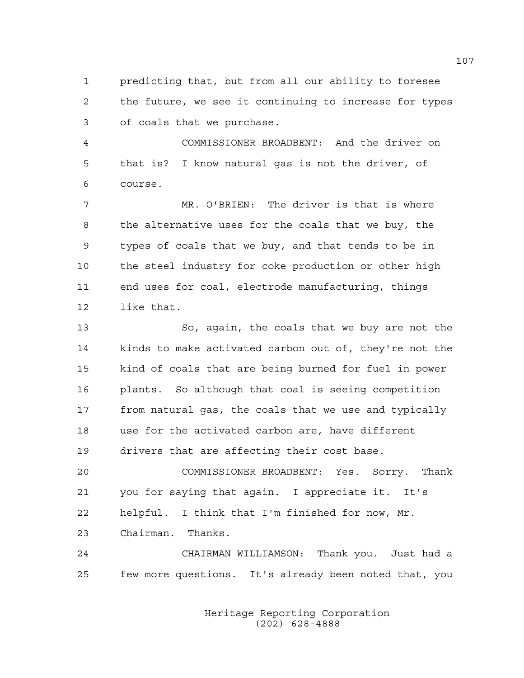1 predicting that, but from all our ability to foresee 2 the future, we see it continuing to increase for types 3 of coals that we purchase.

4 COMMISSIONER BROADBENT: And the driver on 5 that is? I know natural gas is not the driver, of 6 course.

7 MR. O'BRIEN: The driver is that is where 8 the alternative uses for the coals that we buy, the 9 types of coals that we buy, and that tends to be in 10 the steel industry for coke production or other high 11 end uses for coal, electrode manufacturing, things 12 like that.

13 So, again, the coals that we buy are not the 14 kinds to make activated carbon out of, they're not the 15 kind of coals that are being burned for fuel in power 16 plants. So although that coal is seeing competition 17 from natural gas, the coals that we use and typically 18 use for the activated carbon are, have different 19 drivers that are affecting their cost base.

20 COMMISSIONER BROADBENT: Yes. Sorry. Thank 21 you for saying that again. I appreciate it. It's 22 helpful. I think that I'm finished for now, Mr. 23 Chairman. Thanks.

24 CHAIRMAN WILLIAMSON: Thank you. Just had a 25 few more questions. It's already been noted that, you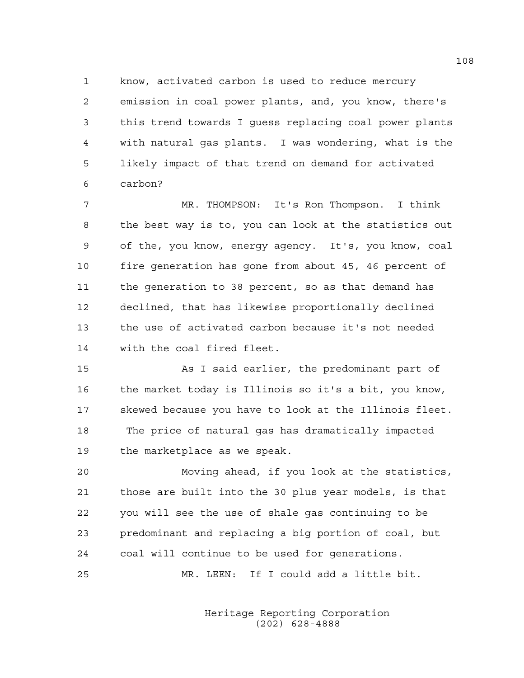1 know, activated carbon is used to reduce mercury 2 emission in coal power plants, and, you know, there's 3 this trend towards I guess replacing coal power plants 4 with natural gas plants. I was wondering, what is the 5 likely impact of that trend on demand for activated 6 carbon?

7 MR. THOMPSON: It's Ron Thompson. I think 8 the best way is to, you can look at the statistics out 9 of the, you know, energy agency. It's, you know, coal 10 fire generation has gone from about 45, 46 percent of 11 the generation to 38 percent, so as that demand has 12 declined, that has likewise proportionally declined 13 the use of activated carbon because it's not needed 14 with the coal fired fleet.

15 As I said earlier, the predominant part of 16 the market today is Illinois so it's a bit, you know, 17 skewed because you have to look at the Illinois fleet. 18 The price of natural gas has dramatically impacted 19 the marketplace as we speak.

20 Moving ahead, if you look at the statistics, 21 those are built into the 30 plus year models, is that 22 you will see the use of shale gas continuing to be 23 predominant and replacing a big portion of coal, but 24 coal will continue to be used for generations.

25 MR. LEEN: If I could add a little bit.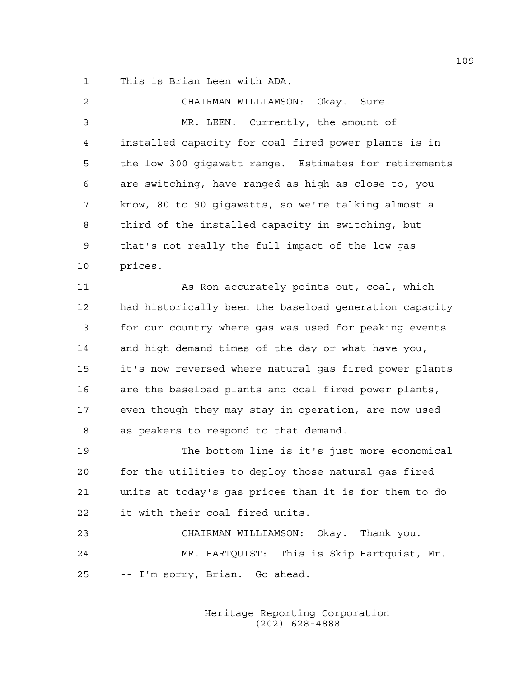1 This is Brian Leen with ADA.

| 2  | CHAIRMAN WILLIAMSON: Okay. Sure.                       |
|----|--------------------------------------------------------|
| 3  | MR. LEEN: Currently, the amount of                     |
| 4  | installed capacity for coal fired power plants is in   |
| 5  | the low 300 gigawatt range. Estimates for retirements  |
| 6  | are switching, have ranged as high as close to, you    |
| 7  | know, 80 to 90 gigawatts, so we're talking almost a    |
| 8  | third of the installed capacity in switching, but      |
| 9  | that's not really the full impact of the low gas       |
| 10 | prices.                                                |
| 11 | As Ron accurately points out, coal, which              |
| 12 | had historically been the baseload generation capacity |
| 13 | for our country where gas was used for peaking events  |
| 14 | and high demand times of the day or what have you,     |
| 15 | it's now reversed where natural gas fired power plants |
| 16 | are the baseload plants and coal fired power plants,   |
| 17 | even though they may stay in operation, are now used   |
| 18 | as peakers to respond to that demand.                  |
| 19 | The bottom line is it's just more economical           |
| 20 | for the utilities to deploy those natural gas fired    |
| 21 | units at today's gas prices than it is for them to do  |
| 22 | it with their coal fired units.                        |
| 23 | CHAIRMAN WILLIAMSON: Okay. Thank you.                  |
| 24 | MR. HARTQUIST: This is Skip Hartquist, Mr.             |
| 25 | -- I'm sorry, Brian. Go ahead.                         |
|    |                                                        |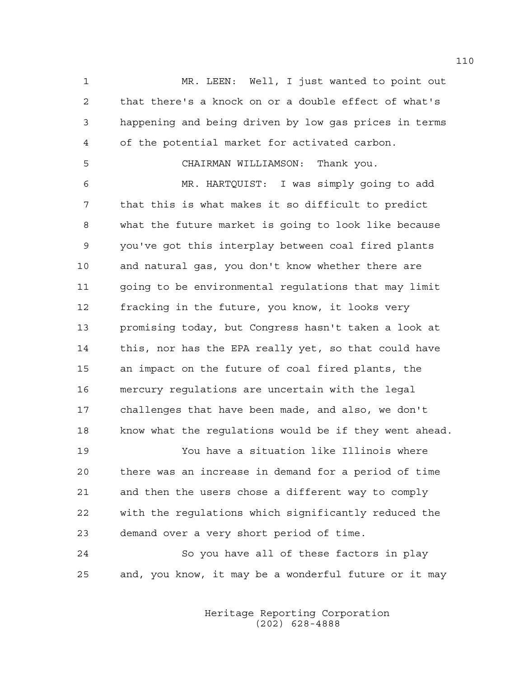1 MR. LEEN: Well, I just wanted to point out 2 that there's a knock on or a double effect of what's 3 happening and being driven by low gas prices in terms 4 of the potential market for activated carbon.

## 5 CHAIRMAN WILLIAMSON: Thank you.

6 MR. HARTQUIST: I was simply going to add 7 that this is what makes it so difficult to predict 8 what the future market is going to look like because 9 you've got this interplay between coal fired plants 10 and natural gas, you don't know whether there are 11 going to be environmental regulations that may limit 12 fracking in the future, you know, it looks very 13 promising today, but Congress hasn't taken a look at 14 this, nor has the EPA really yet, so that could have 15 an impact on the future of coal fired plants, the 16 mercury regulations are uncertain with the legal 17 challenges that have been made, and also, we don't 18 know what the regulations would be if they went ahead.

19 You have a situation like Illinois where 20 there was an increase in demand for a period of time 21 and then the users chose a different way to comply 22 with the regulations which significantly reduced the 23 demand over a very short period of time.

24 So you have all of these factors in play 25 and, you know, it may be a wonderful future or it may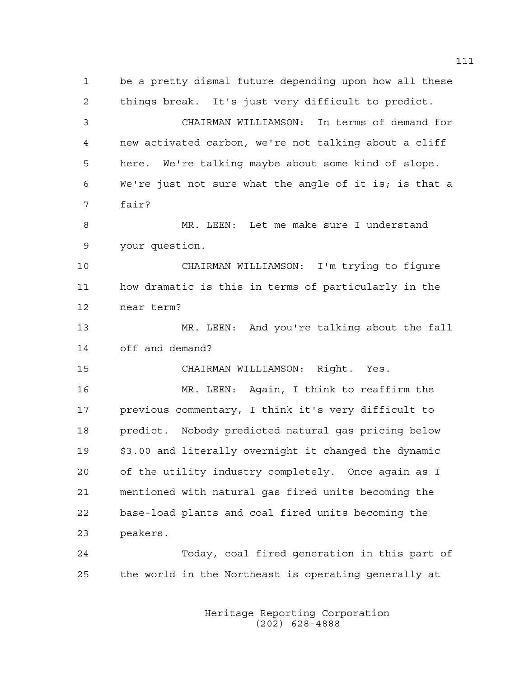1 be a pretty dismal future depending upon how all these 2 things break. It's just very difficult to predict. 3 CHAIRMAN WILLIAMSON: In terms of demand for 4 new activated carbon, we're not talking about a cliff 5 here. We're talking maybe about some kind of slope. 6 We're just not sure what the angle of it is; is that a 7 fair? 8 MR. LEEN: Let me make sure I understand 9 your question. 10 CHAIRMAN WILLIAMSON: I'm trying to figure 11 how dramatic is this in terms of particularly in the 12 near term? 13 MR. LEEN: And you're talking about the fall 14 off and demand? 15 CHAIRMAN WILLIAMSON: Right. Yes. 16 MR. LEEN: Again, I think to reaffirm the 17 previous commentary, I think it's very difficult to 18 predict. Nobody predicted natural gas pricing below 19 \$3.00 and literally overnight it changed the dynamic 20 of the utility industry completely. Once again as I 21 mentioned with natural gas fired units becoming the 22 base-load plants and coal fired units becoming the 23 peakers. 24 Today, coal fired generation in this part of 25 the world in the Northeast is operating generally at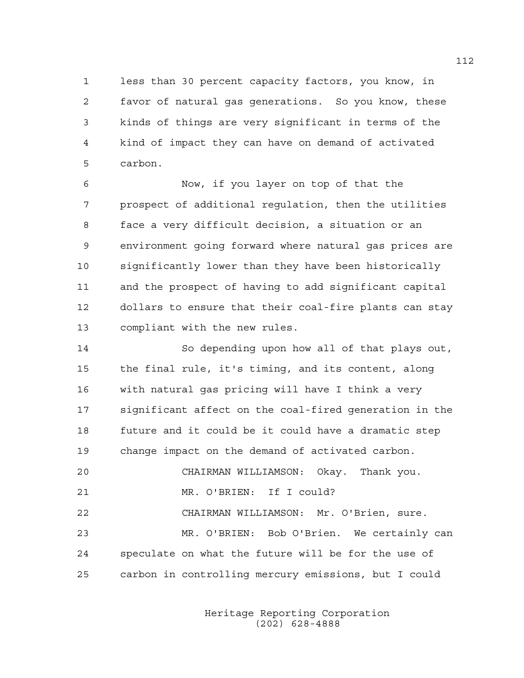1 less than 30 percent capacity factors, you know, in 2 favor of natural gas generations. So you know, these 3 kinds of things are very significant in terms of the 4 kind of impact they can have on demand of activated 5 carbon.

6 Now, if you layer on top of that the 7 prospect of additional regulation, then the utilities 8 face a very difficult decision, a situation or an 9 environment going forward where natural gas prices are 10 significantly lower than they have been historically 11 and the prospect of having to add significant capital 12 dollars to ensure that their coal-fire plants can stay 13 compliant with the new rules.

14 So depending upon how all of that plays out, 15 the final rule, it's timing, and its content, along 16 with natural gas pricing will have I think a very 17 significant affect on the coal-fired generation in the 18 future and it could be it could have a dramatic step 19 change impact on the demand of activated carbon. 20 CHAIRMAN WILLIAMSON: Okay. Thank you. 21 MR. O'BRIEN: If I could? 22 CHAIRMAN WILLIAMSON: Mr. O'Brien, sure. 23 MR. O'BRIEN: Bob O'Brien. We certainly can 24 speculate on what the future will be for the use of 25 carbon in controlling mercury emissions, but I could

> Heritage Reporting Corporation (202) 628-4888

112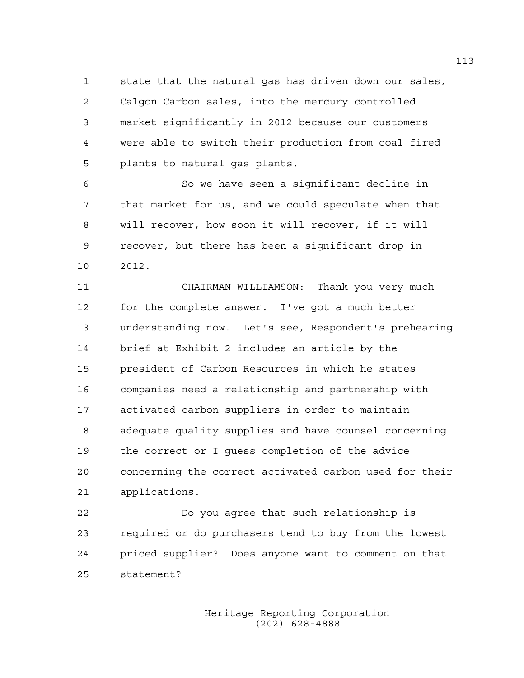1 state that the natural gas has driven down our sales, 2 Calgon Carbon sales, into the mercury controlled 3 market significantly in 2012 because our customers 4 were able to switch their production from coal fired 5 plants to natural gas plants.

6 So we have seen a significant decline in 7 that market for us, and we could speculate when that 8 will recover, how soon it will recover, if it will 9 recover, but there has been a significant drop in 10 2012.

11 CHAIRMAN WILLIAMSON: Thank you very much 12 for the complete answer. I've got a much better 13 understanding now. Let's see, Respondent's prehearing 14 brief at Exhibit 2 includes an article by the 15 president of Carbon Resources in which he states 16 companies need a relationship and partnership with 17 activated carbon suppliers in order to maintain 18 adequate quality supplies and have counsel concerning 19 the correct or I guess completion of the advice 20 concerning the correct activated carbon used for their 21 applications.

22 Do you agree that such relationship is 23 required or do purchasers tend to buy from the lowest 24 priced supplier? Does anyone want to comment on that 25 statement?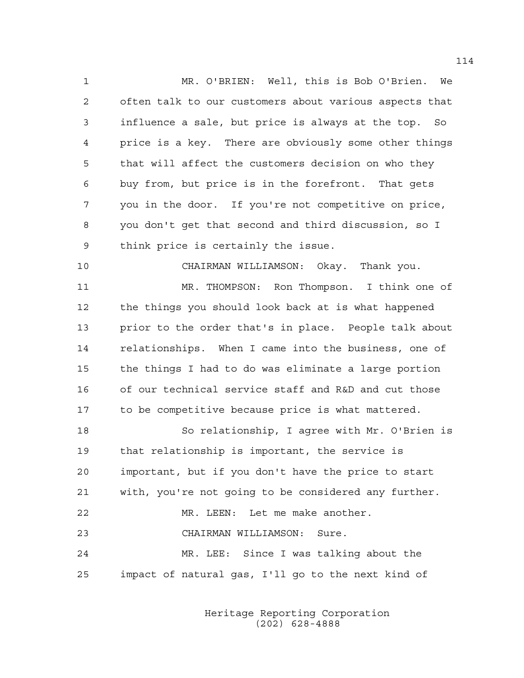1 MR. O'BRIEN: Well, this is Bob O'Brien. We 2 often talk to our customers about various aspects that 3 influence a sale, but price is always at the top. So 4 price is a key. There are obviously some other things 5 that will affect the customers decision on who they 6 buy from, but price is in the forefront. That gets 7 you in the door. If you're not competitive on price, 8 you don't get that second and third discussion, so I 9 think price is certainly the issue.

10 CHAIRMAN WILLIAMSON: Okay. Thank you.

11 MR. THOMPSON: Ron Thompson. I think one of 12 the things you should look back at is what happened 13 prior to the order that's in place. People talk about 14 relationships. When I came into the business, one of 15 the things I had to do was eliminate a large portion 16 of our technical service staff and R&D and cut those 17 to be competitive because price is what mattered.

18 So relationship, I agree with Mr. O'Brien is 19 that relationship is important, the service is 20 important, but if you don't have the price to start 21 with, you're not going to be considered any further. 22 MR. LEEN: Let me make another. 23 CHAIRMAN WILLIAMSON: Sure. 24 MR. LEE: Since I was talking about the 25 impact of natural gas, I'll go to the next kind of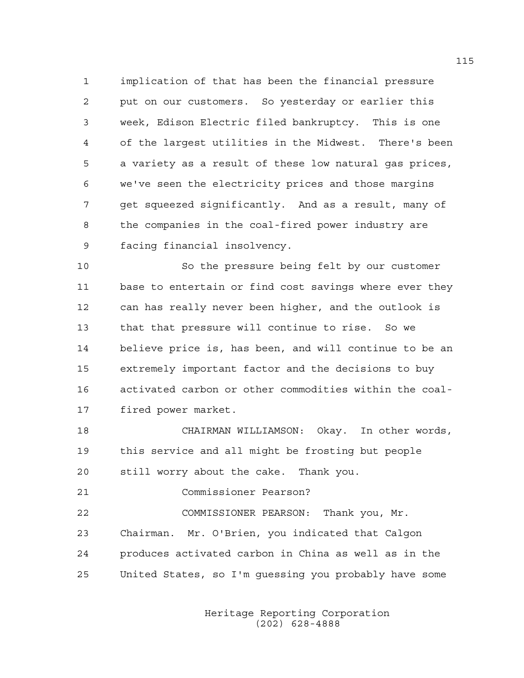1 implication of that has been the financial pressure 2 put on our customers. So yesterday or earlier this 3 week, Edison Electric filed bankruptcy. This is one 4 of the largest utilities in the Midwest. There's been 5 a variety as a result of these low natural gas prices, 6 we've seen the electricity prices and those margins 7 get squeezed significantly. And as a result, many of 8 the companies in the coal-fired power industry are 9 facing financial insolvency.

10 So the pressure being felt by our customer 11 base to entertain or find cost savings where ever they 12 can has really never been higher, and the outlook is 13 that that pressure will continue to rise. So we 14 believe price is, has been, and will continue to be an 15 extremely important factor and the decisions to buy 16 activated carbon or other commodities within the coal-17 fired power market.

18 CHAIRMAN WILLIAMSON: Okay. In other words, 19 this service and all might be frosting but people 20 still worry about the cake. Thank you.

21 Commissioner Pearson?

22 COMMISSIONER PEARSON: Thank you, Mr. 23 Chairman. Mr. O'Brien, you indicated that Calgon 24 produces activated carbon in China as well as in the 25 United States, so I'm guessing you probably have some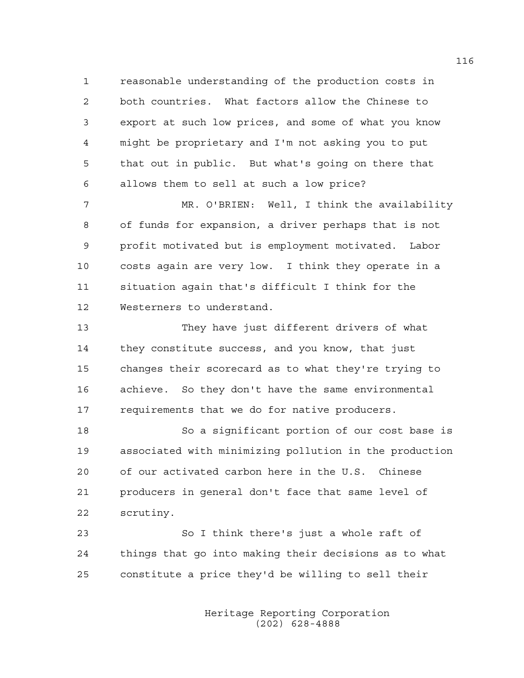1 reasonable understanding of the production costs in 2 both countries. What factors allow the Chinese to 3 export at such low prices, and some of what you know 4 might be proprietary and I'm not asking you to put 5 that out in public. But what's going on there that 6 allows them to sell at such a low price?

7 MR. O'BRIEN: Well, I think the availability 8 of funds for expansion, a driver perhaps that is not 9 profit motivated but is employment motivated. Labor 10 costs again are very low. I think they operate in a 11 situation again that's difficult I think for the 12 Westerners to understand.

13 They have just different drivers of what 14 they constitute success, and you know, that just 15 changes their scorecard as to what they're trying to 16 achieve. So they don't have the same environmental 17 requirements that we do for native producers.

18 So a significant portion of our cost base is 19 associated with minimizing pollution in the production 20 of our activated carbon here in the U.S. Chinese 21 producers in general don't face that same level of 22 scrutiny.

23 So I think there's just a whole raft of 24 things that go into making their decisions as to what 25 constitute a price they'd be willing to sell their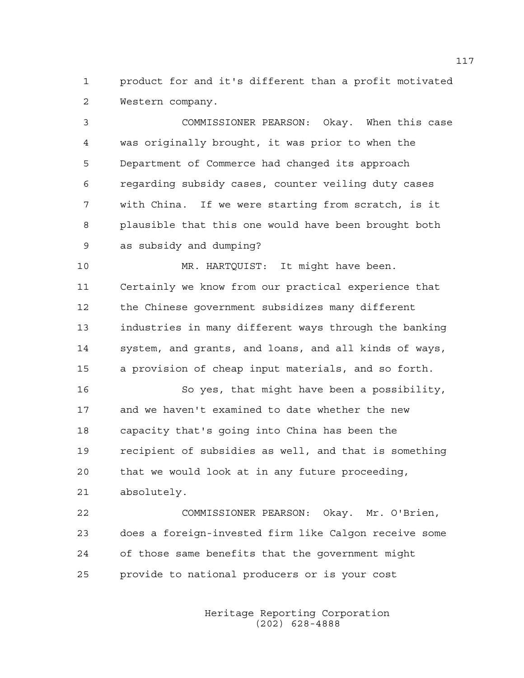1 product for and it's different than a profit motivated 2 Western company.

3 COMMISSIONER PEARSON: Okay. When this case 4 was originally brought, it was prior to when the 5 Department of Commerce had changed its approach 6 regarding subsidy cases, counter veiling duty cases 7 with China. If we were starting from scratch, is it 8 plausible that this one would have been brought both 9 as subsidy and dumping?

10 MR. HARTQUIST: It might have been. 11 Certainly we know from our practical experience that 12 the Chinese government subsidizes many different 13 industries in many different ways through the banking 14 system, and grants, and loans, and all kinds of ways, 15 a provision of cheap input materials, and so forth.

16 So yes, that might have been a possibility, 17 and we haven't examined to date whether the new 18 capacity that's going into China has been the 19 recipient of subsidies as well, and that is something 20 that we would look at in any future proceeding, 21 absolutely.

22 COMMISSIONER PEARSON: Okay. Mr. O'Brien, 23 does a foreign-invested firm like Calgon receive some 24 of those same benefits that the government might 25 provide to national producers or is your cost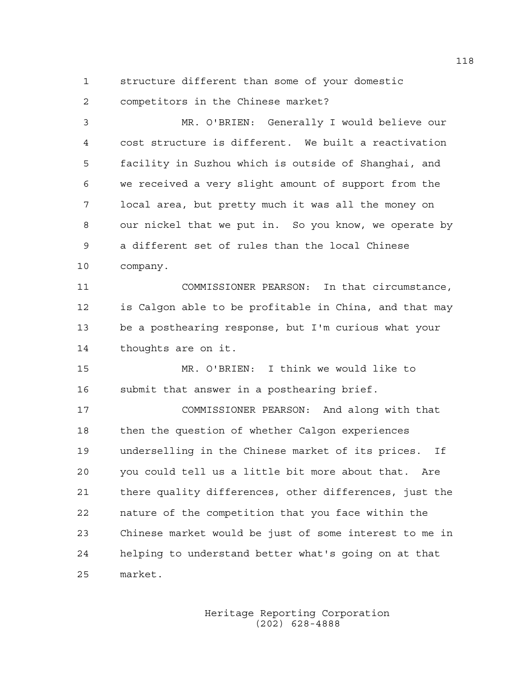1 structure different than some of your domestic

2 competitors in the Chinese market?

3 MR. O'BRIEN: Generally I would believe our 4 cost structure is different. We built a reactivation 5 facility in Suzhou which is outside of Shanghai, and 6 we received a very slight amount of support from the 7 local area, but pretty much it was all the money on 8 our nickel that we put in. So you know, we operate by 9 a different set of rules than the local Chinese 10 company. 11 COMMISSIONER PEARSON: In that circumstance, 12 is Calgon able to be profitable in China, and that may 13 be a posthearing response, but I'm curious what your 14 thoughts are on it. 15 MR. O'BRIEN: I think we would like to 16 submit that answer in a posthearing brief. 17 COMMISSIONER PEARSON: And along with that 18 then the question of whether Calgon experiences 19 underselling in the Chinese market of its prices. If 20 you could tell us a little bit more about that. Are 21 there quality differences, other differences, just the 22 nature of the competition that you face within the 23 Chinese market would be just of some interest to me in 24 helping to understand better what's going on at that 25 market.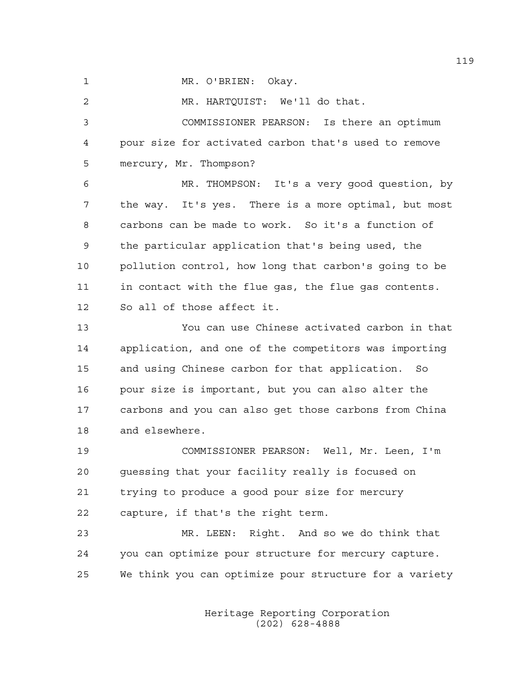1 MR. O'BRIEN: Okay.

2 MR. HARTQUIST: We'll do that. 3 COMMISSIONER PEARSON: Is there an optimum 4 pour size for activated carbon that's used to remove 5 mercury, Mr. Thompson? 6 MR. THOMPSON: It's a very good question, by 7 the way. It's yes. There is a more optimal, but most 8 carbons can be made to work. So it's a function of 9 the particular application that's being used, the 10 pollution control, how long that carbon's going to be 11 in contact with the flue gas, the flue gas contents. 12 So all of those affect it. 13 You can use Chinese activated carbon in that 14 application, and one of the competitors was importing 15 and using Chinese carbon for that application. So 16 pour size is important, but you can also alter the 17 carbons and you can also get those carbons from China 18 and elsewhere.

19 COMMISSIONER PEARSON: Well, Mr. Leen, I'm 20 guessing that your facility really is focused on 21 trying to produce a good pour size for mercury 22 capture, if that's the right term.

23 MR. LEEN: Right. And so we do think that 24 you can optimize pour structure for mercury capture. 25 We think you can optimize pour structure for a variety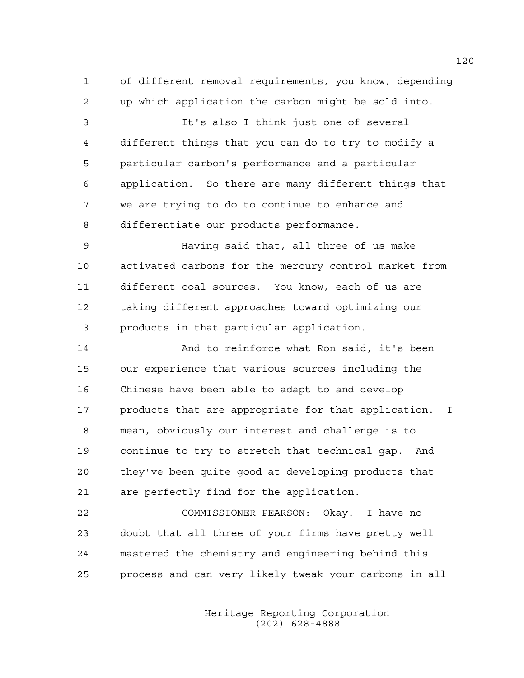1 of different removal requirements, you know, depending 2 up which application the carbon might be sold into. 3 It's also I think just one of several 4 different things that you can do to try to modify a 5 particular carbon's performance and a particular 6 application. So there are many different things that 7 we are trying to do to continue to enhance and 8 differentiate our products performance. 9 Having said that, all three of us make 10 activated carbons for the mercury control market from 11 different coal sources. You know, each of us are 12 taking different approaches toward optimizing our 13 products in that particular application. 14 And to reinforce what Ron said, it's been 15 our experience that various sources including the 16 Chinese have been able to adapt to and develop 17 products that are appropriate for that application. I 18 mean, obviously our interest and challenge is to

19 continue to try to stretch that technical gap. And 20 they've been quite good at developing products that 21 are perfectly find for the application.

22 COMMISSIONER PEARSON: Okay. I have no 23 doubt that all three of your firms have pretty well 24 mastered the chemistry and engineering behind this 25 process and can very likely tweak your carbons in all

> Heritage Reporting Corporation (202) 628-4888

120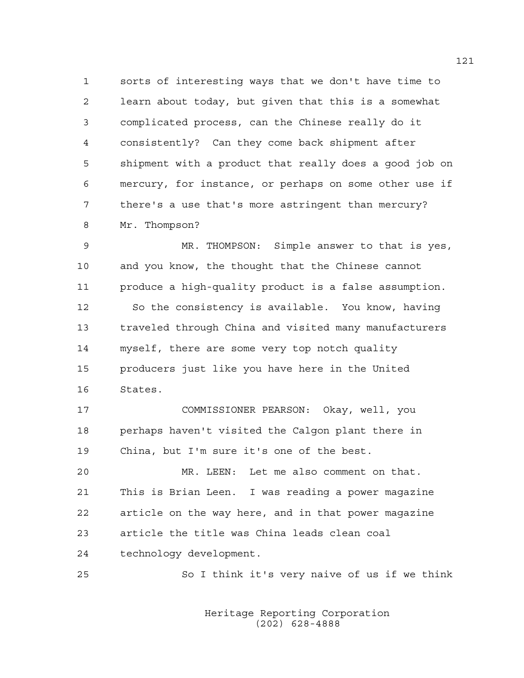1 sorts of interesting ways that we don't have time to 2 learn about today, but given that this is a somewhat 3 complicated process, can the Chinese really do it 4 consistently? Can they come back shipment after 5 shipment with a product that really does a good job on 6 mercury, for instance, or perhaps on some other use if 7 there's a use that's more astringent than mercury? 8 Mr. Thompson?

9 MR. THOMPSON: Simple answer to that is yes, 10 and you know, the thought that the Chinese cannot 11 produce a high-quality product is a false assumption. 12 So the consistency is available. You know, having 13 traveled through China and visited many manufacturers 14 myself, there are some very top notch quality 15 producers just like you have here in the United 16 States.

17 COMMISSIONER PEARSON: Okay, well, you 18 perhaps haven't visited the Calgon plant there in 19 China, but I'm sure it's one of the best.

20 MR. LEEN: Let me also comment on that. 21 This is Brian Leen. I was reading a power magazine 22 article on the way here, and in that power magazine 23 article the title was China leads clean coal 24 technology development.

25 So I think it's very naive of us if we think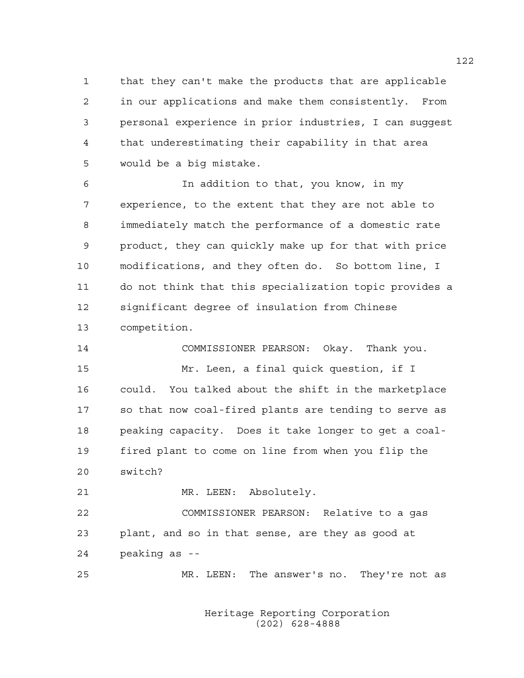1 that they can't make the products that are applicable 2 in our applications and make them consistently. From 3 personal experience in prior industries, I can suggest 4 that underestimating their capability in that area 5 would be a big mistake.

6 In addition to that, you know, in my 7 experience, to the extent that they are not able to 8 immediately match the performance of a domestic rate 9 product, they can quickly make up for that with price 10 modifications, and they often do. So bottom line, I 11 do not think that this specialization topic provides a 12 significant degree of insulation from Chinese 13 competition.

14 COMMISSIONER PEARSON: Okay. Thank you. 15 Mr. Leen, a final quick question, if I 16 could. You talked about the shift in the marketplace 17 so that now coal-fired plants are tending to serve as 18 peaking capacity. Does it take longer to get a coal-19 fired plant to come on line from when you flip the 20 switch?

21 MR. LEEN: Absolutely.

22 COMMISSIONER PEARSON: Relative to a gas 23 plant, and so in that sense, are they as good at 24 peaking as --

25 MR. LEEN: The answer's no. They're not as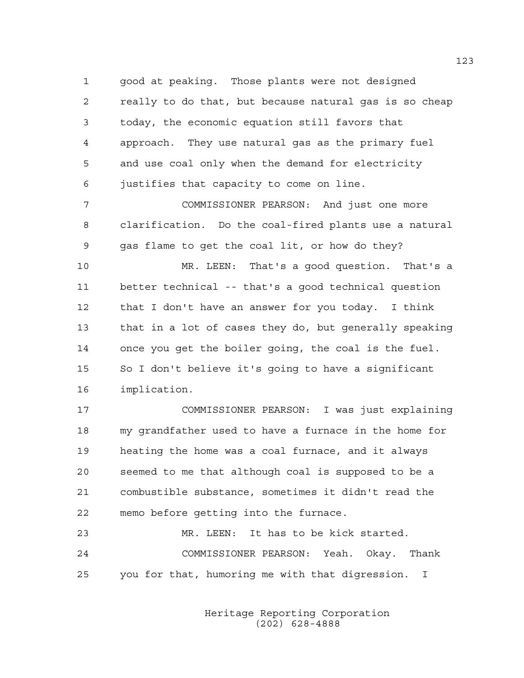1 good at peaking. Those plants were not designed 2 really to do that, but because natural gas is so cheap 3 today, the economic equation still favors that 4 approach. They use natural gas as the primary fuel 5 and use coal only when the demand for electricity 6 justifies that capacity to come on line.

7 COMMISSIONER PEARSON: And just one more 8 clarification. Do the coal-fired plants use a natural 9 gas flame to get the coal lit, or how do they?

10 MR. LEEN: That's a good question. That's a 11 better technical -- that's a good technical question 12 that I don't have an answer for you today. I think 13 that in a lot of cases they do, but generally speaking 14 once you get the boiler going, the coal is the fuel. 15 So I don't believe it's going to have a significant 16 implication.

17 COMMISSIONER PEARSON: I was just explaining 18 my grandfather used to have a furnace in the home for 19 heating the home was a coal furnace, and it always 20 seemed to me that although coal is supposed to be a 21 combustible substance, sometimes it didn't read the 22 memo before getting into the furnace.

23 MR. LEEN: It has to be kick started. 24 COMMISSIONER PEARSON: Yeah. Okay. Thank 25 you for that, humoring me with that digression. I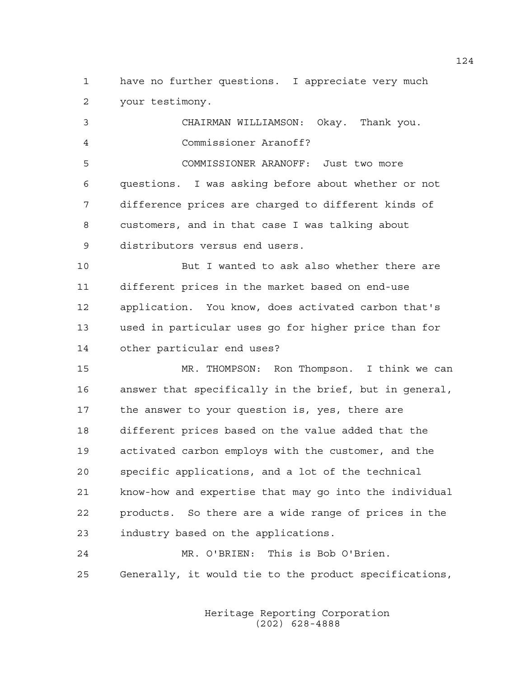1 have no further questions. I appreciate very much 2 your testimony.

3 CHAIRMAN WILLIAMSON: Okay. Thank you. 4 Commissioner Aranoff? 5 COMMISSIONER ARANOFF: Just two more 6 questions. I was asking before about whether or not 7 difference prices are charged to different kinds of 8 customers, and in that case I was talking about 9 distributors versus end users.

10 But I wanted to ask also whether there are 11 different prices in the market based on end-use 12 application. You know, does activated carbon that's 13 used in particular uses go for higher price than for 14 other particular end uses?

15 MR. THOMPSON: Ron Thompson. I think we can 16 answer that specifically in the brief, but in general, 17 the answer to your question is, yes, there are 18 different prices based on the value added that the 19 activated carbon employs with the customer, and the 20 specific applications, and a lot of the technical 21 know-how and expertise that may go into the individual 22 products. So there are a wide range of prices in the 23 industry based on the applications.

24 MR. O'BRIEN: This is Bob O'Brien. 25 Generally, it would tie to the product specifications,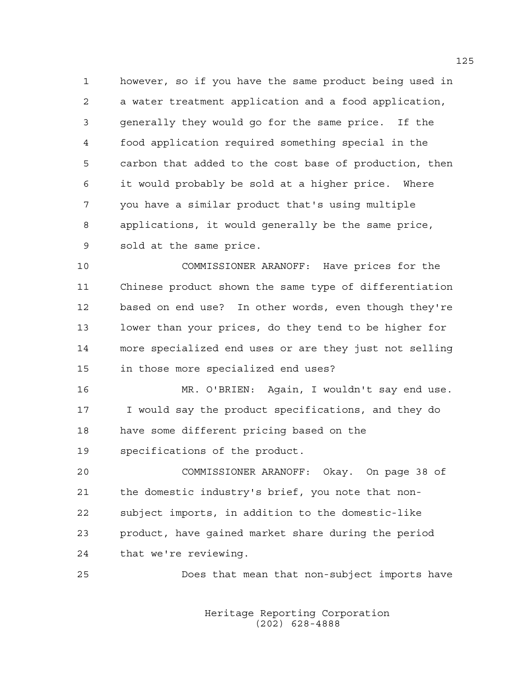1 however, so if you have the same product being used in 2 a water treatment application and a food application, 3 generally they would go for the same price. If the 4 food application required something special in the 5 carbon that added to the cost base of production, then 6 it would probably be sold at a higher price. Where 7 you have a similar product that's using multiple 8 applications, it would generally be the same price, 9 sold at the same price.

10 COMMISSIONER ARANOFF: Have prices for the 11 Chinese product shown the same type of differentiation 12 based on end use? In other words, even though they're 13 lower than your prices, do they tend to be higher for 14 more specialized end uses or are they just not selling 15 in those more specialized end uses?

16 MR. O'BRIEN: Again, I wouldn't say end use. 17 I would say the product specifications, and they do 18 have some different pricing based on the

19 specifications of the product.

20 COMMISSIONER ARANOFF: Okay. On page 38 of 21 the domestic industry's brief, you note that non-22 subject imports, in addition to the domestic-like 23 product, have gained market share during the period 24 that we're reviewing.

25 Does that mean that non-subject imports have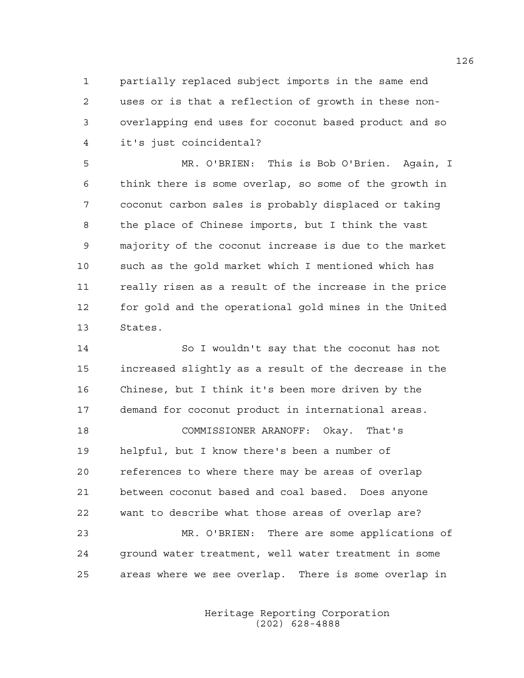1 partially replaced subject imports in the same end 2 uses or is that a reflection of growth in these non-3 overlapping end uses for coconut based product and so 4 it's just coincidental?

5 MR. O'BRIEN: This is Bob O'Brien. Again, I 6 think there is some overlap, so some of the growth in 7 coconut carbon sales is probably displaced or taking 8 the place of Chinese imports, but I think the vast 9 majority of the coconut increase is due to the market 10 such as the gold market which I mentioned which has 11 really risen as a result of the increase in the price 12 for gold and the operational gold mines in the United 13 States.

14 So I wouldn't say that the coconut has not 15 increased slightly as a result of the decrease in the 16 Chinese, but I think it's been more driven by the 17 demand for coconut product in international areas. 18 COMMISSIONER ARANOFF: Okay. That's 19 helpful, but I know there's been a number of 20 references to where there may be areas of overlap 21 between coconut based and coal based. Does anyone 22 want to describe what those areas of overlap are? 23 MR. O'BRIEN: There are some applications of 24 ground water treatment, well water treatment in some 25 areas where we see overlap. There is some overlap in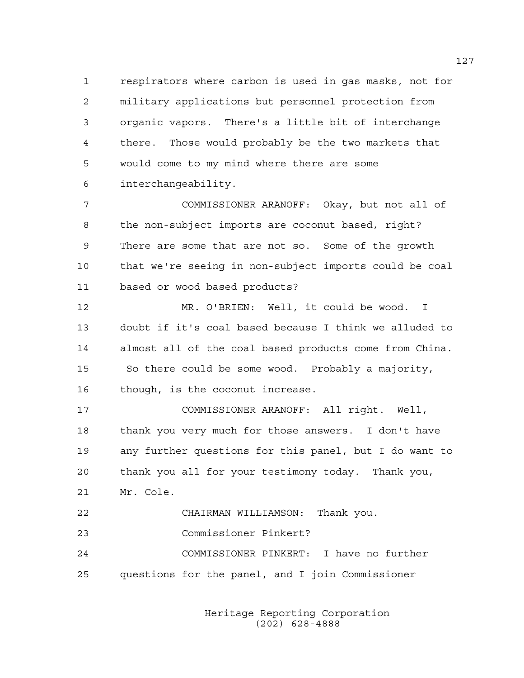1 respirators where carbon is used in gas masks, not for 2 military applications but personnel protection from 3 organic vapors. There's a little bit of interchange 4 there. Those would probably be the two markets that 5 would come to my mind where there are some 6 interchangeability.

7 COMMISSIONER ARANOFF: Okay, but not all of 8 the non-subject imports are coconut based, right? 9 There are some that are not so. Some of the growth 10 that we're seeing in non-subject imports could be coal 11 based or wood based products?

12 MR. O'BRIEN: Well, it could be wood. I 13 doubt if it's coal based because I think we alluded to 14 almost all of the coal based products come from China. 15 So there could be some wood. Probably a majority, 16 though, is the coconut increase.

17 COMMISSIONER ARANOFF: All right. Well, 18 thank you very much for those answers. I don't have 19 any further questions for this panel, but I do want to 20 thank you all for your testimony today. Thank you, 21 Mr. Cole. 22 CHAIRMAN WILLIAMSON: Thank you.

23 Commissioner Pinkert? 24 COMMISSIONER PINKERT: I have no further 25 questions for the panel, and I join Commissioner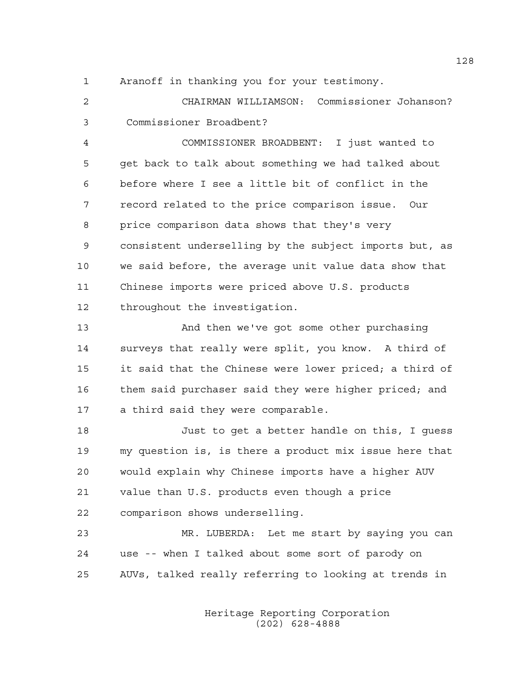1 Aranoff in thanking you for your testimony.

2 CHAIRMAN WILLIAMSON: Commissioner Johanson? 3 Commissioner Broadbent?

4 COMMISSIONER BROADBENT: I just wanted to 5 get back to talk about something we had talked about 6 before where I see a little bit of conflict in the 7 record related to the price comparison issue. Our 8 price comparison data shows that they's very 9 consistent underselling by the subject imports but, as 10 we said before, the average unit value data show that 11 Chinese imports were priced above U.S. products 12 throughout the investigation.

13 And then we've got some other purchasing 14 surveys that really were split, you know. A third of 15 it said that the Chinese were lower priced; a third of 16 them said purchaser said they were higher priced; and 17 a third said they were comparable.

18 Just to get a better handle on this, I guess 19 my question is, is there a product mix issue here that 20 would explain why Chinese imports have a higher AUV 21 value than U.S. products even though a price 22 comparison shows underselling.

23 MR. LUBERDA: Let me start by saying you can 24 use -- when I talked about some sort of parody on 25 AUVs, talked really referring to looking at trends in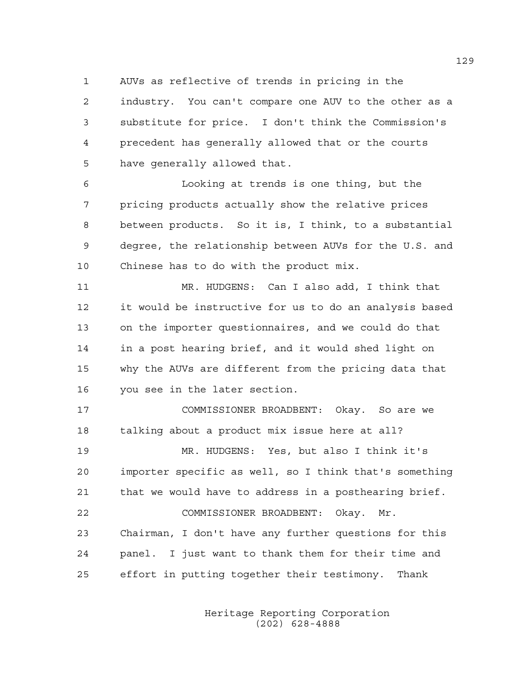1 AUVs as reflective of trends in pricing in the

2 industry. You can't compare one AUV to the other as a 3 substitute for price. I don't think the Commission's 4 precedent has generally allowed that or the courts 5 have generally allowed that.

6 Looking at trends is one thing, but the 7 pricing products actually show the relative prices 8 between products. So it is, I think, to a substantial 9 degree, the relationship between AUVs for the U.S. and 10 Chinese has to do with the product mix.

11 MR. HUDGENS: Can I also add, I think that 12 it would be instructive for us to do an analysis based 13 on the importer questionnaires, and we could do that 14 in a post hearing brief, and it would shed light on 15 why the AUVs are different from the pricing data that 16 you see in the later section.

17 COMMISSIONER BROADBENT: Okay. So are we 18 talking about a product mix issue here at all?

19 MR. HUDGENS: Yes, but also I think it's 20 importer specific as well, so I think that's something 21 that we would have to address in a posthearing brief. 22 COMMISSIONER BROADBENT: Okay. Mr. 23 Chairman, I don't have any further questions for this 24 panel. I just want to thank them for their time and 25 effort in putting together their testimony. Thank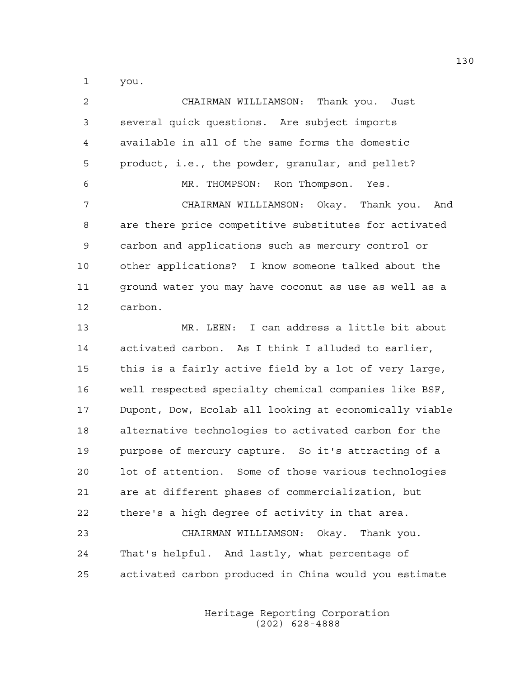1 you.

2 CHAIRMAN WILLIAMSON: Thank you. Just 3 several quick questions. Are subject imports 4 available in all of the same forms the domestic 5 product, i.e., the powder, granular, and pellet? 6 MR. THOMPSON: Ron Thompson. Yes. 7 CHAIRMAN WILLIAMSON: Okay. Thank you. And 8 are there price competitive substitutes for activated 9 carbon and applications such as mercury control or 10 other applications? I know someone talked about the 11 ground water you may have coconut as use as well as a 12 carbon. 13 MR. LEEN: I can address a little bit about 14 activated carbon. As I think I alluded to earlier, 15 this is a fairly active field by a lot of very large, 16 well respected specialty chemical companies like BSF, 17 Dupont, Dow, Ecolab all looking at economically viable 18 alternative technologies to activated carbon for the 19 purpose of mercury capture. So it's attracting of a 20 lot of attention. Some of those various technologies 21 are at different phases of commercialization, but 22 there's a high degree of activity in that area. 23 CHAIRMAN WILLIAMSON: Okay. Thank you. 24 That's helpful. And lastly, what percentage of 25 activated carbon produced in China would you estimate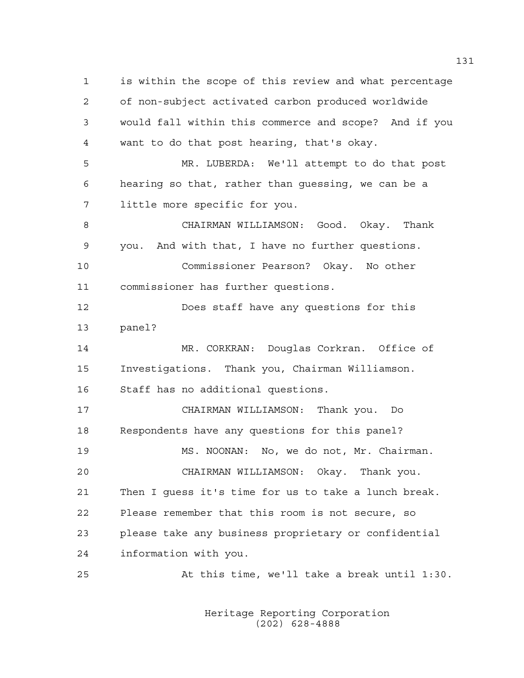1 is within the scope of this review and what percentage 2 of non-subject activated carbon produced worldwide 3 would fall within this commerce and scope? And if you 4 want to do that post hearing, that's okay. 5 MR. LUBERDA: We'll attempt to do that post 6 hearing so that, rather than guessing, we can be a 7 little more specific for you. 8 CHAIRMAN WILLIAMSON: Good. Okay. Thank 9 you. And with that, I have no further questions. 10 Commissioner Pearson? Okay. No other 11 commissioner has further questions. 12 Does staff have any questions for this 13 panel? 14 MR. CORKRAN: Douglas Corkran. Office of 15 Investigations. Thank you, Chairman Williamson. 16 Staff has no additional questions. 17 CHAIRMAN WILLIAMSON: Thank you. Do 18 Respondents have any questions for this panel? 19 MS. NOONAN: No, we do not, Mr. Chairman. 20 CHAIRMAN WILLIAMSON: Okay. Thank you. 21 Then I guess it's time for us to take a lunch break. 22 Please remember that this room is not secure, so 23 please take any business proprietary or confidential 24 information with you. 25 At this time, we'll take a break until 1:30.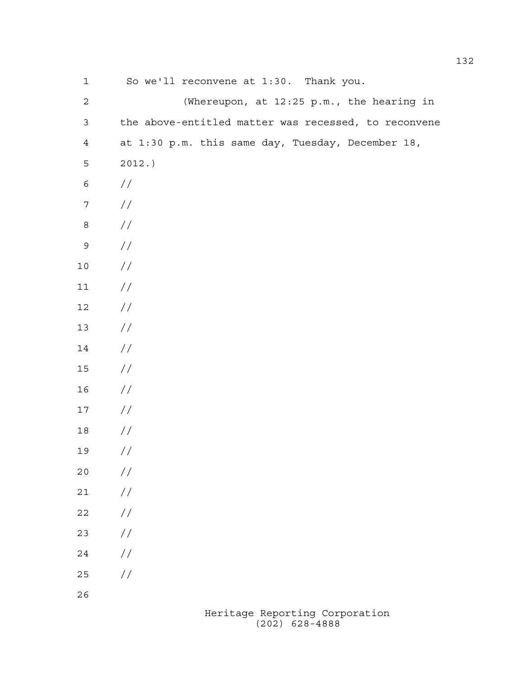| $\mathbf 1$      | So we'll reconvene at 1:30. Thank you.               |
|------------------|------------------------------------------------------|
| $\sqrt{2}$       | (Whereupon, at 12:25 p.m., the hearing in            |
| $\mathfrak{Z}$   | the above-entitled matter was recessed, to reconvene |
| $\overline{4}$   | at 1:30 p.m. this same day, Tuesday, December 18,    |
| 5                | 2012.                                                |
| $\epsilon$       | $\frac{1}{2}$                                        |
| $\boldsymbol{7}$ | //                                                   |
| $\,8\,$          | //                                                   |
| $\mathsf 9$      | //                                                   |
| $10$             | //                                                   |
| $11$             | //                                                   |
| $12\,$           | //                                                   |
| 13               | //                                                   |
| 14               | //                                                   |
| 15               | //                                                   |
| 16               | //                                                   |
| 17               | //                                                   |
| 18               | //                                                   |
| 19               | //                                                   |
| 20               | $\frac{1}{2}$                                        |
| 21               | $\frac{1}{2}$                                        |
| 22               | $\frac{1}{2}$                                        |
| 23               | $\frac{1}{2}$                                        |
| 24               | $\frac{1}{2}$                                        |
| 25               | $\frac{1}{2}$                                        |
| 26               |                                                      |
|                  | Heritage Reporting Corporation                       |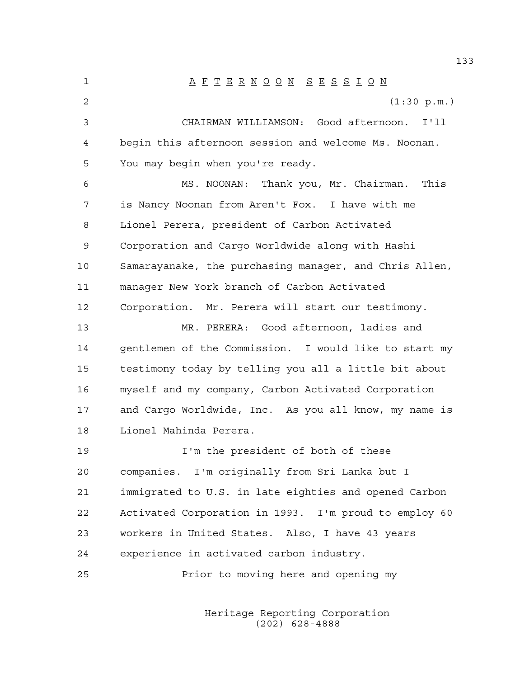1 A F T E R N O O N S E S S I O N 2 (1:30 p.m.) 3 CHAIRMAN WILLIAMSON: Good afternoon. I'll 4 begin this afternoon session and welcome Ms. Noonan. 5 You may begin when you're ready. 6 MS. NOONAN: Thank you, Mr. Chairman. This 7 is Nancy Noonan from Aren't Fox. I have with me 8 Lionel Perera, president of Carbon Activated 9 Corporation and Cargo Worldwide along with Hashi 10 Samarayanake, the purchasing manager, and Chris Allen, 11 manager New York branch of Carbon Activated 12 Corporation. Mr. Perera will start our testimony. 13 MR. PERERA: Good afternoon, ladies and 14 gentlemen of the Commission. I would like to start my 15 testimony today by telling you all a little bit about 16 myself and my company, Carbon Activated Corporation 17 and Cargo Worldwide, Inc. As you all know, my name is 18 Lionel Mahinda Perera. 19 I'm the president of both of these 20 companies. I'm originally from Sri Lanka but I 21 immigrated to U.S. in late eighties and opened Carbon 22 Activated Corporation in 1993. I'm proud to employ 60 23 workers in United States. Also, I have 43 years 24 experience in activated carbon industry. 25 Prior to moving here and opening my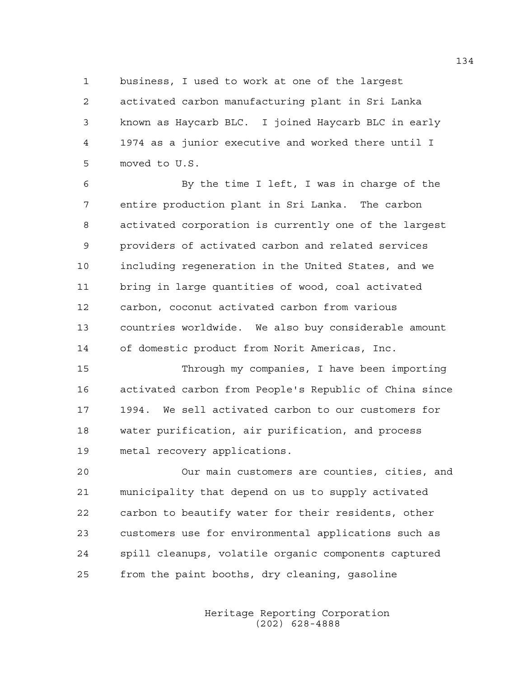1 business, I used to work at one of the largest 2 activated carbon manufacturing plant in Sri Lanka 3 known as Haycarb BLC. I joined Haycarb BLC in early 4 1974 as a junior executive and worked there until I 5 moved to U.S.

6 By the time I left, I was in charge of the 7 entire production plant in Sri Lanka. The carbon 8 activated corporation is currently one of the largest 9 providers of activated carbon and related services 10 including regeneration in the United States, and we 11 bring in large quantities of wood, coal activated 12 carbon, coconut activated carbon from various 13 countries worldwide. We also buy considerable amount 14 of domestic product from Norit Americas, Inc.

15 Through my companies, I have been importing 16 activated carbon from People's Republic of China since 17 1994. We sell activated carbon to our customers for 18 water purification, air purification, and process 19 metal recovery applications.

20 Our main customers are counties, cities, and 21 municipality that depend on us to supply activated 22 carbon to beautify water for their residents, other 23 customers use for environmental applications such as 24 spill cleanups, volatile organic components captured 25 from the paint booths, dry cleaning, gasoline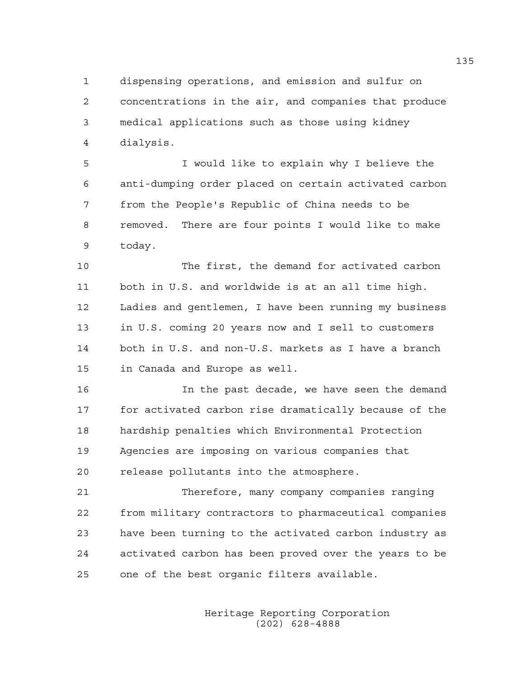1 dispensing operations, and emission and sulfur on 2 concentrations in the air, and companies that produce 3 medical applications such as those using kidney 4 dialysis.

5 I would like to explain why I believe the 6 anti-dumping order placed on certain activated carbon 7 from the People's Republic of China needs to be 8 removed. There are four points I would like to make 9 today.

10 The first, the demand for activated carbon 11 both in U.S. and worldwide is at an all time high. 12 Ladies and gentlemen, I have been running my business 13 in U.S. coming 20 years now and I sell to customers 14 both in U.S. and non-U.S. markets as I have a branch 15 in Canada and Europe as well.

16 In the past decade, we have seen the demand 17 for activated carbon rise dramatically because of the 18 hardship penalties which Environmental Protection 19 Agencies are imposing on various companies that 20 release pollutants into the atmosphere.

21 Therefore, many company companies ranging 22 from military contractors to pharmaceutical companies 23 have been turning to the activated carbon industry as 24 activated carbon has been proved over the years to be 25 one of the best organic filters available.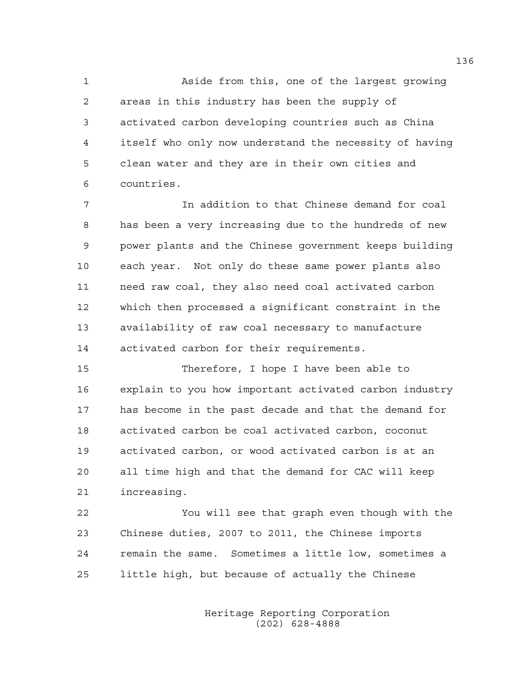1 Aside from this, one of the largest growing 2 areas in this industry has been the supply of 3 activated carbon developing countries such as China 4 itself who only now understand the necessity of having 5 clean water and they are in their own cities and 6 countries.

7 In addition to that Chinese demand for coal 8 has been a very increasing due to the hundreds of new 9 power plants and the Chinese government keeps building 10 each year. Not only do these same power plants also 11 need raw coal, they also need coal activated carbon 12 which then processed a significant constraint in the 13 availability of raw coal necessary to manufacture 14 activated carbon for their requirements.

15 Therefore, I hope I have been able to 16 explain to you how important activated carbon industry 17 has become in the past decade and that the demand for 18 activated carbon be coal activated carbon, coconut 19 activated carbon, or wood activated carbon is at an 20 all time high and that the demand for CAC will keep 21 increasing.

22 You will see that graph even though with the 23 Chinese duties, 2007 to 2011, the Chinese imports 24 remain the same. Sometimes a little low, sometimes a 25 little high, but because of actually the Chinese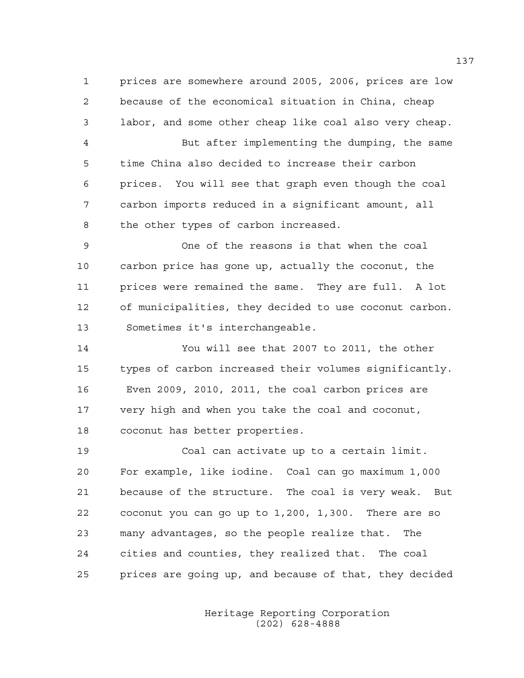1 prices are somewhere around 2005, 2006, prices are low 2 because of the economical situation in China, cheap 3 labor, and some other cheap like coal also very cheap.

4 But after implementing the dumping, the same 5 time China also decided to increase their carbon 6 prices. You will see that graph even though the coal 7 carbon imports reduced in a significant amount, all 8 the other types of carbon increased.

9 One of the reasons is that when the coal 10 carbon price has gone up, actually the coconut, the 11 prices were remained the same. They are full. A lot 12 of municipalities, they decided to use coconut carbon. 13 Sometimes it's interchangeable.

14 You will see that 2007 to 2011, the other 15 types of carbon increased their volumes significantly. 16 Even 2009, 2010, 2011, the coal carbon prices are 17 very high and when you take the coal and coconut, 18 coconut has better properties.

19 Coal can activate up to a certain limit. 20 For example, like iodine. Coal can go maximum 1,000 21 because of the structure. The coal is very weak. But 22 coconut you can go up to 1,200, 1,300. There are so 23 many advantages, so the people realize that. The 24 cities and counties, they realized that. The coal 25 prices are going up, and because of that, they decided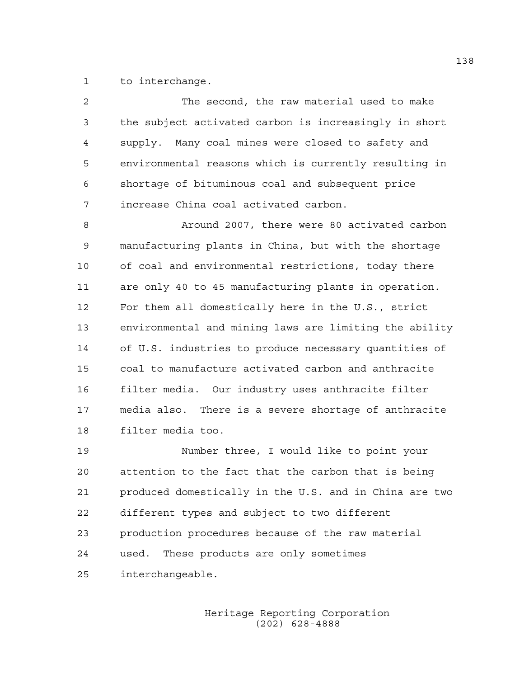1 to interchange.

| $\overline{2}$ | The second, the raw material used to make              |
|----------------|--------------------------------------------------------|
| 3              | the subject activated carbon is increasingly in short  |
| $\overline{4}$ | supply. Many coal mines were closed to safety and      |
| 5              | environmental reasons which is currently resulting in  |
| 6              | shortage of bituminous coal and subsequent price       |
| 7              | increase China coal activated carbon.                  |
| 8              | Around 2007, there were 80 activated carbon            |
| 9              | manufacturing plants in China, but with the shortage   |
| 10             | of coal and environmental restrictions, today there    |
| 11             | are only 40 to 45 manufacturing plants in operation.   |
| 12             | For them all domestically here in the U.S., strict     |
| 13             | environmental and mining laws are limiting the ability |
| 14             | of U.S. industries to produce necessary quantities of  |
| 15             | coal to manufacture activated carbon and anthracite    |
| 16             | filter media. Our industry uses anthracite filter      |
| 17             | media also. There is a severe shortage of anthracite   |
| 18             | filter media too.                                      |
| 19             | Number three, I would like to point your               |
| 20             | attention to the fact that the carbon that is being    |
| 21             | produced domestically in the U.S. and in China are two |
| 22             | different types and subject to two different           |

23 production procedures because of the raw material

24 used. These products are only sometimes

25 interchangeable.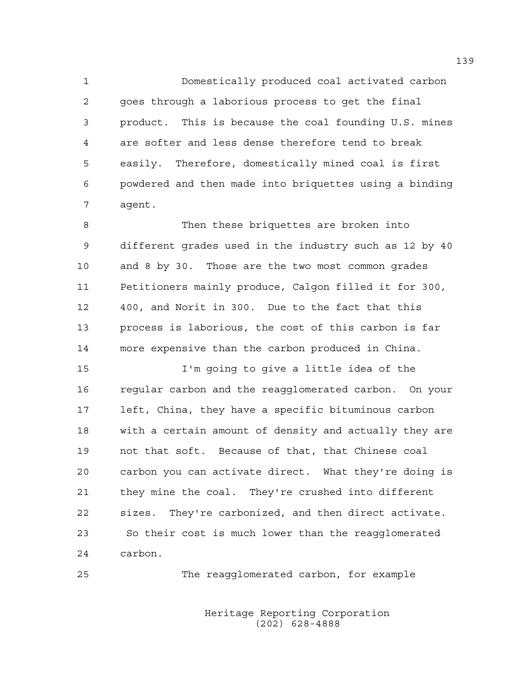1 Domestically produced coal activated carbon 2 goes through a laborious process to get the final 3 product. This is because the coal founding U.S. mines 4 are softer and less dense therefore tend to break 5 easily. Therefore, domestically mined coal is first 6 powdered and then made into briquettes using a binding 7 agent.

8 Then these briquettes are broken into 9 different grades used in the industry such as 12 by 40 10 and 8 by 30. Those are the two most common grades 11 Petitioners mainly produce, Calgon filled it for 300, 12 400, and Norit in 300. Due to the fact that this 13 process is laborious, the cost of this carbon is far 14 more expensive than the carbon produced in China.

15 I'm going to give a little idea of the 16 regular carbon and the reagglomerated carbon. On your 17 left, China, they have a specific bituminous carbon 18 with a certain amount of density and actually they are 19 not that soft. Because of that, that Chinese coal 20 carbon you can activate direct. What they're doing is 21 they mine the coal. They're crushed into different 22 sizes. They're carbonized, and then direct activate. 23 So their cost is much lower than the reagglomerated 24 carbon.

25 The reagglomerated carbon, for example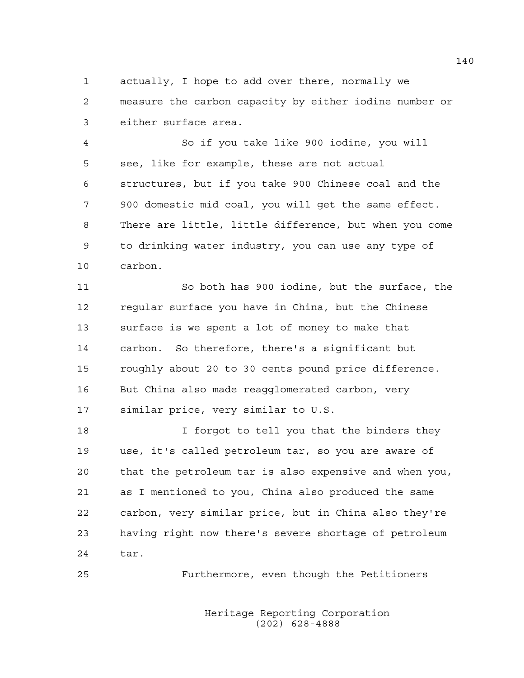1 actually, I hope to add over there, normally we 2 measure the carbon capacity by either iodine number or 3 either surface area.

4 So if you take like 900 iodine, you will 5 see, like for example, these are not actual 6 structures, but if you take 900 Chinese coal and the 7 900 domestic mid coal, you will get the same effect. 8 There are little, little difference, but when you come 9 to drinking water industry, you can use any type of 10 carbon.

11 So both has 900 iodine, but the surface, the 12 regular surface you have in China, but the Chinese 13 surface is we spent a lot of money to make that 14 carbon. So therefore, there's a significant but 15 roughly about 20 to 30 cents pound price difference. 16 But China also made reagglomerated carbon, very 17 similar price, very similar to U.S.

18 I forgot to tell you that the binders they 19 use, it's called petroleum tar, so you are aware of 20 that the petroleum tar is also expensive and when you, 21 as I mentioned to you, China also produced the same 22 carbon, very similar price, but in China also they're 23 having right now there's severe shortage of petroleum 24 tar.

25 Furthermore, even though the Petitioners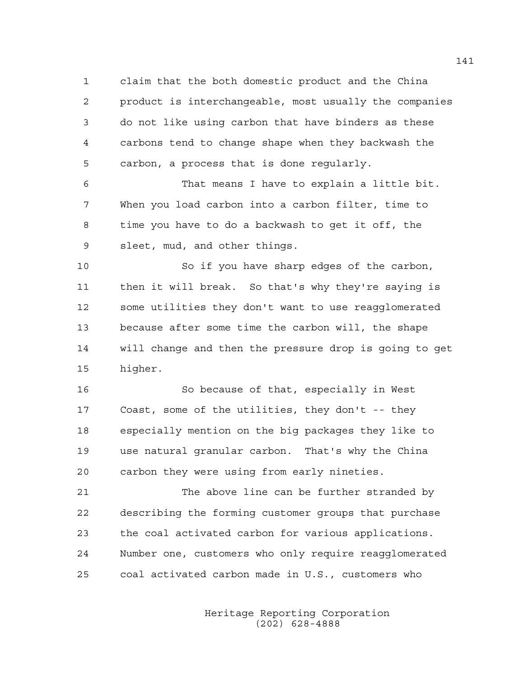1 claim that the both domestic product and the China 2 product is interchangeable, most usually the companies 3 do not like using carbon that have binders as these 4 carbons tend to change shape when they backwash the 5 carbon, a process that is done regularly.

6 That means I have to explain a little bit. 7 When you load carbon into a carbon filter, time to 8 time you have to do a backwash to get it off, the 9 sleet, mud, and other things.

10 So if you have sharp edges of the carbon, 11 then it will break. So that's why they're saying is 12 some utilities they don't want to use reagglomerated 13 because after some time the carbon will, the shape 14 will change and then the pressure drop is going to get 15 higher.

16 So because of that, especially in West 17 Coast, some of the utilities, they don't -- they 18 especially mention on the big packages they like to 19 use natural granular carbon. That's why the China 20 carbon they were using from early nineties.

21 The above line can be further stranded by 22 describing the forming customer groups that purchase 23 the coal activated carbon for various applications. 24 Number one, customers who only require reagglomerated 25 coal activated carbon made in U.S., customers who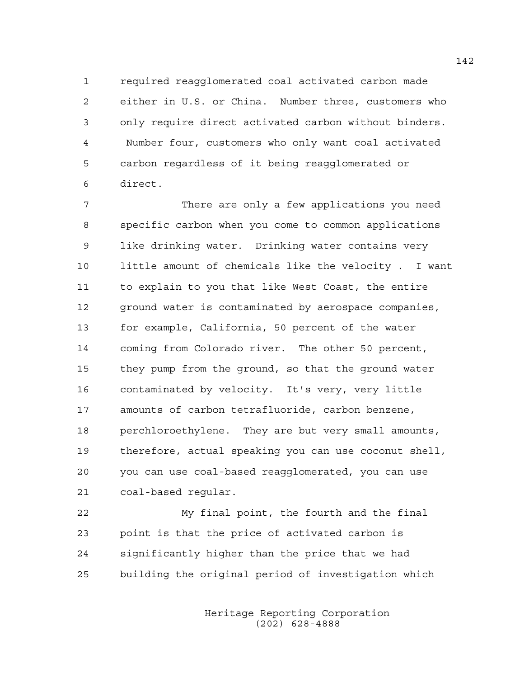1 required reagglomerated coal activated carbon made 2 either in U.S. or China. Number three, customers who 3 only require direct activated carbon without binders. 4 Number four, customers who only want coal activated 5 carbon regardless of it being reagglomerated or 6 direct.

7 There are only a few applications you need 8 specific carbon when you come to common applications 9 like drinking water. Drinking water contains very 10 little amount of chemicals like the velocity . I want 11 to explain to you that like West Coast, the entire 12 ground water is contaminated by aerospace companies, 13 for example, California, 50 percent of the water 14 coming from Colorado river. The other 50 percent, 15 they pump from the ground, so that the ground water 16 contaminated by velocity. It's very, very little 17 amounts of carbon tetrafluoride, carbon benzene, 18 perchloroethylene. They are but very small amounts, 19 therefore, actual speaking you can use coconut shell, 20 you can use coal-based reagglomerated, you can use 21 coal-based regular.

22 My final point, the fourth and the final 23 point is that the price of activated carbon is 24 significantly higher than the price that we had 25 building the original period of investigation which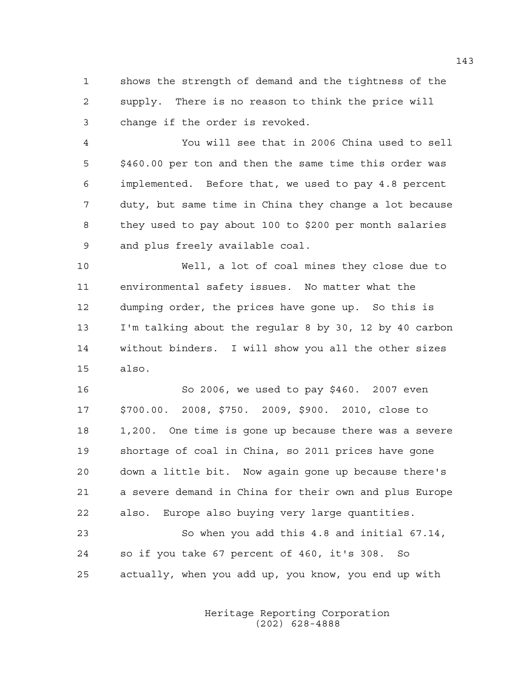1 shows the strength of demand and the tightness of the 2 supply. There is no reason to think the price will 3 change if the order is revoked.

4 You will see that in 2006 China used to sell 5 \$460.00 per ton and then the same time this order was 6 implemented. Before that, we used to pay 4.8 percent 7 duty, but same time in China they change a lot because 8 they used to pay about 100 to \$200 per month salaries 9 and plus freely available coal.

10 Well, a lot of coal mines they close due to 11 environmental safety issues. No matter what the 12 dumping order, the prices have gone up. So this is 13 I'm talking about the regular 8 by 30, 12 by 40 carbon 14 without binders. I will show you all the other sizes 15 also.

16 So 2006, we used to pay \$460. 2007 even 17 \$700.00. 2008, \$750. 2009, \$900. 2010, close to 18 1,200. One time is gone up because there was a severe 19 shortage of coal in China, so 2011 prices have gone 20 down a little bit. Now again gone up because there's 21 a severe demand in China for their own and plus Europe 22 also. Europe also buying very large quantities. 23 So when you add this 4.8 and initial 67.14,

24 so if you take 67 percent of 460, it's 308. So 25 actually, when you add up, you know, you end up with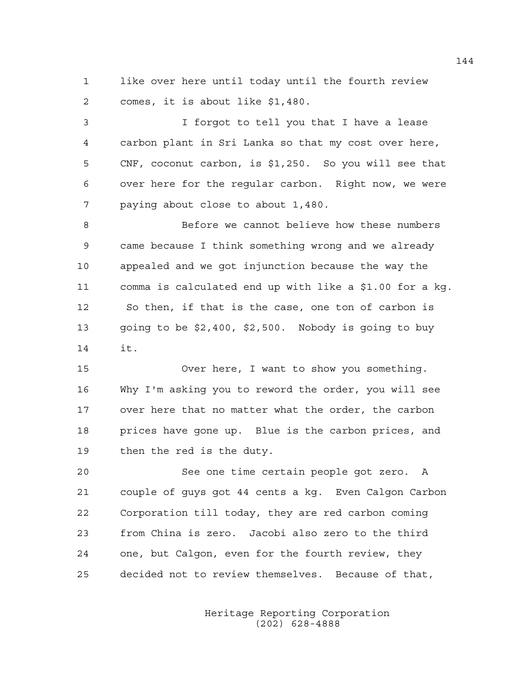1 like over here until today until the fourth review 2 comes, it is about like \$1,480.

3 I forgot to tell you that I have a lease 4 carbon plant in Sri Lanka so that my cost over here, 5 CNF, coconut carbon, is \$1,250. So you will see that 6 over here for the regular carbon. Right now, we were 7 paying about close to about 1,480.

8 Before we cannot believe how these numbers 9 came because I think something wrong and we already 10 appealed and we got injunction because the way the 11 comma is calculated end up with like a \$1.00 for a kg. 12 So then, if that is the case, one ton of carbon is 13 going to be \$2,400, \$2,500. Nobody is going to buy 14 it.

15 Over here, I want to show you something. 16 Why I'm asking you to reword the order, you will see 17 over here that no matter what the order, the carbon 18 prices have gone up. Blue is the carbon prices, and 19 then the red is the duty.

20 See one time certain people got zero. A 21 couple of guys got 44 cents a kg. Even Calgon Carbon 22 Corporation till today, they are red carbon coming 23 from China is zero. Jacobi also zero to the third 24 one, but Calgon, even for the fourth review, they 25 decided not to review themselves. Because of that,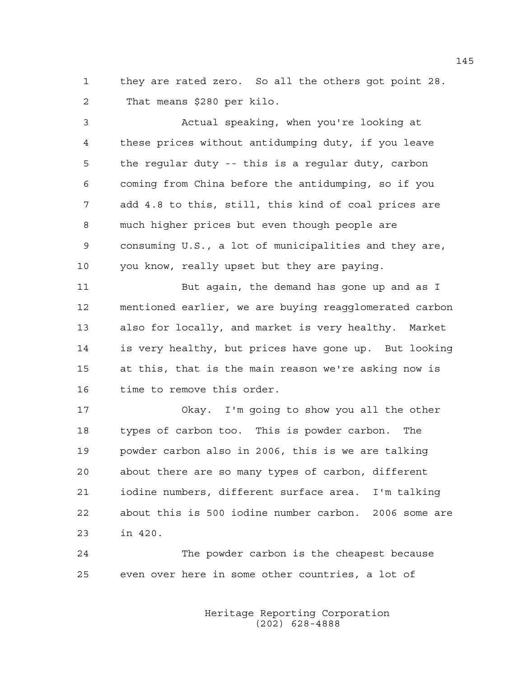1 they are rated zero. So all the others got point 28. 2 That means \$280 per kilo.

3 Actual speaking, when you're looking at 4 these prices without antidumping duty, if you leave 5 the regular duty -- this is a regular duty, carbon 6 coming from China before the antidumping, so if you 7 add 4.8 to this, still, this kind of coal prices are 8 much higher prices but even though people are 9 consuming U.S., a lot of municipalities and they are, 10 you know, really upset but they are paying.

11 But again, the demand has gone up and as I 12 mentioned earlier, we are buying reagglomerated carbon 13 also for locally, and market is very healthy. Market 14 is very healthy, but prices have gone up. But looking 15 at this, that is the main reason we're asking now is 16 time to remove this order.

17 Okay. I'm going to show you all the other 18 types of carbon too. This is powder carbon. The 19 powder carbon also in 2006, this is we are talking 20 about there are so many types of carbon, different 21 iodine numbers, different surface area. I'm talking 22 about this is 500 iodine number carbon. 2006 some are 23 in 420.

24 The powder carbon is the cheapest because 25 even over here in some other countries, a lot of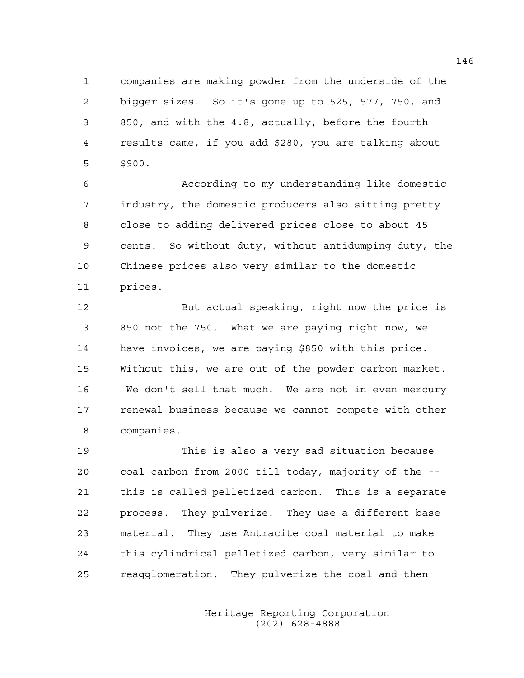1 companies are making powder from the underside of the 2 bigger sizes. So it's gone up to 525, 577, 750, and 3 850, and with the 4.8, actually, before the fourth 4 results came, if you add \$280, you are talking about 5 \$900.

6 According to my understanding like domestic 7 industry, the domestic producers also sitting pretty 8 close to adding delivered prices close to about 45 9 cents. So without duty, without antidumping duty, the 10 Chinese prices also very similar to the domestic 11 prices.

12 But actual speaking, right now the price is 13 850 not the 750. What we are paying right now, we 14 have invoices, we are paying \$850 with this price. 15 Without this, we are out of the powder carbon market. 16 We don't sell that much. We are not in even mercury 17 renewal business because we cannot compete with other 18 companies.

19 This is also a very sad situation because 20 coal carbon from 2000 till today, majority of the -- 21 this is called pelletized carbon. This is a separate 22 process. They pulverize. They use a different base 23 material. They use Antracite coal material to make 24 this cylindrical pelletized carbon, very similar to 25 reagglomeration. They pulverize the coal and then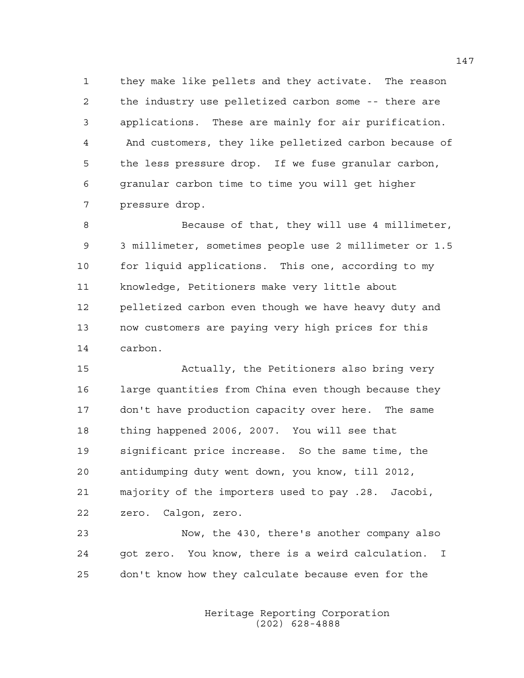1 they make like pellets and they activate. The reason 2 the industry use pelletized carbon some -- there are 3 applications. These are mainly for air purification. 4 And customers, they like pelletized carbon because of 5 the less pressure drop. If we fuse granular carbon, 6 granular carbon time to time you will get higher 7 pressure drop.

8 Because of that, they will use 4 millimeter, 9 3 millimeter, sometimes people use 2 millimeter or 1.5 10 for liquid applications. This one, according to my 11 knowledge, Petitioners make very little about 12 pelletized carbon even though we have heavy duty and 13 now customers are paying very high prices for this 14 carbon.

15 Actually, the Petitioners also bring very 16 large quantities from China even though because they 17 don't have production capacity over here. The same 18 thing happened 2006, 2007. You will see that 19 significant price increase. So the same time, the 20 antidumping duty went down, you know, till 2012, 21 majority of the importers used to pay .28. Jacobi, 22 zero. Calgon, zero.

23 Now, the 430, there's another company also 24 got zero. You know, there is a weird calculation. I 25 don't know how they calculate because even for the

> Heritage Reporting Corporation (202) 628-4888

147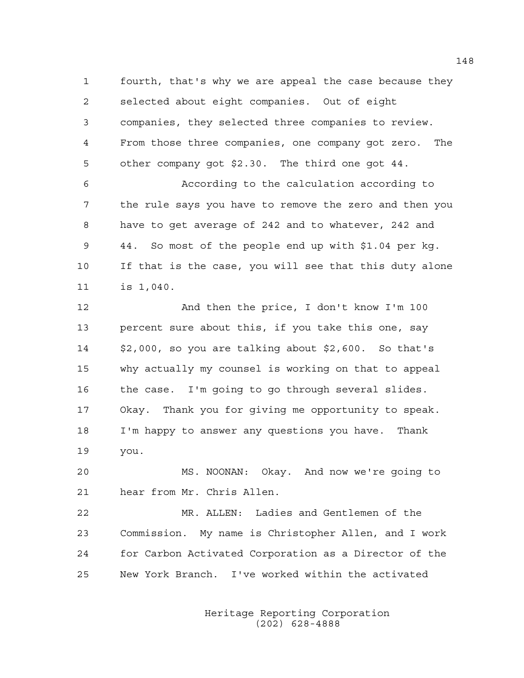1 fourth, that's why we are appeal the case because they 2 selected about eight companies. Out of eight 3 companies, they selected three companies to review. 4 From those three companies, one company got zero. The 5 other company got \$2.30. The third one got 44.

6 According to the calculation according to 7 the rule says you have to remove the zero and then you 8 have to get average of 242 and to whatever, 242 and 9 44. So most of the people end up with \$1.04 per kg. 10 If that is the case, you will see that this duty alone 11 is 1,040.

12 And then the price, I don't know I'm 100 13 percent sure about this, if you take this one, say 14 \$2,000, so you are talking about \$2,600. So that's 15 why actually my counsel is working on that to appeal 16 the case. I'm going to go through several slides. 17 Okay. Thank you for giving me opportunity to speak. 18 I'm happy to answer any questions you have. Thank 19 you.

20 MS. NOONAN: Okay. And now we're going to 21 hear from Mr. Chris Allen.

22 MR. ALLEN: Ladies and Gentlemen of the 23 Commission. My name is Christopher Allen, and I work 24 for Carbon Activated Corporation as a Director of the 25 New York Branch. I've worked within the activated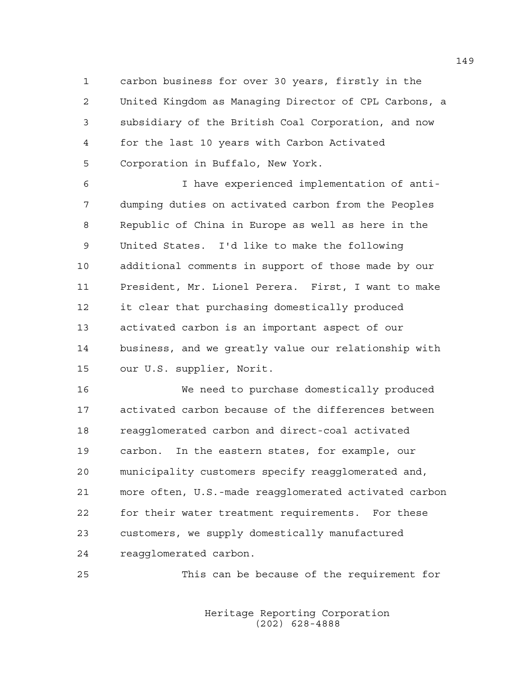1 carbon business for over 30 years, firstly in the 2 United Kingdom as Managing Director of CPL Carbons, a 3 subsidiary of the British Coal Corporation, and now 4 for the last 10 years with Carbon Activated 5 Corporation in Buffalo, New York.

6 I have experienced implementation of anti-7 dumping duties on activated carbon from the Peoples 8 Republic of China in Europe as well as here in the 9 United States. I'd like to make the following 10 additional comments in support of those made by our 11 President, Mr. Lionel Perera. First, I want to make 12 it clear that purchasing domestically produced 13 activated carbon is an important aspect of our 14 business, and we greatly value our relationship with 15 our U.S. supplier, Norit.

16 We need to purchase domestically produced 17 activated carbon because of the differences between 18 reagglomerated carbon and direct-coal activated 19 carbon. In the eastern states, for example, our 20 municipality customers specify reagglomerated and, 21 more often, U.S.-made reagglomerated activated carbon 22 for their water treatment requirements. For these 23 customers, we supply domestically manufactured 24 reagglomerated carbon.

25 This can be because of the requirement for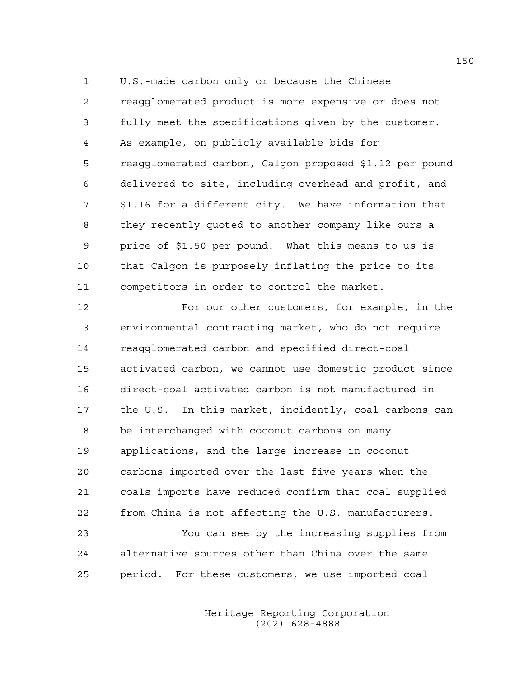1 U.S.-made carbon only or because the Chinese 2 reagglomerated product is more expensive or does not 3 fully meet the specifications given by the customer. 4 As example, on publicly available bids for 5 reagglomerated carbon, Calgon proposed \$1.12 per pound 6 delivered to site, including overhead and profit, and 7 \$1.16 for a different city. We have information that 8 they recently quoted to another company like ours a 9 price of \$1.50 per pound. What this means to us is 10 that Calgon is purposely inflating the price to its 11 competitors in order to control the market.

12 For our other customers, for example, in the 13 environmental contracting market, who do not require 14 reagglomerated carbon and specified direct-coal 15 activated carbon, we cannot use domestic product since 16 direct-coal activated carbon is not manufactured in 17 the U.S. In this market, incidently, coal carbons can 18 be interchanged with coconut carbons on many 19 applications, and the large increase in coconut 20 carbons imported over the last five years when the 21 coals imports have reduced confirm that coal supplied 22 from China is not affecting the U.S. manufacturers.

23 You can see by the increasing supplies from 24 alternative sources other than China over the same 25 period. For these customers, we use imported coal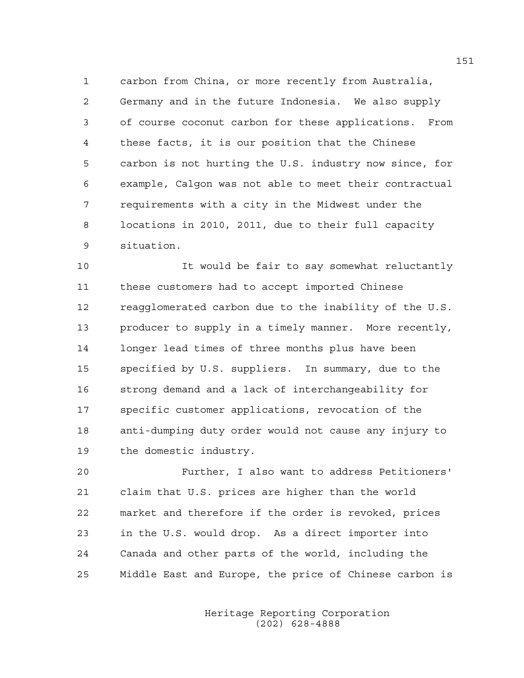1 carbon from China, or more recently from Australia, 2 Germany and in the future Indonesia. We also supply 3 of course coconut carbon for these applications. From 4 these facts, it is our position that the Chinese 5 carbon is not hurting the U.S. industry now since, for 6 example, Calgon was not able to meet their contractual 7 requirements with a city in the Midwest under the 8 locations in 2010, 2011, due to their full capacity 9 situation.

10 It would be fair to say somewhat reluctantly 11 these customers had to accept imported Chinese 12 reagglomerated carbon due to the inability of the U.S. 13 producer to supply in a timely manner. More recently, 14 longer lead times of three months plus have been 15 specified by U.S. suppliers. In summary, due to the 16 strong demand and a lack of interchangeability for 17 specific customer applications, revocation of the 18 anti-dumping duty order would not cause any injury to 19 the domestic industry.

20 Further, I also want to address Petitioners' 21 claim that U.S. prices are higher than the world 22 market and therefore if the order is revoked, prices 23 in the U.S. would drop. As a direct importer into 24 Canada and other parts of the world, including the 25 Middle East and Europe, the price of Chinese carbon is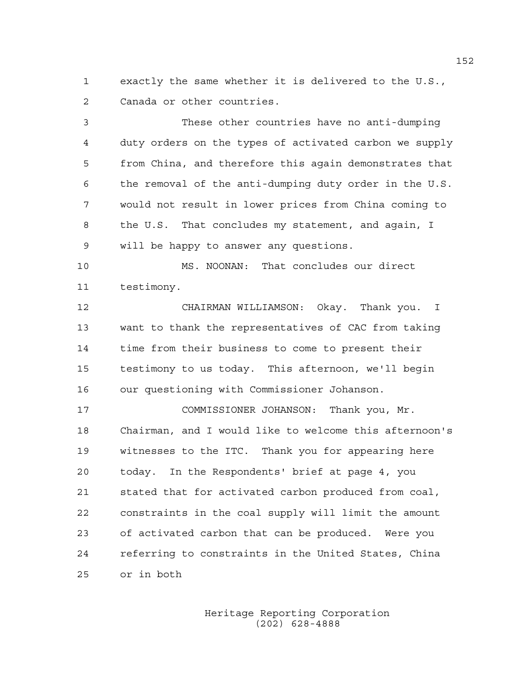1 exactly the same whether it is delivered to the U.S., 2 Canada or other countries.

3 These other countries have no anti-dumping 4 duty orders on the types of activated carbon we supply 5 from China, and therefore this again demonstrates that 6 the removal of the anti-dumping duty order in the U.S. 7 would not result in lower prices from China coming to 8 the U.S. That concludes my statement, and again, I 9 will be happy to answer any questions.

10 MS. NOONAN: That concludes our direct 11 testimony.

12 CHAIRMAN WILLIAMSON: Okay. Thank you. I 13 want to thank the representatives of CAC from taking 14 time from their business to come to present their 15 testimony to us today. This afternoon, we'll begin 16 our questioning with Commissioner Johanson.

17 COMMISSIONER JOHANSON: Thank you, Mr. 18 Chairman, and I would like to welcome this afternoon's 19 witnesses to the ITC. Thank you for appearing here 20 today. In the Respondents' brief at page 4, you 21 stated that for activated carbon produced from coal, 22 constraints in the coal supply will limit the amount 23 of activated carbon that can be produced. Were you 24 referring to constraints in the United States, China 25 or in both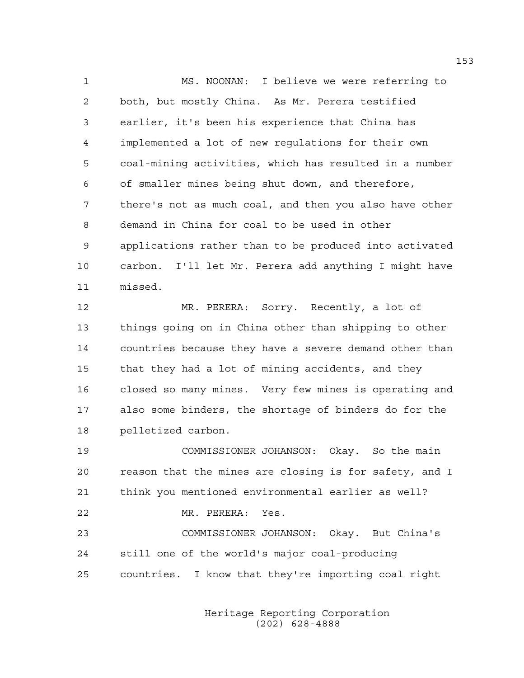1 MS. NOONAN: I believe we were referring to 2 both, but mostly China. As Mr. Perera testified 3 earlier, it's been his experience that China has 4 implemented a lot of new regulations for their own 5 coal-mining activities, which has resulted in a number 6 of smaller mines being shut down, and therefore, 7 there's not as much coal, and then you also have other 8 demand in China for coal to be used in other 9 applications rather than to be produced into activated 10 carbon. I'll let Mr. Perera add anything I might have 11 missed.

12 MR. PERERA: Sorry. Recently, a lot of 13 things going on in China other than shipping to other 14 countries because they have a severe demand other than 15 that they had a lot of mining accidents, and they 16 closed so many mines. Very few mines is operating and 17 also some binders, the shortage of binders do for the 18 pelletized carbon.

19 COMMISSIONER JOHANSON: Okay. So the main 20 reason that the mines are closing is for safety, and I 21 think you mentioned environmental earlier as well? 22 MR. PERERA: Yes. 23 COMMISSIONER JOHANSON: Okay. But China's 24 still one of the world's major coal-producing 25 countries. I know that they're importing coal right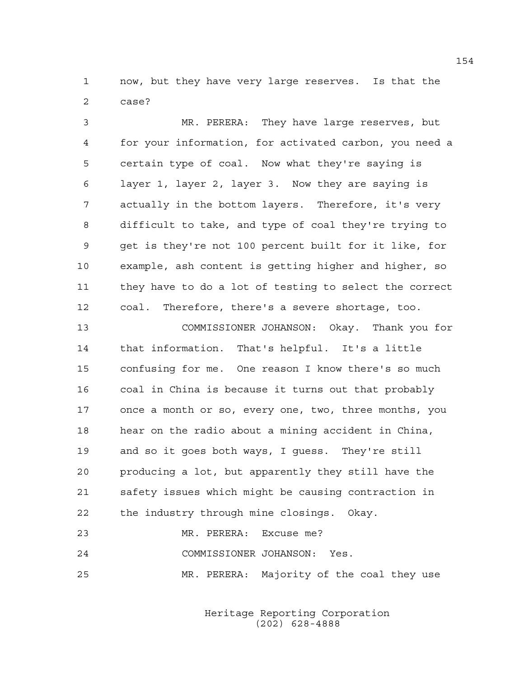1 now, but they have very large reserves. Is that the 2 case?

3 MR. PERERA: They have large reserves, but 4 for your information, for activated carbon, you need a 5 certain type of coal. Now what they're saying is 6 layer 1, layer 2, layer 3. Now they are saying is 7 actually in the bottom layers. Therefore, it's very 8 difficult to take, and type of coal they're trying to 9 get is they're not 100 percent built for it like, for 10 example, ash content is getting higher and higher, so 11 they have to do a lot of testing to select the correct 12 coal. Therefore, there's a severe shortage, too.

13 COMMISSIONER JOHANSON: Okay. Thank you for 14 that information. That's helpful. It's a little 15 confusing for me. One reason I know there's so much 16 coal in China is because it turns out that probably 17 once a month or so, every one, two, three months, you 18 hear on the radio about a mining accident in China, 19 and so it goes both ways, I guess. They're still 20 producing a lot, but apparently they still have the 21 safety issues which might be causing contraction in 22 the industry through mine closings. Okay.

## 23 MR. PERERA: Excuse me? 24 COMMISSIONER JOHANSON: Yes. 25 MR. PERERA: Majority of the coal they use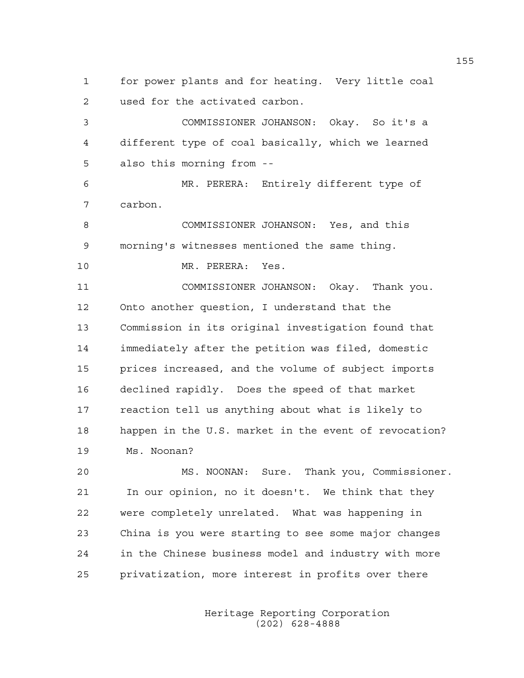1 for power plants and for heating. Very little coal 2 used for the activated carbon.

3 COMMISSIONER JOHANSON: Okay. So it's a 4 different type of coal basically, which we learned 5 also this morning from --

6 MR. PERERA: Entirely different type of 7 carbon.

8 COMMISSIONER JOHANSON: Yes, and this 9 morning's witnesses mentioned the same thing.

10 MR. PERERA: Yes.

11 COMMISSIONER JOHANSON: Okay. Thank you. 12 Onto another question, I understand that the 13 Commission in its original investigation found that 14 immediately after the petition was filed, domestic 15 prices increased, and the volume of subject imports 16 declined rapidly. Does the speed of that market 17 reaction tell us anything about what is likely to 18 happen in the U.S. market in the event of revocation? 19 Ms. Noonan?

20 MS. NOONAN: Sure. Thank you, Commissioner. 21 In our opinion, no it doesn't. We think that they 22 were completely unrelated. What was happening in 23 China is you were starting to see some major changes 24 in the Chinese business model and industry with more 25 privatization, more interest in profits over there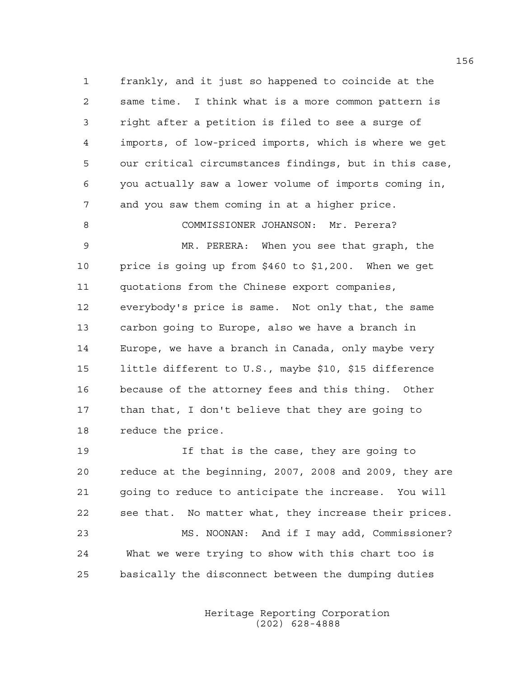1 frankly, and it just so happened to coincide at the 2 same time. I think what is a more common pattern is 3 right after a petition is filed to see a surge of 4 imports, of low-priced imports, which is where we get 5 our critical circumstances findings, but in this case, 6 you actually saw a lower volume of imports coming in, 7 and you saw them coming in at a higher price.

8 COMMISSIONER JOHANSON: Mr. Perera? 9 MR. PERERA: When you see that graph, the 10 price is going up from \$460 to \$1,200. When we get 11 quotations from the Chinese export companies, 12 everybody's price is same. Not only that, the same 13 carbon going to Europe, also we have a branch in 14 Europe, we have a branch in Canada, only maybe very 15 little different to U.S., maybe \$10, \$15 difference 16 because of the attorney fees and this thing. Other 17 than that, I don't believe that they are going to 18 reduce the price.

19 If that is the case, they are going to 20 reduce at the beginning, 2007, 2008 and 2009, they are 21 going to reduce to anticipate the increase. You will 22 see that. No matter what, they increase their prices. 23 MS. NOONAN: And if I may add, Commissioner? 24 What we were trying to show with this chart too is 25 basically the disconnect between the dumping duties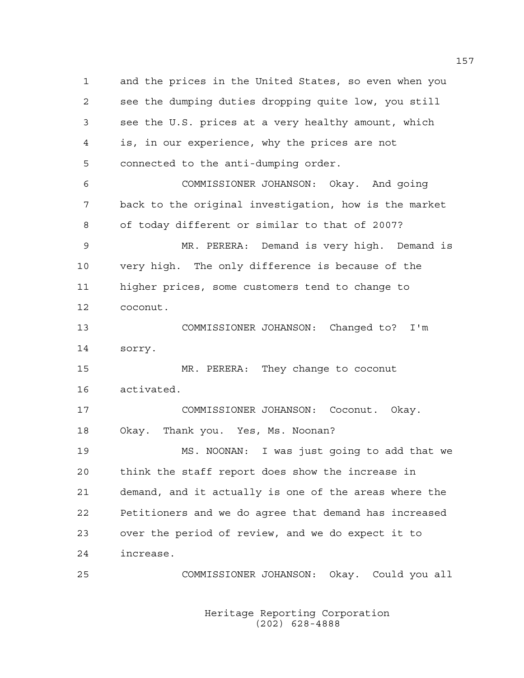1 and the prices in the United States, so even when you 2 see the dumping duties dropping quite low, you still 3 see the U.S. prices at a very healthy amount, which 4 is, in our experience, why the prices are not 5 connected to the anti-dumping order. 6 COMMISSIONER JOHANSON: Okay. And going 7 back to the original investigation, how is the market 8 of today different or similar to that of 2007? 9 MR. PERERA: Demand is very high. Demand is 10 very high. The only difference is because of the 11 higher prices, some customers tend to change to 12 coconut. 13 COMMISSIONER JOHANSON: Changed to? I'm 14 sorry. 15 MR. PERERA: They change to coconut 16 activated. 17 COMMISSIONER JOHANSON: Coconut. Okay. 18 Okay. Thank you. Yes, Ms. Noonan? 19 MS. NOONAN: I was just going to add that we 20 think the staff report does show the increase in 21 demand, and it actually is one of the areas where the 22 Petitioners and we do agree that demand has increased 23 over the period of review, and we do expect it to 24 increase. 25 COMMISSIONER JOHANSON: Okay. Could you all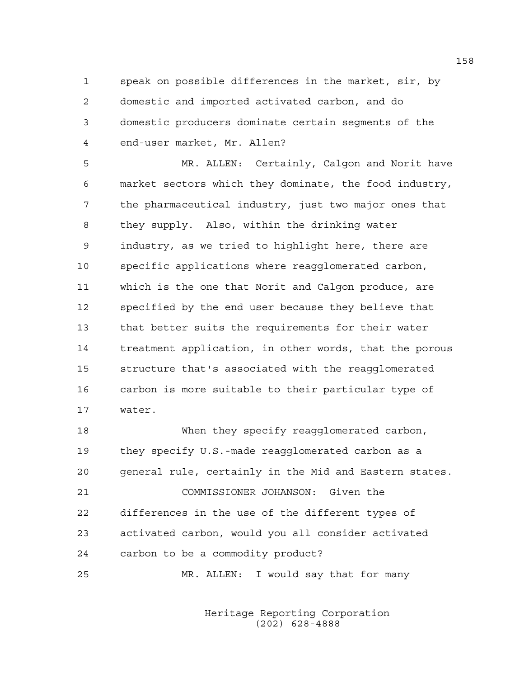1 speak on possible differences in the market, sir, by 2 domestic and imported activated carbon, and do 3 domestic producers dominate certain segments of the 4 end-user market, Mr. Allen?

5 MR. ALLEN: Certainly, Calgon and Norit have 6 market sectors which they dominate, the food industry, 7 the pharmaceutical industry, just two major ones that 8 they supply. Also, within the drinking water 9 industry, as we tried to highlight here, there are 10 specific applications where reagglomerated carbon, 11 which is the one that Norit and Calgon produce, are 12 specified by the end user because they believe that 13 that better suits the requirements for their water 14 treatment application, in other words, that the porous 15 structure that's associated with the reagglomerated 16 carbon is more suitable to their particular type of 17 water.

18 When they specify reagglomerated carbon, 19 they specify U.S.-made reagglomerated carbon as a 20 general rule, certainly in the Mid and Eastern states. 21 COMMISSIONER JOHANSON: Given the 22 differences in the use of the different types of 23 activated carbon, would you all consider activated 24 carbon to be a commodity product? 25 MR. ALLEN: I would say that for many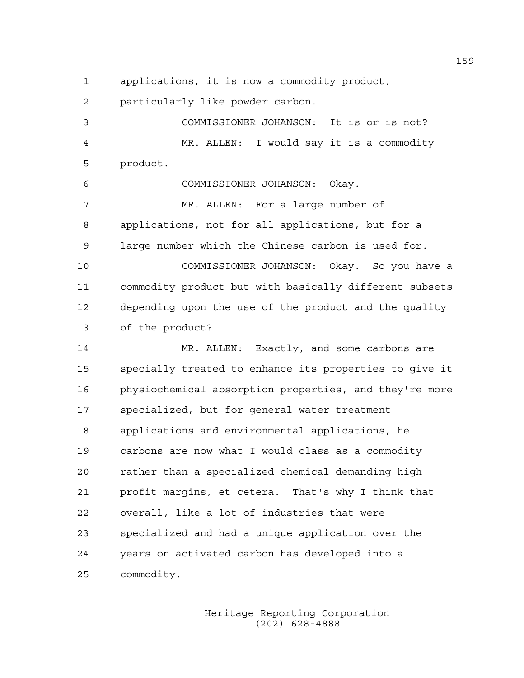1 applications, it is now a commodity product,

2 particularly like powder carbon.

3 COMMISSIONER JOHANSON: It is or is not? 4 MR. ALLEN: I would say it is a commodity 5 product. 6 COMMISSIONER JOHANSON: Okay. 7 MR. ALLEN: For a large number of 8 applications, not for all applications, but for a 9 large number which the Chinese carbon is used for. 10 COMMISSIONER JOHANSON: Okay. So you have a 11 commodity product but with basically different subsets 12 depending upon the use of the product and the quality 13 of the product? 14 MR. ALLEN: Exactly, and some carbons are 15 specially treated to enhance its properties to give it 16 physiochemical absorption properties, and they're more 17 specialized, but for general water treatment 18 applications and environmental applications, he 19 carbons are now what I would class as a commodity 20 rather than a specialized chemical demanding high 21 profit margins, et cetera. That's why I think that 22 overall, like a lot of industries that were 23 specialized and had a unique application over the 24 years on activated carbon has developed into a 25 commodity.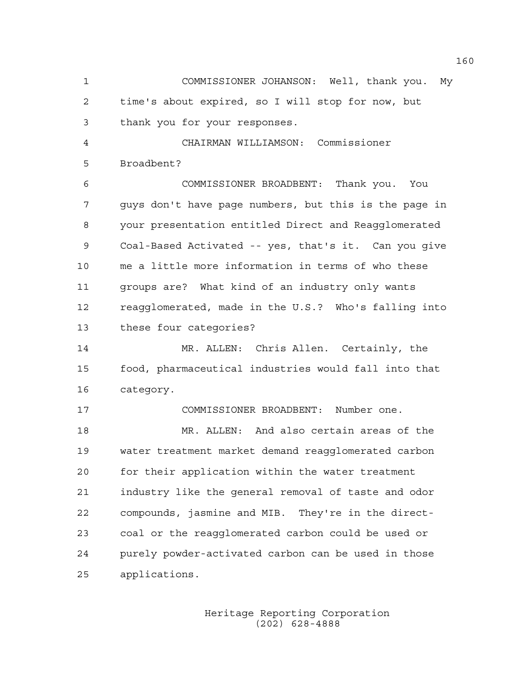1 COMMISSIONER JOHANSON: Well, thank you. My 2 time's about expired, so I will stop for now, but 3 thank you for your responses.

4 CHAIRMAN WILLIAMSON: Commissioner 5 Broadbent?

6 COMMISSIONER BROADBENT: Thank you. You 7 guys don't have page numbers, but this is the page in 8 your presentation entitled Direct and Reagglomerated 9 Coal-Based Activated -- yes, that's it. Can you give 10 me a little more information in terms of who these 11 groups are? What kind of an industry only wants 12 reagglomerated, made in the U.S.? Who's falling into 13 these four categories?

14 MR. ALLEN: Chris Allen. Certainly, the 15 food, pharmaceutical industries would fall into that 16 category.

17 COMMISSIONER BROADBENT: Number one. 18 MR. ALLEN: And also certain areas of the 19 water treatment market demand reagglomerated carbon 20 for their application within the water treatment 21 industry like the general removal of taste and odor 22 compounds, jasmine and MIB. They're in the direct-23 coal or the reagglomerated carbon could be used or 24 purely powder-activated carbon can be used in those 25 applications.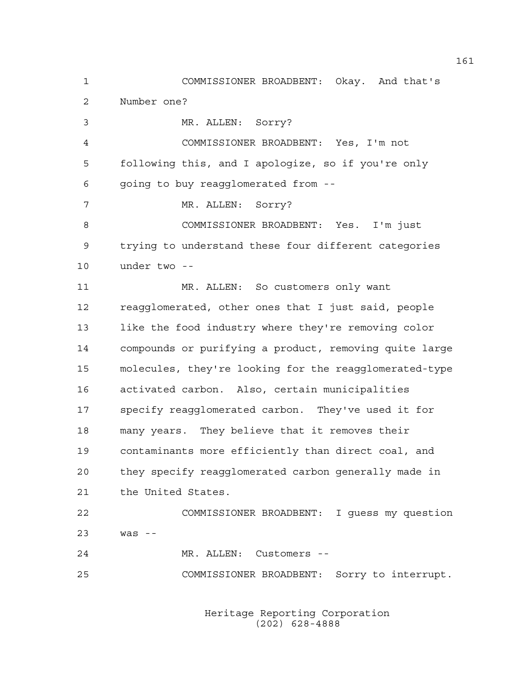1 COMMISSIONER BROADBENT: Okay. And that's 2 Number one? 3 MR. ALLEN: Sorry? 4 COMMISSIONER BROADBENT: Yes, I'm not 5 following this, and I apologize, so if you're only 6 going to buy reagglomerated from -- 7 MR. ALLEN: Sorry? 8 COMMISSIONER BROADBENT: Yes. I'm just 9 trying to understand these four different categories 10 under two -- 11 MR. ALLEN: So customers only want 12 reagglomerated, other ones that I just said, people 13 like the food industry where they're removing color 14 compounds or purifying a product, removing quite large 15 molecules, they're looking for the reagglomerated-type 16 activated carbon. Also, certain municipalities 17 specify reagglomerated carbon. They've used it for 18 many years. They believe that it removes their 19 contaminants more efficiently than direct coal, and 20 they specify reagglomerated carbon generally made in 21 the United States. 22 COMMISSIONER BROADBENT: I guess my question 23 was -- 24 MR. ALLEN: Customers -- 25 COMMISSIONER BROADBENT: Sorry to interrupt.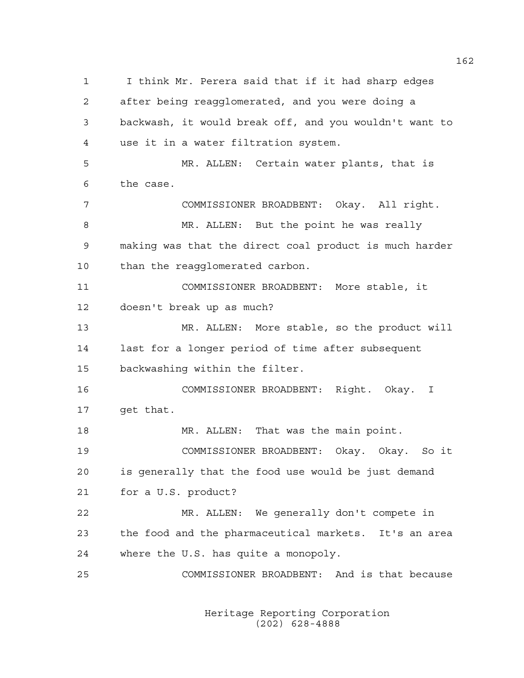1 I think Mr. Perera said that if it had sharp edges 2 after being reagglomerated, and you were doing a 3 backwash, it would break off, and you wouldn't want to 4 use it in a water filtration system. 5 MR. ALLEN: Certain water plants, that is 6 the case. 7 COMMISSIONER BROADBENT: Okay. All right. 8 MR. ALLEN: But the point he was really 9 making was that the direct coal product is much harder 10 than the reagglomerated carbon. 11 COMMISSIONER BROADBENT: More stable, it 12 doesn't break up as much? 13 MR. ALLEN: More stable, so the product will 14 last for a longer period of time after subsequent 15 backwashing within the filter. 16 COMMISSIONER BROADBENT: Right. Okay. I 17 get that. 18 MR. ALLEN: That was the main point. 19 COMMISSIONER BROADBENT: Okay. Okay. So it 20 is generally that the food use would be just demand 21 for a U.S. product? 22 MR. ALLEN: We generally don't compete in 23 the food and the pharmaceutical markets. It's an area 24 where the U.S. has quite a monopoly. 25 COMMISSIONER BROADBENT: And is that because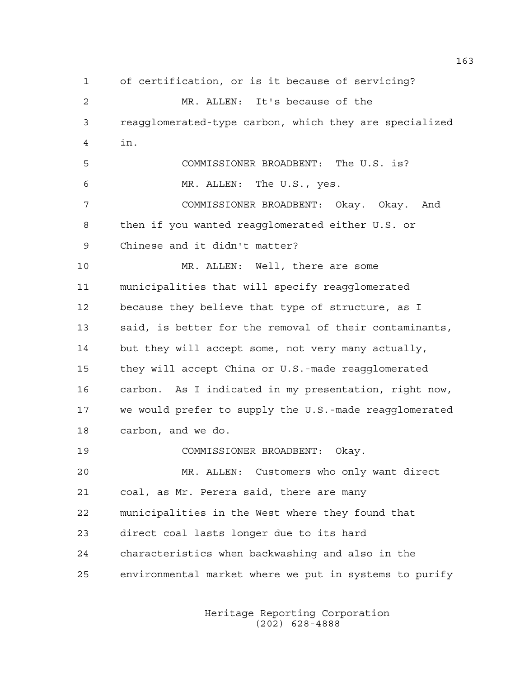1 of certification, or is it because of servicing? 2 MR. ALLEN: It's because of the 3 reagglomerated-type carbon, which they are specialized 4 in. 5 COMMISSIONER BROADBENT: The U.S. is? 6 MR. ALLEN: The U.S., yes. 7 COMMISSIONER BROADBENT: Okay. Okay. And 8 then if you wanted reagglomerated either U.S. or 9 Chinese and it didn't matter? 10 MR. ALLEN: Well, there are some 11 municipalities that will specify reagglomerated 12 because they believe that type of structure, as I 13 said, is better for the removal of their contaminants, 14 but they will accept some, not very many actually, 15 they will accept China or U.S.-made reagglomerated 16 carbon. As I indicated in my presentation, right now, 17 we would prefer to supply the U.S.-made reagglomerated 18 carbon, and we do. 19 COMMISSIONER BROADBENT: Okay. 20 MR. ALLEN: Customers who only want direct 21 coal, as Mr. Perera said, there are many 22 municipalities in the West where they found that 23 direct coal lasts longer due to its hard 24 characteristics when backwashing and also in the 25 environmental market where we put in systems to purify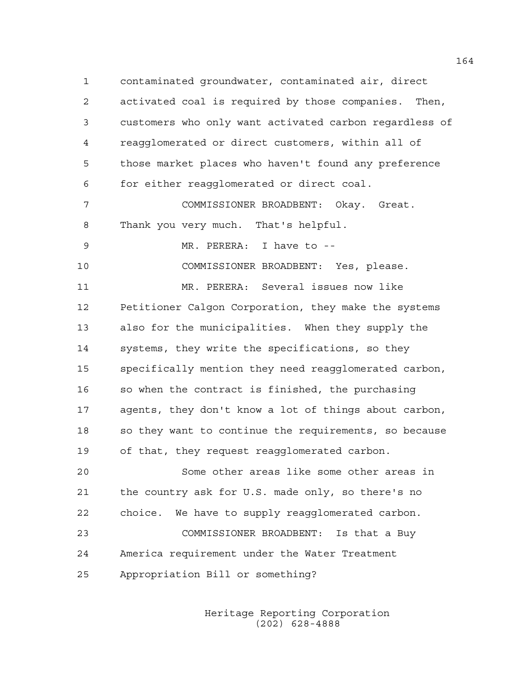1 contaminated groundwater, contaminated air, direct 2 activated coal is required by those companies. Then, 3 customers who only want activated carbon regardless of 4 reagglomerated or direct customers, within all of 5 those market places who haven't found any preference 6 for either reagglomerated or direct coal. 7 COMMISSIONER BROADBENT: Okay. Great. 8 Thank you very much. That's helpful. 9 MR. PERERA: I have to -- 10 COMMISSIONER BROADBENT: Yes, please. 11 MR. PERERA: Several issues now like 12 Petitioner Calgon Corporation, they make the systems 13 also for the municipalities. When they supply the 14 systems, they write the specifications, so they 15 specifically mention they need reagglomerated carbon, 16 so when the contract is finished, the purchasing 17 agents, they don't know a lot of things about carbon, 18 so they want to continue the requirements, so because 19 of that, they request reagglomerated carbon. 20 Some other areas like some other areas in 21 the country ask for U.S. made only, so there's no 22 choice. We have to supply reagglomerated carbon.

23 COMMISSIONER BROADBENT: Is that a Buy 24 America requirement under the Water Treatment 25 Appropriation Bill or something?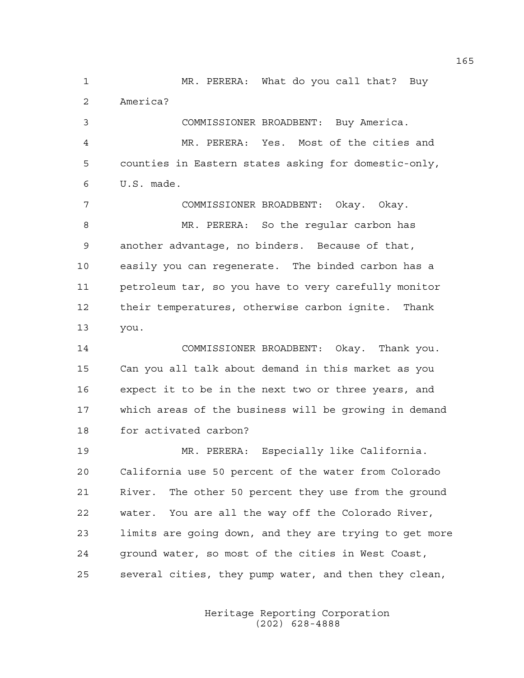1 MR. PERERA: What do you call that? Buy 2 America?

3 COMMISSIONER BROADBENT: Buy America. 4 MR. PERERA: Yes. Most of the cities and 5 counties in Eastern states asking for domestic-only, 6 U.S. made.

7 COMMISSIONER BROADBENT: Okay. Okay. 8 MR. PERERA: So the regular carbon has 9 another advantage, no binders. Because of that, 10 easily you can regenerate. The binded carbon has a 11 petroleum tar, so you have to very carefully monitor 12 their temperatures, otherwise carbon ignite. Thank 13 you.

14 COMMISSIONER BROADBENT: Okay. Thank you. 15 Can you all talk about demand in this market as you 16 expect it to be in the next two or three years, and 17 which areas of the business will be growing in demand 18 for activated carbon?

19 MR. PERERA: Especially like California. 20 California use 50 percent of the water from Colorado 21 River. The other 50 percent they use from the ground 22 water. You are all the way off the Colorado River, 23 limits are going down, and they are trying to get more 24 ground water, so most of the cities in West Coast, 25 several cities, they pump water, and then they clean,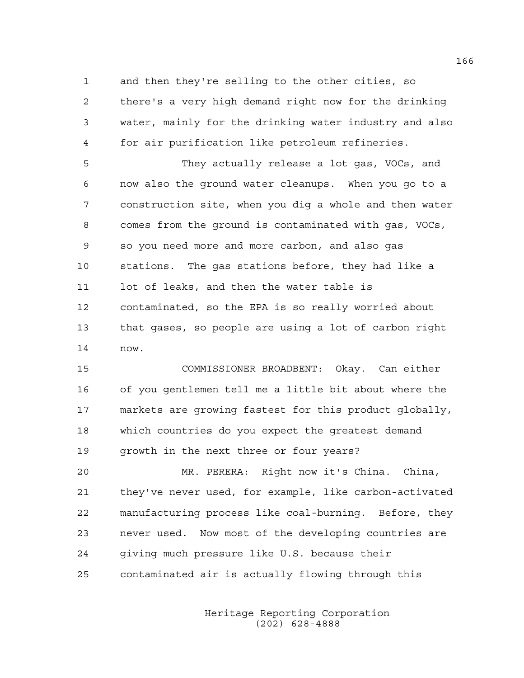1 and then they're selling to the other cities, so 2 there's a very high demand right now for the drinking 3 water, mainly for the drinking water industry and also 4 for air purification like petroleum refineries.

5 They actually release a lot gas, VOCs, and 6 now also the ground water cleanups. When you go to a 7 construction site, when you dig a whole and then water 8 comes from the ground is contaminated with gas, VOCs, 9 so you need more and more carbon, and also gas 10 stations. The gas stations before, they had like a 11 lot of leaks, and then the water table is 12 contaminated, so the EPA is so really worried about 13 that gases, so people are using a lot of carbon right 14 now.

15 COMMISSIONER BROADBENT: Okay. Can either 16 of you gentlemen tell me a little bit about where the 17 markets are growing fastest for this product globally, 18 which countries do you expect the greatest demand 19 growth in the next three or four years?

20 MR. PERERA: Right now it's China. China, 21 they've never used, for example, like carbon-activated 22 manufacturing process like coal-burning. Before, they 23 never used. Now most of the developing countries are 24 giving much pressure like U.S. because their 25 contaminated air is actually flowing through this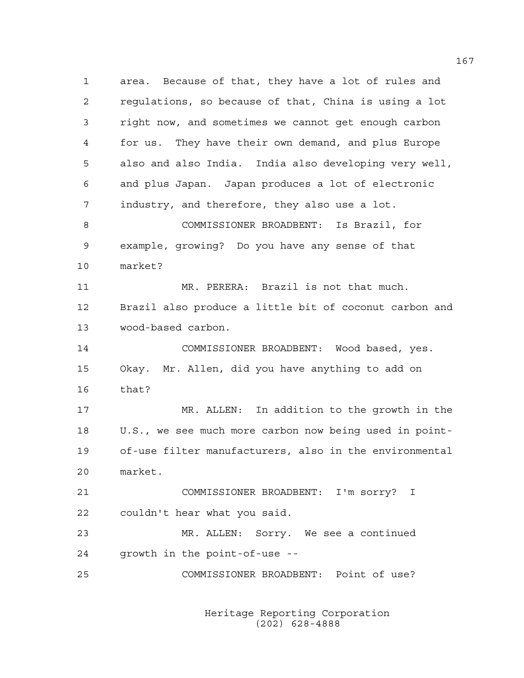1 area. Because of that, they have a lot of rules and 2 regulations, so because of that, China is using a lot 3 right now, and sometimes we cannot get enough carbon 4 for us. They have their own demand, and plus Europe 5 also and also India. India also developing very well, 6 and plus Japan. Japan produces a lot of electronic 7 industry, and therefore, they also use a lot. 8 COMMISSIONER BROADBENT: Is Brazil, for 9 example, growing? Do you have any sense of that 10 market? 11 MR. PERERA: Brazil is not that much. 12 Brazil also produce a little bit of coconut carbon and 13 wood-based carbon. 14 COMMISSIONER BROADBENT: Wood based, yes. 15 Okay. Mr. Allen, did you have anything to add on 16 that? 17 MR. ALLEN: In addition to the growth in the 18 U.S., we see much more carbon now being used in point-19 of-use filter manufacturers, also in the environmental 20 market. 21 COMMISSIONER BROADBENT: I'm sorry? I 22 couldn't hear what you said. 23 MR. ALLEN: Sorry. We see a continued 24 growth in the point-of-use -- 25 COMMISSIONER BROADBENT: Point of use?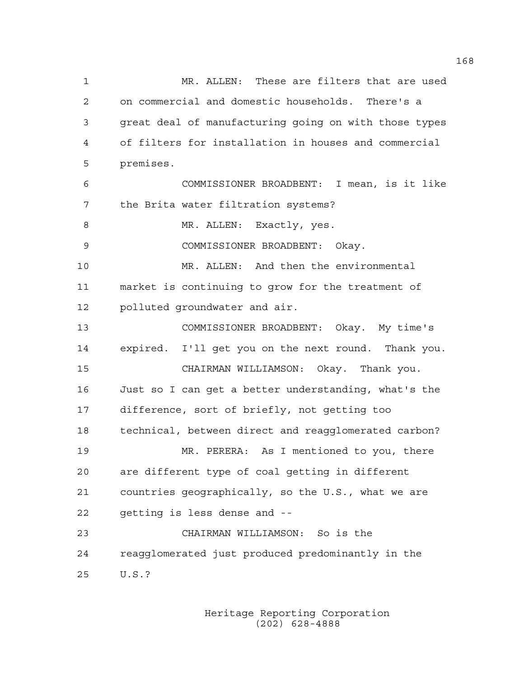1 MR. ALLEN: These are filters that are used 2 on commercial and domestic households. There's a 3 great deal of manufacturing going on with those types 4 of filters for installation in houses and commercial 5 premises. 6 COMMISSIONER BROADBENT: I mean, is it like 7 the Brita water filtration systems? 8 MR. ALLEN: Exactly, yes. 9 COMMISSIONER BROADBENT: Okay. 10 MR. ALLEN: And then the environmental 11 market is continuing to grow for the treatment of 12 polluted groundwater and air. 13 COMMISSIONER BROADBENT: Okay. My time's 14 expired. I'll get you on the next round. Thank you. 15 CHAIRMAN WILLIAMSON: Okay. Thank you. 16 Just so I can get a better understanding, what's the 17 difference, sort of briefly, not getting too 18 technical, between direct and reagglomerated carbon? 19 MR. PERERA: As I mentioned to you, there 20 are different type of coal getting in different 21 countries geographically, so the U.S., what we are 22 getting is less dense and -- 23 CHAIRMAN WILLIAMSON: So is the 24 reagglomerated just produced predominantly in the 25 U.S.?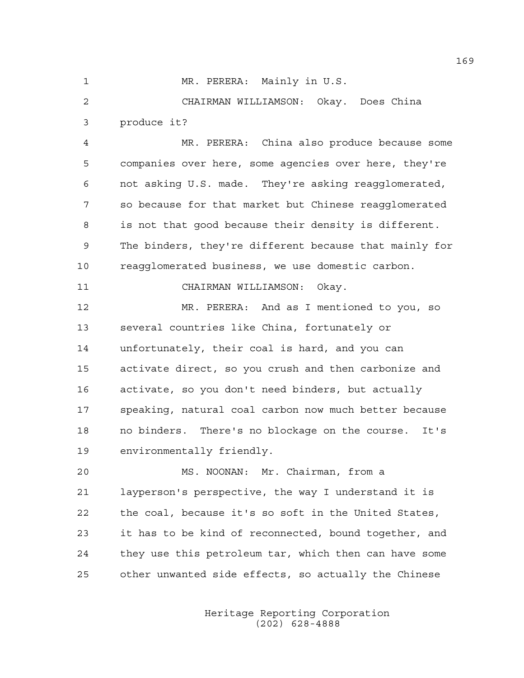1 MR. PERERA: Mainly in U.S.

2 CHAIRMAN WILLIAMSON: Okay. Does China 3 produce it?

4 MR. PERERA: China also produce because some 5 companies over here, some agencies over here, they're 6 not asking U.S. made. They're asking reagglomerated, 7 so because for that market but Chinese reagglomerated 8 is not that good because their density is different. 9 The binders, they're different because that mainly for 10 reagglomerated business, we use domestic carbon.

11 CHAIRMAN WILLIAMSON: Okay.

12 MR. PERERA: And as I mentioned to you, so 13 several countries like China, fortunately or 14 unfortunately, their coal is hard, and you can 15 activate direct, so you crush and then carbonize and 16 activate, so you don't need binders, but actually 17 speaking, natural coal carbon now much better because 18 no binders. There's no blockage on the course. It's 19 environmentally friendly.

20 MS. NOONAN: Mr. Chairman, from a 21 layperson's perspective, the way I understand it is 22 the coal, because it's so soft in the United States, 23 it has to be kind of reconnected, bound together, and 24 they use this petroleum tar, which then can have some 25 other unwanted side effects, so actually the Chinese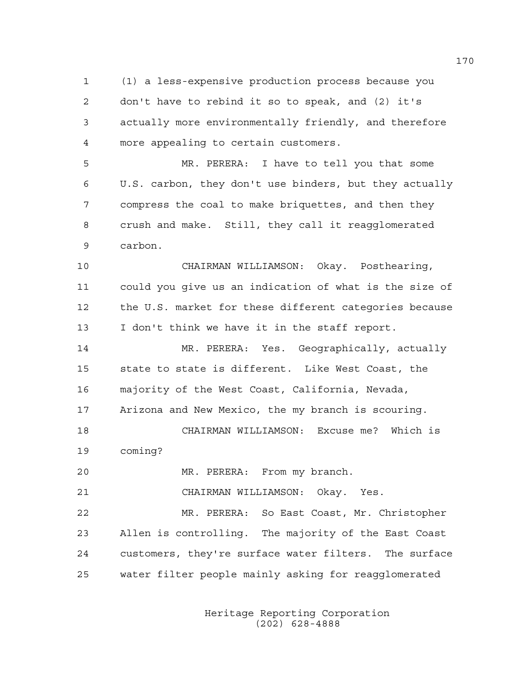1 (1) a less-expensive production process because you 2 don't have to rebind it so to speak, and (2) it's 3 actually more environmentally friendly, and therefore 4 more appealing to certain customers.

5 MR. PERERA: I have to tell you that some 6 U.S. carbon, they don't use binders, but they actually 7 compress the coal to make briquettes, and then they 8 crush and make. Still, they call it reagglomerated 9 carbon.

10 CHAIRMAN WILLIAMSON: Okay. Posthearing, 11 could you give us an indication of what is the size of 12 the U.S. market for these different categories because 13 I don't think we have it in the staff report.

14 MR. PERERA: Yes. Geographically, actually 15 state to state is different. Like West Coast, the 16 majority of the West Coast, California, Nevada, 17 Arizona and New Mexico, the my branch is scouring. 18 CHAIRMAN WILLIAMSON: Excuse me? Which is 19 coming?

20 MR. PERERA: From my branch.

21 CHAIRMAN WILLIAMSON: Okay. Yes.

22 MR. PERERA: So East Coast, Mr. Christopher 23 Allen is controlling. The majority of the East Coast 24 customers, they're surface water filters. The surface 25 water filter people mainly asking for reagglomerated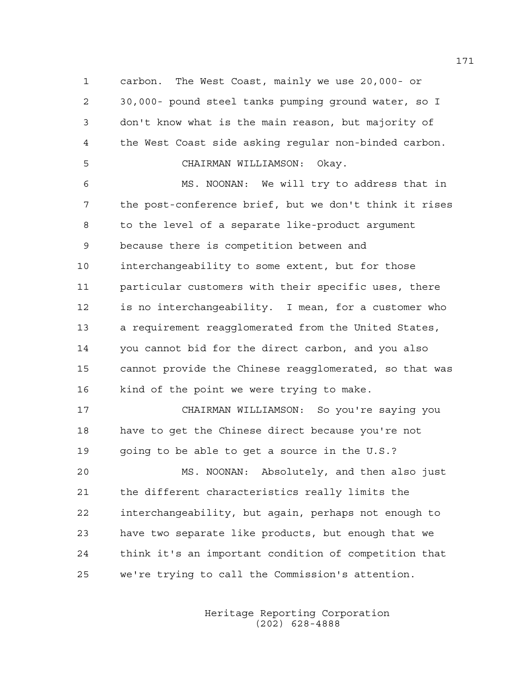1 carbon. The West Coast, mainly we use 20,000- or 2 30,000- pound steel tanks pumping ground water, so I 3 don't know what is the main reason, but majority of 4 the West Coast side asking regular non-binded carbon.

## 5 CHAIRMAN WILLIAMSON: Okay.

6 MS. NOONAN: We will try to address that in 7 the post-conference brief, but we don't think it rises 8 to the level of a separate like-product argument 9 because there is competition between and 10 interchangeability to some extent, but for those 11 particular customers with their specific uses, there 12 is no interchangeability. I mean, for a customer who 13 a requirement reagglomerated from the United States, 14 you cannot bid for the direct carbon, and you also 15 cannot provide the Chinese reagglomerated, so that was 16 kind of the point we were trying to make.

17 CHAIRMAN WILLIAMSON: So you're saying you 18 have to get the Chinese direct because you're not 19 going to be able to get a source in the U.S.?

20 MS. NOONAN: Absolutely, and then also just 21 the different characteristics really limits the 22 interchangeability, but again, perhaps not enough to 23 have two separate like products, but enough that we 24 think it's an important condition of competition that 25 we're trying to call the Commission's attention.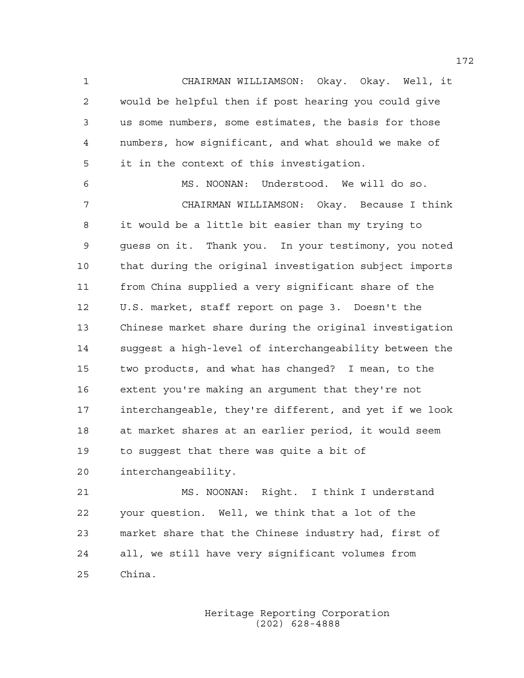1 CHAIRMAN WILLIAMSON: Okay. Okay. Well, it 2 would be helpful then if post hearing you could give 3 us some numbers, some estimates, the basis for those 4 numbers, how significant, and what should we make of 5 it in the context of this investigation.

6 MS. NOONAN: Understood. We will do so. 7 CHAIRMAN WILLIAMSON: Okay. Because I think 8 it would be a little bit easier than my trying to 9 guess on it. Thank you. In your testimony, you noted 10 that during the original investigation subject imports 11 from China supplied a very significant share of the 12 U.S. market, staff report on page 3. Doesn't the 13 Chinese market share during the original investigation 14 suggest a high-level of interchangeability between the 15 two products, and what has changed? I mean, to the 16 extent you're making an argument that they're not 17 interchangeable, they're different, and yet if we look 18 at market shares at an earlier period, it would seem 19 to suggest that there was quite a bit of 20 interchangeability.

21 MS. NOONAN: Right. I think I understand 22 your question. Well, we think that a lot of the 23 market share that the Chinese industry had, first of 24 all, we still have very significant volumes from 25 China.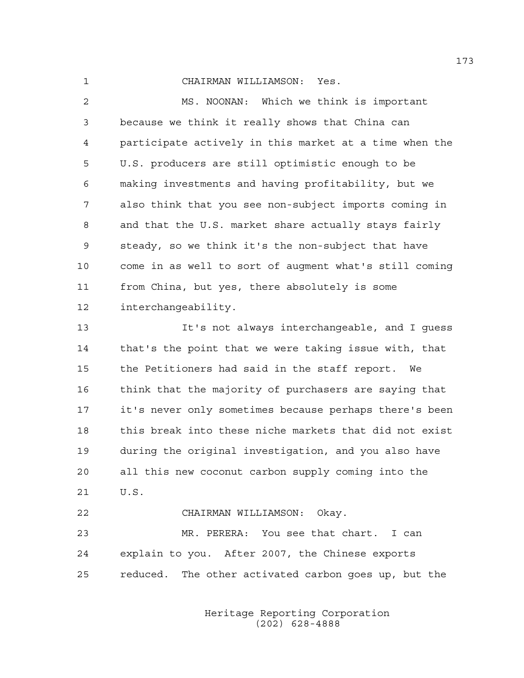1 CHAIRMAN WILLIAMSON: Yes.

2 MS. NOONAN: Which we think is important 3 because we think it really shows that China can 4 participate actively in this market at a time when the 5 U.S. producers are still optimistic enough to be 6 making investments and having profitability, but we 7 also think that you see non-subject imports coming in 8 and that the U.S. market share actually stays fairly 9 steady, so we think it's the non-subject that have 10 come in as well to sort of augment what's still coming 11 from China, but yes, there absolutely is some 12 interchangeability.

13 It's not always interchangeable, and I guess 14 that's the point that we were taking issue with, that 15 the Petitioners had said in the staff report. We 16 think that the majority of purchasers are saying that 17 it's never only sometimes because perhaps there's been 18 this break into these niche markets that did not exist 19 during the original investigation, and you also have 20 all this new coconut carbon supply coming into the 21 U.S.

22 CHAIRMAN WILLIAMSON: Okay. 23 MR. PERERA: You see that chart. I can 24 explain to you. After 2007, the Chinese exports 25 reduced. The other activated carbon goes up, but the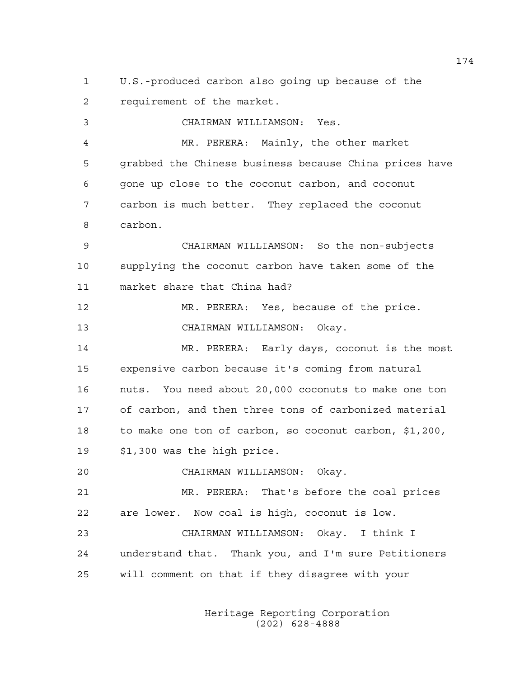1 U.S.-produced carbon also going up because of the 2 requirement of the market.

3 CHAIRMAN WILLIAMSON: Yes. 4 MR. PERERA: Mainly, the other market 5 grabbed the Chinese business because China prices have 6 gone up close to the coconut carbon, and coconut 7 carbon is much better. They replaced the coconut 8 carbon. 9 CHAIRMAN WILLIAMSON: So the non-subjects 10 supplying the coconut carbon have taken some of the 11 market share that China had? 12 MR. PERERA: Yes, because of the price. 13 CHAIRMAN WILLIAMSON: Okay. 14 MR. PERERA: Early days, coconut is the most 15 expensive carbon because it's coming from natural 16 nuts. You need about 20,000 coconuts to make one ton 17 of carbon, and then three tons of carbonized material 18 to make one ton of carbon, so coconut carbon, \$1,200, 19 \$1,300 was the high price. 20 CHAIRMAN WILLIAMSON: Okay. 21 MR. PERERA: That's before the coal prices 22 are lower. Now coal is high, coconut is low. 23 CHAIRMAN WILLIAMSON: Okay. I think I 24 understand that. Thank you, and I'm sure Petitioners 25 will comment on that if they disagree with your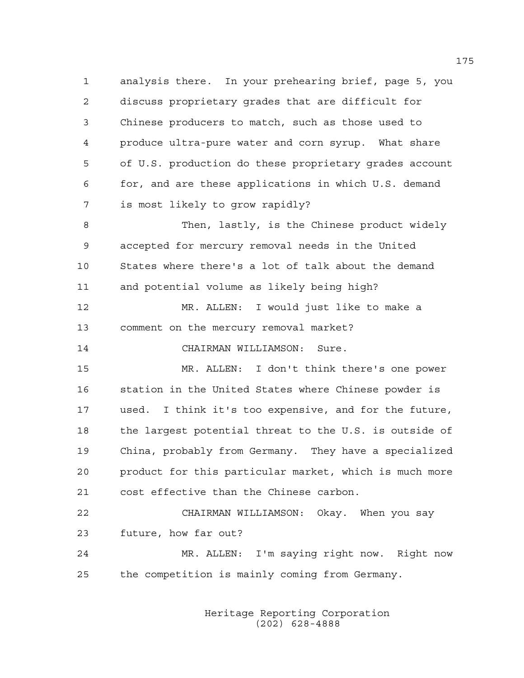1 analysis there. In your prehearing brief, page 5, you 2 discuss proprietary grades that are difficult for 3 Chinese producers to match, such as those used to 4 produce ultra-pure water and corn syrup. What share 5 of U.S. production do these proprietary grades account 6 for, and are these applications in which U.S. demand 7 is most likely to grow rapidly?

8 Then, lastly, is the Chinese product widely 9 accepted for mercury removal needs in the United 10 States where there's a lot of talk about the demand 11 and potential volume as likely being high?

12 MR. ALLEN: I would just like to make a 13 comment on the mercury removal market?

14 CHAIRMAN WILLIAMSON: Sure.

15 MR. ALLEN: I don't think there's one power 16 station in the United States where Chinese powder is 17 used. I think it's too expensive, and for the future, 18 the largest potential threat to the U.S. is outside of 19 China, probably from Germany. They have a specialized 20 product for this particular market, which is much more 21 cost effective than the Chinese carbon.

22 CHAIRMAN WILLIAMSON: Okay. When you say 23 future, how far out?

24 MR. ALLEN: I'm saying right now. Right now 25 the competition is mainly coming from Germany.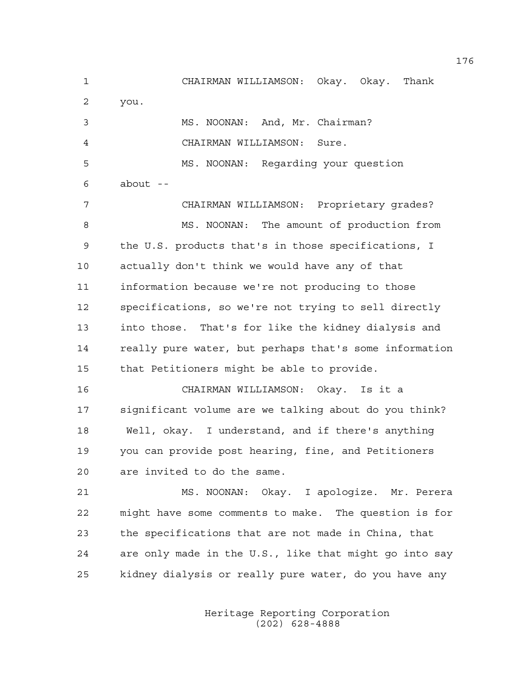1 CHAIRMAN WILLIAMSON: Okay. Okay. Thank 2 you. 3 MS. NOONAN: And, Mr. Chairman? 4 CHAIRMAN WILLIAMSON: Sure. 5 MS. NOONAN: Regarding your question  $6 \qquad \qquad$  about  $-$ 7 CHAIRMAN WILLIAMSON: Proprietary grades? 8 MS. NOONAN: The amount of production from 9 the U.S. products that's in those specifications, I 10 actually don't think we would have any of that 11 information because we're not producing to those 12 specifications, so we're not trying to sell directly 13 into those. That's for like the kidney dialysis and 14 really pure water, but perhaps that's some information 15 that Petitioners might be able to provide. 16 CHAIRMAN WILLIAMSON: Okay. Is it a 17 significant volume are we talking about do you think? 18 Well, okay. I understand, and if there's anything 19 you can provide post hearing, fine, and Petitioners 20 are invited to do the same. 21 MS. NOONAN: Okay. I apologize. Mr. Perera 22 might have some comments to make. The question is for 23 the specifications that are not made in China, that 24 are only made in the U.S., like that might go into say 25 kidney dialysis or really pure water, do you have any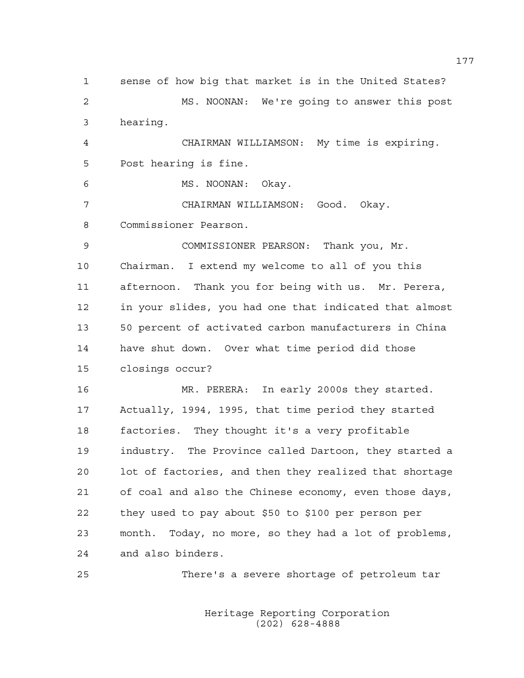1 sense of how big that market is in the United States? 2 MS. NOONAN: We're going to answer this post 3 hearing. 4 CHAIRMAN WILLIAMSON: My time is expiring. 5 Post hearing is fine. 6 MS. NOONAN: Okay. 7 CHAIRMAN WILLIAMSON: Good. Okay. 8 Commissioner Pearson. 9 COMMISSIONER PEARSON: Thank you, Mr. 10 Chairman. I extend my welcome to all of you this 11 afternoon. Thank you for being with us. Mr. Perera, 12 in your slides, you had one that indicated that almost 13 50 percent of activated carbon manufacturers in China 14 have shut down. Over what time period did those 15 closings occur? 16 MR. PERERA: In early 2000s they started. 17 Actually, 1994, 1995, that time period they started 18 factories. They thought it's a very profitable 19 industry. The Province called Dartoon, they started a 20 lot of factories, and then they realized that shortage 21 of coal and also the Chinese economy, even those days, 22 they used to pay about \$50 to \$100 per person per 23 month. Today, no more, so they had a lot of problems, 24 and also binders. 25 There's a severe shortage of petroleum tar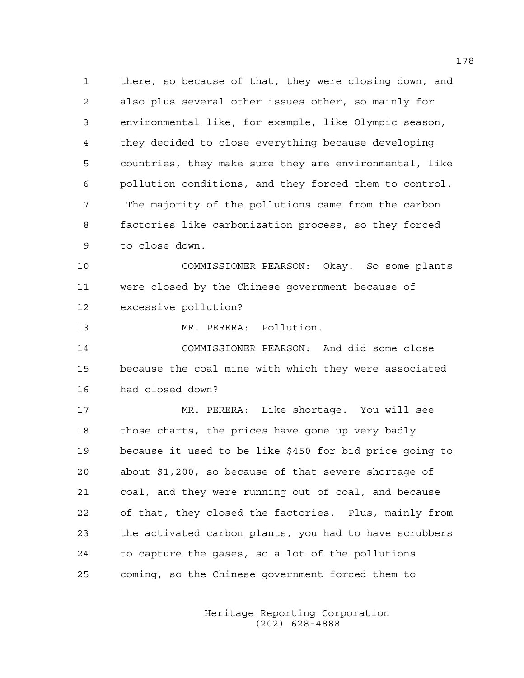1 there, so because of that, they were closing down, and 2 also plus several other issues other, so mainly for 3 environmental like, for example, like Olympic season, 4 they decided to close everything because developing 5 countries, they make sure they are environmental, like 6 pollution conditions, and they forced them to control. 7 The majority of the pollutions came from the carbon 8 factories like carbonization process, so they forced 9 to close down.

10 COMMISSIONER PEARSON: Okay. So some plants 11 were closed by the Chinese government because of 12 excessive pollution?

13 MR. PERERA: Pollution.

14 COMMISSIONER PEARSON: And did some close 15 because the coal mine with which they were associated 16 had closed down?

17 MR. PERERA: Like shortage. You will see 18 those charts, the prices have gone up very badly 19 because it used to be like \$450 for bid price going to 20 about \$1,200, so because of that severe shortage of 21 coal, and they were running out of coal, and because 22 of that, they closed the factories. Plus, mainly from 23 the activated carbon plants, you had to have scrubbers 24 to capture the gases, so a lot of the pollutions 25 coming, so the Chinese government forced them to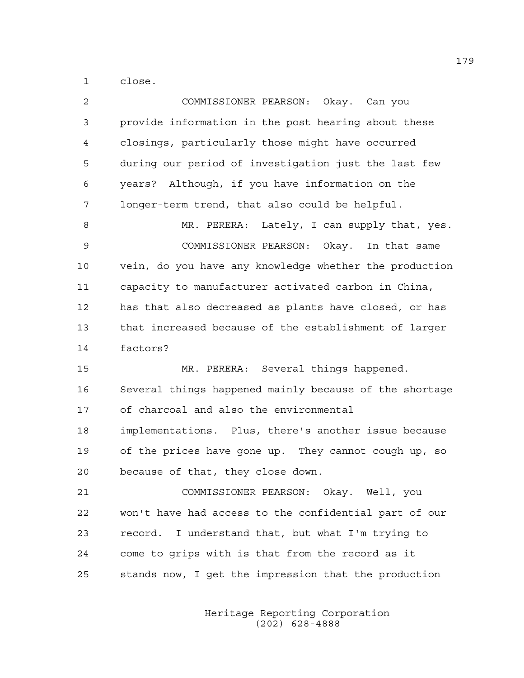1 close.

| 2  | COMMISSIONER PEARSON: Okay. Can you                    |
|----|--------------------------------------------------------|
| 3  | provide information in the post hearing about these    |
| 4  | closings, particularly those might have occurred       |
| 5  | during our period of investigation just the last few   |
| 6  | years? Although, if you have information on the        |
| 7  | longer-term trend, that also could be helpful.         |
| 8  | MR. PERERA: Lately, I can supply that, yes.            |
| 9  | COMMISSIONER PEARSON: Okay. In that same               |
| 10 | vein, do you have any knowledge whether the production |
| 11 | capacity to manufacturer activated carbon in China,    |
| 12 | has that also decreased as plants have closed, or has  |
| 13 | that increased because of the establishment of larger  |
| 14 | factors?                                               |
|    |                                                        |
| 15 | MR. PERERA: Several things happened.                   |
| 16 | Several things happened mainly because of the shortage |
| 17 | of charcoal and also the environmental                 |
| 18 | implementations. Plus, there's another issue because   |
| 19 | of the prices have gone up. They cannot cough up, so   |
| 20 | because of that, they close down.                      |
| 21 | COMMISSIONER PEARSON: Okay. Well, you                  |
| 22 | won't have had access to the confidential part of our  |
| 23 | record. I understand that, but what I'm trying to      |
| 24 | come to grips with is that from the record as it       |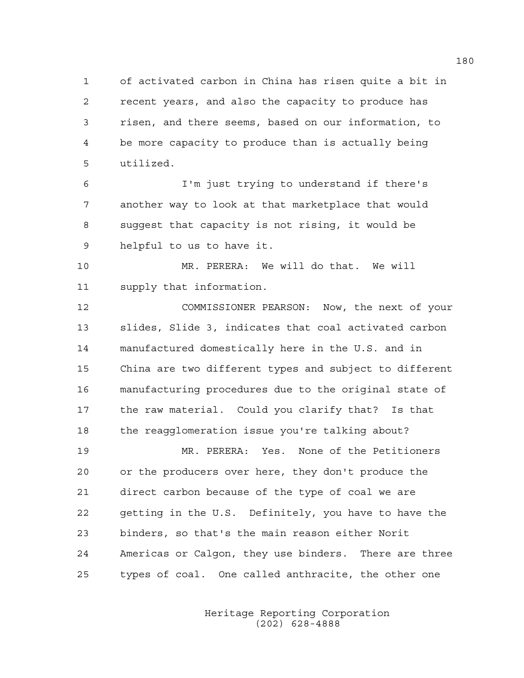1 of activated carbon in China has risen quite a bit in 2 recent years, and also the capacity to produce has 3 risen, and there seems, based on our information, to 4 be more capacity to produce than is actually being 5 utilized.

6 I'm just trying to understand if there's 7 another way to look at that marketplace that would 8 suggest that capacity is not rising, it would be 9 helpful to us to have it.

10 MR. PERERA: We will do that. We will 11 supply that information.

12 COMMISSIONER PEARSON: Now, the next of your 13 slides, Slide 3, indicates that coal activated carbon 14 manufactured domestically here in the U.S. and in 15 China are two different types and subject to different 16 manufacturing procedures due to the original state of 17 the raw material. Could you clarify that? Is that 18 the reagglomeration issue you're talking about?

19 MR. PERERA: Yes. None of the Petitioners 20 or the producers over here, they don't produce the 21 direct carbon because of the type of coal we are 22 getting in the U.S. Definitely, you have to have the 23 binders, so that's the main reason either Norit 24 Americas or Calgon, they use binders. There are three 25 types of coal. One called anthracite, the other one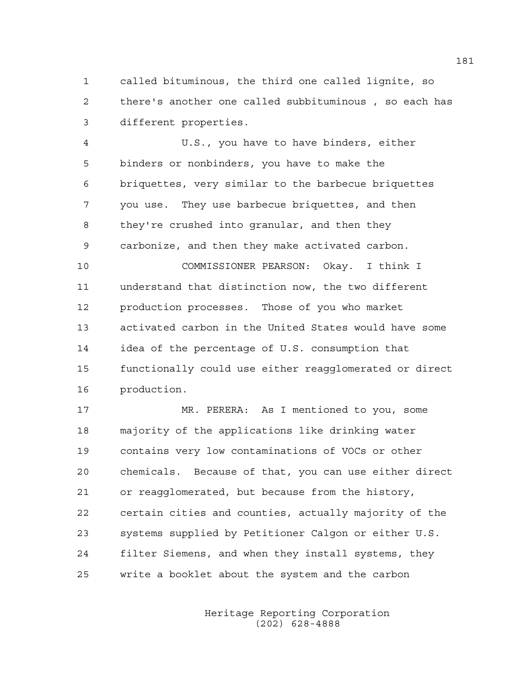1 called bituminous, the third one called lignite, so 2 there's another one called subbituminous , so each has 3 different properties.

4 U.S., you have to have binders, either 5 binders or nonbinders, you have to make the 6 briquettes, very similar to the barbecue briquettes 7 you use. They use barbecue briquettes, and then 8 they're crushed into granular, and then they 9 carbonize, and then they make activated carbon.

10 COMMISSIONER PEARSON: Okay. I think I 11 understand that distinction now, the two different 12 production processes. Those of you who market 13 activated carbon in the United States would have some 14 idea of the percentage of U.S. consumption that 15 functionally could use either reagglomerated or direct 16 production.

17 MR. PERERA: As I mentioned to you, some 18 majority of the applications like drinking water 19 contains very low contaminations of VOCs or other 20 chemicals. Because of that, you can use either direct 21 or reagglomerated, but because from the history, 22 certain cities and counties, actually majority of the 23 systems supplied by Petitioner Calgon or either U.S. 24 filter Siemens, and when they install systems, they 25 write a booklet about the system and the carbon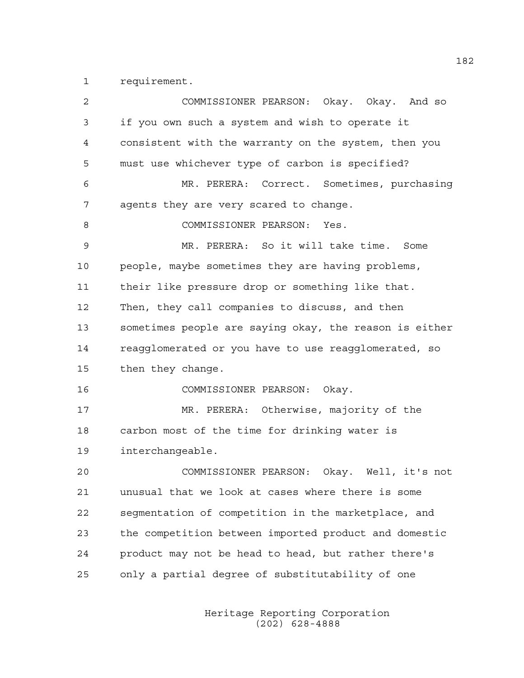1 requirement.

| $\overline{c}$ | COMMISSIONER PEARSON: Okay. Okay. And so               |
|----------------|--------------------------------------------------------|
| 3              | if you own such a system and wish to operate it        |
| 4              | consistent with the warranty on the system, then you   |
| 5              | must use whichever type of carbon is specified?        |
| 6              | MR. PERERA: Correct. Sometimes, purchasing             |
| 7              | agents they are very scared to change.                 |
| 8              | COMMISSIONER PEARSON:<br>Yes.                          |
| 9              | MR. PERERA: So it will take time. Some                 |
| 10             | people, maybe sometimes they are having problems,      |
| 11             | their like pressure drop or something like that.       |
| 12             | Then, they call companies to discuss, and then         |
| 13             | sometimes people are saying okay, the reason is either |
| 14             | reagglomerated or you have to use reagglomerated, so   |
| 15             | then they change.                                      |
| 16             | COMMISSIONER PEARSON:<br>Okay.                         |
| 17             | MR. PERERA: Otherwise, majority of the                 |
| 18             | carbon most of the time for drinking water is          |
| 19             | interchangeable.                                       |
| 20             | COMMISSIONER PEARSON: Okay. Well, it's not             |
| 21             | unusual that we look at cases where there is some      |
| 22             | segmentation of competition in the marketplace, and    |
| 23             | the competition between imported product and domestic  |
| 24             | product may not be head to head, but rather there's    |
| 25             | only a partial degree of substitutability of one       |
|                |                                                        |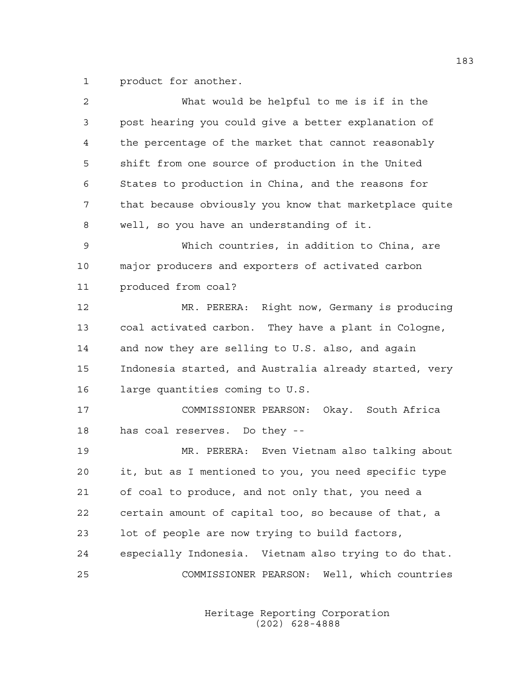1 product for another.

| 2  | What would be helpful to me is if in the               |
|----|--------------------------------------------------------|
| 3  | post hearing you could give a better explanation of    |
| 4  | the percentage of the market that cannot reasonably    |
| 5  | shift from one source of production in the United      |
| 6  | States to production in China, and the reasons for     |
| 7  | that because obviously you know that marketplace quite |
| 8  | well, so you have an understanding of it.              |
| 9  | Which countries, in addition to China, are             |
| 10 | major producers and exporters of activated carbon      |
| 11 | produced from coal?                                    |
| 12 | MR. PERERA: Right now, Germany is producing            |
| 13 | coal activated carbon. They have a plant in Cologne,   |
| 14 | and now they are selling to U.S. also, and again       |
| 15 | Indonesia started, and Australia already started, very |
| 16 | large quantities coming to U.S.                        |
| 17 | COMMISSIONER PEARSON: Okay. South Africa               |
| 18 | has coal reserves. Do they --                          |
| 19 | MR. PERERA: Even Vietnam also talking about            |
| 20 | it, but as I mentioned to you, you need specific type  |
| 21 | of coal to produce, and not only that, you need a      |
| 22 | certain amount of capital too, so because of that, a   |
| 23 | lot of people are now trying to build factors,         |
| 24 | especially Indonesia. Vietnam also trying to do that.  |
| 25 | COMMISSIONER PEARSON: Well, which countries            |
|    |                                                        |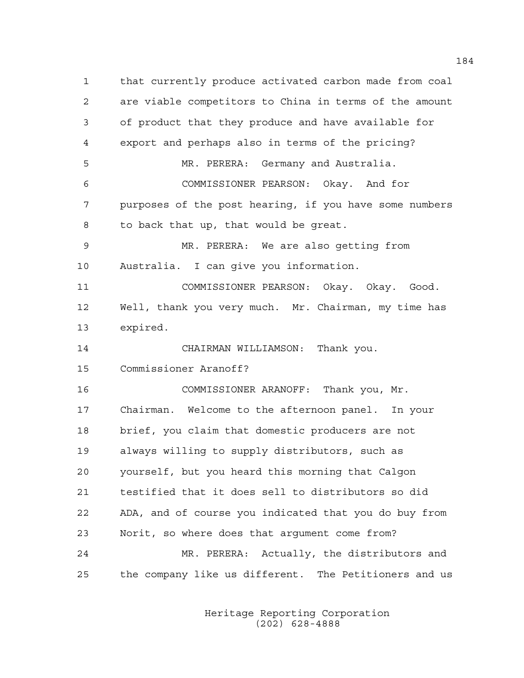1 that currently produce activated carbon made from coal 2 are viable competitors to China in terms of the amount 3 of product that they produce and have available for 4 export and perhaps also in terms of the pricing? 5 MR. PERERA: Germany and Australia. 6 COMMISSIONER PEARSON: Okay. And for 7 purposes of the post hearing, if you have some numbers 8 to back that up, that would be great. 9 MR. PERERA: We are also getting from 10 Australia. I can give you information. 11 COMMISSIONER PEARSON: Okay. Okay. Good. 12 Well, thank you very much. Mr. Chairman, my time has 13 expired. 14 CHAIRMAN WILLIAMSON: Thank you. 15 Commissioner Aranoff? 16 COMMISSIONER ARANOFF: Thank you, Mr. 17 Chairman. Welcome to the afternoon panel. In your 18 brief, you claim that domestic producers are not 19 always willing to supply distributors, such as 20 yourself, but you heard this morning that Calgon 21 testified that it does sell to distributors so did 22 ADA, and of course you indicated that you do buy from 23 Norit, so where does that argument come from? 24 MR. PERERA: Actually, the distributors and 25 the company like us different. The Petitioners and us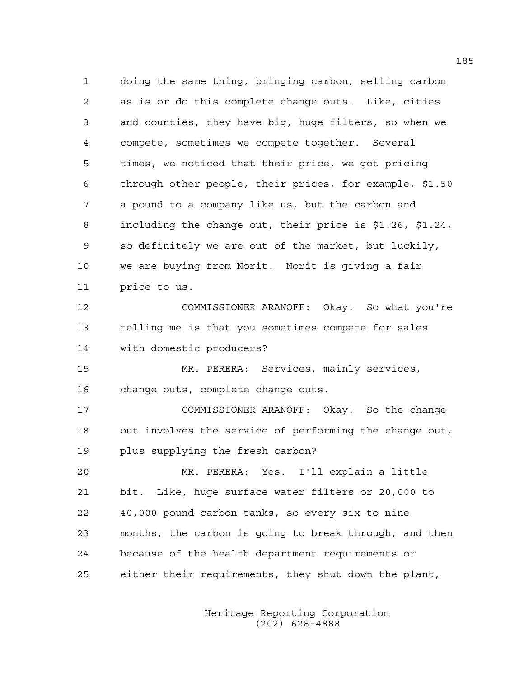1 doing the same thing, bringing carbon, selling carbon 2 as is or do this complete change outs. Like, cities 3 and counties, they have big, huge filters, so when we 4 compete, sometimes we compete together. Several 5 times, we noticed that their price, we got pricing 6 through other people, their prices, for example, \$1.50 7 a pound to a company like us, but the carbon and 8 including the change out, their price is \$1.26, \$1.24, 9 so definitely we are out of the market, but luckily, 10 we are buying from Norit. Norit is giving a fair 11 price to us. 12 COMMISSIONER ARANOFF: Okay. So what you're

13 telling me is that you sometimes compete for sales 14 with domestic producers?

15 MR. PERERA: Services, mainly services, 16 change outs, complete change outs.

17 COMMISSIONER ARANOFF: Okay. So the change 18 out involves the service of performing the change out, 19 plus supplying the fresh carbon?

20 MR. PERERA: Yes. I'll explain a little 21 bit. Like, huge surface water filters or 20,000 to 22 40,000 pound carbon tanks, so every six to nine 23 months, the carbon is going to break through, and then 24 because of the health department requirements or 25 either their requirements, they shut down the plant,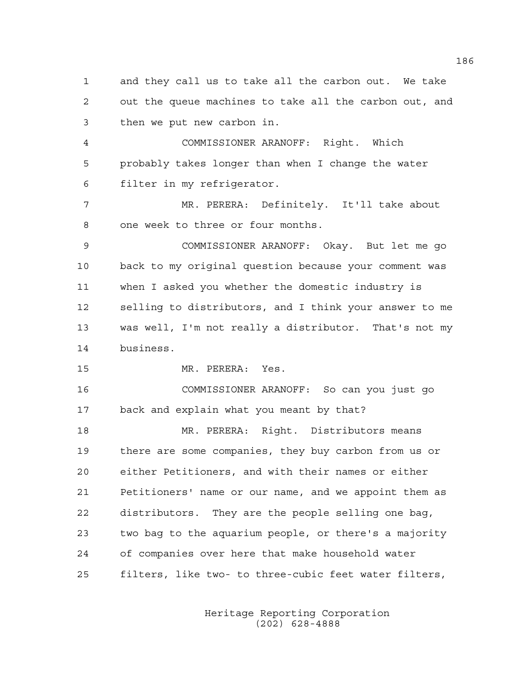1 and they call us to take all the carbon out. We take 2 out the queue machines to take all the carbon out, and 3 then we put new carbon in. 4 COMMISSIONER ARANOFF: Right. Which 5 probably takes longer than when I change the water 6 filter in my refrigerator. 7 MR. PERERA: Definitely. It'll take about 8 one week to three or four months. 9 COMMISSIONER ARANOFF: Okay. But let me go 10 back to my original question because your comment was 11 when I asked you whether the domestic industry is 12 selling to distributors, and I think your answer to me 13 was well, I'm not really a distributor. That's not my 14 business. 15 MR. PERERA: Yes. 16 COMMISSIONER ARANOFF: So can you just go 17 back and explain what you meant by that? 18 MR. PERERA: Right. Distributors means 19 there are some companies, they buy carbon from us or 20 either Petitioners, and with their names or either 21 Petitioners' name or our name, and we appoint them as 22 distributors. They are the people selling one bag, 23 two bag to the aquarium people, or there's a majority 24 of companies over here that make household water 25 filters, like two- to three-cubic feet water filters,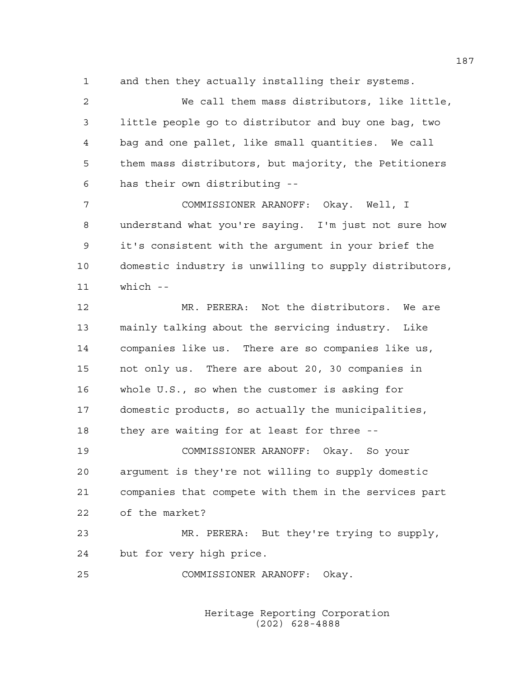1 and then they actually installing their systems.

2 We call them mass distributors, like little, 3 little people go to distributor and buy one bag, two 4 bag and one pallet, like small quantities. We call 5 them mass distributors, but majority, the Petitioners 6 has their own distributing --

7 COMMISSIONER ARANOFF: Okay. Well, I 8 understand what you're saying. I'm just not sure how 9 it's consistent with the argument in your brief the 10 domestic industry is unwilling to supply distributors, 11 which --

12 MR. PERERA: Not the distributors. We are 13 mainly talking about the servicing industry. Like 14 companies like us. There are so companies like us, 15 not only us. There are about 20, 30 companies in 16 whole U.S., so when the customer is asking for 17 domestic products, so actually the municipalities, 18 they are waiting for at least for three --

19 COMMISSIONER ARANOFF: Okay. So your 20 argument is they're not willing to supply domestic 21 companies that compete with them in the services part 22 of the market?

23 MR. PERERA: But they're trying to supply, 24 but for very high price.

25 COMMISSIONER ARANOFF: Okay.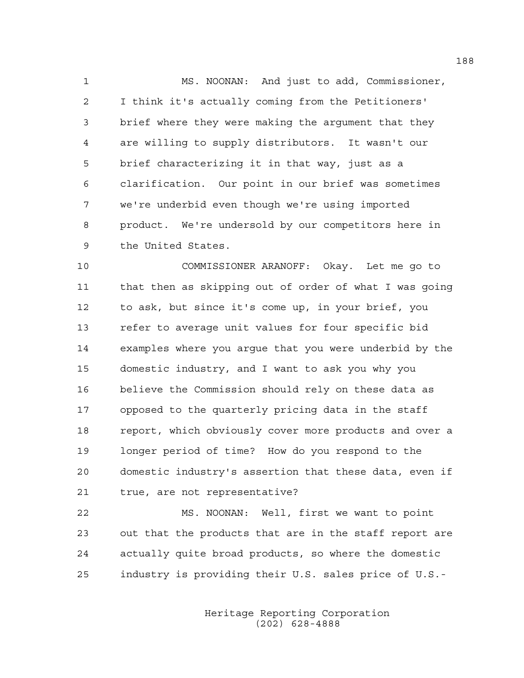1 MS. NOONAN: And just to add, Commissioner, 2 I think it's actually coming from the Petitioners' 3 brief where they were making the argument that they 4 are willing to supply distributors. It wasn't our 5 brief characterizing it in that way, just as a 6 clarification. Our point in our brief was sometimes 7 we're underbid even though we're using imported 8 product. We're undersold by our competitors here in 9 the United States.

10 COMMISSIONER ARANOFF: Okay. Let me go to 11 that then as skipping out of order of what I was going 12 to ask, but since it's come up, in your brief, you 13 refer to average unit values for four specific bid 14 examples where you argue that you were underbid by the 15 domestic industry, and I want to ask you why you 16 believe the Commission should rely on these data as 17 opposed to the quarterly pricing data in the staff 18 report, which obviously cover more products and over a 19 longer period of time? How do you respond to the 20 domestic industry's assertion that these data, even if 21 true, are not representative?

22 MS. NOONAN: Well, first we want to point 23 out that the products that are in the staff report are 24 actually quite broad products, so where the domestic 25 industry is providing their U.S. sales price of U.S.-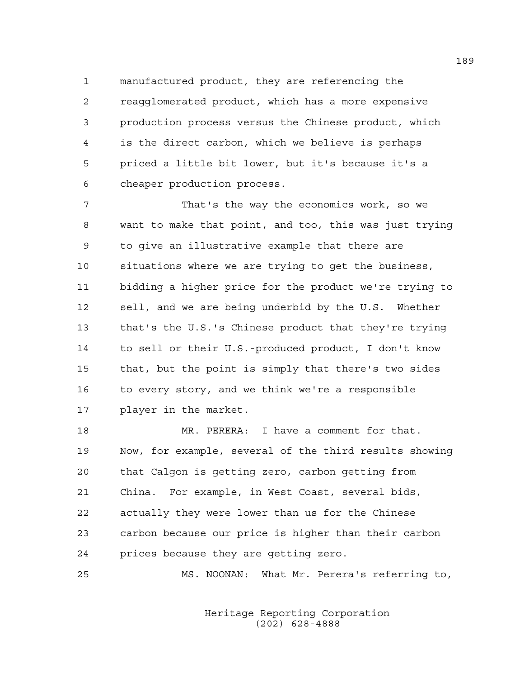1 manufactured product, they are referencing the 2 reagglomerated product, which has a more expensive 3 production process versus the Chinese product, which 4 is the direct carbon, which we believe is perhaps 5 priced a little bit lower, but it's because it's a 6 cheaper production process.

7 That's the way the economics work, so we 8 want to make that point, and too, this was just trying 9 to give an illustrative example that there are 10 situations where we are trying to get the business, 11 bidding a higher price for the product we're trying to 12 sell, and we are being underbid by the U.S. Whether 13 that's the U.S.'s Chinese product that they're trying 14 to sell or their U.S.-produced product, I don't know 15 that, but the point is simply that there's two sides 16 to every story, and we think we're a responsible 17 player in the market.

18 MR. PERERA: I have a comment for that. 19 Now, for example, several of the third results showing 20 that Calgon is getting zero, carbon getting from 21 China. For example, in West Coast, several bids, 22 actually they were lower than us for the Chinese 23 carbon because our price is higher than their carbon 24 prices because they are getting zero.

25 MS. NOONAN: What Mr. Perera's referring to,

 Heritage Reporting Corporation (202) 628-4888

189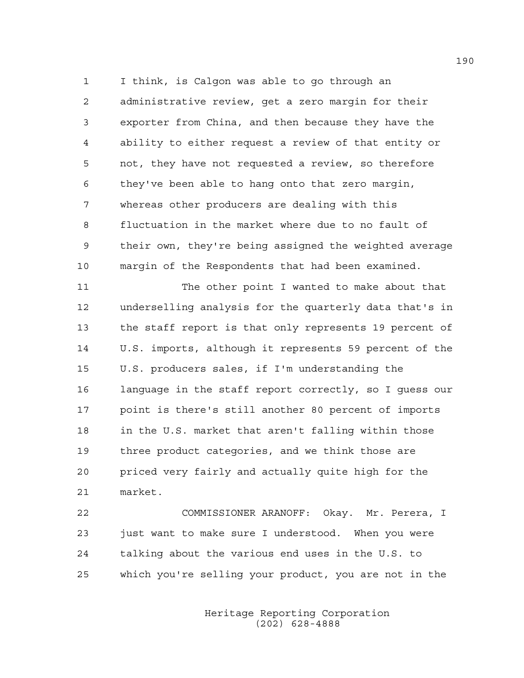1 I think, is Calgon was able to go through an 2 administrative review, get a zero margin for their 3 exporter from China, and then because they have the 4 ability to either request a review of that entity or 5 not, they have not requested a review, so therefore 6 they've been able to hang onto that zero margin, 7 whereas other producers are dealing with this 8 fluctuation in the market where due to no fault of 9 their own, they're being assigned the weighted average 10 margin of the Respondents that had been examined.

11 The other point I wanted to make about that 12 underselling analysis for the quarterly data that's in 13 the staff report is that only represents 19 percent of 14 U.S. imports, although it represents 59 percent of the 15 U.S. producers sales, if I'm understanding the 16 language in the staff report correctly, so I guess our 17 point is there's still another 80 percent of imports 18 in the U.S. market that aren't falling within those 19 three product categories, and we think those are 20 priced very fairly and actually quite high for the 21 market.

22 COMMISSIONER ARANOFF: Okay. Mr. Perera, I 23 just want to make sure I understood. When you were 24 talking about the various end uses in the U.S. to 25 which you're selling your product, you are not in the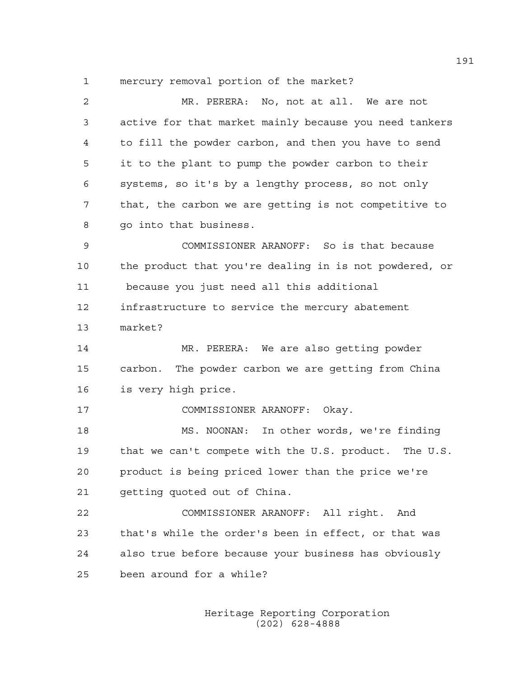1 mercury removal portion of the market?

| $\mathbf{2}$ | MR. PERERA: No, not at all. We are not                 |
|--------------|--------------------------------------------------------|
| 3            | active for that market mainly because you need tankers |
| 4            | to fill the powder carbon, and then you have to send   |
| 5            | it to the plant to pump the powder carbon to their     |
| 6            | systems, so it's by a lengthy process, so not only     |
| 7            | that, the carbon we are getting is not competitive to  |
| 8            | go into that business.                                 |
| $\mathsf 9$  | COMMISSIONER ARANOFF: So is that because               |
| 10           | the product that you're dealing in is not powdered, or |
| 11           | because you just need all this additional              |
| 12           | infrastructure to service the mercury abatement        |
| 13           | market?                                                |
| 14           | MR. PERERA: We are also getting powder                 |
| 15           | carbon. The powder carbon we are getting from China    |
| 16           | is very high price.                                    |
| 17           | COMMISSIONER ARANOFF: Okay.                            |
| 18           | MS. NOONAN: In other words, we're finding              |
| 19           | that we can't compete with the U.S. product. The U.S.  |
| 20           | product is being priced lower than the price we're     |
| 21           | getting quoted out of China.                           |
| 22           | COMMISSIONER ARANOFF: All right. And                   |
|              |                                                        |
| 23           | that's while the order's been in effect, or that was   |
| 24           | also true before because your business has obviously   |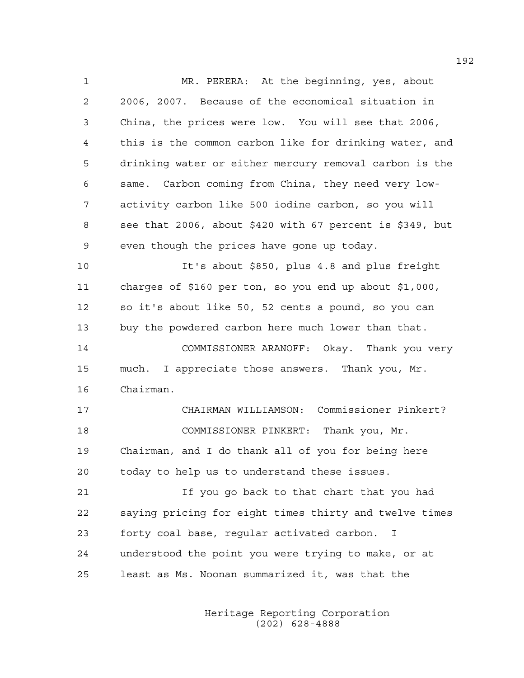1 MR. PERERA: At the beginning, yes, about 2 2006, 2007. Because of the economical situation in 3 China, the prices were low. You will see that 2006, 4 this is the common carbon like for drinking water, and 5 drinking water or either mercury removal carbon is the 6 same. Carbon coming from China, they need very low-7 activity carbon like 500 iodine carbon, so you will 8 see that 2006, about \$420 with 67 percent is \$349, but 9 even though the prices have gone up today. 10 It's about \$850, plus 4.8 and plus freight 11 charges of \$160 per ton, so you end up about \$1,000, 12 so it's about like 50, 52 cents a pound, so you can 13 buy the powdered carbon here much lower than that. 14 COMMISSIONER ARANOFF: Okay. Thank you very 15 much. I appreciate those answers. Thank you, Mr. 16 Chairman. 17 CHAIRMAN WILLIAMSON: Commissioner Pinkert? 18 COMMISSIONER PINKERT: Thank you, Mr. 19 Chairman, and I do thank all of you for being here 20 today to help us to understand these issues. 21 If you go back to that chart that you had 22 saying pricing for eight times thirty and twelve times 23 forty coal base, regular activated carbon. I 24 understood the point you were trying to make, or at 25 least as Ms. Noonan summarized it, was that the

> Heritage Reporting Corporation (202) 628-4888

192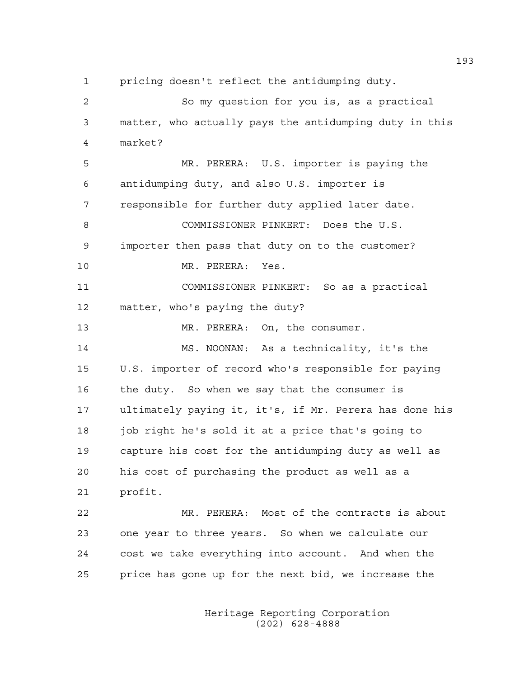1 pricing doesn't reflect the antidumping duty.

2 So my question for you is, as a practical 3 matter, who actually pays the antidumping duty in this 4 market? 5 MR. PERERA: U.S. importer is paying the 6 antidumping duty, and also U.S. importer is 7 responsible for further duty applied later date. 8 COMMISSIONER PINKERT: Does the U.S. 9 importer then pass that duty on to the customer? 10 MR. PERERA: Yes. 11 COMMISSIONER PINKERT: So as a practical 12 matter, who's paying the duty? 13 MR. PERERA: On, the consumer. 14 MS. NOONAN: As a technicality, it's the 15 U.S. importer of record who's responsible for paying 16 the duty. So when we say that the consumer is 17 ultimately paying it, it's, if Mr. Perera has done his 18 job right he's sold it at a price that's going to 19 capture his cost for the antidumping duty as well as 20 his cost of purchasing the product as well as a 21 profit. 22 MR. PERERA: Most of the contracts is about 23 one year to three years. So when we calculate our 24 cost we take everything into account. And when the

> Heritage Reporting Corporation (202) 628-4888

25 price has gone up for the next bid, we increase the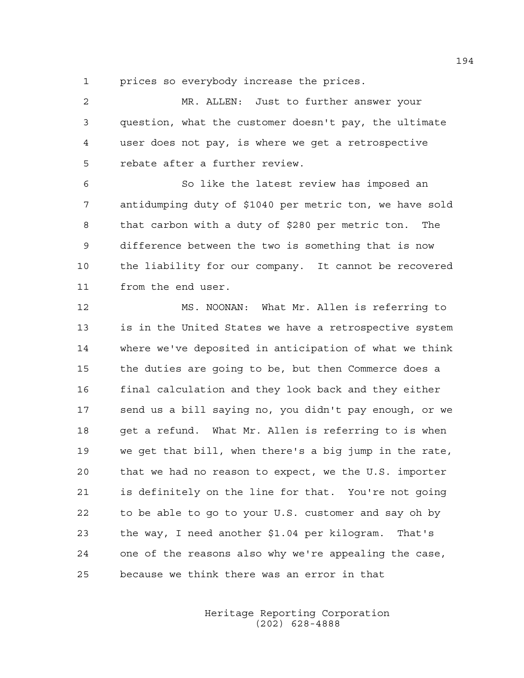1 prices so everybody increase the prices.

2 MR. ALLEN: Just to further answer your 3 question, what the customer doesn't pay, the ultimate 4 user does not pay, is where we get a retrospective 5 rebate after a further review.

6 So like the latest review has imposed an 7 antidumping duty of \$1040 per metric ton, we have sold 8 that carbon with a duty of \$280 per metric ton. The 9 difference between the two is something that is now 10 the liability for our company. It cannot be recovered 11 from the end user.

12 MS. NOONAN: What Mr. Allen is referring to 13 is in the United States we have a retrospective system 14 where we've deposited in anticipation of what we think 15 the duties are going to be, but then Commerce does a 16 final calculation and they look back and they either 17 send us a bill saying no, you didn't pay enough, or we 18 get a refund. What Mr. Allen is referring to is when 19 we get that bill, when there's a big jump in the rate, 20 that we had no reason to expect, we the U.S. importer 21 is definitely on the line for that. You're not going 22 to be able to go to your U.S. customer and say oh by 23 the way, I need another \$1.04 per kilogram. That's 24 one of the reasons also why we're appealing the case, 25 because we think there was an error in that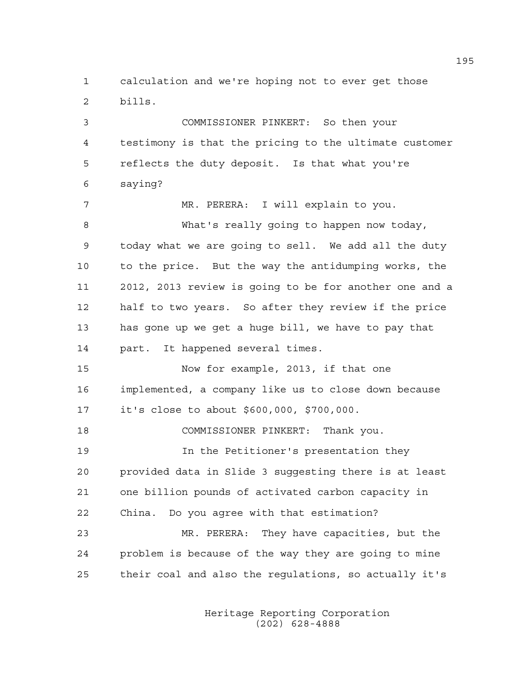1 calculation and we're hoping not to ever get those 2 bills.

3 COMMISSIONER PINKERT: So then your 4 testimony is that the pricing to the ultimate customer 5 reflects the duty deposit. Is that what you're 6 saying?

7 MR. PERERA: I will explain to you. 8 What's really going to happen now today, 9 today what we are going to sell. We add all the duty 10 to the price. But the way the antidumping works, the 11 2012, 2013 review is going to be for another one and a 12 half to two years. So after they review if the price 13 has gone up we get a huge bill, we have to pay that 14 part. It happened several times.

15 Now for example, 2013, if that one 16 implemented, a company like us to close down because 17 it's close to about \$600,000, \$700,000.

18 COMMISSIONER PINKERT: Thank you.

19 In the Petitioner's presentation they 20 provided data in Slide 3 suggesting there is at least 21 one billion pounds of activated carbon capacity in 22 China. Do you agree with that estimation?

23 MR. PERERA: They have capacities, but the 24 problem is because of the way they are going to mine 25 their coal and also the regulations, so actually it's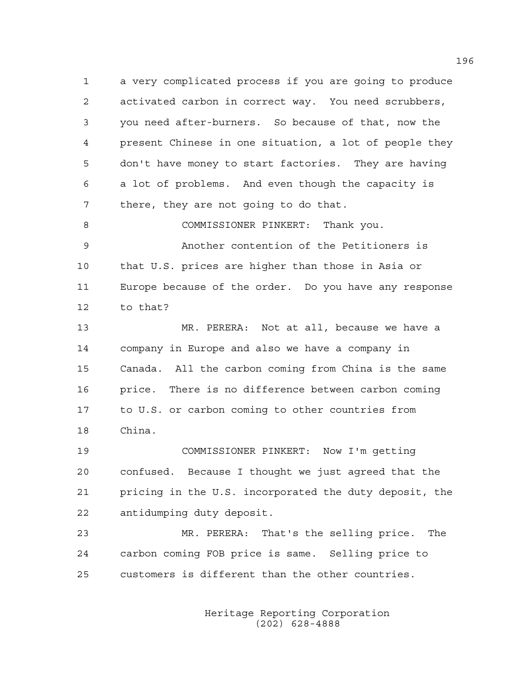1 a very complicated process if you are going to produce 2 activated carbon in correct way. You need scrubbers, 3 you need after-burners. So because of that, now the 4 present Chinese in one situation, a lot of people they 5 don't have money to start factories. They are having 6 a lot of problems. And even though the capacity is 7 there, they are not going to do that.

8 COMMISSIONER PINKERT: Thank you. 9 Another contention of the Petitioners is 10 that U.S. prices are higher than those in Asia or 11 Europe because of the order. Do you have any response 12 to that?

13 MR. PERERA: Not at all, because we have a 14 company in Europe and also we have a company in 15 Canada. All the carbon coming from China is the same 16 price. There is no difference between carbon coming 17 to U.S. or carbon coming to other countries from 18 China.

19 COMMISSIONER PINKERT: Now I'm getting 20 confused. Because I thought we just agreed that the 21 pricing in the U.S. incorporated the duty deposit, the 22 antidumping duty deposit.

23 MR. PERERA: That's the selling price. The 24 carbon coming FOB price is same. Selling price to 25 customers is different than the other countries.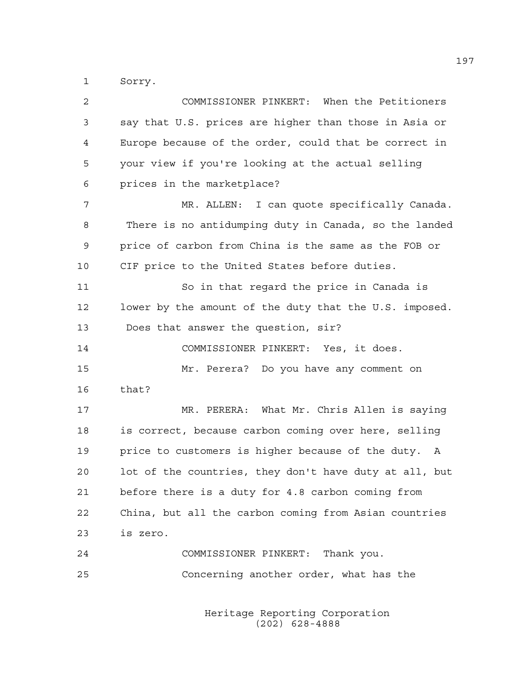1 Sorry.

| 2  | COMMISSIONER PINKERT: When the Petitioners             |
|----|--------------------------------------------------------|
| 3  | say that U.S. prices are higher than those in Asia or  |
| 4  | Europe because of the order, could that be correct in  |
| 5  | your view if you're looking at the actual selling      |
| 6  | prices in the marketplace?                             |
| 7  | MR. ALLEN: I can quote specifically Canada.            |
| 8  | There is no antidumping duty in Canada, so the landed  |
| 9  | price of carbon from China is the same as the FOB or   |
| 10 | CIF price to the United States before duties.          |
| 11 | So in that regard the price in Canada is               |
| 12 | lower by the amount of the duty that the U.S. imposed. |
| 13 | Does that answer the question, sir?                    |
| 14 | COMMISSIONER PINKERT: Yes, it does.                    |
| 15 | Mr. Perera? Do you have any comment on                 |
| 16 | that?                                                  |
| 17 | MR. PERERA: What Mr. Chris Allen is saying             |
| 18 | is correct, because carbon coming over here, selling   |
| 19 | price to customers is higher because of the duty. A    |
| 20 | lot of the countries, they don't have duty at all, but |
| 21 | before there is a duty for 4.8 carbon coming from      |
| 22 | China, but all the carbon coming from Asian countries  |
| 23 | is zero.                                               |
| 24 | COMMISSIONER PINKERT: Thank you.                       |
| 25 | Concerning another order, what has the                 |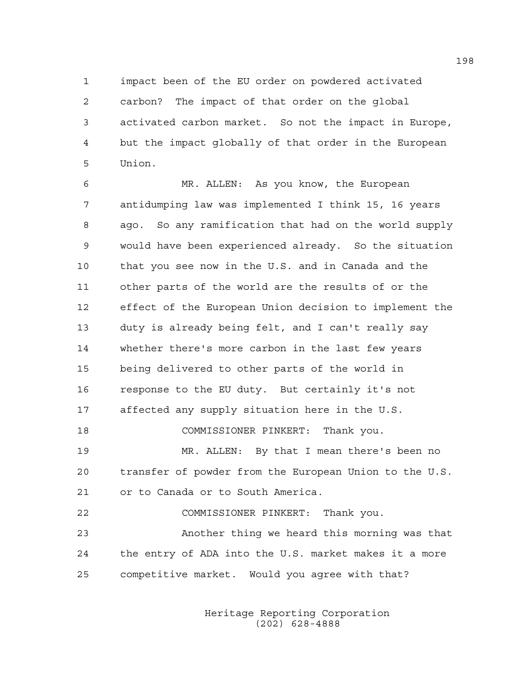1 impact been of the EU order on powdered activated 2 carbon? The impact of that order on the global 3 activated carbon market. So not the impact in Europe, 4 but the impact globally of that order in the European 5 Union.

6 MR. ALLEN: As you know, the European 7 antidumping law was implemented I think 15, 16 years 8 ago. So any ramification that had on the world supply 9 would have been experienced already. So the situation 10 that you see now in the U.S. and in Canada and the 11 other parts of the world are the results of or the 12 effect of the European Union decision to implement the 13 duty is already being felt, and I can't really say 14 whether there's more carbon in the last few years 15 being delivered to other parts of the world in 16 response to the EU duty. But certainly it's not 17 affected any supply situation here in the U.S. 18 COMMISSIONER PINKERT: Thank you. 19 MR. ALLEN: By that I mean there's been no 20 transfer of powder from the European Union to the U.S. 21 or to Canada or to South America. 22 COMMISSIONER PINKERT: Thank you. 23 Another thing we heard this morning was that 24 the entry of ADA into the U.S. market makes it a more 25 competitive market. Would you agree with that?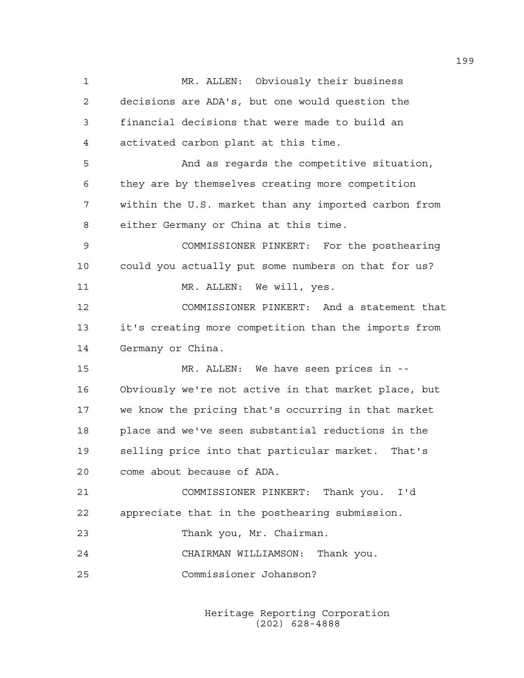1 MR. ALLEN: Obviously their business 2 decisions are ADA's, but one would question the 3 financial decisions that were made to build an 4 activated carbon plant at this time. 5 And as regards the competitive situation, 6 they are by themselves creating more competition 7 within the U.S. market than any imported carbon from 8 either Germany or China at this time. 9 COMMISSIONER PINKERT: For the posthearing 10 could you actually put some numbers on that for us? 11 MR. ALLEN: We will, yes. 12 COMMISSIONER PINKERT: And a statement that 13 it's creating more competition than the imports from 14 Germany or China. 15 MR. ALLEN: We have seen prices in -- 16 Obviously we're not active in that market place, but 17 we know the pricing that's occurring in that market 18 place and we've seen substantial reductions in the 19 selling price into that particular market. That's 20 come about because of ADA. 21 COMMISSIONER PINKERT: Thank you. I'd 22 appreciate that in the posthearing submission. 23 Thank you, Mr. Chairman. 24 CHAIRMAN WILLIAMSON: Thank you. 25 Commissioner Johanson?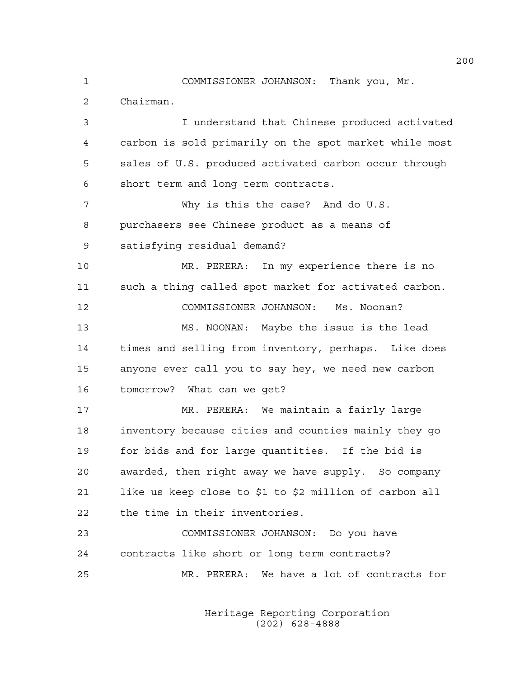1 COMMISSIONER JOHANSON: Thank you, Mr. 2 Chairman. 3 I understand that Chinese produced activated 4 carbon is sold primarily on the spot market while most 5 sales of U.S. produced activated carbon occur through 6 short term and long term contracts. 7 Why is this the case? And do U.S. 8 purchasers see Chinese product as a means of 9 satisfying residual demand? 10 MR. PERERA: In my experience there is no 11 such a thing called spot market for activated carbon. 12 COMMISSIONER JOHANSON: Ms. Noonan? 13 MS. NOONAN: Maybe the issue is the lead 14 times and selling from inventory, perhaps. Like does 15 anyone ever call you to say hey, we need new carbon 16 tomorrow? What can we get? 17 MR. PERERA: We maintain a fairly large 18 inventory because cities and counties mainly they go 19 for bids and for large quantities. If the bid is 20 awarded, then right away we have supply. So company 21 like us keep close to \$1 to \$2 million of carbon all 22 the time in their inventories. 23 COMMISSIONER JOHANSON: Do you have 24 contracts like short or long term contracts? 25 MR. PERERA: We have a lot of contracts for

> Heritage Reporting Corporation (202) 628-4888

200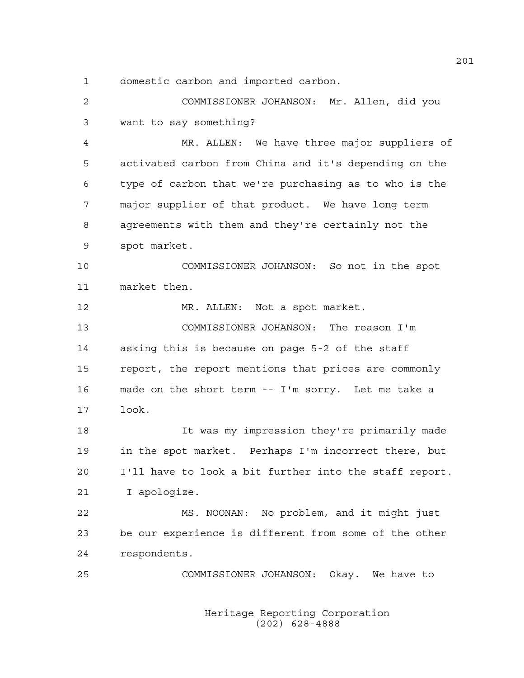1 domestic carbon and imported carbon.

2 COMMISSIONER JOHANSON: Mr. Allen, did you 3 want to say something?

4 MR. ALLEN: We have three major suppliers of 5 activated carbon from China and it's depending on the 6 type of carbon that we're purchasing as to who is the 7 major supplier of that product. We have long term 8 agreements with them and they're certainly not the 9 spot market.

10 COMMISSIONER JOHANSON: So not in the spot 11 market then.

12 MR. ALLEN: Not a spot market.

13 COMMISSIONER JOHANSON: The reason I'm 14 asking this is because on page 5-2 of the staff 15 report, the report mentions that prices are commonly 16 made on the short term -- I'm sorry. Let me take a 17 look.

18 It was my impression they're primarily made 19 in the spot market. Perhaps I'm incorrect there, but 20 I'll have to look a bit further into the staff report. 21 I apologize.

22 MS. NOONAN: No problem, and it might just 23 be our experience is different from some of the other 24 respondents.

25 COMMISSIONER JOHANSON: Okay. We have to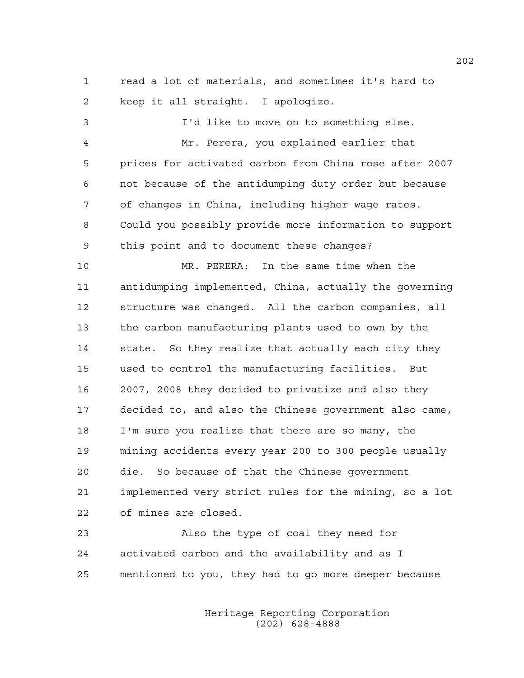1 read a lot of materials, and sometimes it's hard to 2 keep it all straight. I apologize.

3 I'd like to move on to something else. 4 Mr. Perera, you explained earlier that 5 prices for activated carbon from China rose after 2007 6 not because of the antidumping duty order but because 7 of changes in China, including higher wage rates. 8 Could you possibly provide more information to support 9 this point and to document these changes? 10 MR. PERERA: In the same time when the 11 antidumping implemented, China, actually the governing 12 structure was changed. All the carbon companies, all 13 the carbon manufacturing plants used to own by the 14 state. So they realize that actually each city they 15 used to control the manufacturing facilities. But 16 2007, 2008 they decided to privatize and also they 17 decided to, and also the Chinese government also came, 18 I'm sure you realize that there are so many, the 19 mining accidents every year 200 to 300 people usually 20 die. So because of that the Chinese government 21 implemented very strict rules for the mining, so a lot 22 of mines are closed.

23 Also the type of coal they need for 24 activated carbon and the availability and as I 25 mentioned to you, they had to go more deeper because

> Heritage Reporting Corporation (202) 628-4888

202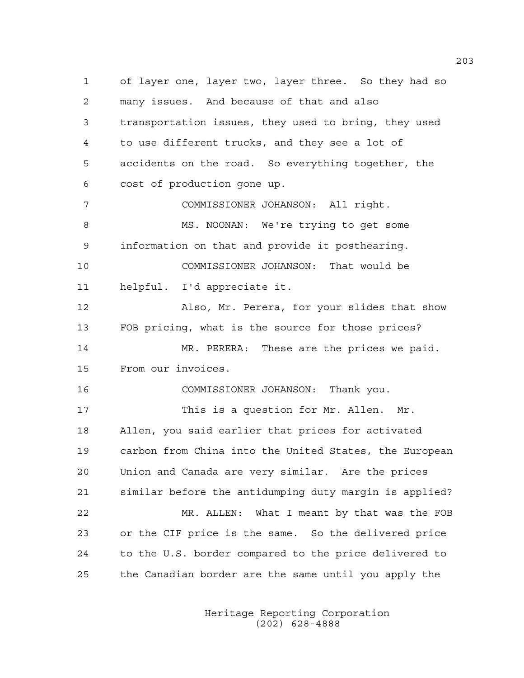1 of layer one, layer two, layer three. So they had so 2 many issues. And because of that and also 3 transportation issues, they used to bring, they used 4 to use different trucks, and they see a lot of 5 accidents on the road. So everything together, the 6 cost of production gone up. 7 COMMISSIONER JOHANSON: All right. 8 MS. NOONAN: We're trying to get some 9 information on that and provide it posthearing. 10 COMMISSIONER JOHANSON: That would be 11 helpful. I'd appreciate it. 12 Also, Mr. Perera, for your slides that show 13 FOB pricing, what is the source for those prices? 14 MR. PERERA: These are the prices we paid. 15 From our invoices. 16 COMMISSIONER JOHANSON: Thank you. 17 This is a question for Mr. Allen. Mr. 18 Allen, you said earlier that prices for activated 19 carbon from China into the United States, the European 20 Union and Canada are very similar. Are the prices 21 similar before the antidumping duty margin is applied? 22 MR. ALLEN: What I meant by that was the FOB 23 or the CIF price is the same. So the delivered price 24 to the U.S. border compared to the price delivered to 25 the Canadian border are the same until you apply the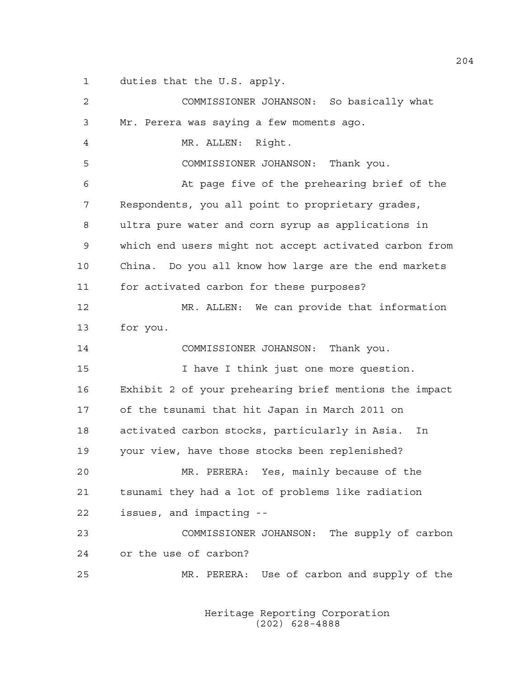1 duties that the U.S. apply.

2 COMMISSIONER JOHANSON: So basically what 3 Mr. Perera was saying a few moments ago. 4 MR. ALLEN: Right. 5 COMMISSIONER JOHANSON: Thank you. 6 At page five of the prehearing brief of the 7 Respondents, you all point to proprietary grades, 8 ultra pure water and corn syrup as applications in 9 which end users might not accept activated carbon from 10 China. Do you all know how large are the end markets 11 for activated carbon for these purposes? 12 MR. ALLEN: We can provide that information 13 for you. 14 COMMISSIONER JOHANSON: Thank you. 15 I have I think just one more question. 16 Exhibit 2 of your prehearing brief mentions the impact 17 of the tsunami that hit Japan in March 2011 on 18 activated carbon stocks, particularly in Asia. In 19 your view, have those stocks been replenished? 20 MR. PERERA: Yes, mainly because of the 21 tsunami they had a lot of problems like radiation 22 issues, and impacting -- 23 COMMISSIONER JOHANSON: The supply of carbon 24 or the use of carbon? 25 MR. PERERA: Use of carbon and supply of the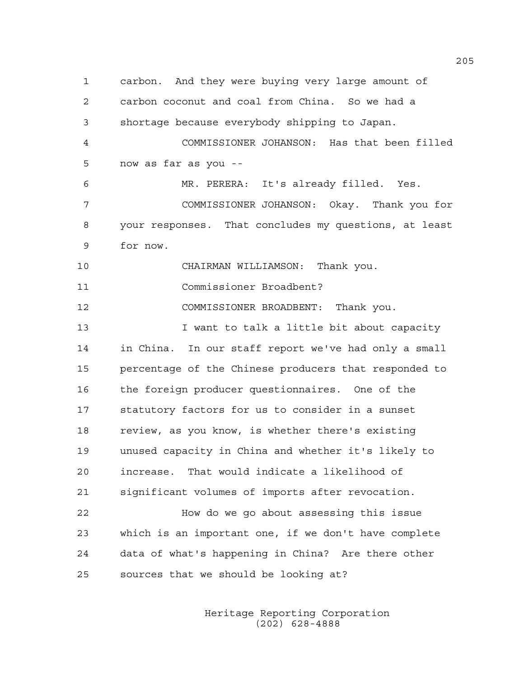1 carbon. And they were buying very large amount of 2 carbon coconut and coal from China. So we had a 3 shortage because everybody shipping to Japan. 4 COMMISSIONER JOHANSON: Has that been filled 5 now as far as you -- 6 MR. PERERA: It's already filled. Yes. 7 COMMISSIONER JOHANSON: Okay. Thank you for 8 your responses. That concludes my questions, at least 9 for now. 10 CHAIRMAN WILLIAMSON: Thank you. 11 Commissioner Broadbent? 12 COMMISSIONER BROADBENT: Thank you. 13 **I** want to talk a little bit about capacity 14 in China. In our staff report we've had only a small 15 percentage of the Chinese producers that responded to 16 the foreign producer questionnaires. One of the 17 statutory factors for us to consider in a sunset 18 review, as you know, is whether there's existing 19 unused capacity in China and whether it's likely to 20 increase. That would indicate a likelihood of 21 significant volumes of imports after revocation. 22 How do we go about assessing this issue 23 which is an important one, if we don't have complete 24 data of what's happening in China? Are there other 25 sources that we should be looking at?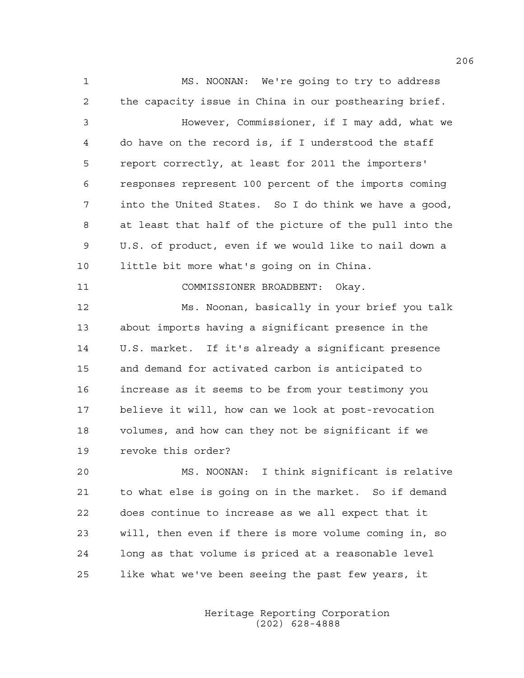1 MS. NOONAN: We're going to try to address 2 the capacity issue in China in our posthearing brief. 3 However, Commissioner, if I may add, what we 4 do have on the record is, if I understood the staff 5 report correctly, at least for 2011 the importers' 6 responses represent 100 percent of the imports coming 7 into the United States. So I do think we have a good, 8 at least that half of the picture of the pull into the 9 U.S. of product, even if we would like to nail down a 10 little bit more what's going on in China. 11 COMMISSIONER BROADBENT: Okay. 12 Ms. Noonan, basically in your brief you talk 13 about imports having a significant presence in the 14 U.S. market. If it's already a significant presence 15 and demand for activated carbon is anticipated to 16 increase as it seems to be from your testimony you 17 believe it will, how can we look at post-revocation 18 volumes, and how can they not be significant if we 19 revoke this order?

20 MS. NOONAN: I think significant is relative 21 to what else is going on in the market. So if demand 22 does continue to increase as we all expect that it 23 will, then even if there is more volume coming in, so 24 long as that volume is priced at a reasonable level 25 like what we've been seeing the past few years, it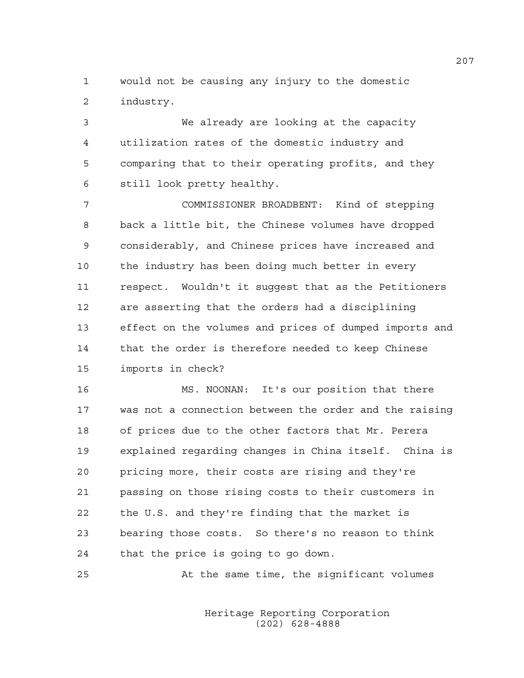1 would not be causing any injury to the domestic 2 industry.

3 We already are looking at the capacity 4 utilization rates of the domestic industry and 5 comparing that to their operating profits, and they 6 still look pretty healthy.

7 COMMISSIONER BROADBENT: Kind of stepping 8 back a little bit, the Chinese volumes have dropped 9 considerably, and Chinese prices have increased and 10 the industry has been doing much better in every 11 respect. Wouldn't it suggest that as the Petitioners 12 are asserting that the orders had a disciplining 13 effect on the volumes and prices of dumped imports and 14 that the order is therefore needed to keep Chinese 15 imports in check?

16 MS. NOONAN: It's our position that there 17 was not a connection between the order and the raising 18 of prices due to the other factors that Mr. Perera 19 explained regarding changes in China itself. China is 20 pricing more, their costs are rising and they're 21 passing on those rising costs to their customers in 22 the U.S. and they're finding that the market is 23 bearing those costs. So there's no reason to think 24 that the price is going to go down.

25 At the same time, the significant volumes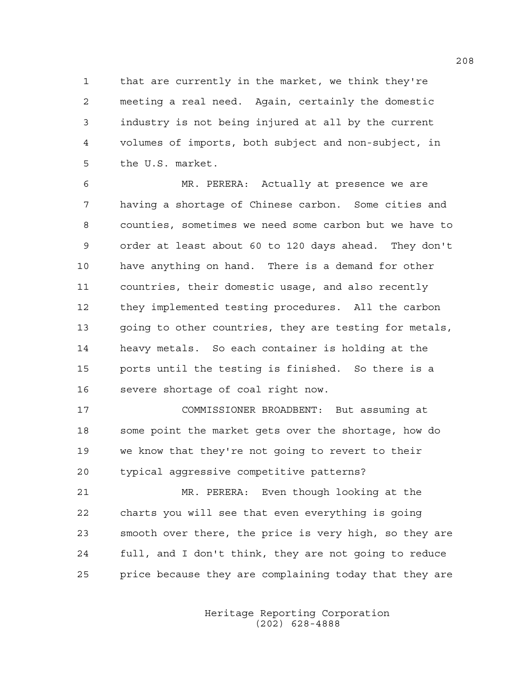1 that are currently in the market, we think they're 2 meeting a real need. Again, certainly the domestic 3 industry is not being injured at all by the current 4 volumes of imports, both subject and non-subject, in 5 the U.S. market.

6 MR. PERERA: Actually at presence we are 7 having a shortage of Chinese carbon. Some cities and 8 counties, sometimes we need some carbon but we have to 9 order at least about 60 to 120 days ahead. They don't 10 have anything on hand. There is a demand for other 11 countries, their domestic usage, and also recently 12 they implemented testing procedures. All the carbon 13 going to other countries, they are testing for metals, 14 heavy metals. So each container is holding at the 15 ports until the testing is finished. So there is a 16 severe shortage of coal right now.

17 COMMISSIONER BROADBENT: But assuming at 18 some point the market gets over the shortage, how do 19 we know that they're not going to revert to their 20 typical aggressive competitive patterns?

21 MR. PERERA: Even though looking at the 22 charts you will see that even everything is going 23 smooth over there, the price is very high, so they are 24 full, and I don't think, they are not going to reduce 25 price because they are complaining today that they are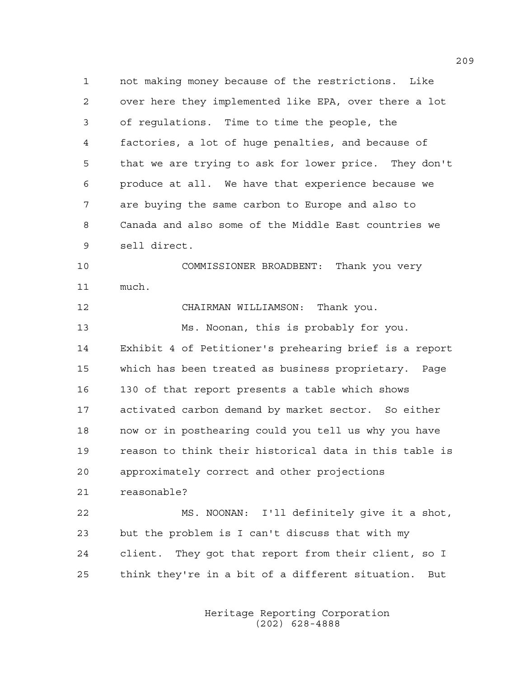1 not making money because of the restrictions. Like 2 over here they implemented like EPA, over there a lot 3 of regulations. Time to time the people, the 4 factories, a lot of huge penalties, and because of 5 that we are trying to ask for lower price. They don't 6 produce at all. We have that experience because we 7 are buying the same carbon to Europe and also to 8 Canada and also some of the Middle East countries we 9 sell direct.

10 COMMISSIONER BROADBENT: Thank you very 11 much.

12 CHAIRMAN WILLIAMSON: Thank you.

13 Ms. Noonan, this is probably for you. 14 Exhibit 4 of Petitioner's prehearing brief is a report 15 which has been treated as business proprietary. Page 16 130 of that report presents a table which shows 17 activated carbon demand by market sector. So either 18 now or in posthearing could you tell us why you have 19 reason to think their historical data in this table is 20 approximately correct and other projections 21 reasonable?

22 MS. NOONAN: I'll definitely give it a shot, 23 but the problem is I can't discuss that with my 24 client. They got that report from their client, so I 25 think they're in a bit of a different situation. But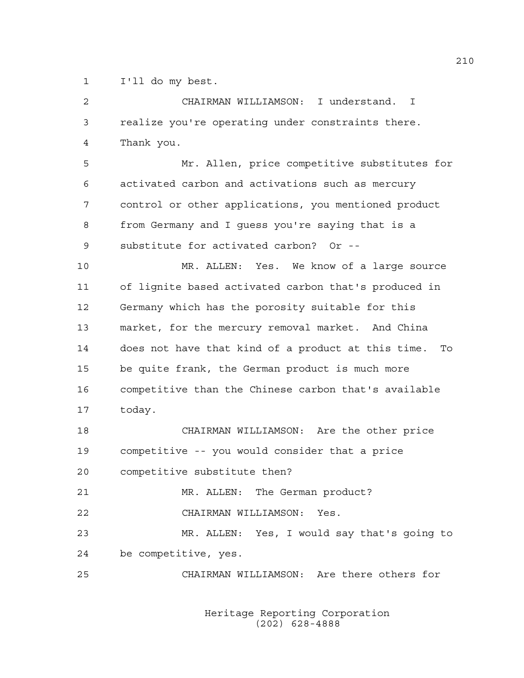1 I'll do my best.

| $\overline{c}$ | CHAIRMAN WILLIAMSON: I understand. I                  |
|----------------|-------------------------------------------------------|
| 3              | realize you're operating under constraints there.     |
| 4              | Thank you.                                            |
| 5              | Mr. Allen, price competitive substitutes for          |
| 6              | activated carbon and activations such as mercury      |
| 7              | control or other applications, you mentioned product  |
| 8              | from Germany and I guess you're saying that is a      |
| 9              | substitute for activated carbon? Or --                |
| 10             | MR. ALLEN: Yes. We know of a large source             |
| 11             | of lignite based activated carbon that's produced in  |
| 12             | Germany which has the porosity suitable for this      |
| 13             | market, for the mercury removal market. And China     |
| 14             | does not have that kind of a product at this time. To |
| 15             | be quite frank, the German product is much more       |
| 16             | competitive than the Chinese carbon that's available  |
| 17             | today.                                                |
| 18             | CHAIRMAN WILLIAMSON: Are the other price              |
| 19             | competitive -- you would consider that a price        |
| 20             | competitive substitute then?                          |
| 21             | MR. ALLEN: The German product?                        |
| 22             | CHAIRMAN WILLIAMSON: Yes.                             |
| 23             | MR. ALLEN: Yes, I would say that's going to           |
| 24             | be competitive, yes.                                  |
| 25             | CHAIRMAN WILLIAMSON: Are there others for             |
|                |                                                       |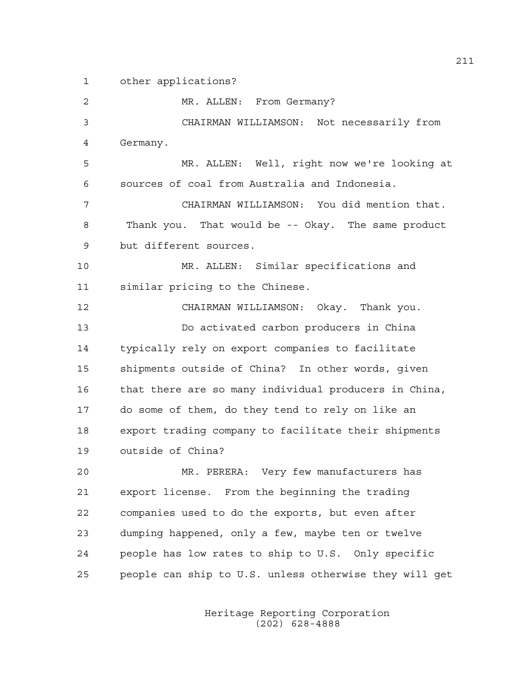1 other applications? 2 MR. ALLEN: From Germany? 3 CHAIRMAN WILLIAMSON: Not necessarily from 4 Germany. 5 MR. ALLEN: Well, right now we're looking at 6 sources of coal from Australia and Indonesia. 7 CHAIRMAN WILLIAMSON: You did mention that. 8 Thank you. That would be -- Okay. The same product 9 but different sources. 10 MR. ALLEN: Similar specifications and 11 similar pricing to the Chinese. 12 CHAIRMAN WILLIAMSON: Okay. Thank you. 13 Do activated carbon producers in China 14 typically rely on export companies to facilitate 15 shipments outside of China? In other words, given 16 that there are so many individual producers in China, 17 do some of them, do they tend to rely on like an 18 export trading company to facilitate their shipments 19 outside of China? 20 MR. PERERA: Very few manufacturers has 21 export license. From the beginning the trading 22 companies used to do the exports, but even after 23 dumping happened, only a few, maybe ten or twelve

25 people can ship to U.S. unless otherwise they will get

24 people has low rates to ship to U.S. Only specific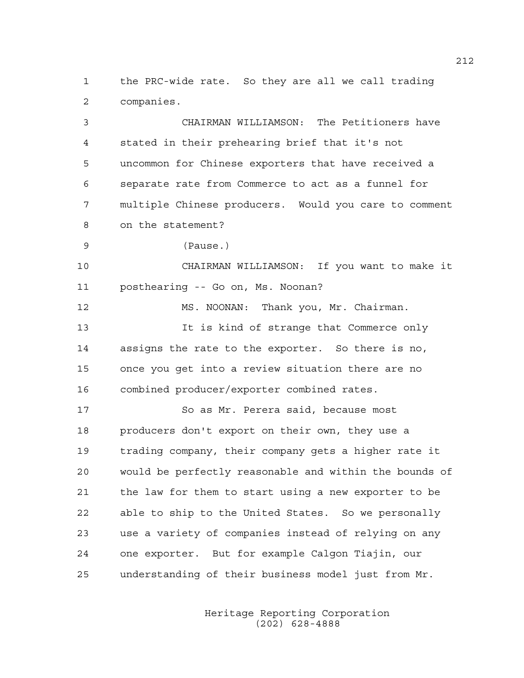1 the PRC-wide rate. So they are all we call trading 2 companies.

3 CHAIRMAN WILLIAMSON: The Petitioners have 4 stated in their prehearing brief that it's not 5 uncommon for Chinese exporters that have received a 6 separate rate from Commerce to act as a funnel for 7 multiple Chinese producers. Would you care to comment 8 on the statement?

9 (Pause.)

10 CHAIRMAN WILLIAMSON: If you want to make it 11 posthearing -- Go on, Ms. Noonan?

12 MS. NOONAN: Thank you, Mr. Chairman. 13 It is kind of strange that Commerce only 14 assigns the rate to the exporter. So there is no, 15 once you get into a review situation there are no 16 combined producer/exporter combined rates.

17 So as Mr. Perera said, because most 18 producers don't export on their own, they use a 19 trading company, their company gets a higher rate it 20 would be perfectly reasonable and within the bounds of 21 the law for them to start using a new exporter to be 22 able to ship to the United States. So we personally 23 use a variety of companies instead of relying on any 24 one exporter. But for example Calgon Tiajin, our 25 understanding of their business model just from Mr.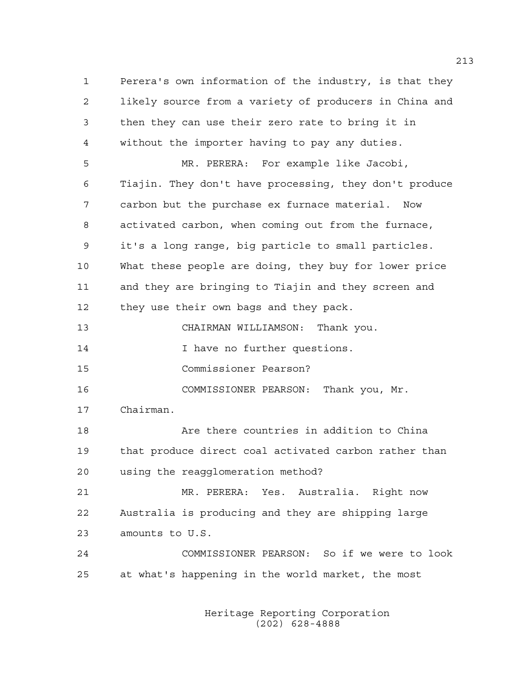1 Perera's own information of the industry, is that they 2 likely source from a variety of producers in China and 3 then they can use their zero rate to bring it in 4 without the importer having to pay any duties. 5 MR. PERERA: For example like Jacobi, 6 Tiajin. They don't have processing, they don't produce 7 carbon but the purchase ex furnace material. Now 8 activated carbon, when coming out from the furnace, 9 it's a long range, big particle to small particles. 10 What these people are doing, they buy for lower price 11 and they are bringing to Tiajin and they screen and 12 they use their own bags and they pack. 13 CHAIRMAN WILLIAMSON: Thank you. 14 **I have no further questions.** 15 Commissioner Pearson? 16 COMMISSIONER PEARSON: Thank you, Mr. 17 Chairman. 18 Are there countries in addition to China 19 that produce direct coal activated carbon rather than 20 using the reagglomeration method? 21 MR. PERERA: Yes. Australia. Right now 22 Australia is producing and they are shipping large 23 amounts to U.S. 24 COMMISSIONER PEARSON: So if we were to look 25 at what's happening in the world market, the most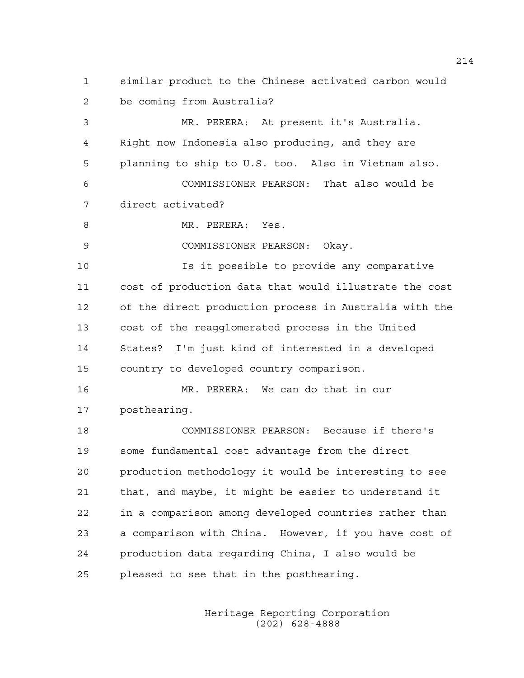1 similar product to the Chinese activated carbon would 2 be coming from Australia?

3 MR. PERERA: At present it's Australia. 4 Right now Indonesia also producing, and they are 5 planning to ship to U.S. too. Also in Vietnam also. 6 COMMISSIONER PEARSON: That also would be 7 direct activated?

8 MR. PERERA: Yes.

9 COMMISSIONER PEARSON: Okay.

10 Is it possible to provide any comparative 11 cost of production data that would illustrate the cost 12 of the direct production process in Australia with the 13 cost of the reagglomerated process in the United 14 States? I'm just kind of interested in a developed 15 country to developed country comparison.

16 MR. PERERA: We can do that in our 17 posthearing.

18 COMMISSIONER PEARSON: Because if there's 19 some fundamental cost advantage from the direct 20 production methodology it would be interesting to see 21 that, and maybe, it might be easier to understand it 22 in a comparison among developed countries rather than 23 a comparison with China. However, if you have cost of 24 production data regarding China, I also would be 25 pleased to see that in the posthearing.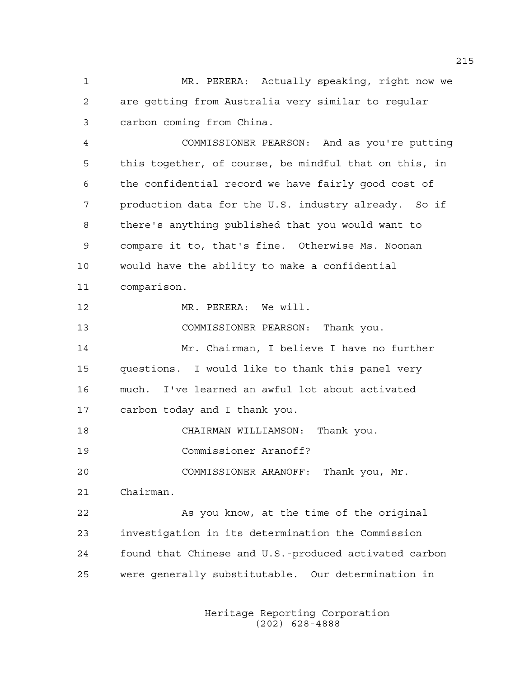1 MR. PERERA: Actually speaking, right now we 2 are getting from Australia very similar to regular 3 carbon coming from China.

4 COMMISSIONER PEARSON: And as you're putting 5 this together, of course, be mindful that on this, in 6 the confidential record we have fairly good cost of 7 production data for the U.S. industry already. So if 8 there's anything published that you would want to 9 compare it to, that's fine. Otherwise Ms. Noonan 10 would have the ability to make a confidential 11 comparison.

12 MR. PERERA: We will.

13 COMMISSIONER PEARSON: Thank you.

14 Mr. Chairman, I believe I have no further 15 questions. I would like to thank this panel very 16 much. I've learned an awful lot about activated 17 carbon today and I thank you.

18 CHAIRMAN WILLIAMSON: Thank you.

19 Commissioner Aranoff?

20 COMMISSIONER ARANOFF: Thank you, Mr.

21 Chairman.

22 As you know, at the time of the original 23 investigation in its determination the Commission 24 found that Chinese and U.S.-produced activated carbon 25 were generally substitutable. Our determination in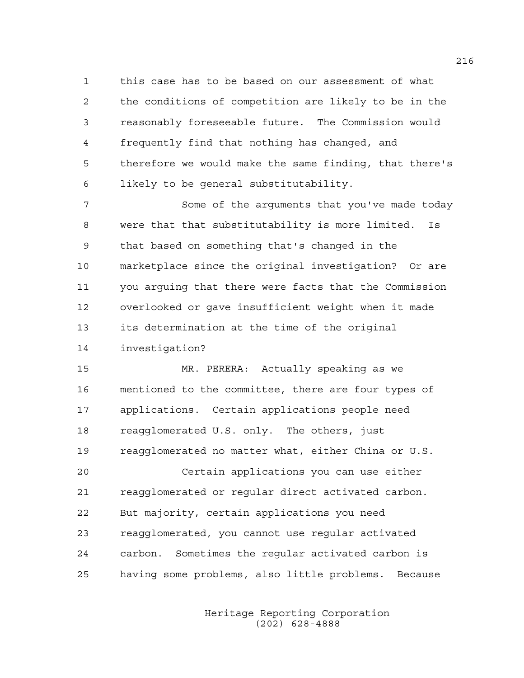1 this case has to be based on our assessment of what 2 the conditions of competition are likely to be in the 3 reasonably foreseeable future. The Commission would 4 frequently find that nothing has changed, and 5 therefore we would make the same finding, that there's 6 likely to be general substitutability.

7 Some of the arguments that you've made today 8 were that that substitutability is more limited. Is 9 that based on something that's changed in the 10 marketplace since the original investigation? Or are 11 you arguing that there were facts that the Commission 12 overlooked or gave insufficient weight when it made 13 its determination at the time of the original 14 investigation?

15 MR. PERERA: Actually speaking as we 16 mentioned to the committee, there are four types of 17 applications. Certain applications people need 18 reagglomerated U.S. only. The others, just 19 reagglomerated no matter what, either China or U.S. 20 Certain applications you can use either 21 reagglomerated or regular direct activated carbon. 22 But majority, certain applications you need 23 reagglomerated, you cannot use regular activated 24 carbon. Sometimes the regular activated carbon is 25 having some problems, also little problems. Because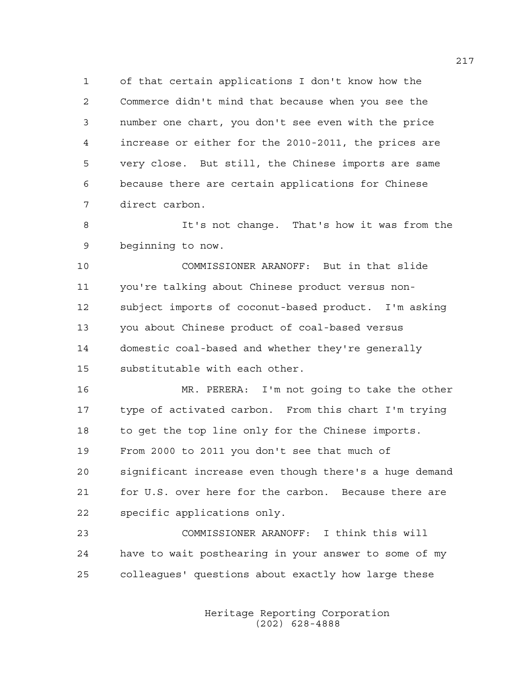1 of that certain applications I don't know how the 2 Commerce didn't mind that because when you see the 3 number one chart, you don't see even with the price 4 increase or either for the 2010-2011, the prices are 5 very close. But still, the Chinese imports are same 6 because there are certain applications for Chinese 7 direct carbon.

8 It's not change. That's how it was from the 9 beginning to now.

10 COMMISSIONER ARANOFF: But in that slide 11 you're talking about Chinese product versus non-12 subject imports of coconut-based product. I'm asking 13 you about Chinese product of coal-based versus 14 domestic coal-based and whether they're generally 15 substitutable with each other.

16 MR. PERERA: I'm not going to take the other 17 type of activated carbon. From this chart I'm trying 18 to get the top line only for the Chinese imports. 19 From 2000 to 2011 you don't see that much of 20 significant increase even though there's a huge demand

21 for U.S. over here for the carbon. Because there are 22 specific applications only.

23 COMMISSIONER ARANOFF: I think this will 24 have to wait posthearing in your answer to some of my 25 colleagues' questions about exactly how large these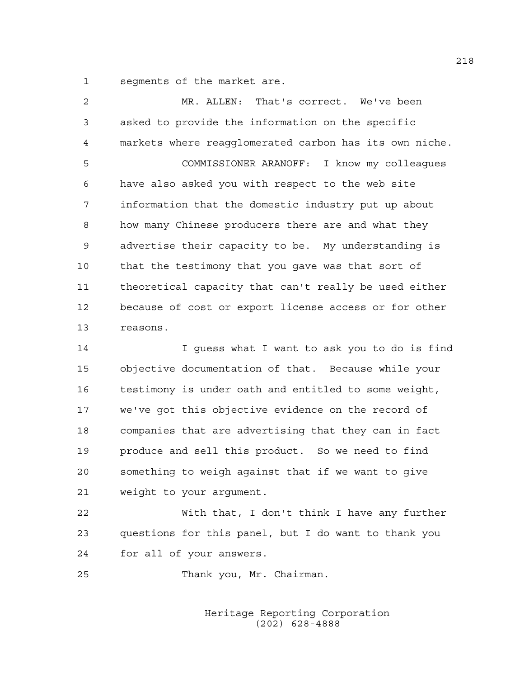1 segments of the market are.

| $\mathfrak{D}$ | MR. ALLEN: That's correct. We've been                  |
|----------------|--------------------------------------------------------|
| 3              | asked to provide the information on the specific       |
| 4              | markets where reagglomerated carbon has its own niche. |
| 5              | COMMISSIONER ARANOFF: I know my colleagues             |
| 6              | have also asked you with respect to the web site       |
| 7              | information that the domestic industry put up about    |
| 8              | how many Chinese producers there are and what they     |
| 9              | advertise their capacity to be. My understanding is    |
| 10             | that the testimony that you gave was that sort of      |
| 11             | theoretical capacity that can't really be used either  |
| 12             | because of cost or export license access or for other  |
| 13             | reasons.                                               |
| 1 <sub>1</sub> | I guess what I want to ask you to do is find           |

14 I guess what I want to ask you to do is find 15 objective documentation of that. Because while your 16 testimony is under oath and entitled to some weight, 17 we've got this objective evidence on the record of 18 companies that are advertising that they can in fact 19 produce and sell this product. So we need to find 20 something to weigh against that if we want to give 21 weight to your argument.

22 With that, I don't think I have any further 23 questions for this panel, but I do want to thank you 24 for all of your answers.

25 Thank you, Mr. Chairman.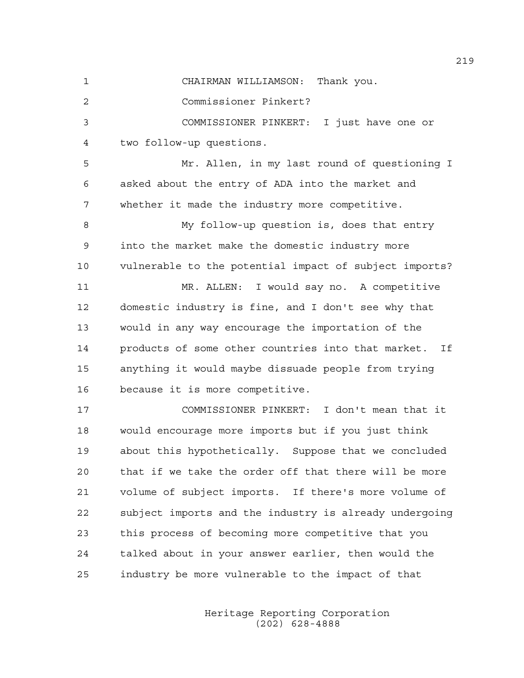1 CHAIRMAN WILLIAMSON: Thank you.

2 Commissioner Pinkert?

3 COMMISSIONER PINKERT: I just have one or 4 two follow-up questions.

5 Mr. Allen, in my last round of questioning I 6 asked about the entry of ADA into the market and 7 whether it made the industry more competitive.

8 My follow-up question is, does that entry 9 into the market make the domestic industry more 10 vulnerable to the potential impact of subject imports?

11 MR. ALLEN: I would say no. A competitive 12 domestic industry is fine, and I don't see why that 13 would in any way encourage the importation of the 14 products of some other countries into that market. If 15 anything it would maybe dissuade people from trying 16 because it is more competitive.

17 COMMISSIONER PINKERT: I don't mean that it 18 would encourage more imports but if you just think 19 about this hypothetically. Suppose that we concluded 20 that if we take the order off that there will be more 21 volume of subject imports. If there's more volume of 22 subject imports and the industry is already undergoing 23 this process of becoming more competitive that you 24 talked about in your answer earlier, then would the 25 industry be more vulnerable to the impact of that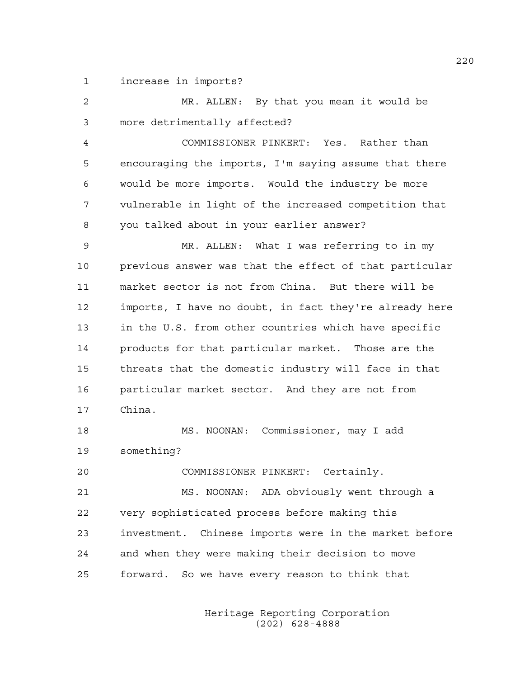1 increase in imports?

| 2  | MR. ALLEN: By that you mean it would be                |
|----|--------------------------------------------------------|
| 3  | more detrimentally affected?                           |
| 4  | COMMISSIONER PINKERT: Yes. Rather than                 |
| 5  | encouraging the imports, I'm saying assume that there  |
| 6  | would be more imports. Would the industry be more      |
| 7  | vulnerable in light of the increased competition that  |
| 8  | you talked about in your earlier answer?               |
| 9  | MR. ALLEN: What I was referring to in my               |
| 10 | previous answer was that the effect of that particular |
| 11 | market sector is not from China. But there will be     |
| 12 | imports, I have no doubt, in fact they're already here |
| 13 | in the U.S. from other countries which have specific   |
| 14 | products for that particular market. Those are the     |
| 15 | threats that the domestic industry will face in that   |
| 16 | particular market sector. And they are not from        |
| 17 | China.                                                 |
| 18 | MS. NOONAN: Commissioner, may I add                    |
| 19 | something?                                             |
| 20 | COMMISSIONER PINKERT: Certainly.                       |
| 21 | MS. NOONAN: ADA obviously went through a               |
| 22 | very sophisticated process before making this          |
| 23 | investment. Chinese imports were in the market before  |
| 24 | and when they were making their decision to move       |
| 25 | forward.<br>So we have every reason to think that      |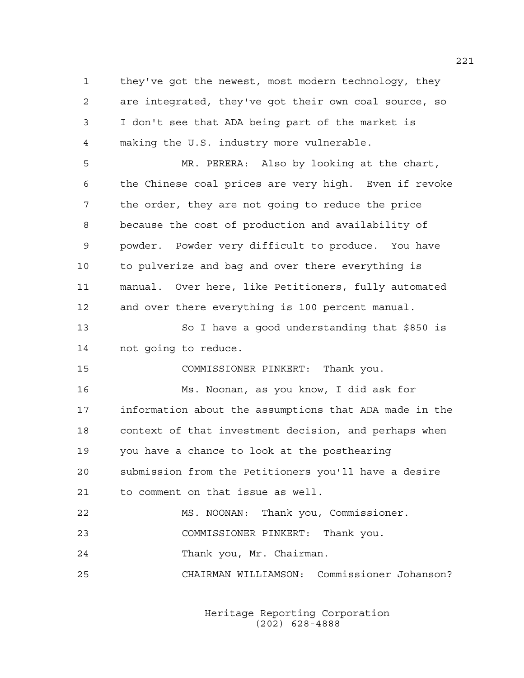1 they've got the newest, most modern technology, they 2 are integrated, they've got their own coal source, so 3 I don't see that ADA being part of the market is 4 making the U.S. industry more vulnerable.

5 MR. PERERA: Also by looking at the chart, 6 the Chinese coal prices are very high. Even if revoke 7 the order, they are not going to reduce the price 8 because the cost of production and availability of 9 powder. Powder very difficult to produce. You have 10 to pulverize and bag and over there everything is 11 manual. Over here, like Petitioners, fully automated 12 and over there everything is 100 percent manual.

13 So I have a good understanding that \$850 is 14 not going to reduce.

15 COMMISSIONER PINKERT: Thank you.

16 Ms. Noonan, as you know, I did ask for 17 information about the assumptions that ADA made in the 18 context of that investment decision, and perhaps when 19 you have a chance to look at the posthearing 20 submission from the Petitioners you'll have a desire

21 to comment on that issue as well.

22 MS. NOONAN: Thank you, Commissioner.

23 COMMISSIONER PINKERT: Thank you.

24 Thank you, Mr. Chairman.

25 CHAIRMAN WILLIAMSON: Commissioner Johanson?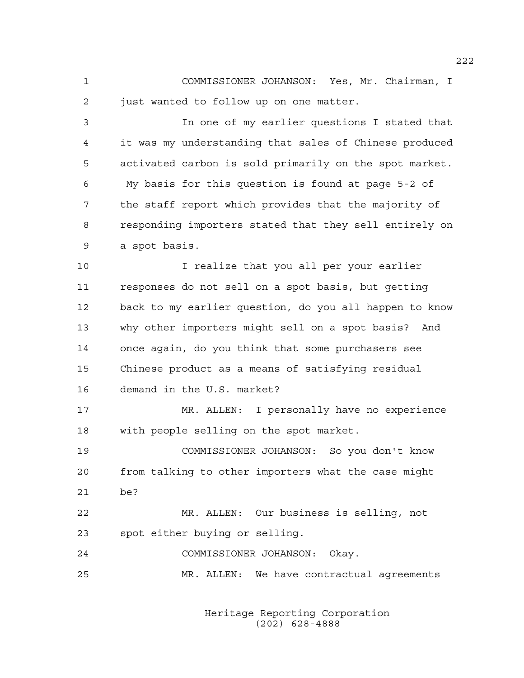1 COMMISSIONER JOHANSON: Yes, Mr. Chairman, I 2 just wanted to follow up on one matter.

3 In one of my earlier questions I stated that 4 it was my understanding that sales of Chinese produced 5 activated carbon is sold primarily on the spot market. 6 My basis for this question is found at page 5-2 of 7 the staff report which provides that the majority of 8 responding importers stated that they sell entirely on 9 a spot basis.

10 I realize that you all per your earlier 11 responses do not sell on a spot basis, but getting 12 back to my earlier question, do you all happen to know 13 why other importers might sell on a spot basis? And 14 once again, do you think that some purchasers see 15 Chinese product as a means of satisfying residual 16 demand in the U.S. market?

17 MR. ALLEN: I personally have no experience 18 with people selling on the spot market.

19 COMMISSIONER JOHANSON: So you don't know 20 from talking to other importers what the case might 21 be?

22 MR. ALLEN: Our business is selling, not 23 spot either buying or selling.

24 COMMISSIONER JOHANSON: Okay.

25 MR. ALLEN: We have contractual agreements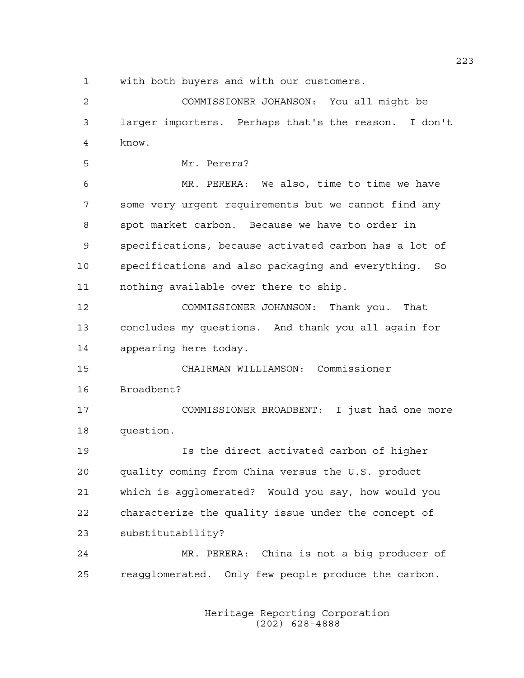1 with both buyers and with our customers.

2 COMMISSIONER JOHANSON: You all might be 3 larger importers. Perhaps that's the reason. I don't 4 know.

5 Mr. Perera?

6 MR. PERERA: We also, time to time we have 7 some very urgent requirements but we cannot find any 8 spot market carbon. Because we have to order in 9 specifications, because activated carbon has a lot of 10 specifications and also packaging and everything. So 11 nothing available over there to ship.

12 COMMISSIONER JOHANSON: Thank you. That 13 concludes my questions. And thank you all again for 14 appearing here today.

15 CHAIRMAN WILLIAMSON: Commissioner 16 Broadbent?

17 COMMISSIONER BROADBENT: I just had one more 18 question.

19 Is the direct activated carbon of higher 20 quality coming from China versus the U.S. product 21 which is agglomerated? Would you say, how would you 22 characterize the quality issue under the concept of 23 substitutability?

24 MR. PERERA: China is not a big producer of 25 reagglomerated. Only few people produce the carbon.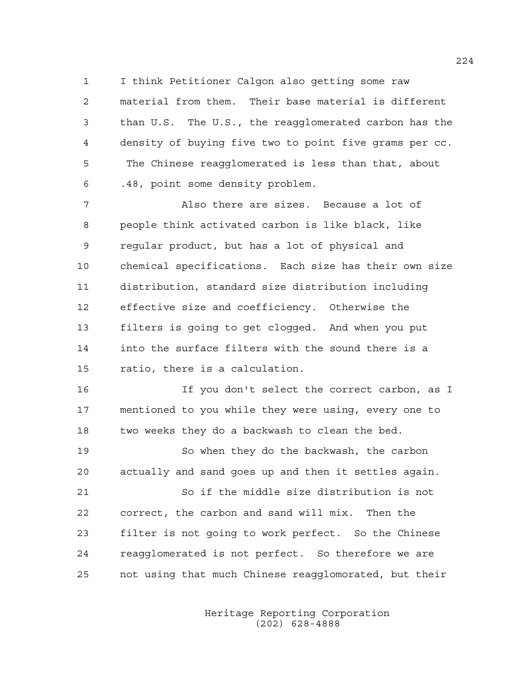1 I think Petitioner Calgon also getting some raw 2 material from them. Their base material is different 3 than U.S. The U.S., the reagglomerated carbon has the 4 density of buying five two to point five grams per cc. 5 The Chinese reagglomerated is less than that, about 6 .48, point some density problem.

7 Also there are sizes. Because a lot of 8 people think activated carbon is like black, like 9 regular product, but has a lot of physical and 10 chemical specifications. Each size has their own size 11 distribution, standard size distribution including 12 effective size and coefficiency. Otherwise the 13 filters is going to get clogged. And when you put 14 into the surface filters with the sound there is a 15 ratio, there is a calculation.

16 If you don't select the correct carbon, as I 17 mentioned to you while they were using, every one to 18 two weeks they do a backwash to clean the bed.

19 So when they do the backwash, the carbon 20 actually and sand goes up and then it settles again.

21 So if the middle size distribution is not 22 correct, the carbon and sand will mix. Then the 23 filter is not going to work perfect. So the Chinese 24 reagglomerated is not perfect. So therefore we are 25 not using that much Chinese reagglomorated, but their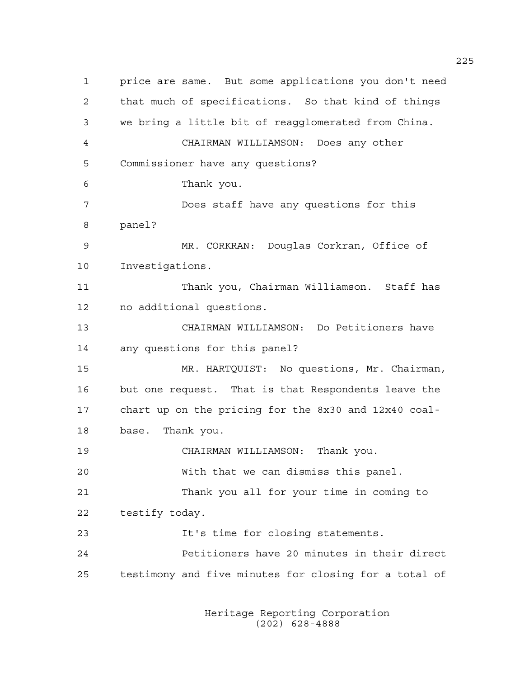1 price are same. But some applications you don't need 2 that much of specifications. So that kind of things 3 we bring a little bit of reagglomerated from China. 4 CHAIRMAN WILLIAMSON: Does any other 5 Commissioner have any questions? 6 Thank you. 7 Does staff have any questions for this 8 panel? 9 MR. CORKRAN: Douglas Corkran, Office of 10 Investigations. 11 Thank you, Chairman Williamson. Staff has 12 no additional questions. 13 CHAIRMAN WILLIAMSON: Do Petitioners have 14 any questions for this panel? 15 MR. HARTQUIST: No questions, Mr. Chairman, 16 but one request. That is that Respondents leave the 17 chart up on the pricing for the 8x30 and 12x40 coal-18 base. Thank you. 19 CHAIRMAN WILLIAMSON: Thank you. 20 With that we can dismiss this panel. 21 Thank you all for your time in coming to 22 testify today. 23 It's time for closing statements. 24 Petitioners have 20 minutes in their direct 25 testimony and five minutes for closing for a total of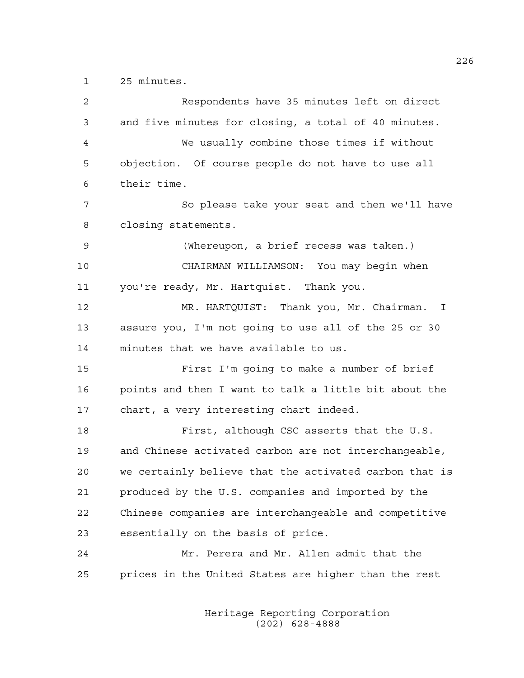1 25 minutes.

| 2  | Respondents have 35 minutes left on direct             |
|----|--------------------------------------------------------|
| 3  | and five minutes for closing, a total of 40 minutes.   |
| 4  | We usually combine those times if without              |
| 5  | objection. Of course people do not have to use all     |
| 6  | their time.                                            |
| 7  | So please take your seat and then we'll have           |
| 8  | closing statements.                                    |
| 9  | (Whereupon, a brief recess was taken.)                 |
| 10 | CHAIRMAN WILLIAMSON: You may begin when                |
| 11 | you're ready, Mr. Hartquist. Thank you.                |
| 12 | MR. HARTQUIST: Thank you, Mr. Chairman. I              |
| 13 | assure you, I'm not going to use all of the 25 or 30   |
| 14 | minutes that we have available to us.                  |
| 15 | First I'm going to make a number of brief              |
| 16 | points and then I want to talk a little bit about the  |
| 17 | chart, a very interesting chart indeed.                |
| 18 | First, although CSC asserts that the U.S.              |
| 19 | and Chinese activated carbon are not interchangeable,  |
| 20 | we certainly believe that the activated carbon that is |
| 21 | produced by the U.S. companies and imported by the     |
| 22 | Chinese companies are interchangeable and competitive  |
| 23 | essentially on the basis of price.                     |
| 24 | Mr. Perera and Mr. Allen admit that the                |
| 25 | prices in the United States are higher than the rest   |
|    |                                                        |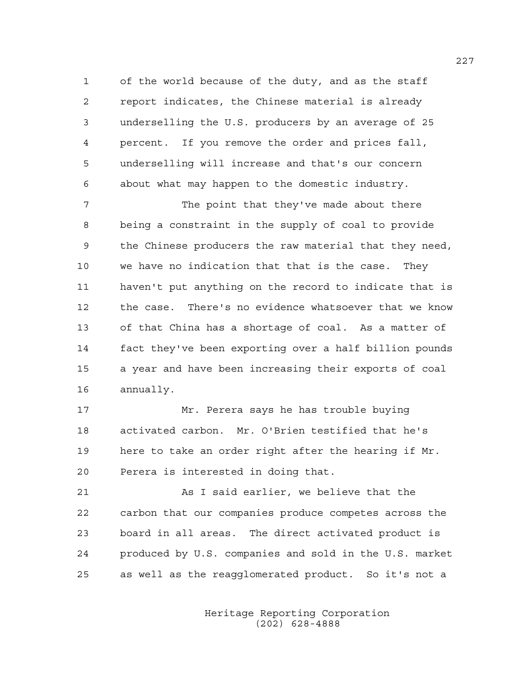1 of the world because of the duty, and as the staff 2 report indicates, the Chinese material is already 3 underselling the U.S. producers by an average of 25 4 percent. If you remove the order and prices fall, 5 underselling will increase and that's our concern 6 about what may happen to the domestic industry.

7 The point that they've made about there 8 being a constraint in the supply of coal to provide 9 the Chinese producers the raw material that they need, 10 we have no indication that that is the case. They 11 haven't put anything on the record to indicate that is 12 the case. There's no evidence whatsoever that we know 13 of that China has a shortage of coal. As a matter of 14 fact they've been exporting over a half billion pounds 15 a year and have been increasing their exports of coal 16 annually.

17 Mr. Perera says he has trouble buying 18 activated carbon. Mr. O'Brien testified that he's 19 here to take an order right after the hearing if Mr. 20 Perera is interested in doing that.

21 As I said earlier, we believe that the 22 carbon that our companies produce competes across the 23 board in all areas. The direct activated product is 24 produced by U.S. companies and sold in the U.S. market 25 as well as the reagglomerated product. So it's not a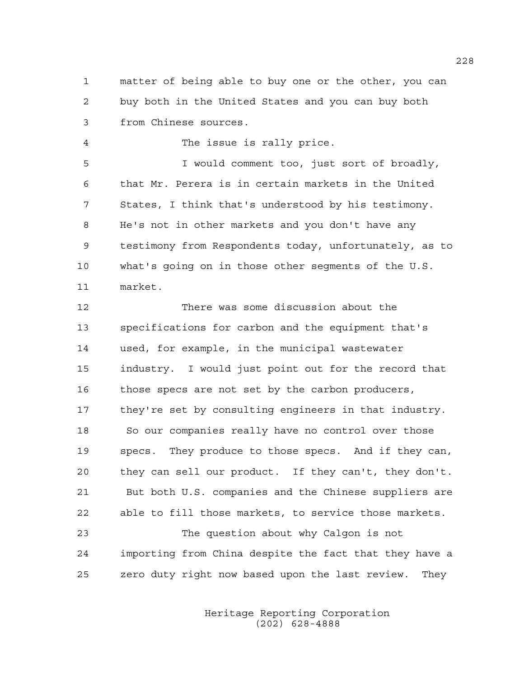1 matter of being able to buy one or the other, you can 2 buy both in the United States and you can buy both 3 from Chinese sources.

4 The issue is rally price.

5 I would comment too, just sort of broadly, 6 that Mr. Perera is in certain markets in the United 7 States, I think that's understood by his testimony. 8 He's not in other markets and you don't have any 9 testimony from Respondents today, unfortunately, as to 10 what's going on in those other segments of the U.S. 11 market.

12 There was some discussion about the 13 specifications for carbon and the equipment that's 14 used, for example, in the municipal wastewater 15 industry. I would just point out for the record that 16 those specs are not set by the carbon producers, 17 they're set by consulting engineers in that industry. 18 So our companies really have no control over those 19 specs. They produce to those specs. And if they can, 20 they can sell our product. If they can't, they don't. 21 But both U.S. companies and the Chinese suppliers are 22 able to fill those markets, to service those markets.

23 The question about why Calgon is not 24 importing from China despite the fact that they have a 25 zero duty right now based upon the last review. They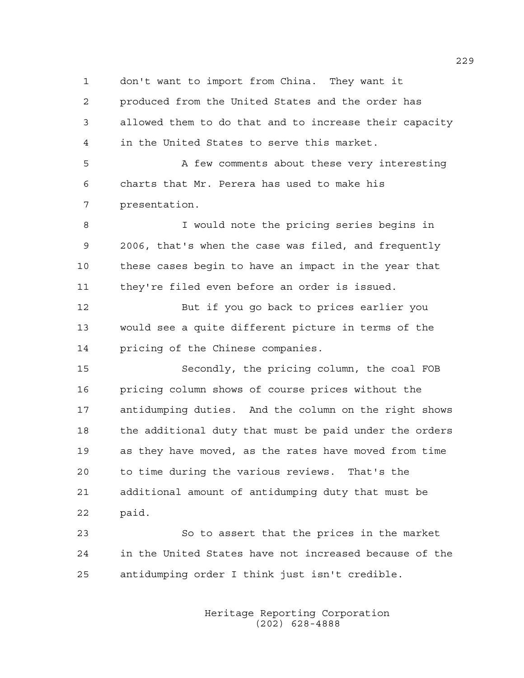1 don't want to import from China. They want it

2 produced from the United States and the order has 3 allowed them to do that and to increase their capacity 4 in the United States to serve this market.

5 A few comments about these very interesting 6 charts that Mr. Perera has used to make his 7 presentation.

8 I would note the pricing series begins in 9 2006, that's when the case was filed, and frequently 10 these cases begin to have an impact in the year that 11 they're filed even before an order is issued.

12 But if you go back to prices earlier you 13 would see a quite different picture in terms of the 14 pricing of the Chinese companies.

15 Secondly, the pricing column, the coal FOB 16 pricing column shows of course prices without the 17 antidumping duties. And the column on the right shows 18 the additional duty that must be paid under the orders 19 as they have moved, as the rates have moved from time 20 to time during the various reviews. That's the 21 additional amount of antidumping duty that must be 22 paid.

23 So to assert that the prices in the market 24 in the United States have not increased because of the 25 antidumping order I think just isn't credible.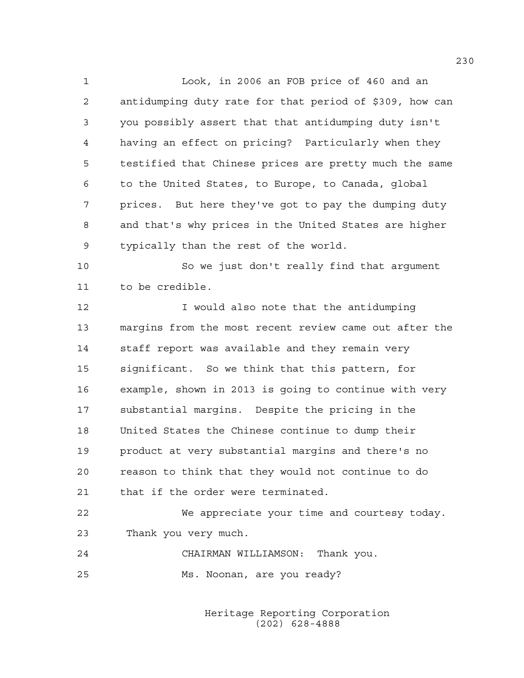1 Look, in 2006 an FOB price of 460 and an 2 antidumping duty rate for that period of \$309, how can 3 you possibly assert that that antidumping duty isn't 4 having an effect on pricing? Particularly when they 5 testified that Chinese prices are pretty much the same 6 to the United States, to Europe, to Canada, global 7 prices. But here they've got to pay the dumping duty 8 and that's why prices in the United States are higher 9 typically than the rest of the world.

10 So we just don't really find that argument 11 to be credible.

12 I would also note that the antidumping 13 margins from the most recent review came out after the 14 staff report was available and they remain very 15 significant. So we think that this pattern, for 16 example, shown in 2013 is going to continue with very 17 substantial margins. Despite the pricing in the 18 United States the Chinese continue to dump their 19 product at very substantial margins and there's no 20 reason to think that they would not continue to do 21 that if the order were terminated.

22 We appreciate your time and courtesy today. 23 Thank you very much.

24 CHAIRMAN WILLIAMSON: Thank you. 25 Ms. Noonan, are you ready?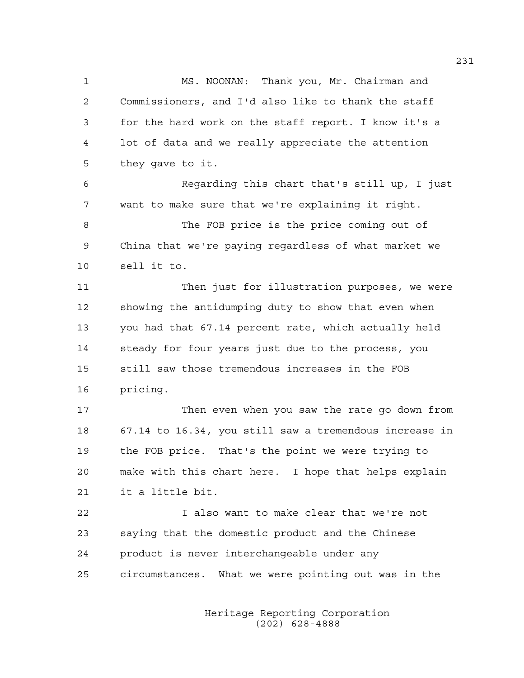1 MS. NOONAN: Thank you, Mr. Chairman and 2 Commissioners, and I'd also like to thank the staff 3 for the hard work on the staff report. I know it's a 4 lot of data and we really appreciate the attention 5 they gave to it.

6 Regarding this chart that's still up, I just 7 want to make sure that we're explaining it right.

8 The FOB price is the price coming out of 9 China that we're paying regardless of what market we 10 sell it to.

11 Then just for illustration purposes, we were 12 showing the antidumping duty to show that even when 13 you had that 67.14 percent rate, which actually held 14 steady for four years just due to the process, you 15 still saw those tremendous increases in the FOB 16 pricing.

17 Then even when you saw the rate go down from 18 67.14 to 16.34, you still saw a tremendous increase in 19 the FOB price. That's the point we were trying to 20 make with this chart here. I hope that helps explain 21 it a little bit.

22 I also want to make clear that we're not 23 saying that the domestic product and the Chinese 24 product is never interchangeable under any 25 circumstances. What we were pointing out was in the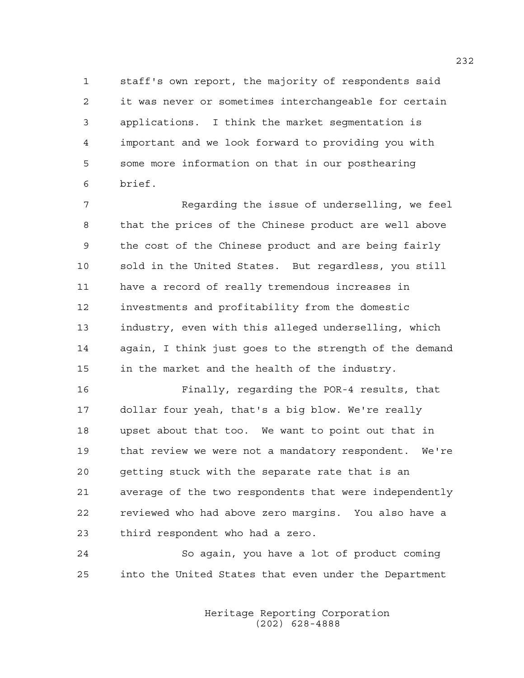1 staff's own report, the majority of respondents said 2 it was never or sometimes interchangeable for certain 3 applications. I think the market segmentation is 4 important and we look forward to providing you with 5 some more information on that in our posthearing 6 brief.

7 Regarding the issue of underselling, we feel 8 that the prices of the Chinese product are well above 9 the cost of the Chinese product and are being fairly 10 sold in the United States. But regardless, you still 11 have a record of really tremendous increases in 12 investments and profitability from the domestic 13 industry, even with this alleged underselling, which 14 again, I think just goes to the strength of the demand 15 in the market and the health of the industry.

16 Finally, regarding the POR-4 results, that 17 dollar four yeah, that's a big blow. We're really 18 upset about that too. We want to point out that in 19 that review we were not a mandatory respondent. We're 20 getting stuck with the separate rate that is an 21 average of the two respondents that were independently 22 reviewed who had above zero margins. You also have a 23 third respondent who had a zero.

24 So again, you have a lot of product coming 25 into the United States that even under the Department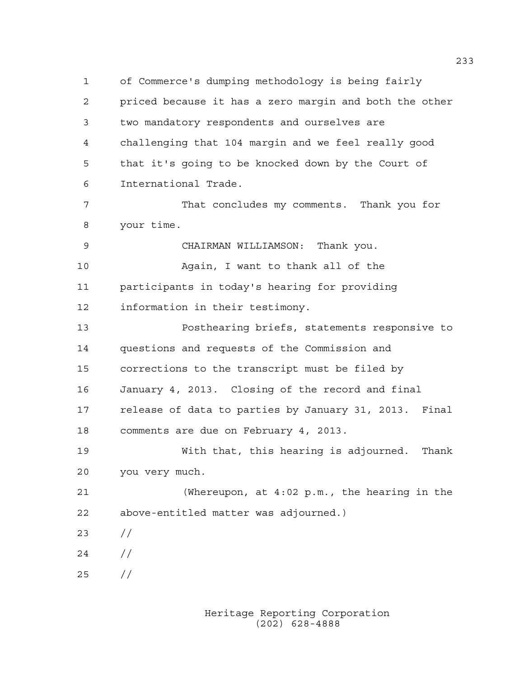1 of Commerce's dumping methodology is being fairly 2 priced because it has a zero margin and both the other 3 two mandatory respondents and ourselves are 4 challenging that 104 margin and we feel really good 5 that it's going to be knocked down by the Court of 6 International Trade. 7 That concludes my comments. Thank you for 8 your time. 9 CHAIRMAN WILLIAMSON: Thank you. 10 Again, I want to thank all of the 11 participants in today's hearing for providing 12 information in their testimony. 13 Posthearing briefs, statements responsive to 14 questions and requests of the Commission and 15 corrections to the transcript must be filed by 16 January 4, 2013. Closing of the record and final 17 release of data to parties by January 31, 2013. Final 18 comments are due on February 4, 2013. 19 With that, this hearing is adjourned. Thank 20 you very much. 21 (Whereupon, at 4:02 p.m., the hearing in the 22 above-entitled matter was adjourned.) 23 //

 $24 /$ 

25 //